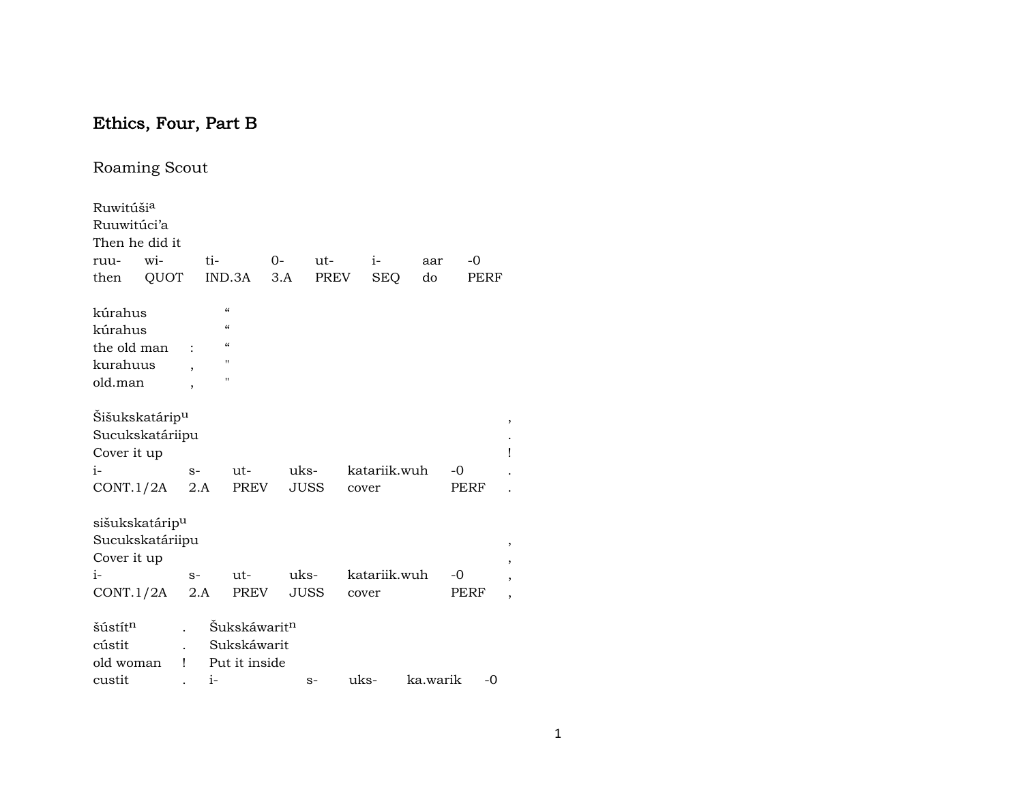# Ethics, Four, Part B

## Roaming Scout

| Ruwitúši <sup>a</sup>      |      |                          |                                        |                          |      |             |      |       |              |          |      |      |   |
|----------------------------|------|--------------------------|----------------------------------------|--------------------------|------|-------------|------|-------|--------------|----------|------|------|---|
| Ruuwitúci'a                |      |                          |                                        |                          |      |             |      |       |              |          |      |      |   |
| Then he did it             |      |                          |                                        |                          |      |             |      |       |              |          |      |      |   |
| ruu-                       | wi-  |                          | ti-                                    |                          | $0-$ |             | ut-  |       | $i-$         | aar      | $-0$ |      |   |
| then                       | QUOT |                          | IND.3A                                 |                          | 3.A  |             | PREV |       | <b>SEQ</b>   | do       |      | PERF |   |
| kúrahus                    |      |                          | $\mathcal{C}\mathcal{C}$               |                          |      |             |      |       |              |          |      |      |   |
| kúrahus                    |      |                          | $\boldsymbol{\zeta}\boldsymbol{\zeta}$ |                          |      |             |      |       |              |          |      |      |   |
|                            |      |                          | $\mathcal{C}\mathcal{C}$               |                          |      |             |      |       |              |          |      |      |   |
| the old man                |      |                          | п                                      |                          |      |             |      |       |              |          |      |      |   |
| kurahuus                   |      | $\overline{ }$           | п                                      |                          |      |             |      |       |              |          |      |      |   |
| old.man                    |      | $\overline{\phantom{a}}$ |                                        |                          |      |             |      |       |              |          |      |      |   |
| Šišukskatárip <sup>u</sup> |      |                          |                                        |                          |      |             |      |       |              |          |      |      | , |
| Sucukskatáriipu            |      |                          |                                        |                          |      |             |      |       |              |          |      |      |   |
| Cover it up                |      |                          |                                        |                          |      |             |      |       |              |          |      |      | Î |
| $i-$                       |      | $S-$                     |                                        | $ut-$                    |      | uks-        |      |       | katariik.wuh |          | $-0$ |      |   |
| CONT.1/2A                  |      | 2.A                      |                                        | <b>PREV</b>              |      | <b>JUSS</b> |      | cover |              |          | PERF |      |   |
| sišukskatárip <sup>u</sup> |      |                          |                                        |                          |      |             |      |       |              |          |      |      |   |
| Sucukskatáriipu            |      |                          |                                        |                          |      |             |      |       |              |          |      |      |   |
| Cover it up                |      |                          |                                        |                          |      |             |      |       |              |          |      |      |   |
| $i-$                       |      | $S-$                     |                                        | ut-                      |      | uks-        |      |       | katariik.wuh |          | -0   |      |   |
| CONT.1/2A                  |      | 2.A                      |                                        | <b>PREV</b>              |      | <b>JUSS</b> |      |       |              |          | PERF |      |   |
|                            |      |                          |                                        |                          |      |             |      | cover |              |          |      |      |   |
| šústít <sup>n</sup>        |      |                          |                                        | Šukskáwarit <sup>n</sup> |      |             |      |       |              |          |      |      |   |
| cústit                     |      |                          |                                        | Sukskáwarit              |      |             |      |       |              |          |      |      |   |
| old woman                  |      | Ţ                        |                                        | Put it inside            |      |             |      |       |              |          |      |      |   |
| custit                     |      |                          | $i-$                                   |                          |      |             | $S-$ | uks-  |              | ka.warik |      | $-0$ |   |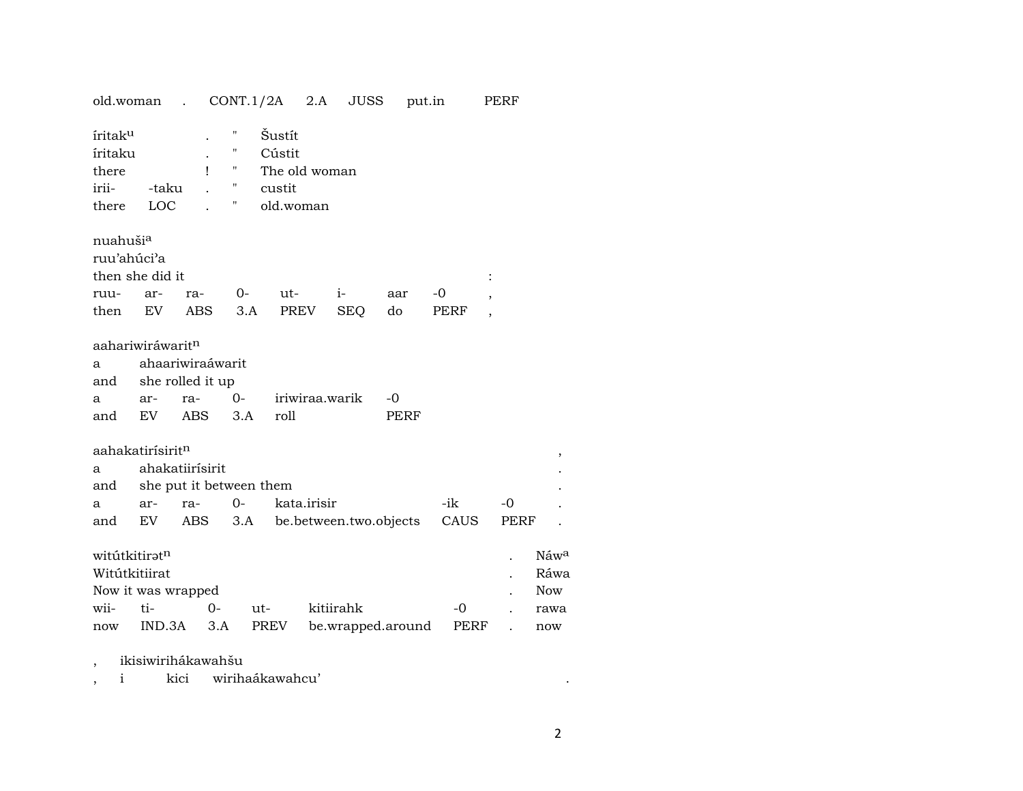| old.woman.                                                     |                                                      |                                                    |                                                                                                      |             |                | $CONT.1/2A$ 2.A JUSS | put.in                     |      | PERF                            |      |                         |
|----------------------------------------------------------------|------------------------------------------------------|----------------------------------------------------|------------------------------------------------------------------------------------------------------|-------------|----------------|----------------------|----------------------------|------|---------------------------------|------|-------------------------|
| íritak <sup>u</sup><br>íritaku<br>there<br>irii-<br>there      | -taku<br>LOC                                         | Ţ                                                  | 11<br>Šustít<br>"<br>Cústit<br>Ħ<br>The old woman<br>$\pmb{\mathsf{H}}$<br>custit<br>11<br>old.woman |             |                |                      |                            |      |                                 |      |                         |
| nuahuši <sup>a</sup><br>ruu'ahúci'a<br>then she did it<br>ruu- | ar-                                                  | ra-                                                | $0-$                                                                                                 | ut-         | $i-$           |                      | aar                        | $-0$ |                                 |      |                         |
| then                                                           | EV                                                   | ABS                                                | 3.A                                                                                                  | PREV        |                | <b>SEQ</b>           | do                         | PERF |                                 |      |                         |
| aahariwiráwarit <sup>n</sup><br>a<br>and<br>a<br>and           | ar-<br>EV                                            | ahaariwiraáwarit<br>she rolled it up<br>ra-<br>ABS | $0-$<br>3.A                                                                                          | roll        | iriwiraa.warik |                      | $-0$<br>PERF               |      |                                 |      |                         |
| aahakatirísirit <sup>n</sup>                                   |                                                      |                                                    |                                                                                                      |             |                |                      |                            |      |                                 |      | $^\mathrm{^\mathrm{o}}$ |
| a                                                              |                                                      | ahakatiirísirit                                    |                                                                                                      |             |                |                      |                            |      |                                 |      |                         |
| and                                                            |                                                      | she put it between them                            |                                                                                                      |             |                |                      |                            |      |                                 |      |                         |
| a                                                              | ar-                                                  | ra-                                                | $0-$                                                                                                 | kata.irisir |                |                      |                            | -ik  | $-0$                            |      |                         |
| and                                                            | EV                                                   | ABS                                                |                                                                                                      |             |                |                      | 3.A be.between.two.objects | CAUS |                                 | PERF |                         |
|                                                                | witútkitiratn<br>Witútkitiirat<br>Now it was wrapped |                                                    |                                                                                                      |             |                |                      |                            |      | Náw <sup>a</sup><br>Ráwa<br>Now |      |                         |
| wii-                                                           | kitiirahk<br>ti-<br>$0-$<br>ut-                      |                                                    |                                                                                                      |             | $-0$           |                      |                            | rawa |                                 |      |                         |
| now                                                            | IND.3A<br>3.A<br>PREV<br>be.wrapped.around           |                                                    |                                                                                                      |             |                |                      | PERF                       |      |                                 | now  |                         |

, ikisiwirihákawahšu

, i kici wirihaákawahcu' .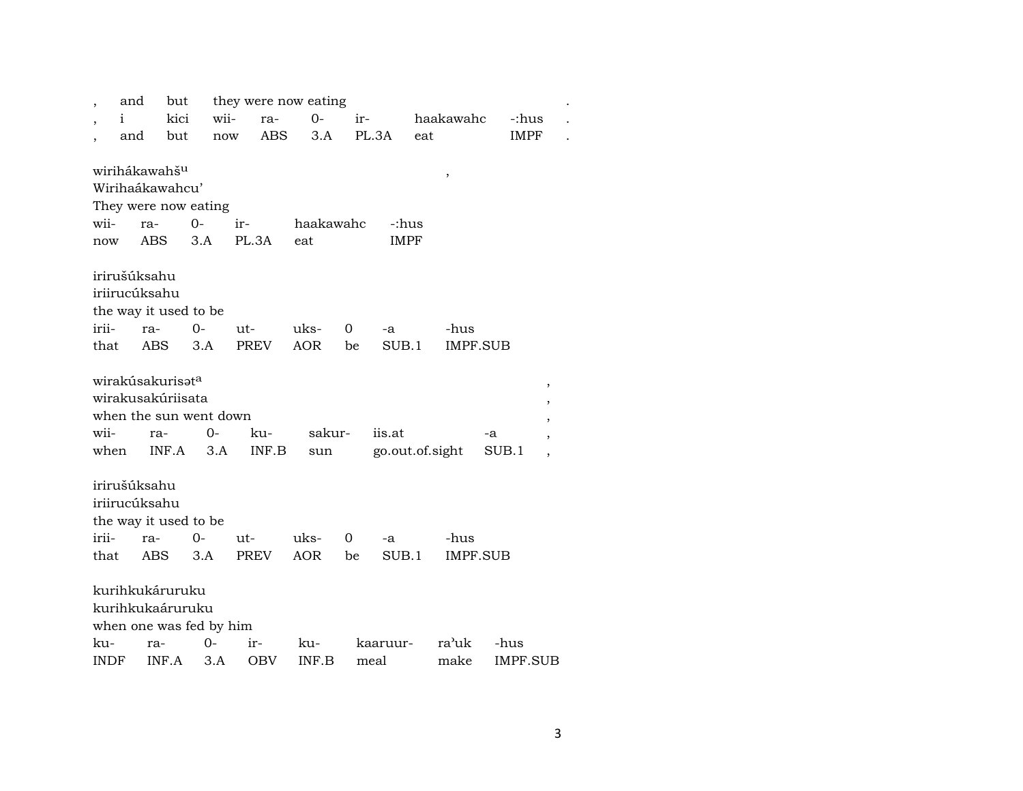|             | and  | but                          |       | they were now eating |            |                |                 |     |                       |       |                          |  |
|-------------|------|------------------------------|-------|----------------------|------------|----------------|-----------------|-----|-----------------------|-------|--------------------------|--|
|             | i    | kici                         | wii-  | ra-                  | $O -$      | ir-            |                 |     | haakawahc             |       | -:hus                    |  |
|             | and  | but                          | now   | ABS                  | 3.A        |                | PL.3A           | eat |                       |       | <b>IMPF</b>              |  |
|             |      |                              |       |                      |            |                |                 |     |                       |       |                          |  |
|             |      | wirihákawahš <sup>u</sup>    |       |                      |            |                |                 |     | $^\mathrm{^{^\circ}}$ |       |                          |  |
|             |      | Wirihaákawahcu'              |       |                      |            |                |                 |     |                       |       |                          |  |
|             |      | They were now eating         |       |                      |            |                |                 |     |                       |       |                          |  |
| wii-        |      | ra-                          | $O -$ | ir-                  | haakawahc  |                | -:hus           |     |                       |       |                          |  |
| now         |      | ABS                          | 3.A   | PL.3A                | eat        |                | <b>IMPF</b>     |     |                       |       |                          |  |
|             |      |                              |       |                      |            |                |                 |     |                       |       |                          |  |
|             |      | irirušúksahu                 |       |                      |            |                |                 |     |                       |       |                          |  |
|             |      | iriirucúksahu                |       |                      |            |                |                 |     |                       |       |                          |  |
|             |      | the way it used to be        |       |                      |            |                |                 |     |                       |       |                          |  |
| irii-       |      | ra-                          | 0-    | $ut-$                | uks-       | 0              | -a              |     | -hus                  |       |                          |  |
| that        |      | ABS                          | 3.A   | <b>PREV</b>          | <b>AOR</b> | be             | SUB.1           |     | IMPF.SUB              |       |                          |  |
|             |      |                              |       |                      |            |                |                 |     |                       |       |                          |  |
|             |      | wirakúsakurisət <sup>a</sup> |       |                      |            |                |                 |     |                       |       | $\,$                     |  |
|             |      | wirakusakúriisata            |       |                      |            |                |                 |     |                       |       | $\pmb{\mathcal{I}}$      |  |
|             |      | when the sun went down       |       |                      |            |                |                 |     |                       |       | ,                        |  |
| wii-        |      | ra-                          | $O -$ | ku-                  | sakur-     |                | iis.at          |     |                       | -a    | $\overline{\phantom{a}}$ |  |
|             | when | INF.A                        | 3.A   | INF.B                | sun        |                | go.out.of.sight |     |                       | SUB.1 | $\overline{\phantom{a}}$ |  |
|             |      |                              |       |                      |            |                |                 |     |                       |       |                          |  |
|             |      | irirušúksahu                 |       |                      |            |                |                 |     |                       |       |                          |  |
|             |      | iriirucúksahu                |       |                      |            |                |                 |     |                       |       |                          |  |
|             |      | the way it used to be        |       |                      |            |                |                 |     |                       |       |                          |  |
| irii-       |      | ra-                          | $0-$  | ut-                  | uks-       | $\overline{0}$ | -a              |     | -hus                  |       |                          |  |
| that        |      | ABS                          | 3.A   | PREV                 | <b>AOR</b> | be             | SUB.1           |     | IMPF.SUB              |       |                          |  |
|             |      |                              |       |                      |            |                |                 |     |                       |       |                          |  |
|             |      | kurihkukáruruku              |       |                      |            |                |                 |     |                       |       |                          |  |
|             |      | kurihkukaáruruku             |       |                      |            |                |                 |     |                       |       |                          |  |
|             |      | when one was fed by him      |       |                      |            |                |                 |     |                       |       |                          |  |
| ku-         |      | ra-                          | 0-    | ir-                  | ku-        |                | kaaruur-        |     | ra'uk                 | -hus  |                          |  |
| <b>INDF</b> |      | INF.A                        | 3.A   | <b>OBV</b>           | INF.B      |                | meal            |     | make                  |       | IMPF.SUB                 |  |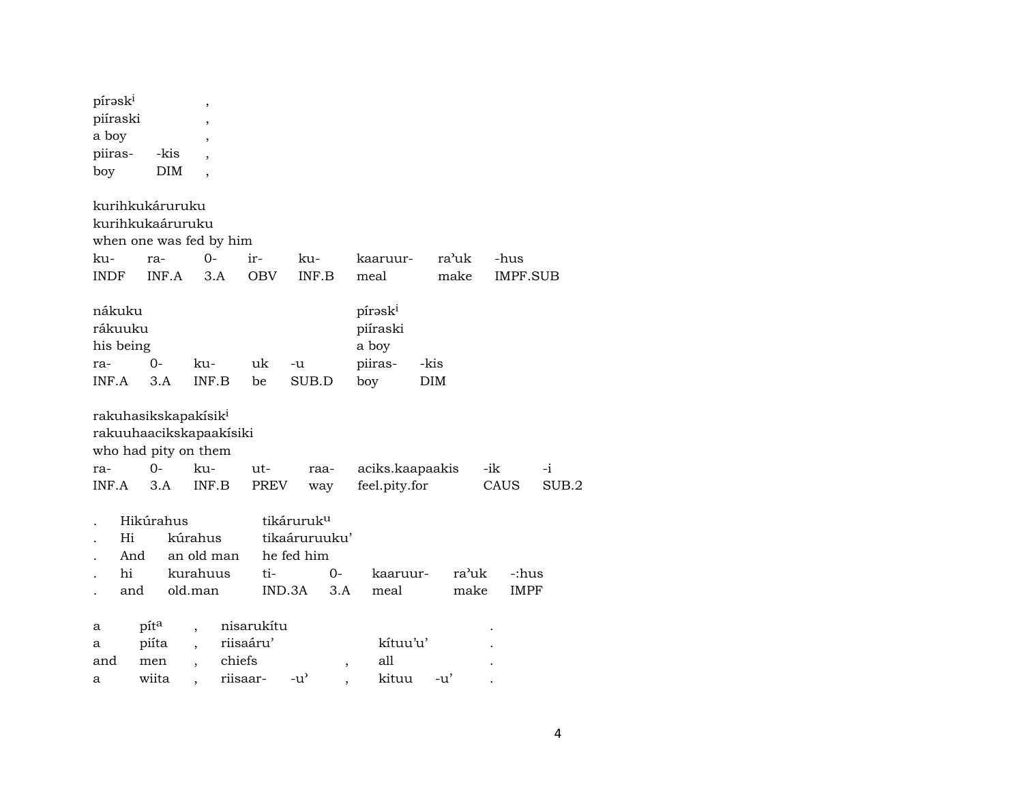| pírask <sup>i</sup><br>piíraski<br>a boy<br>piiras-<br>boy | -kis                          | ,<br>$\overline{\phantom{a}}$<br>$\overline{\phantom{a}}$<br><b>DIM</b>                    |                                               |                                                                 |                          |                                                            |             |               |      |                      |       |
|------------------------------------------------------------|-------------------------------|--------------------------------------------------------------------------------------------|-----------------------------------------------|-----------------------------------------------------------------|--------------------------|------------------------------------------------------------|-------------|---------------|------|----------------------|-------|
| kurihkukáruruku<br>ku-                                     | ra-                           | kurihkukaáruruku<br>when one was fed by him<br>$O -$                                       | ir-                                           | ku-                                                             |                          | kaaruur-                                                   | ra'uk       |               | -hus |                      |       |
| <b>INDF</b>                                                | INF.A                         | 3.A                                                                                        | <b>OBV</b>                                    | INF.B                                                           |                          | meal                                                       | make        |               |      | <b>IMPF.SUB</b>      |       |
| nákuku<br>rákuuku<br>his being<br>ra-<br>INF.A             | $0-$<br>3.A                   | ku-<br>INF.B                                                                               | uk<br>be                                      | -u<br>SUB.D                                                     |                          | pírask <sup>i</sup><br>piíraski<br>a boy<br>piiras-<br>boy | -kis<br>DIM |               |      |                      |       |
| ra-                                                        | $O -$                         | rakuhasikskapakísik <sup>i</sup><br>rakuuhaacikskapaakisiki<br>who had pity on them<br>ku- | ut-                                           | raa-                                                            |                          | aciks.kaapaakis                                            |             |               | -ik  |                      | $-i$  |
| INF A                                                      | 3.A                           | INF.B                                                                                      | <b>PREV</b>                                   | way                                                             |                          | feel.pity.for                                              |             |               | CAUS |                      | SUB.2 |
| Hi<br>And<br>hi<br>and                                     | Hikúrahus                     | kúrahus<br>an old man<br>kurahuus<br>old.man                                               | ti-                                           | tikáruruk <sup>u</sup><br>tikaáruruuku'<br>he fed him<br>IND.3A | $O -$<br>3.A             | kaaruur-<br>meal                                           |             | ra'uk<br>make |      | -:hus<br><b>IMPF</b> |       |
| a<br>а<br>and<br>a                                         | pita<br>piíta<br>men<br>wiita | $\ddot{\phantom{0}}$                                                                       | nisarukítu<br>riisaáru'<br>chiefs<br>riisaar- | -u'                                                             | $\overline{\phantom{a}}$ | kítuu'u'<br>all<br>kituu                                   | $-u'$       |               |      |                      |       |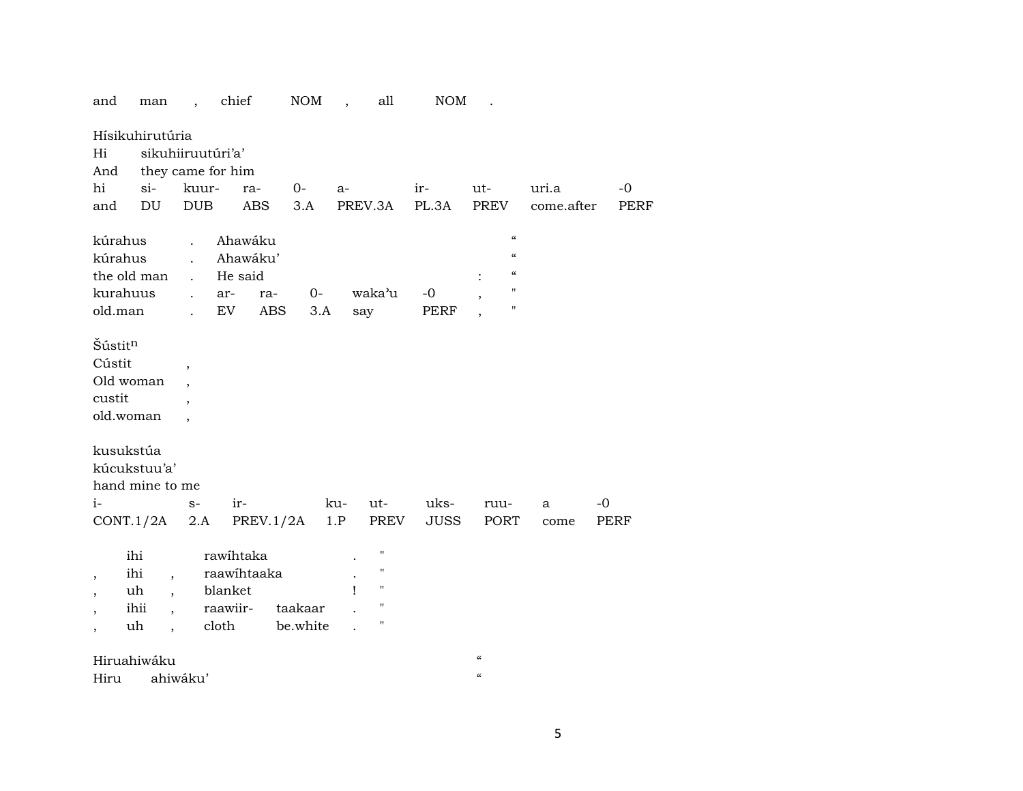|                                            | and                                       | man                                                                      |                                                                      | chief                                                    |            | NOM                 | $\overline{\phantom{a}}$ | all                                                                                                        | NOM                 |                                                                                                                              |                     |                     |
|--------------------------------------------|-------------------------------------------|--------------------------------------------------------------------------|----------------------------------------------------------------------|----------------------------------------------------------|------------|---------------------|--------------------------|------------------------------------------------------------------------------------------------------------|---------------------|------------------------------------------------------------------------------------------------------------------------------|---------------------|---------------------|
| Hi<br>hi                                   | And<br>and                                | Hísikuhirutúria<br>$si-$<br>DU                                           | kuur-<br><b>DUB</b>                                                  | sikuhiiruutúri'a'<br>they came for him                   | ra-<br>ABS | $O-$<br>3.A         | a-                       | PREV.3A                                                                                                    | ir-<br>PL.3A        | ut-<br>PREV                                                                                                                  | uri.a<br>come.after | $-0$<br><b>PERF</b> |
|                                            | kúrahus<br>kúrahus<br>kurahuus<br>old.man | the old man                                                              | $\ddot{\phantom{a}}$<br>$\mathbf{r}$<br>$\mathbf{r}$<br>$\mathbf{r}$ | Ahawáku<br>Ahawáku'<br>He said<br>ar-<br>EV              | ra-<br>ABS | $0-$<br>3.A         |                          | waka'u<br>say                                                                                              | $-0$<br><b>PERF</b> | $\pmb{\zeta}\pmb{\zeta}$<br>$\pmb{\zeta}\pmb{\zeta}$<br>$\pmb{\zeta}\pmb{\zeta}$<br>$\pmb{\mathsf{H}}$<br>$\pmb{\mathsf{H}}$ |                     |                     |
|                                            | Šústitn<br>Cústit<br>custit               | Old woman<br>old.woman                                                   | $\overline{\phantom{a}}$<br>$\overline{\phantom{a}}$                 |                                                          |            |                     |                          |                                                                                                            |                     |                                                                                                                              |                     |                     |
| $i-$                                       |                                           | kusukstúa<br>kúcukstuu'a'<br>hand mine to me<br>CONT.1/2A                | $S-$<br>2.A                                                          | ir-                                                      | PREV.1/2A  |                     | ku-<br>1.P               | ut-<br>PREV                                                                                                | uks-<br><b>JUSS</b> | ruu-<br>PORT                                                                                                                 | a<br>come           | -0<br><b>PERF</b>   |
| $\overline{\phantom{a}}$<br>$\overline{ }$ |                                           | ihi<br>ihi<br>$\overline{ }$<br>uh<br>$\ddot{\phantom{0}}$<br>ihii<br>uh |                                                                      | rawihtaka<br>raawihtaaka<br>blanket<br>raawiir-<br>cloth |            | taakaar<br>be.white | ı                        | $\pmb{\mathsf{H}}$<br>$\pmb{\mathsf{H}}$<br>$\pmb{\mathsf{H}}$<br>$\pmb{\mathsf{H}}$<br>$\pmb{\mathsf{H}}$ |                     |                                                                                                                              |                     |                     |
|                                            | Hiru                                      | Hiruahiwáku                                                              | ahiwáku'                                                             |                                                          |            |                     |                          |                                                                                                            |                     | $\mathcal{C}$<br>$\pmb{\zeta}\pmb{\zeta}$                                                                                    |                     |                     |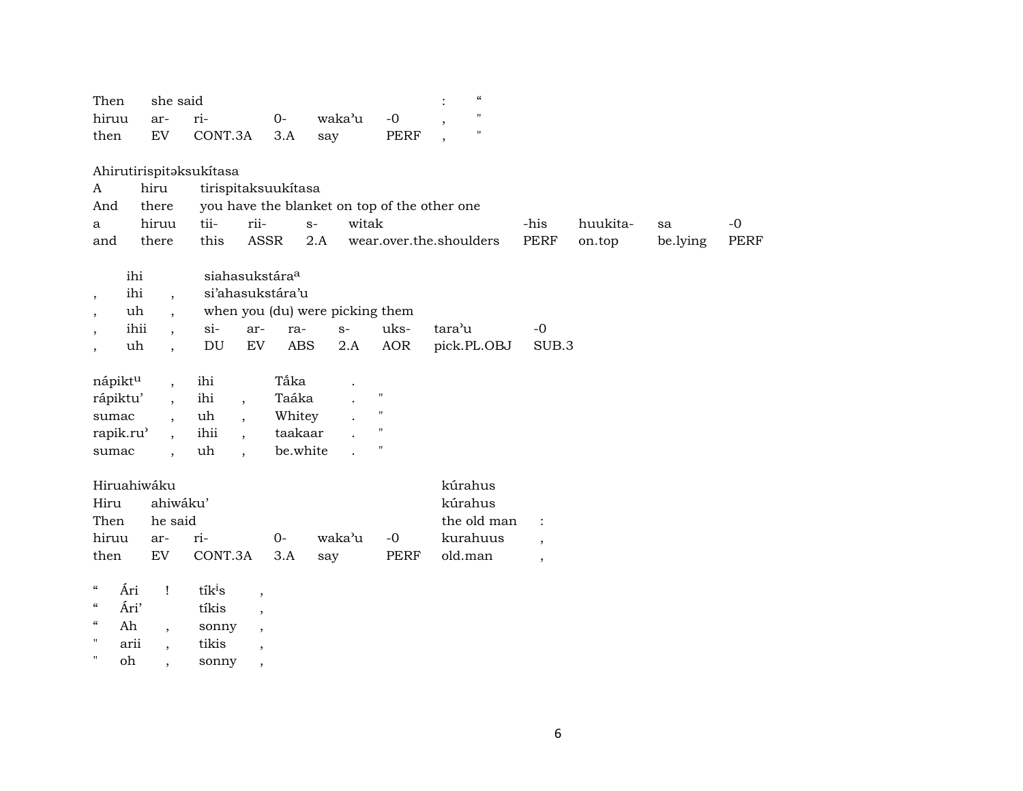| $\boldsymbol{\mathcal{C}}$<br>she said<br>Then                                                                 |                         |
|----------------------------------------------------------------------------------------------------------------|-------------------------|
| Ħ<br>hiruu<br>ri-<br>waka'u<br>$O -$<br>$-0$<br>ar-                                                            |                         |
| Ħ<br>${\rm EV}$<br>CONT.3A<br>3.A<br>PERF<br>then<br>say                                                       |                         |
|                                                                                                                |                         |
| Ahirutirispitaksukítasa                                                                                        |                         |
| hiru<br>tirispitaksuukítasa<br>$\mathbf{A}$                                                                    |                         |
| you have the blanket on top of the other one<br>And<br>there                                                   |                         |
| tii-<br>rii-<br>witak<br>-his<br>hiruu<br>$S-$<br>huukita-<br>a                                                | $-0$<br>sa              |
| <b>PERF</b><br>this<br>ASSR<br>2.A<br>there<br>wear.over.the.shoulders<br>on.top<br>and                        | <b>PERF</b><br>be.lying |
| siahasukstára <sup>a</sup><br>ihi                                                                              |                         |
| ihi<br>si'ahasukstára'u<br>$\ddot{\phantom{0}}$<br>$\cdot$                                                     |                         |
| when you (du) were picking them<br>uh                                                                          |                         |
| tara'u<br>ihii<br>$si-$<br>uks-<br>ar-<br>$S-$<br>$-0$<br>ra-<br>$\overline{\phantom{a}}$                      |                         |
| <b>AOR</b><br>DU<br>EV<br><b>ABS</b><br>pick.PL.OBJ<br>uh<br>2.A<br>SUB.3<br>$\ddot{\phantom{0}}$              |                         |
|                                                                                                                |                         |
| Tắka<br>nápiktu<br>ihi<br>$\overline{ }$ ,                                                                     |                         |
| Taáka<br>$\blacksquare$<br>ihi<br>rápiktu'<br>$\ddot{\phantom{a}}$<br>$\cdot$                                  |                         |
| $\pmb{\mathsf{H}}$<br>uh<br>Whitey<br>sumac<br>$\cdot$                                                         |                         |
| $\pmb{\mathsf{H}}$<br>rapik.ru <sup>3</sup><br>ihii<br>taakaar<br>$\overline{\phantom{a}}$<br>$\overline{ }$ , |                         |
| $\pmb{\mathsf{H}}$<br>be.white<br>uh<br>sumac<br>$\ddot{\phantom{0}}$<br>$\cdot$                               |                         |
| Hiruahiwáku<br>kúrahus                                                                                         |                         |
| ahiwáku'<br>Hiru<br>kúrahus                                                                                    |                         |
| Then<br>he said<br>the old man<br>$\ddot{\cdot}$                                                               |                         |
| hiruu<br>$0-$<br>waka'u<br>$-0$<br>kurahuus<br>ri-<br>ar-<br>$\overline{\phantom{a}}$                          |                         |
| CONT.3A<br>EV<br>3.A<br>PERF<br>old.man<br>then<br>say<br>$\overline{\phantom{a}}$                             |                         |
|                                                                                                                |                         |
| $\boldsymbol{\zeta}\boldsymbol{\zeta}$<br>Ári<br>tík <sup>i</sup> s<br>Ţ<br>$\overline{\phantom{a}}$           |                         |
| $\zeta\zeta$<br>Ári'<br>tíkis<br>$\overline{\phantom{a}}$                                                      |                         |
| $\mathcal{C}\mathcal{C}$<br>Ah<br>sonny<br>$\overline{\phantom{a}}$<br>$\overline{\phantom{a}}$                |                         |
| $\mathbf{H}$<br>tikis<br>arii<br>$\, ,$                                                                        |                         |

" oh , sonny ,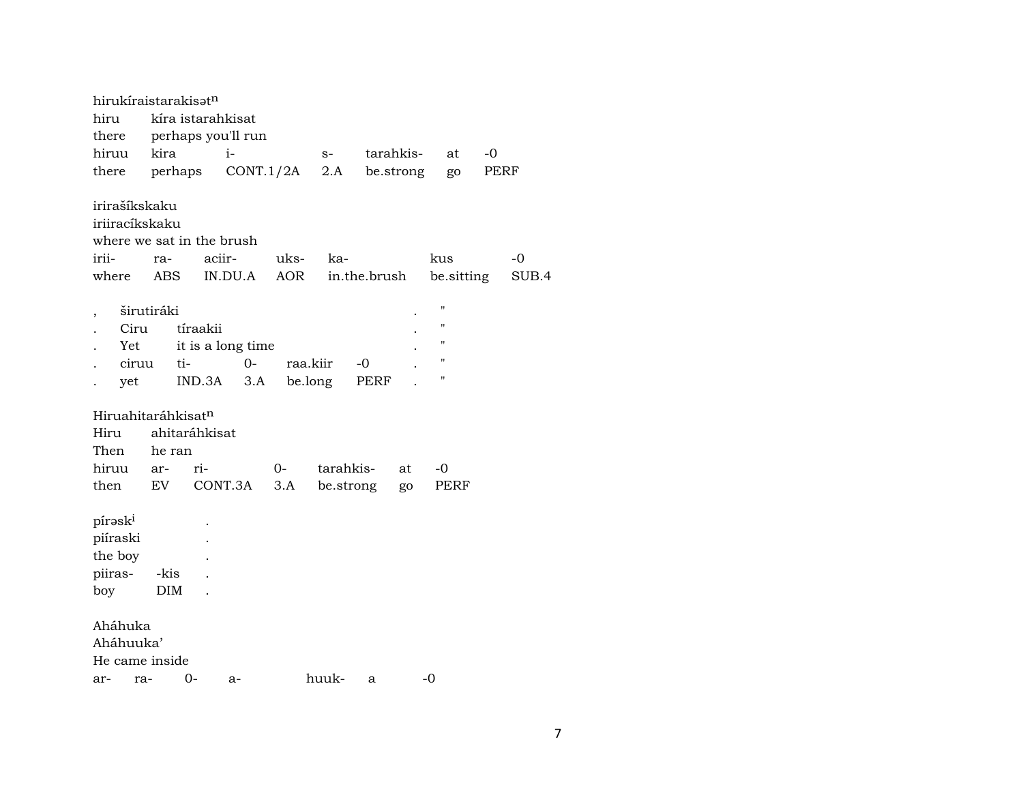| hirukíraistarakisatn<br>hiru<br>there<br>hiruu                                 | kira              | kíra istarahkisat         | perhaps you'll run<br>$i-$        |             | $S-$      |              | tarahkis- | at                                                                   | -0   |             |
|--------------------------------------------------------------------------------|-------------------|---------------------------|-----------------------------------|-------------|-----------|--------------|-----------|----------------------------------------------------------------------|------|-------------|
| there                                                                          | perhaps           |                           | CONT.1/2A                         |             | 2.A       |              | be.strong | go                                                                   | PERF |             |
| irirašíkskaku<br>iriiracíkskaku<br>where we sat in the brush<br>irii-<br>where | ra-<br><b>ABS</b> | aciir-                    | IN.DU.A                           | uks-<br>AOR | ka-       | in.the.brush |           | kus<br>be sitting                                                    |      | -0<br>SUB.4 |
| Ciru<br>Yet<br>ciruu<br>yet                                                    | širutiráki        | tíraakii<br>ti-<br>IND.3A | it is a long time<br>$O -$<br>3.A | raa.kiir    | be.long   | -0<br>PERF   |           | $\blacksquare$<br>П<br>$\pmb{\mathsf{H}}$<br>$\pmb{\mathsf{H}}$<br>" |      |             |
| Hiruahitaráhkisat <sup>n</sup><br>Hiru<br>Then                                 | he ran            | ahitaráhkisat             |                                   |             |           |              |           |                                                                      |      |             |
| hiruu<br>then                                                                  | ar-<br>EV         | ri-                       | CONT.3A                           | 0-<br>3.A   | tarahkis- | be.strong    | at<br>go  | -0<br>PERF                                                           |      |             |
| pírask <sup>i</sup><br>piíraski<br>the boy<br>piiras-<br>boy                   | -kis<br>DIM       |                           |                                   |             |           |              |           |                                                                      |      |             |
| Aháhuka<br>Aháhuuka'<br>He came inside<br>ra-<br>ar-                           |                   | 0-                        | a-                                |             | huuk-     | $\mathbf{a}$ |           | -0                                                                   |      |             |
|                                                                                |                   |                           |                                   |             |           |              |           |                                                                      |      |             |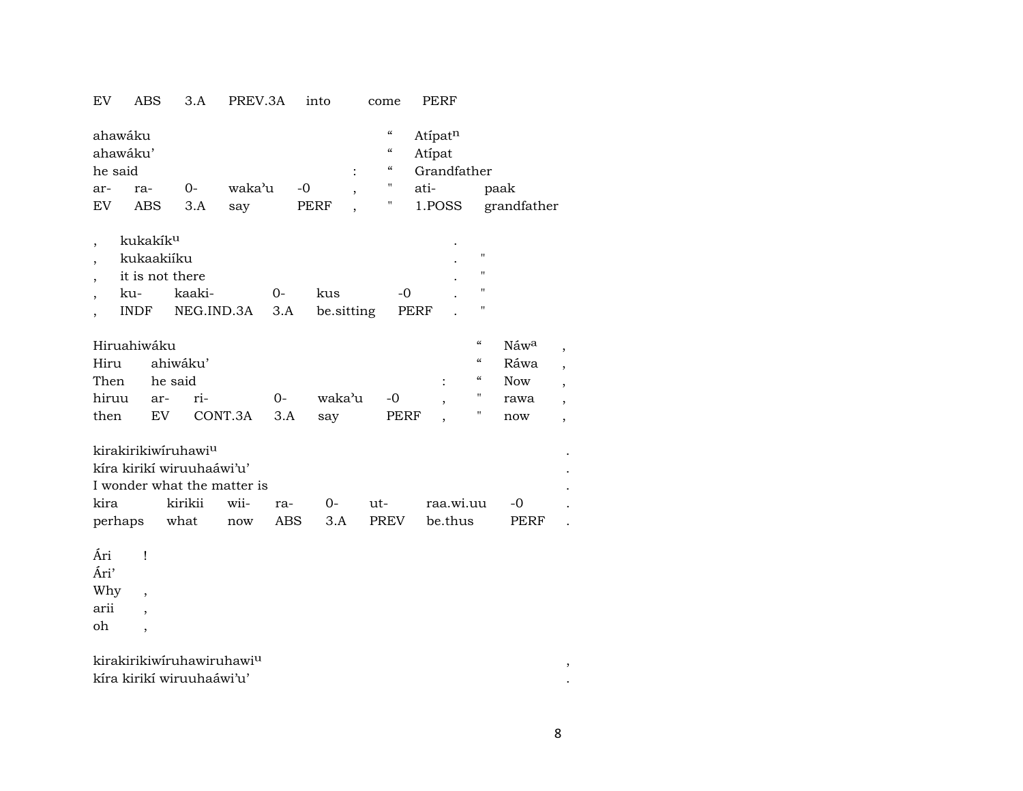| EV                               | ABS                                                                         | 3.A                                                                                                | PREV.3A     |             | into        |                          | come                                                                                | PERF              |                                        |             |                          |
|----------------------------------|-----------------------------------------------------------------------------|----------------------------------------------------------------------------------------------------|-------------|-------------|-------------|--------------------------|-------------------------------------------------------------------------------------|-------------------|----------------------------------------|-------------|--------------------------|
| he said                          | ahawáku<br>ahawáku'                                                         |                                                                                                    |             |             |             | $\ddot{\cdot}$           | $\mathcal{C}\mathcal{C}$<br>$\mathcal{C}$<br>$\boldsymbol{\zeta}\boldsymbol{\zeta}$ | Atipatn<br>Atípat | Grandfather                            |             |                          |
| ar-                              | ra-                                                                         | $O -$                                                                                              | waka'u      |             | $-0$        | $\overline{\phantom{a}}$ | Н                                                                                   | ati-              |                                        | paak        |                          |
| EV.                              | ABS                                                                         | 3.A                                                                                                | say         |             | <b>PERF</b> |                          | 11                                                                                  | 1.POSS            |                                        | grandfather |                          |
| $\overline{\phantom{a}}$         | kukakík <sup>u</sup><br>kukaakiíku<br>it is not there<br>ku-<br><b>INDF</b> | kaaki-<br>NEG.IND.3A                                                                               |             | $0-$<br>3.A | kus         | be.sitting               | $-0$                                                                                | PERF              | п<br>н<br>$\pmb{\mathsf{H}}$<br>н      |             |                          |
|                                  | Hiruahiwáku                                                                 |                                                                                                    |             |             |             |                          |                                                                                     |                   | $\boldsymbol{\zeta}\boldsymbol{\zeta}$ | Náwa        | $\overline{\phantom{a}}$ |
| Hiru                             |                                                                             | ahiwáku'                                                                                           |             |             |             |                          |                                                                                     |                   | $\mathcal{C}\mathcal{C}$               | Ráwa        | $\overline{\phantom{a}}$ |
| Then                             |                                                                             | he said                                                                                            |             |             |             |                          |                                                                                     |                   | $\mathcal{C}\mathcal{C}$               | <b>Now</b>  | ,                        |
| hiruu                            | ar-                                                                         | ri-                                                                                                |             | $0-$        | waka'u      |                          | $-0$                                                                                |                   | п                                      | rawa        | $\overline{\phantom{a}}$ |
| then                             | EV                                                                          |                                                                                                    | CONT.3A     | 3.A         | say         |                          | PERF                                                                                |                   | н                                      | now         | $\overline{\phantom{a}}$ |
| kira<br>perhaps                  |                                                                             | kirakirikiwiruhawiu<br>kíra kirikí wiruuhaáwi'u'<br>I wonder what the matter is<br>kirikii<br>what | wii-<br>now | ra-<br>ABS  | $0-$<br>3.A |                          | $ut-$<br>PREV                                                                       |                   | raa.wi.uu<br>be.thus                   | -0<br>PERF  |                          |
| Ári<br>Ári'<br>Why<br>arii<br>oh | Ţ<br>$\overline{\phantom{a}}$<br>$\overline{\phantom{a}}$<br>,              |                                                                                                    |             |             |             |                          |                                                                                     |                   |                                        |             |                          |

kirakirikiwíruhawiruhawi<sup>u</sup><br>kíra kirikí wiruuhaáwi'u' kíra kirikí wiruuhaáwi'u' .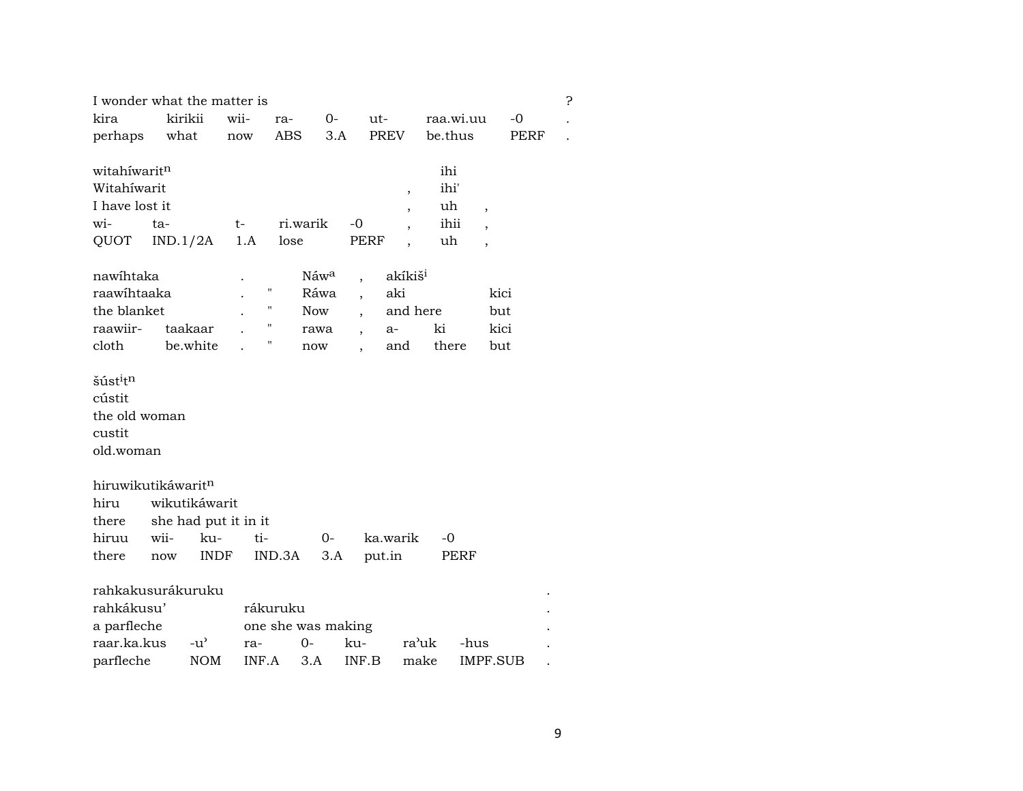| I wonder what the matter is      |          |                      |       |                    |                  |                          |                          |           |                          |          | 5 |
|----------------------------------|----------|----------------------|-------|--------------------|------------------|--------------------------|--------------------------|-----------|--------------------------|----------|---|
| kira                             |          | kirikii              | wii-  | ra-                | 0-               | ut-                      |                          | raa.wi.uu |                          | $-0$     |   |
| perhaps                          | what     |                      | now   | ABS                | 3.A              |                          | <b>PREV</b>              | be.thus   |                          | PERF     |   |
|                                  |          |                      |       |                    |                  |                          |                          |           |                          |          |   |
| witahíwaritn                     |          |                      |       |                    |                  |                          |                          | ihi       |                          |          |   |
| Witahíwarit                      |          |                      |       |                    |                  |                          | ,                        | ihi'      |                          |          |   |
| I have lost it                   |          |                      |       |                    |                  |                          | $\overline{\phantom{a}}$ | uh        | $\overline{\phantom{a}}$ |          |   |
| wi-                              | ta-      |                      | $t-$  | ri.warik           |                  | -0                       |                          | ihii      |                          |          |   |
| QUOT                             | IND.1/2A |                      | 1.A   | lose               |                  | <b>PERF</b>              |                          | uh        | $\overline{\phantom{a}}$ |          |   |
|                                  |          |                      |       |                    |                  |                          |                          |           |                          |          |   |
| nawihtaka                        |          |                      |       |                    | Náw <sup>a</sup> |                          | akíkiš <sup>i</sup>      |           |                          |          |   |
| raawihtaaka                      |          |                      |       | $\pmb{\mathsf{H}}$ | Ráwa             |                          | aki                      |           |                          | kici     |   |
| the blanket                      |          |                      |       | $\pmb{\mathsf{H}}$ | <b>Now</b>       |                          | and here                 |           |                          | but      |   |
| raawiir-                         |          | taakaar              |       | $\pmb{\mathsf{H}}$ | rawa             | $\overline{\phantom{a}}$ | a-                       | ki        |                          | kici     |   |
| cloth                            |          | be.white             |       |                    | now              |                          | and                      | there     |                          | but      |   |
|                                  |          |                      |       |                    |                  |                          |                          |           |                          |          |   |
| šúst <sup>i</sup> t <sup>n</sup> |          |                      |       |                    |                  |                          |                          |           |                          |          |   |
| cústit                           |          |                      |       |                    |                  |                          |                          |           |                          |          |   |
| the old woman                    |          |                      |       |                    |                  |                          |                          |           |                          |          |   |
| custit                           |          |                      |       |                    |                  |                          |                          |           |                          |          |   |
| old.woman                        |          |                      |       |                    |                  |                          |                          |           |                          |          |   |
|                                  |          |                      |       |                    |                  |                          |                          |           |                          |          |   |
| hiruwikutikáwaritn               |          |                      |       |                    |                  |                          |                          |           |                          |          |   |
| hiru                             |          | wikutikáwarit        |       |                    |                  |                          |                          |           |                          |          |   |
| there                            |          | she had put it in it |       |                    |                  |                          |                          |           |                          |          |   |
| hiruu                            | wii-     | ku-                  | ti-   |                    | 0-               |                          | ka.warik                 | -0        |                          |          |   |
| there                            | now      | <b>INDF</b>          |       | IND.3A             | 3.A              |                          | put.in                   |           | PERF                     |          |   |
| rahkakusurákuruku                |          |                      |       |                    |                  |                          |                          |           |                          |          |   |
| rahkákusu'                       |          |                      |       | rákuruku           |                  |                          |                          |           |                          |          |   |
|                                  |          |                      |       |                    |                  |                          |                          |           |                          |          |   |
| a parfleche                      |          |                      |       | one she was making |                  |                          |                          |           |                          |          |   |
| raar.ka.kus                      |          | $-u^{\prime}$        | ra-   | $0-$               |                  | ku-                      | ra'uk                    |           | -hus                     |          |   |
| parfleche                        |          | <b>NOM</b>           | INF.A | 3.A                |                  | INF.B                    | make                     |           |                          | IMPF.SUB |   |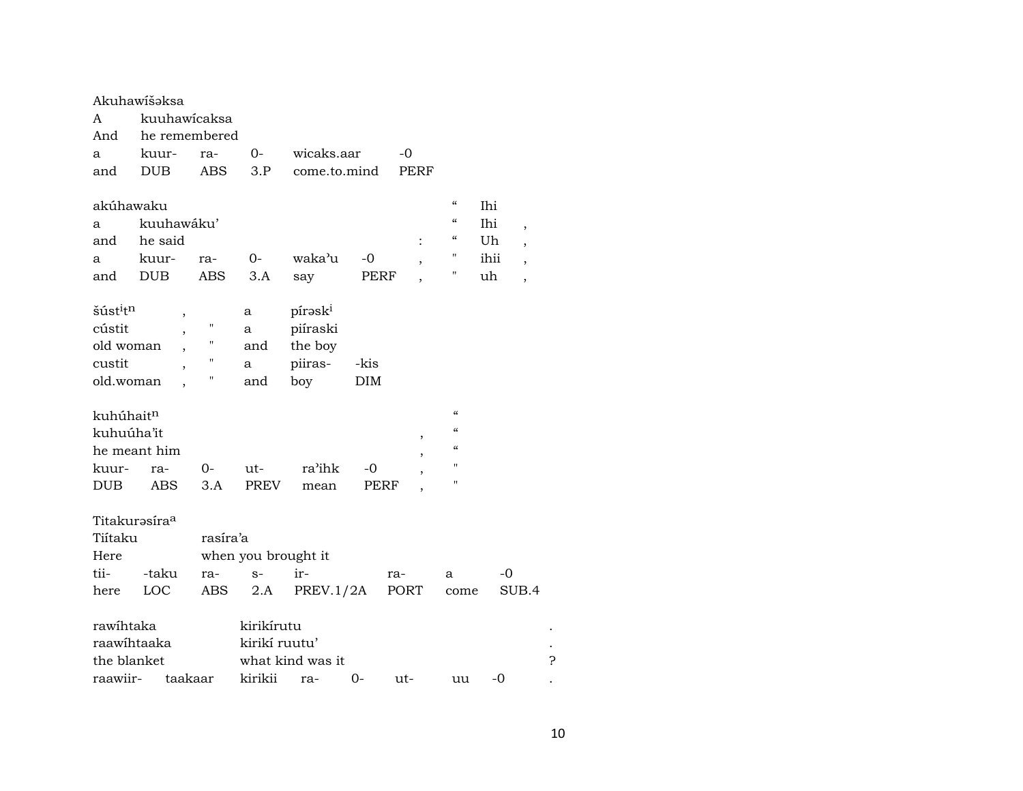|                                  | Akuhawišəksa             |                    |                     |                     |      |      |                                        |                                 |   |
|----------------------------------|--------------------------|--------------------|---------------------|---------------------|------|------|----------------------------------------|---------------------------------|---|
| A                                | kuuhawicaksa             |                    |                     |                     |      |      |                                        |                                 |   |
| And                              | he remembered            |                    |                     |                     |      |      |                                        |                                 |   |
| a                                | kuur-                    | ra-                | 0-                  | wicaks.aar          |      | -0   |                                        |                                 |   |
| and                              | <b>DUB</b>               | ABS                | 3.P                 | come.to.mind        |      | PERF |                                        |                                 |   |
|                                  |                          |                    |                     |                     |      |      |                                        |                                 |   |
| akúhawaku                        |                          |                    |                     |                     |      |      | $\pmb{\zeta}\pmb{\zeta}$               | Ihi                             |   |
| a                                | kuuhawáku'               |                    |                     |                     |      |      | $\pmb{\zeta}\pmb{\zeta}$               | Ihi<br>$\overline{\phantom{a}}$ |   |
| and                              | he said                  |                    |                     |                     |      |      | $\boldsymbol{\zeta}\boldsymbol{\zeta}$ | Uh<br>$\overline{\phantom{a}}$  |   |
| a                                | kuur-                    | ra-                | 0-                  | waka'u              | -0   | ,    | Н                                      | ihii<br>$\cdot$                 |   |
| and                              | <b>DUB</b>               | ABS                | 3.A                 | say                 | PERF |      | Η                                      | uh<br>$\overline{\phantom{a}}$  |   |
|                                  |                          |                    |                     |                     |      |      |                                        |                                 |   |
| šúst <sup>i</sup> t <sup>n</sup> | $\overline{\phantom{a}}$ |                    | a                   | pírask <sup>i</sup> |      |      |                                        |                                 |   |
| cústit                           |                          | $\pmb{\mathsf{H}}$ | а                   | piíraski            |      |      |                                        |                                 |   |
| old woman                        | ,                        | 11                 | and                 | the boy             |      |      |                                        |                                 |   |
| custit                           | $\overline{ }$           | 11                 | а                   | piiras-             | -kis |      |                                        |                                 |   |
| old.woman                        |                          | П                  | and                 | boy                 | DIM  |      |                                        |                                 |   |
|                                  |                          |                    |                     |                     |      |      |                                        |                                 |   |
| kuhúhait <sup>n</sup>            |                          |                    |                     |                     |      |      | $\alpha$                               |                                 |   |
| kuhuúha'it                       |                          |                    |                     |                     |      | ,    | $\epsilon$                             |                                 |   |
|                                  | he meant him             |                    |                     |                     |      | ,    | $\alpha$                               |                                 |   |
| kuur-                            | ra-                      | 0-                 | ut-                 | ra'ihk              | -0   |      | $^{\prime}$                            |                                 |   |
| DUB                              | <b>ABS</b>               | 3.A                | <b>PREV</b>         | mean                | PERF |      | $^{\prime}$                            |                                 |   |
|                                  |                          |                    |                     |                     |      |      |                                        |                                 |   |
| Titakurasíra <sup>a</sup>        |                          |                    |                     |                     |      |      |                                        |                                 |   |
| Tiítaku                          |                          | rasíra'a           |                     |                     |      |      |                                        |                                 |   |
| Here                             |                          |                    | when you brought it |                     |      |      |                                        |                                 |   |
| tii-                             | -taku                    | ra-                | $S-$                | ir-                 |      | ra-  | a                                      | -0                              |   |
| here                             | LOC                      | ABS                | 2.A                 | PREV.1/2A           |      | PORT | come                                   | SUB.4                           |   |
|                                  |                          |                    |                     |                     |      |      |                                        |                                 |   |
| rawihtaka                        |                          |                    | kirikírutu          |                     |      |      |                                        |                                 |   |
| raawihtaaka                      |                          |                    | kirikí ruutu'       |                     |      |      |                                        |                                 |   |
| the blanket                      |                          |                    |                     | what kind was it    |      |      |                                        |                                 | ? |
| raawiir-                         | taakaar                  |                    | kirikii             | ra-                 | 0-   | ut-  | uu                                     | $-0$                            |   |
|                                  |                          |                    |                     |                     |      |      |                                        |                                 |   |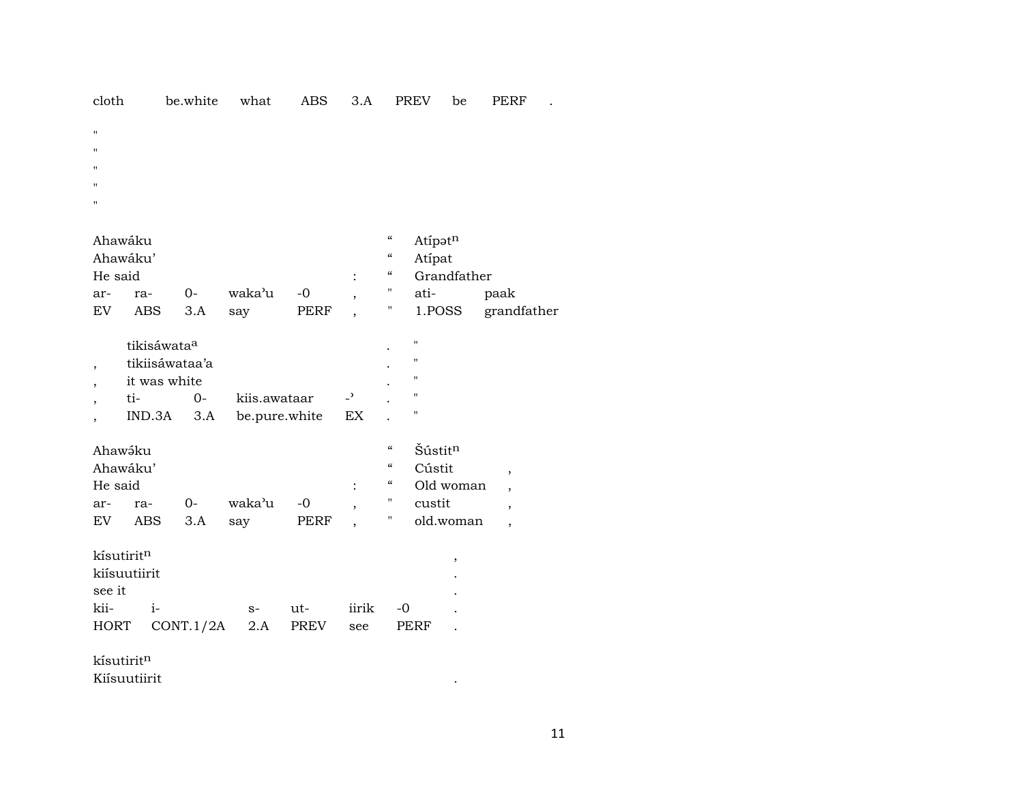| cloth          |                         | be.white       | what          | <b>ABS</b> | 3.A                      |                                        | PREV           | be          | <b>PERF</b> |
|----------------|-------------------------|----------------|---------------|------------|--------------------------|----------------------------------------|----------------|-------------|-------------|
| п              |                         |                |               |            |                          |                                        |                |             |             |
| Ħ              |                         |                |               |            |                          |                                        |                |             |             |
| п              |                         |                |               |            |                          |                                        |                |             |             |
| Ħ              |                         |                |               |            |                          |                                        |                |             |             |
| П              |                         |                |               |            |                          |                                        |                |             |             |
|                |                         |                |               |            |                          |                                        |                |             |             |
|                | Ahawáku                 |                |               |            |                          | $\mathcal{C}\mathcal{C}$               | Atipatn        |             |             |
|                | Ahawáku'                |                |               |            |                          | $\epsilon\epsilon$                     | Atípat         |             |             |
| He said        |                         |                |               |            |                          | $\mathcal{C}\mathcal{C}$               |                | Grandfather |             |
| ar-            | ra-                     | $0-$           | waka'u        | $-0$       | $\overline{\phantom{a}}$ | $\pmb{\mathsf{H}}$                     | ati-           |             | paak        |
| EV             | <b>ABS</b>              | $3.A$          | say           | PERF       | $\overline{ }$           | Ħ                                      | 1.POSS         |             | grandfather |
|                |                         |                |               |            |                          |                                        |                |             |             |
|                | tikisáwata <sup>a</sup> |                |               |            |                          |                                        | 11             |             |             |
| $\overline{ }$ |                         | tikiisáwataa'a |               |            |                          |                                        | П              |             |             |
|                | it was white            |                |               |            |                          |                                        | $\blacksquare$ |             |             |
|                | ti-                     | $0-$           | kiis.awataar  |            | $\overline{\phantom{a}}$ |                                        | "              |             |             |
|                | IND.3A                  | 3.A            | be.pure.white |            | EX                       |                                        | "              |             |             |
|                | Ahawáku                 |                |               |            |                          | $\mathcal{C}$                          | Šústitn        |             |             |
|                | Ahawáku'                |                |               |            |                          | $\boldsymbol{\mathcal{C}}$             | Cústit         |             |             |
| He said        |                         |                |               |            |                          | $\boldsymbol{\zeta}\boldsymbol{\zeta}$ |                | Old woman   | ,           |
| ar-            | ra-                     | $0-$           | waka'u        | $-0$       |                          | н.                                     | custit         |             | ,           |
| EV             | <b>ABS</b>              | 3.A            | say           | PERF       |                          | $\pmb{\mathsf{H}}$                     |                | old.woman   | ,<br>,      |
|                |                         |                |               |            |                          |                                        |                |             |             |
|                | kísutirit <sup>n</sup>  |                |               |            |                          |                                        |                | ,           |             |
|                | kiísuutiirit            |                |               |            |                          |                                        |                |             |             |
| see it         |                         |                |               |            |                          |                                        |                |             |             |
| kii-           | $i-$                    |                | $S-$          | ut-        | iirik                    | -0                                     |                |             |             |
| <b>HORT</b>    |                         | CONT.1/2A      | 2.A           | PREV       | see                      |                                        | PERF           |             |             |
|                |                         |                |               |            |                          |                                        |                |             |             |
|                | kísutiritn              |                |               |            |                          |                                        |                |             |             |
|                | Kiísuutiirit            |                |               |            |                          |                                        |                |             |             |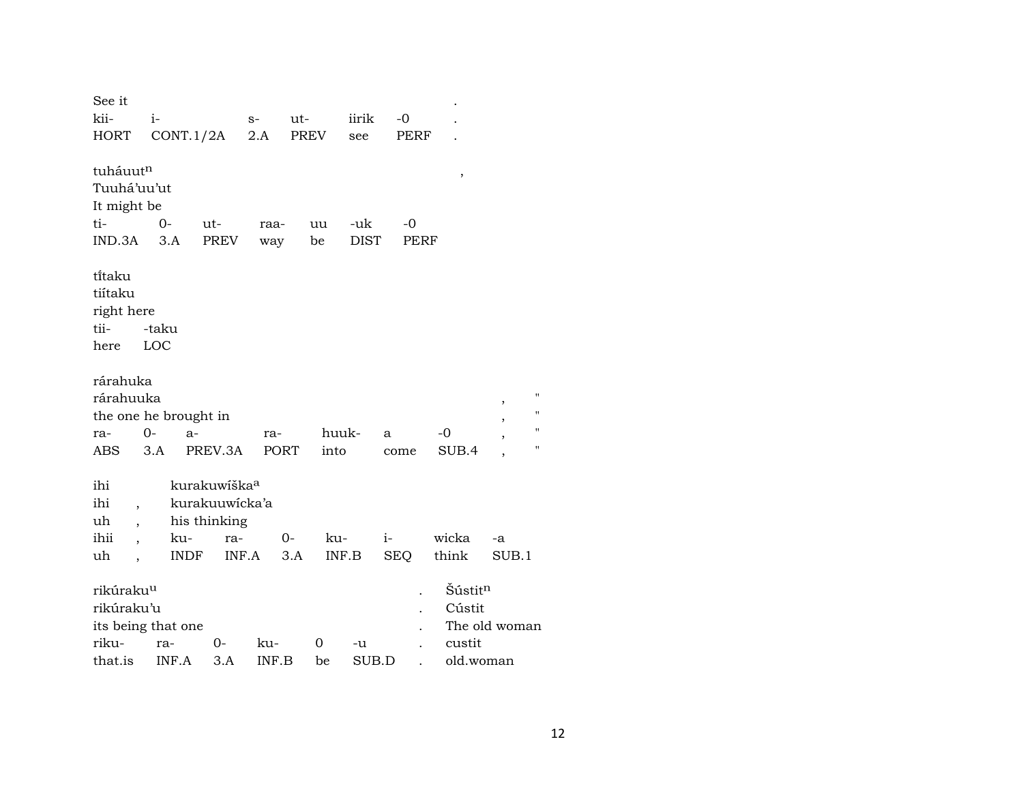| See it                          |       |                          |             |      |       |       |            |                     |               |    |
|---------------------------------|-------|--------------------------|-------------|------|-------|-------|------------|---------------------|---------------|----|
| kii-                            | $i-$  |                          | $S-$        | ut-  |       | iirik | $-0$       |                     |               |    |
| <b>HORT</b>                     |       | CONT.1/2A                | 2.A         | PREV |       | see   | PERF       |                     |               |    |
|                                 |       |                          |             |      |       |       |            |                     |               |    |
| tuháuutn                        |       |                          |             |      |       |       |            | $\, ,$              |               |    |
| Tuuhá'uu'ut                     |       |                          |             |      |       |       |            |                     |               |    |
| It might be                     |       |                          |             |      |       |       |            |                     |               |    |
| ti-                             | $0-$  | $ut-$                    | raa-        |      | uu    | -uk   | $-0$       |                     |               |    |
| IND.3A                          | 3.A   | PREV                     | way         | be   |       | DIST  | PERF       |                     |               |    |
| ti̇̃taku                        |       |                          |             |      |       |       |            |                     |               |    |
| tiítaku                         |       |                          |             |      |       |       |            |                     |               |    |
| right here                      |       |                          |             |      |       |       |            |                     |               |    |
| tii-                            | -taku |                          |             |      |       |       |            |                     |               |    |
| here                            | LOC   |                          |             |      |       |       |            |                     |               |    |
|                                 |       |                          |             |      |       |       |            |                     |               |    |
| rárahuka                        |       |                          |             |      |       |       |            |                     |               |    |
| rárahuuka                       |       |                          |             |      |       |       |            |                     |               |    |
| the one he brought in           |       |                          |             |      |       |       |            |                     | ,             | 11 |
| ra-                             | $0-$  | $a-$                     | ra-         |      | huuk- |       | a          | -0                  | ,             | П  |
| ABS.                            | 3.A   | PREV.3A                  | <b>PORT</b> |      | into  |       | come       | SUB.4               | ,             | П  |
|                                 |       |                          |             |      |       |       |            |                     |               |    |
| ihi                             |       | kurakuwíška <sup>a</sup> |             |      |       |       |            |                     |               |    |
| ihi<br>$\overline{\phantom{a}}$ |       | kurakuuwicka'a           |             |      |       |       |            |                     |               |    |
| uh<br>$\ddot{\phantom{0}}$      |       | his thinking             |             |      |       |       |            |                     |               |    |
| ihii                            | ku-   | ra-                      |             | 0-   | ku-   |       | $i-$       | wicka               | -a            |    |
| uh                              |       | INDF<br>INF.A            |             | 3.A  | INF.B |       | <b>SEQ</b> | think               | SUB.1         |    |
| rikúraku <sup>u</sup>           |       |                          |             |      |       |       |            | Šústit <sup>n</sup> |               |    |
| rikúraku'u                      |       |                          |             |      |       |       |            | Cústit              |               |    |
|                                 |       |                          |             |      |       |       |            |                     |               |    |
| its being that one              |       |                          |             |      |       |       |            |                     | The old woman |    |
| riku-                           | ra-   | 0-                       | ku-         |      | 0     | -u    |            | custit              |               |    |
| that.is                         | INF.A | 3.A                      | INF.B       |      | be    | SUB.D |            | old.woman           |               |    |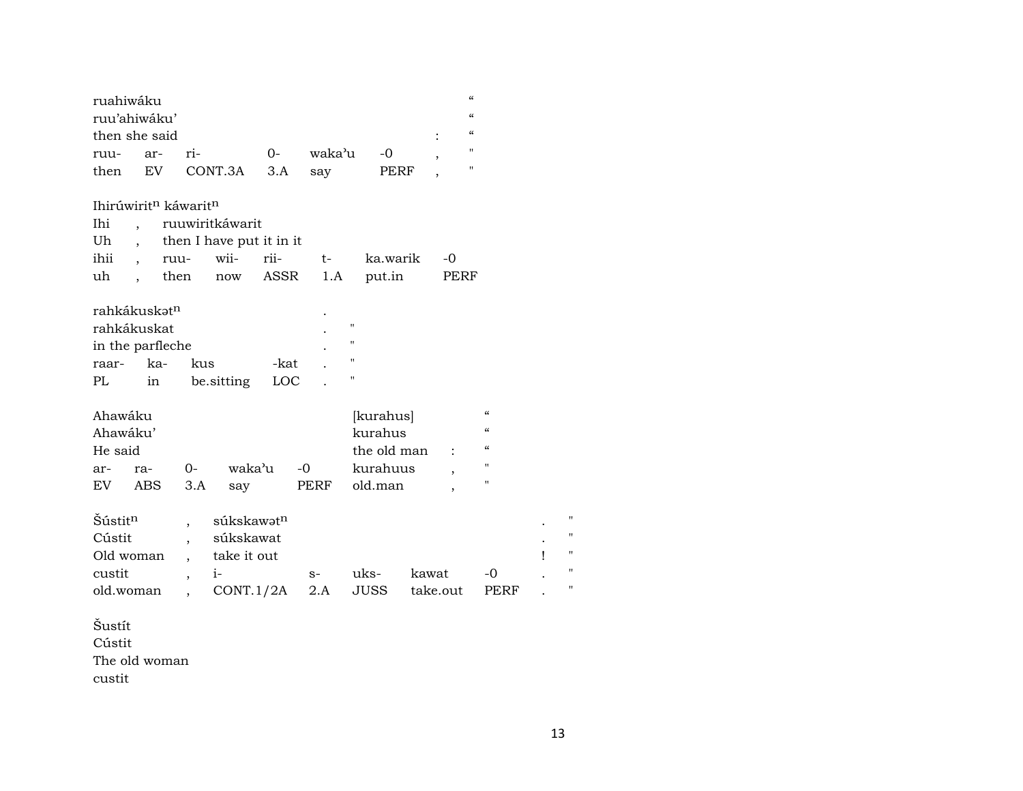| ruahiwáku                |                      |                                              |                          |       |        |                |          | $\epsilon\epsilon$       |                    |   |                |
|--------------------------|----------------------|----------------------------------------------|--------------------------|-------|--------|----------------|----------|--------------------------|--------------------|---|----------------|
| ruu'ahiwáku'             |                      |                                              |                          |       |        |                |          | $\epsilon\epsilon$       |                    |   |                |
| then she said            |                      |                                              |                          |       |        |                |          | $\mathcal{C}$            |                    |   |                |
| ruu-                     | ar-                  | ri-                                          |                          | $O -$ | waka'u | $-0$           |          | $\mathbf{H}$             |                    |   |                |
| then                     | EV                   |                                              | CONT.3A                  | 3.A   | say    | PERF           |          | $\mathbf H$              |                    |   |                |
|                          |                      |                                              |                          |       |        |                |          |                          |                    |   |                |
|                          |                      | Ihirúwirit <sup>n</sup> káwarit <sup>n</sup> |                          |       |        |                |          |                          |                    |   |                |
| Ihi                      | $\ddot{\phantom{0}}$ |                                              | ruuwiritkáwarit          |       |        |                |          |                          |                    |   |                |
| Uh                       | $\ddot{\phantom{0}}$ |                                              | then I have put it in it |       |        |                |          |                          |                    |   |                |
| ihii                     | $\ddot{\phantom{0}}$ | ruu-                                         | wii-                     | rii-  | $t-$   | ka.warik       |          | $-0$                     |                    |   |                |
| uh                       | $\ddot{\phantom{0}}$ | then                                         | now                      | ASSR  | 1.A    | put.in         |          | PERF                     |                    |   |                |
|                          |                      |                                              |                          |       |        |                |          |                          |                    |   |                |
| rahkákuskət <sup>n</sup> |                      |                                              |                          |       |        |                |          |                          |                    |   |                |
| rahkákuskat              |                      |                                              |                          |       |        | $\blacksquare$ |          |                          |                    |   |                |
| in the parfleche         |                      |                                              |                          |       |        | "              |          |                          |                    |   |                |
| raar-                    | ka-                  | kus                                          |                          | -kat  |        | $\mathbf{H}$   |          |                          |                    |   |                |
| PL                       | in                   |                                              | be sitting               | LOC   |        | 11             |          |                          |                    |   |                |
|                          |                      |                                              |                          |       |        |                |          |                          |                    |   |                |
| Ahawáku                  |                      |                                              |                          |       |        | [kurahus]      |          |                          | $\epsilon$         |   |                |
| Ahawáku'                 |                      |                                              |                          |       |        | kurahus        |          |                          | $\epsilon$         |   |                |
| He said                  |                      |                                              |                          |       |        | the old man    |          |                          | $\epsilon$         |   |                |
| ar-                      | ra-                  | $0-$                                         | waka'u                   |       | $-0$   | kurahuus       |          | $\overline{\phantom{a}}$ | $\mathbf{H}$       |   |                |
| EV.                      | ABS                  | 3.A                                          | say                      |       | PERF   | old.man        |          |                          | $\pmb{\mathsf{H}}$ |   |                |
|                          |                      |                                              |                          |       |        |                |          |                          |                    |   |                |
| Šústitn                  |                      |                                              | súkskawət <sup>n</sup>   |       |        |                |          |                          |                    |   | $^{\prime}$    |
| Cústit                   |                      |                                              | súkskawat                |       |        |                |          |                          |                    |   | $\blacksquare$ |
| Old woman                |                      | $\overline{\phantom{a}}$                     | take it out              |       |        |                |          |                          |                    | Ţ | $^{\prime}$    |
| custit                   |                      | ,                                            | $i-$                     |       | $S-$   | uks-           | kawat    |                          | -0                 |   | $\blacksquare$ |
| old.woman                |                      | ,                                            | CONT.1/2A                |       | 2.A    | <b>JUSS</b>    | take.out |                          | PERF               |   | 11             |
|                          |                      |                                              |                          |       |        |                |          |                          |                    |   |                |

Šustít Cústit The old woman custit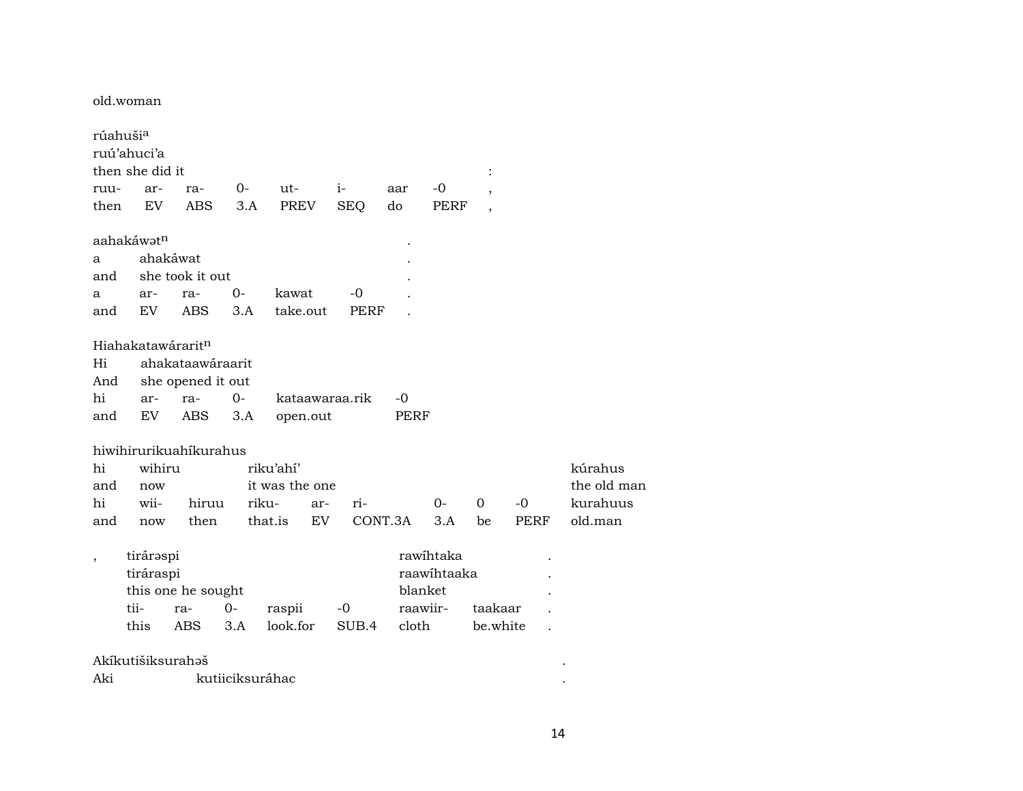old.woman

| rúahuši <sup>a</sup>     |                        |                        |      |                |                |         |             |          |      |           |
|--------------------------|------------------------|------------------------|------|----------------|----------------|---------|-------------|----------|------|-----------|
|                          | ruú'ahuci'a            |                        |      |                |                |         |             |          |      |           |
|                          | then she did it        |                        |      |                |                |         |             |          |      |           |
| ruu-                     | ar-                    | ra-                    | 0-   | ut-            | $i-$           | aar     | -0          |          |      |           |
| then                     | <b>EV</b>              | <b>ABS</b>             | 3.A  | PREV           | <b>SEQ</b>     | do      | PERF        |          |      |           |
|                          | aahakáwət <sup>n</sup> |                        |      |                |                |         |             |          |      |           |
| a                        | ahakáwat               |                        |      |                |                |         |             |          |      |           |
| and                      |                        | she took it out        |      |                |                |         |             |          |      |           |
| a                        | ar-                    | ra-                    | 0-   | kawat          | -0             |         |             |          |      |           |
| and                      | EV.                    | ABS                    | 3.A  | take.out       | <b>PERF</b>    |         |             |          |      |           |
|                          | Hiahakatawáraritn      |                        |      |                |                |         |             |          |      |           |
| Hi                       |                        | ahakataawáraarit       |      |                |                |         |             |          |      |           |
| And                      |                        | she opened it out      |      |                |                |         |             |          |      |           |
| hi                       | ar-                    | ra-                    | $0-$ |                | kataawaraa.rik | -0      |             |          |      |           |
| and                      | EV                     | ABS                    | 3.A  | open.out       |                | PERF    |             |          |      |           |
|                          |                        | hiwihirurikuahikurahus |      |                |                |         |             |          |      |           |
| hi                       | wihiru                 |                        |      | riku'ahí'      |                |         |             |          |      | kúrahus   |
| and                      | now                    |                        |      | it was the one |                |         |             |          |      | the old n |
| hi                       | wii-                   | hiruu                  |      | riku-<br>ar-   | ri-            |         | 0-          | 0        | $-0$ | kurahuu   |
| and                      | now                    | then                   |      | EV<br>that.is  |                | CONT.3A | 3.A         | be       | PERF | old.man   |
| $\overline{\phantom{a}}$ | tiráraspi              |                        |      |                |                |         | rawihtaka   |          |      |           |
|                          | tiráraspi              |                        |      |                |                |         | raawihtaaka |          |      |           |
|                          |                        | this one he sought     |      |                |                |         | blanket     |          |      |           |
|                          | tii-                   | ra-                    | 0-   | raspii         | -0             |         | raawiir-    | taakaar  |      |           |
|                          | this                   | ABS                    | 3.A  | look.for       | SUB.4          | cloth   |             | be.white |      |           |
|                          | Akíkutišiksurahoš      |                        |      |                |                |         |             |          |      |           |

| Aki | kutuciksurahac |  |
|-----|----------------|--|
|     |                |  |

kúrahus the old man kurahuus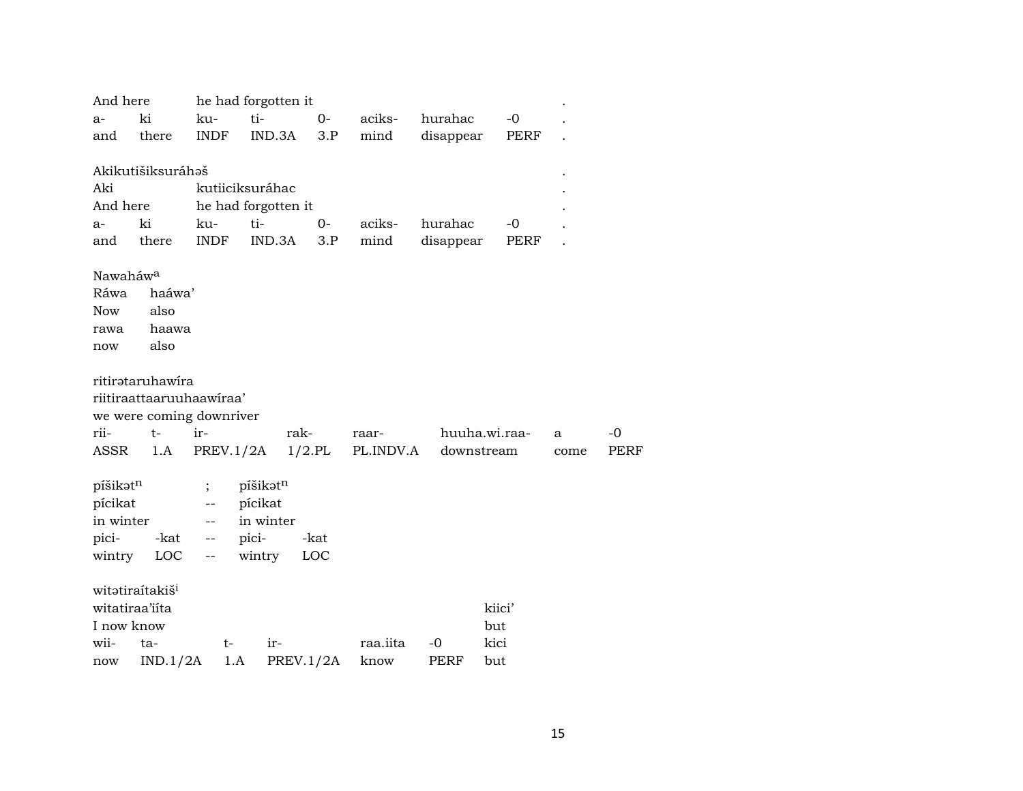| And here             |                                  |                          | he had forgotten it |           |                    |            |               |      |             |
|----------------------|----------------------------------|--------------------------|---------------------|-----------|--------------------|------------|---------------|------|-------------|
| $a-$                 | ki                               | ku-                      | ti-                 | $0-$      | aciks-             | hurahac    | $-0$          |      |             |
| and                  | there                            | <b>INDF</b>              | IND.3A              | 3.P       | mind               | disappear  | PERF          |      |             |
|                      |                                  |                          |                     |           |                    |            |               |      |             |
|                      | Akikutišiksuráhaš                |                          |                     |           |                    |            |               |      |             |
| Aki                  |                                  |                          | kutiiciksuráhac     |           |                    |            |               |      |             |
| And here             |                                  |                          | he had forgotten it |           |                    |            |               |      |             |
| $a-$                 | ki                               | ku-                      | ti-                 | $0-$      | aciks-             | hurahac    | $-0$          |      |             |
| and                  | there                            | <b>INDF</b>              | IND.3A              | 3.P       | mind               | disappear  | PERF          |      |             |
|                      |                                  |                          |                     |           |                    |            |               |      |             |
| Nawaháw <sup>a</sup> |                                  |                          |                     |           |                    |            |               |      |             |
| Ráwa                 | haáwa'                           |                          |                     |           |                    |            |               |      |             |
| <b>Now</b>           | also                             |                          |                     |           |                    |            |               |      |             |
| rawa                 | haawa                            |                          |                     |           |                    |            |               |      |             |
| now                  | also                             |                          |                     |           |                    |            |               |      |             |
|                      |                                  |                          |                     |           |                    |            |               |      |             |
|                      | ritirətaruhawira                 |                          |                     |           |                    |            |               |      |             |
|                      | riitiraattaaruuhaawiraa'         |                          |                     |           |                    |            |               |      |             |
| rii-                 | we were coming downriver<br>$t-$ | ir-                      | rak-                |           |                    |            | huuha.wi.raa- |      | $-0$        |
| ASSR                 | 1.A                              | PREV.1/2A                |                     | $1/2$ .PL | raar-<br>PL.INDV.A | downstream |               | a    | <b>PERF</b> |
|                      |                                  |                          |                     |           |                    |            |               | come |             |
| píšikatn             |                                  |                          | píšikatn            |           |                    |            |               |      |             |
| pícikat              |                                  | --                       | pícikat             |           |                    |            |               |      |             |
| in winter            |                                  | --                       | in winter           |           |                    |            |               |      |             |
| pici-                | -kat                             | $\overline{\phantom{a}}$ | pici-               | -kat      |                    |            |               |      |             |
| wintry               | <b>LOC</b>                       | --                       | wintry              | LOC       |                    |            |               |      |             |
|                      |                                  |                          |                     |           |                    |            |               |      |             |
|                      | witatiraítakiš <sup>i</sup>      |                          |                     |           |                    |            |               |      |             |
|                      | witatiraa'iita                   |                          |                     |           |                    |            | kiici'        |      |             |
| I now know           |                                  |                          |                     |           |                    |            | but           |      |             |
| wii-                 | ta-                              | t-                       | ir-                 |           | raa.iita           | -0         | kici          |      |             |
| now                  | IND.1/2A                         | 1.A                      | PREV.1/2A           |           | know               | PERF       | but           |      |             |
|                      |                                  |                          |                     |           |                    |            |               |      |             |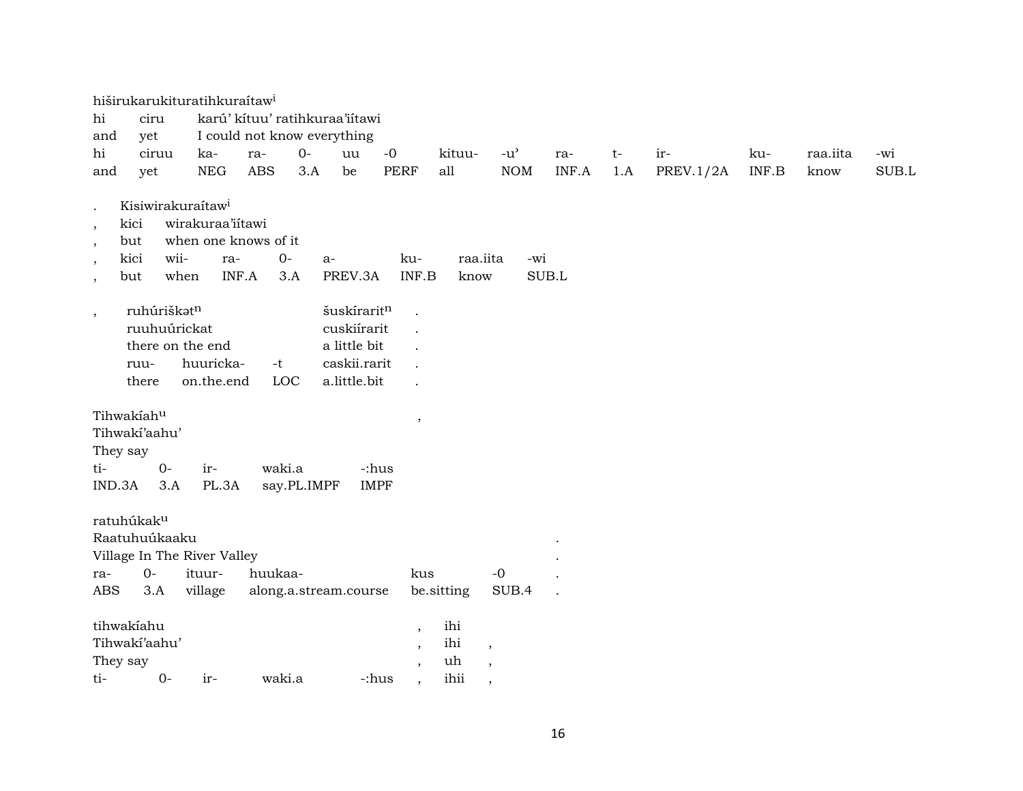|                                                                                     | hiširukarukituratihkuraítaw <sup>i</sup>                                                                          |                                                             |                                                     |                                                                                               |                      |                                                                            |                                                                            |                                     |       |      |                  |       |          |       |
|-------------------------------------------------------------------------------------|-------------------------------------------------------------------------------------------------------------------|-------------------------------------------------------------|-----------------------------------------------------|-----------------------------------------------------------------------------------------------|----------------------|----------------------------------------------------------------------------|----------------------------------------------------------------------------|-------------------------------------|-------|------|------------------|-------|----------|-------|
| hi                                                                                  | ciru                                                                                                              |                                                             |                                                     | karú' kítuu' ratihkuraa'iítawi                                                                |                      |                                                                            |                                                                            |                                     |       |      |                  |       |          |       |
| and                                                                                 | yet                                                                                                               |                                                             |                                                     | I could not know everything                                                                   |                      |                                                                            |                                                                            |                                     |       |      |                  |       |          |       |
| hi                                                                                  | ciruu                                                                                                             | ka-                                                         | ra-                                                 | $0-$<br>uu                                                                                    | $-0$                 |                                                                            | kituu-                                                                     | $-u$ <sup><math>\prime</math></sup> | ra-   | $t-$ | ir-              | ku-   | raa.iita | -wi   |
| and                                                                                 | yet                                                                                                               | <b>NEG</b>                                                  | <b>ABS</b>                                          | 3.A<br>be                                                                                     | <b>PERF</b>          |                                                                            | all                                                                        | <b>NOM</b>                          | INF.A | 1.A  | <b>PREV.1/2A</b> | INF.B | know     | SUB.L |
| $\cdot$<br>kici<br>$\,$<br>but<br>$\,$<br>kici<br>$\cdot$<br>but<br>$\cdot$<br>$\,$ | Kisiwirakuraítaw <sup>i</sup><br>wii-<br>when<br>ruhúriškatn<br>ruuhuúrickat<br>there on the end<br>ruu-<br>there | wirakuraa'iitawi<br>ra-<br>INF.A<br>huuricka-<br>on.the.end | when one knows of it<br>$O -$<br>3.A<br>$-t$<br>LOC | $a-$<br>PREV.3A<br>šuskíraritn<br>cuskiírarit<br>a little bit<br>caskii.rarit<br>a.little.bit | ku-                  | INF.B                                                                      | raa.iita<br>know                                                           | -wi                                 | SUB.L |      |                  |       |          |       |
| Tihwakiahu<br>They say<br>ti-<br>IND.3A                                             | Tihwaki'aahu'<br>$O -$<br>3.A                                                                                     | ir-<br>PL.3A                                                | waki.a                                              | say.PL.IMPF                                                                                   | -:hus<br><b>IMPF</b> | $\,$                                                                       |                                                                            |                                     |       |      |                  |       |          |       |
| ratuhúkak <sup>u</sup><br>ra-<br><b>ABS</b>                                         | Raatuhuúkaaku<br>Village In The River Valley<br>$O -$<br>3.A                                                      | ituur-<br>village                                           | huukaa-                                             | along.a.stream.course                                                                         |                      | kus                                                                        | be.sitting                                                                 | $-{\bf 0}$<br>SUB.4                 |       |      |                  |       |          |       |
| tihwakiahu<br>They say<br>ti-                                                       | Tihwaki'aahu'<br>$0-$                                                                                             | ir-                                                         | waki.a                                              |                                                                                               | -:hus                | $\cdot$<br>$\overline{\phantom{a}}$<br>$\cdot$<br>$\overline{\phantom{a}}$ | ihi<br>ihi<br>$\overline{\phantom{a}}$<br>uh<br>$\cdot$<br>ihii<br>$\cdot$ |                                     |       |      |                  |       |          |       |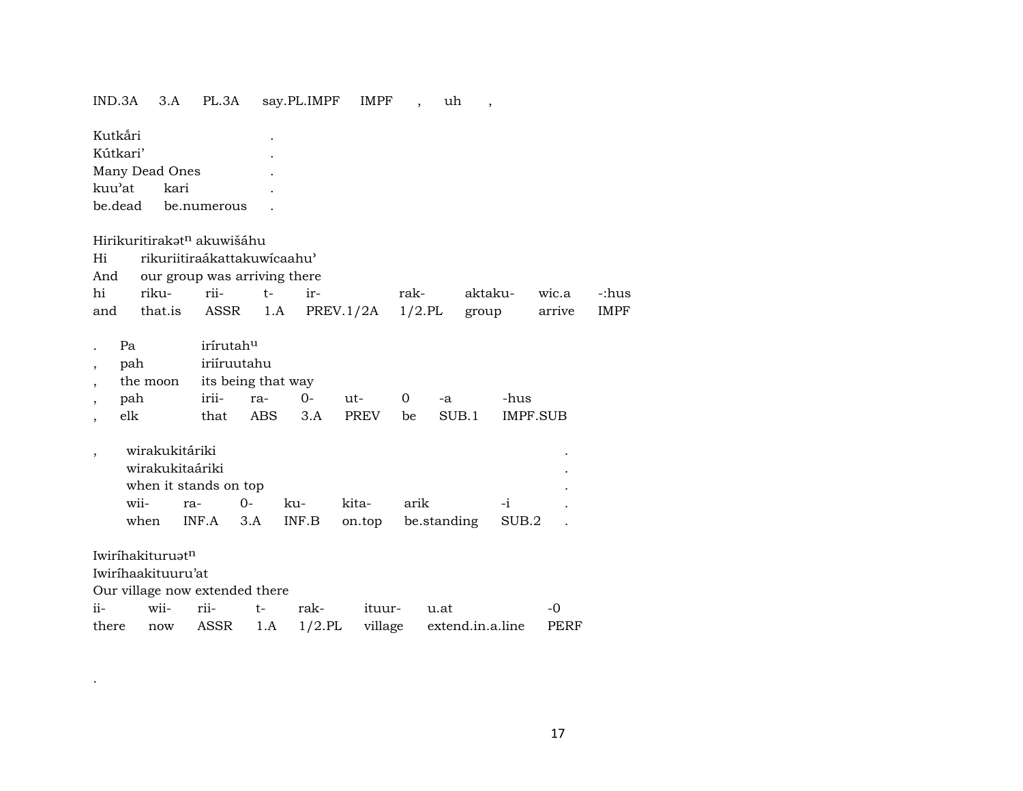### IND.3A 3.A PL.3A say.PL.IMPF IMPF , uh ,

| Kutkári                                    |                              |                    |       |           |              |             |         |          |             |
|--------------------------------------------|------------------------------|--------------------|-------|-----------|--------------|-------------|---------|----------|-------------|
| Kútkari'                                   |                              |                    |       |           |              |             |         |          |             |
| Many Dead Ones                             |                              |                    |       |           |              |             |         |          |             |
| kuu'at<br>kari                             |                              |                    |       |           |              |             |         |          |             |
| be.dead                                    | be.numerous                  |                    |       |           |              |             |         |          |             |
| Hirikuritirakət <sup>n</sup> akuwišáhu     |                              |                    |       |           |              |             |         |          |             |
| Hi                                         | rikuriitiraákattakuwícaahu'  |                    |       |           |              |             |         |          |             |
| And                                        | our group was arriving there |                    |       |           |              |             |         |          |             |
| hi<br>riku-                                | rii-                         | $t-$               | ir-   |           | rak-         |             | aktaku- | wic.a    | -:hus       |
| that.is<br>and                             |                              | ASSR 1.A           |       | PREV.1/2A |              | $1/2$ .PL   | group   | arrive   | <b>IMPF</b> |
| Pa                                         | irírutah <sup>u</sup>        |                    |       |           |              |             |         |          |             |
| pah<br>$\overline{ }$                      | iriíruutahu                  |                    |       |           |              |             |         |          |             |
| the moon<br>$\overline{\phantom{a}}$       |                              | its being that way |       |           |              |             |         |          |             |
| pah<br>$\overline{ }$                      | irii-                        | ra-                | 0-    | ut-       | $\mathbf{0}$ | $-a$        | -hus    |          |             |
| elk<br>$\overline{ }$                      | that                         | ABS                | 3.A   | PREV      | be           | SUB.1       |         | IMPF.SUB |             |
| wirakukitáriki<br>$\overline{\phantom{a}}$ |                              |                    |       |           |              |             |         |          |             |
| wirakukitaáriki                            |                              |                    |       |           |              |             |         |          |             |
|                                            | when it stands on top        |                    |       |           |              |             |         |          |             |
| wii-                                       | ra-                          | $0-$               | ku-   | kita-     | arik         |             | $-i$    |          |             |
| when                                       | INF.A                        | 3.A                | INF.B | on.top    |              | be.standing | SUB.2   |          |             |
|                                            |                              |                    |       |           |              |             |         |          |             |

Iwiríhakituruət<sup>n</sup>

.

Iwiríhaakituuru'at

Our village now extended there

|  |  | ii- wii- rii- t- rak- ituur- u.at |                                                         |  |
|--|--|-----------------------------------|---------------------------------------------------------|--|
|  |  |                                   | there now ASSR 1.A 1/2.PL village extend.in.a.line PERF |  |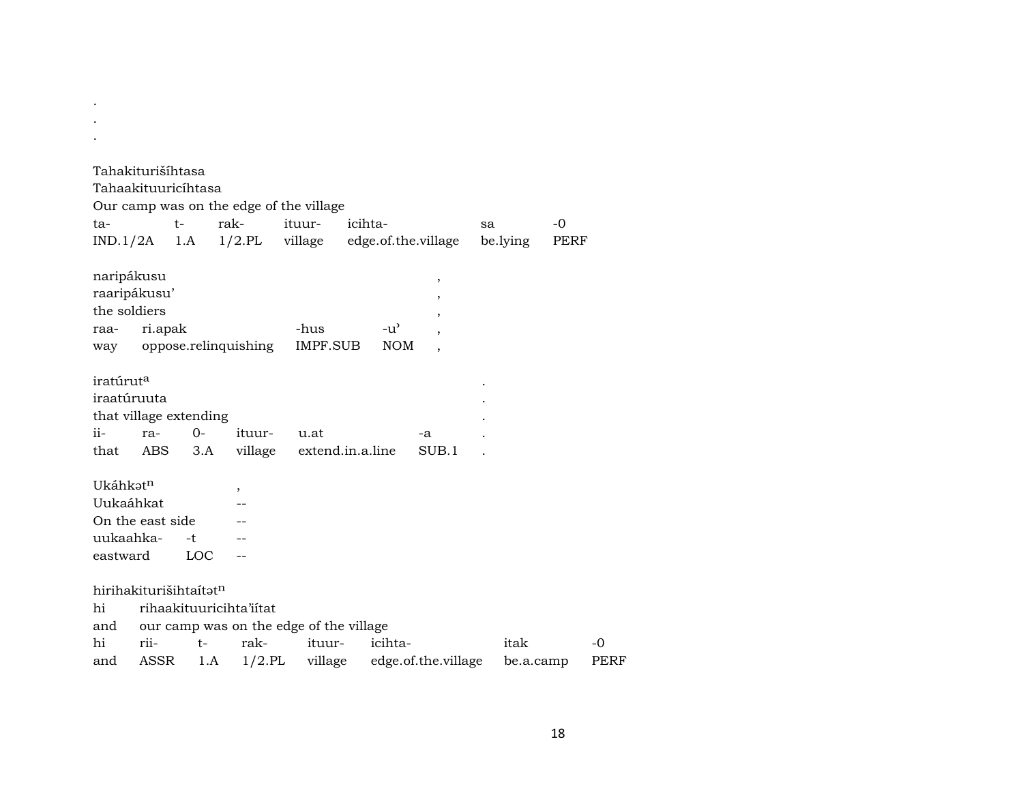| ta-<br>IND.1/2A                                        | Tahakiturišíhtasa<br>Tahaakituuricíhtasa | $t-$             | Our camp was on the edge of the village<br>rak-                                         | ituur- | icihta-<br>1.A 1/2.PL village edge.of.the.village           | sa<br>be.lying    | $-0$<br>PERF |
|--------------------------------------------------------|------------------------------------------|------------------|-----------------------------------------------------------------------------------------|--------|-------------------------------------------------------------|-------------------|--------------|
| naripákusu<br>the soldiers<br>raa-<br>way              | raaripákusu'<br>ri.apak                  |                  | oppose.relinquishing IMPF.SUB                                                           | -hus   | $^\mathrm{^\mathrm{o}}$<br>,<br>$-u^{\prime}$<br><b>NOM</b> |                   |              |
| iratúrut <sup>a</sup><br>iraatúruuta<br>$ii -$<br>that | that village extending<br>ra-<br>ABS     | $O -$<br>3.A     | ituur-                                                                                  | u.at   | -a<br>village extend.in.a.line<br>SUB.1                     |                   |              |
| Ukáhkatn<br>Uukaáhkat<br>uukaahka-<br>eastward         | On the east side                         | -t<br><b>LOC</b> | $\overline{\phantom{a}}$                                                                |        |                                                             |                   |              |
| hi<br>and<br>hi<br>and                                 | hirihakiturišihtaítatn<br>rii-<br>ASSR   | $t-$<br>1.A      | rihaakituuricihta'iitat<br>our camp was on the edge of the village<br>rak-<br>$1/2$ .PL | ituur- | icihta-<br>village edge.of.the.village                      | itak<br>be.a.camp | $-0$<br>PERF |

. .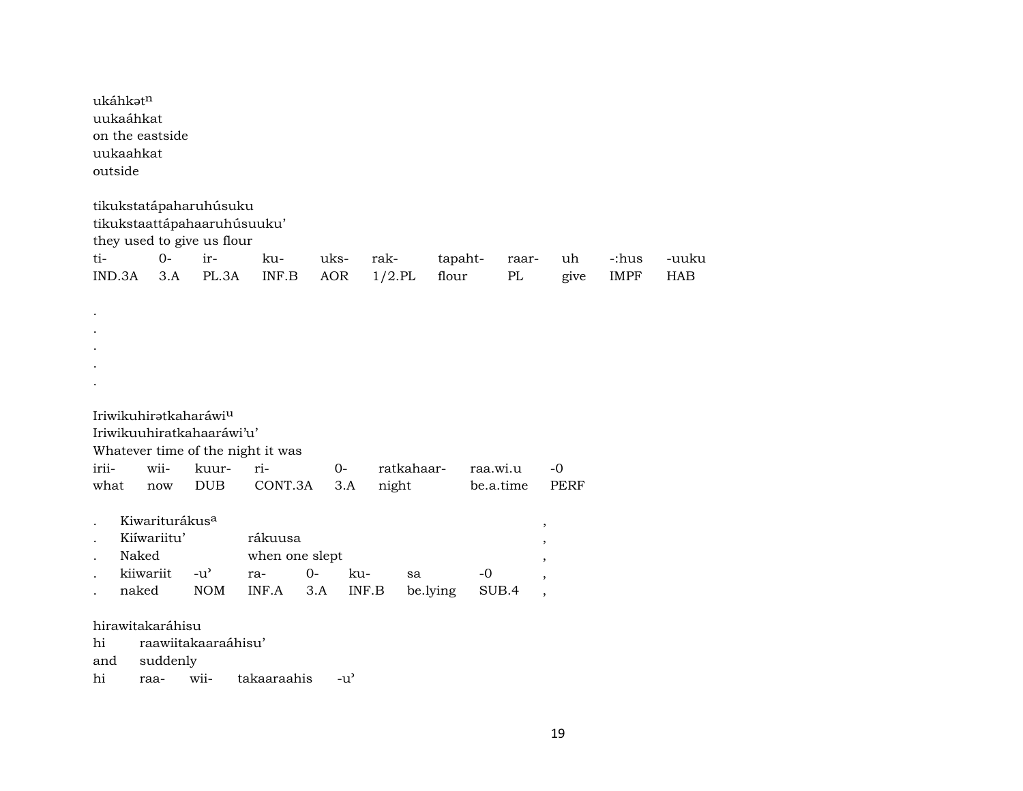| outside       | ukáhkatn<br>uukaáhkat<br>uukaahkat | on the eastside            |                                                           |                                          |                    |                   |                  |                   |                                                      |                      |                     |
|---------------|------------------------------------|----------------------------|-----------------------------------------------------------|------------------------------------------|--------------------|-------------------|------------------|-------------------|------------------------------------------------------|----------------------|---------------------|
|               |                                    |                            | tikukstatápaharuhúsuku                                    |                                          |                    |                   |                  |                   |                                                      |                      |                     |
|               |                                    |                            | tikukstaattápahaaruhúsuuku'<br>they used to give us flour |                                          |                    |                   |                  |                   |                                                      |                      |                     |
| ti-<br>IND.3A |                                    | $O -$<br>3.A               | ir-<br>PL.3A                                              | ku-<br>INF.B                             | uks-<br><b>AOR</b> | rak-<br>$1/2$ .PL | tapaht-<br>flour | raar-<br>$\rm PL$ | uh<br>give                                           | -:hus<br><b>IMPF</b> | -uuku<br><b>HAB</b> |
|               |                                    |                            |                                                           |                                          |                    |                   |                  |                   |                                                      |                      |                     |
|               |                                    |                            |                                                           |                                          |                    |                   |                  |                   |                                                      |                      |                     |
|               |                                    |                            |                                                           |                                          |                    |                   |                  |                   |                                                      |                      |                     |
|               |                                    |                            |                                                           |                                          |                    |                   |                  |                   |                                                      |                      |                     |
|               |                                    |                            |                                                           |                                          |                    |                   |                  |                   |                                                      |                      |                     |
|               |                                    |                            | Iriwikuhiratkaharáwiu                                     |                                          |                    |                   |                  |                   |                                                      |                      |                     |
|               |                                    |                            | Iriwikuuhiratkahaaráwi'u'                                 |                                          |                    |                   |                  |                   |                                                      |                      |                     |
| irii-         |                                    | wii-                       | kuur-                                                     | Whatever time of the night it was<br>ri- | $0-$               | ratkahaar-        |                  | raa.wi.u          | -0                                                   |                      |                     |
| what          |                                    | now                        | <b>DUB</b>                                                | CONT.3A                                  | 3.A                | night             |                  | be.a.time         | <b>PERF</b>                                          |                      |                     |
|               |                                    |                            |                                                           |                                          |                    |                   |                  |                   |                                                      |                      |                     |
|               |                                    | Kiwariturákus <sup>a</sup> |                                                           |                                          |                    |                   |                  |                   | $\, ,$                                               |                      |                     |
|               |                                    | Kiíwariitu'                |                                                           | rákuusa                                  |                    |                   |                  |                   | $\, ,$                                               |                      |                     |
|               | Naked<br>kiiwariit                 |                            | $-u^{\prime}$                                             | when one slept<br>ra-                    | $0-$               | ku-<br>sa         |                  | $-0$              |                                                      |                      |                     |
|               | naked                              |                            | <b>NOM</b>                                                | INF.A                                    | 3.A                | INF.B             | be.lying         | SUB.4             | $\overline{\phantom{a}}$<br>$\overline{\phantom{a}}$ |                      |                     |
|               |                                    |                            |                                                           |                                          |                    |                   |                  |                   |                                                      |                      |                     |
|               |                                    | hirawitakaráhisu           |                                                           |                                          |                    |                   |                  |                   |                                                      |                      |                     |
| hi            |                                    |                            | raawiitakaaraáhisu'                                       |                                          |                    |                   |                  |                   |                                                      |                      |                     |
| and<br>hi     |                                    | suddenly<br>raa-           | wii-                                                      | takaaraahis                              | $-u^{\prime}$      |                   |                  |                   |                                                      |                      |                     |
|               |                                    |                            |                                                           |                                          |                    |                   |                  |                   |                                                      |                      |                     |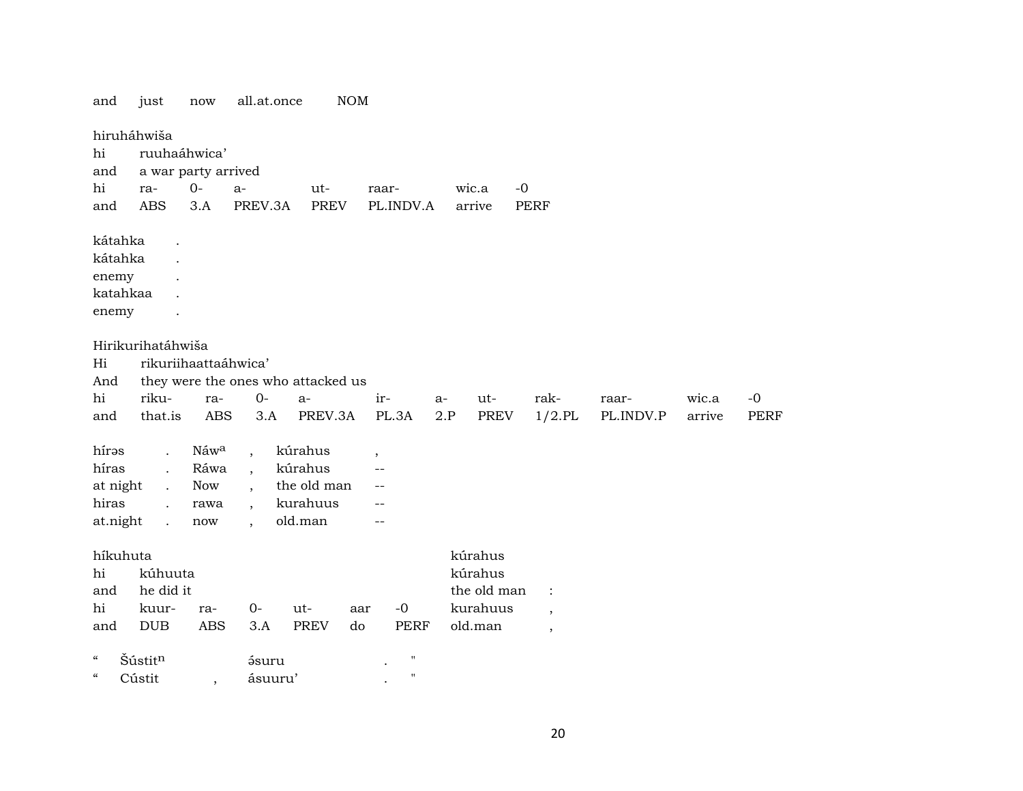and just now all.at.once NOM hiruháhwiša hi ruuhaáhwica' and a war party arrived hi ra- 0- a- ut- raar- wic.a -0 and ABS 3.A PREV.3A PREV PL.INDV.A arrive PERF kátahka . kátahka . enemy . katahkaa . enemy . Hirikurihatáhwiša Hi rikuriihaattaáhwica' And they were the ones who attacked us hi riku- ra- 0- a- ir- a- ut- rak- raar- wic.a -0 and that.is ABS 3.A PREV.3A PL.3A 2.P PREV 1/2.PL PL.INDV.P arrive PERF hírəs . Náw<sup>a</sup> , kúrahus , híras . Ráwa , kúrahus - at night . Now , the old man - hiras . rawa , kurahuus - at.night . now , old.man - híkuhuta kúrahus hi kúhuuta kúrahus and the did it the old man : hi kuur- ra- 0- ut- aar -0 kurahuus , and DUB ABS 3.A PREV do PERF old.man , " Šústit¶ ¿suru . " " Cústit , ásuuru' . "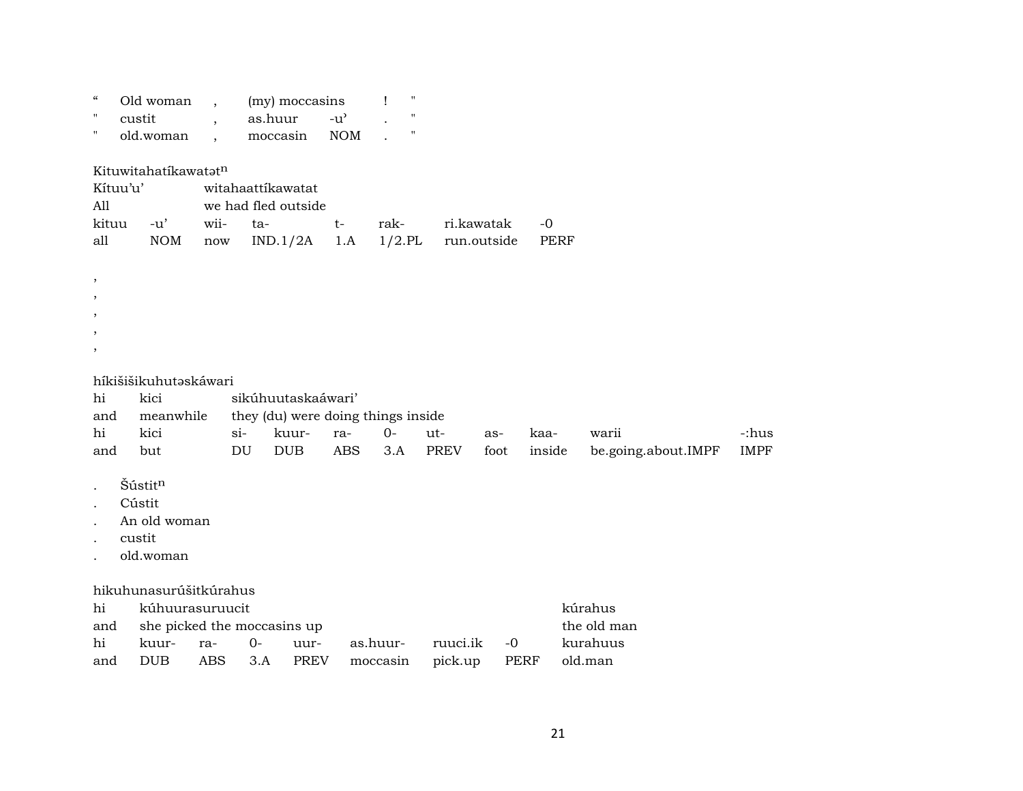| $\mathcal{C}\mathcal{C}$<br>н<br>$\pmb{\mathsf{H}}$ |                                 | Old woman<br>custit<br>old.woman                         |                              | as.huur<br>moccasin                                         | (my) moccasins                     | $-u^{\prime}$<br><b>NOM</b> | $\pmb{\mathsf{H}}$<br>$\blacksquare$<br>$\mathbf{H}$ |             |                           |                     |             |                     |                      |
|-----------------------------------------------------|---------------------------------|----------------------------------------------------------|------------------------------|-------------------------------------------------------------|------------------------------------|-----------------------------|------------------------------------------------------|-------------|---------------------------|---------------------|-------------|---------------------|----------------------|
|                                                     | Kítuu'u'<br>All<br>kituu<br>all | Kituwitahatikawatatn<br>$-u'$<br><b>NOM</b>              | wii-<br>$\operatorname{now}$ | witahaattíkawatat<br>we had fled outside<br>ta-<br>IND.1/2A |                                    | $t-$<br>1.A                 | rak-<br>$1/2$ .PL                                    |             | ri.kawatak<br>run.outside | $-0$<br><b>PERF</b> |             |                     |                      |
| ,<br>,                                              |                                 |                                                          |                              |                                                             |                                    |                             |                                                      |             |                           |                     |             |                     |                      |
|                                                     |                                 | híkišišikuhutaskáwari                                    |                              |                                                             |                                    |                             |                                                      |             |                           |                     |             |                     |                      |
|                                                     | hi                              | kici                                                     |                              |                                                             | sikúhuutaskaáwari'                 |                             |                                                      |             |                           |                     |             |                     |                      |
|                                                     | and                             | meanwhile                                                |                              |                                                             | they (du) were doing things inside |                             |                                                      |             |                           |                     |             |                     |                      |
|                                                     | hi                              | kici                                                     |                              | $si-$<br>DU                                                 | kuur-                              | ra-<br><b>ABS</b>           | $O -$                                                | ut-         | as-                       | kaa-                | warii       |                     | -:hus<br><b>IMPF</b> |
|                                                     | and                             | but                                                      |                              |                                                             | <b>DUB</b>                         |                             | 3.A                                                  | <b>PREV</b> | foot                      | inside              |             | be.going.about.IMPF |                      |
|                                                     |                                 | Šústitn<br>Cústit<br>An old woman<br>custit<br>old.woman |                              |                                                             |                                    |                             |                                                      |             |                           |                     |             |                     |                      |
|                                                     |                                 | hikuhunasurúšitkúrahus                                   |                              |                                                             |                                    |                             |                                                      |             |                           |                     |             |                     |                      |
|                                                     | hi                              | kúhuurasuruucit                                          |                              |                                                             |                                    |                             |                                                      |             |                           |                     | kúrahus     |                     |                      |
|                                                     | and                             | she picked the moccasins up                              |                              |                                                             |                                    |                             |                                                      |             |                           |                     | the old man |                     |                      |
|                                                     | hi                              | kuur-                                                    | ra-                          | $0-$                                                        | uur-                               |                             | as.huur-                                             | ruuci.ik    | $-0$                      |                     | kurahuus    |                     |                      |
|                                                     | and                             | <b>DUB</b>                                               | ABS                          | 3.A                                                         | <b>PREV</b>                        |                             | moccasin                                             | pick.up     | <b>PERF</b>               |                     | old.man     |                     |                      |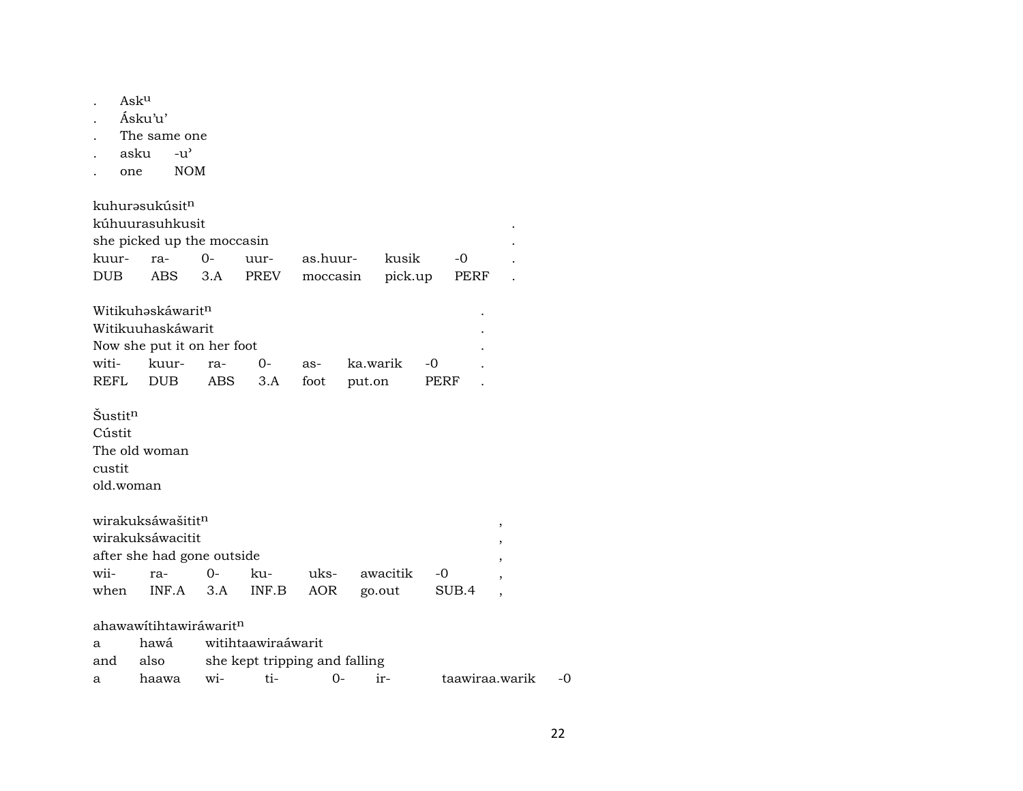|                     | Asku                       |                                    |                               |          |          |       |                |    |
|---------------------|----------------------------|------------------------------------|-------------------------------|----------|----------|-------|----------------|----|
|                     | Ásku'u'                    |                                    |                               |          |          |       |                |    |
|                     | The same one               |                                    |                               |          |          |       |                |    |
|                     | asku                       | $-u^{\prime}$                      |                               |          |          |       |                |    |
|                     | one                        | <b>NOM</b>                         |                               |          |          |       |                |    |
|                     |                            |                                    |                               |          |          |       |                |    |
|                     | kuhurəsukúsit <sup>n</sup> |                                    |                               |          |          |       |                |    |
|                     | kúhuurasuhkusit            |                                    |                               |          |          |       |                |    |
|                     |                            | she picked up the moccasin         |                               |          |          |       |                |    |
| kuur-               | ra-                        | $0-$                               | uur-                          | as.huur- | kusik    | $-0$  |                |    |
| <b>DUB</b>          |                            | <b>ABS</b><br>3.A                  | PREV                          | moccasin | pick.up  | PERF  |                |    |
|                     |                            | Witikuhaskáwarit <sup>n</sup>      |                               |          |          |       |                |    |
|                     |                            | Witikuuhaskáwarit                  |                               |          |          |       |                |    |
|                     |                            | Now she put it on her foot         |                               |          |          |       |                |    |
| witi-               |                            |                                    |                               |          |          |       |                |    |
| <b>REFL</b>         | <b>DUB</b>                 | kuur-<br>ra-                       | 0-                            | as-      | ka.warik | -0    |                |    |
|                     |                            | ABS                                | 3.A                           | foot     | put.on   | PERF  |                |    |
| Šustit <sup>n</sup> |                            |                                    |                               |          |          |       |                |    |
|                     |                            |                                    |                               |          |          |       |                |    |
| Cústit              |                            |                                    |                               |          |          |       |                |    |
|                     | The old woman              |                                    |                               |          |          |       |                |    |
| custit              |                            |                                    |                               |          |          |       |                |    |
|                     | old.woman                  |                                    |                               |          |          |       |                |    |
|                     | wirakuksáwašititn          |                                    |                               |          |          |       |                |    |
|                     | wirakuksáwacitit           |                                    |                               |          |          |       | ,              |    |
|                     |                            | after she had gone outside         |                               |          |          |       |                |    |
| wii-                | ra-                        | 0-                                 | ku-                           | uks-     | awacitik | -0    |                |    |
| when                |                            | INF.A<br>3.A                       | INF.B                         | AOR      | go.out   | SUB.4 |                |    |
|                     |                            |                                    |                               |          |          |       |                |    |
|                     |                            | ahawawitihtawiráwarit <sup>n</sup> |                               |          |          |       |                |    |
| a                   | hawá                       |                                    | witihtaawiraáwarit            |          |          |       |                |    |
| and                 | also                       |                                    | she kept tripping and falling |          |          |       |                |    |
| a                   | haawa                      | wi-                                | ti-                           | $0-$     | ir-      |       | taawiraa.warik | -0 |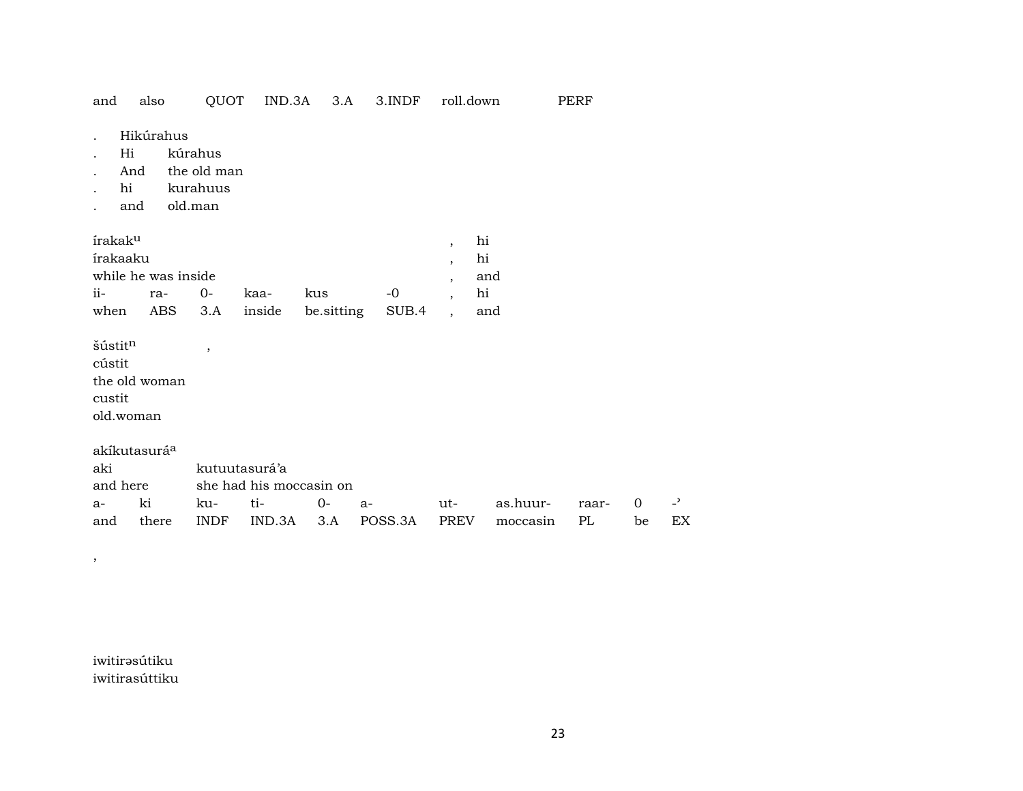| OUOT<br>and<br>also |  |  |  | IND.3A | 3.A | 3.INDF | roll.down | PERF |
|---------------------|--|--|--|--------|-----|--------|-----------|------|
|---------------------|--|--|--|--------|-----|--------|-----------|------|

- Hikúrahus  $\sim$
- $Hi$ kúrahus  $\cdot$
- And the old man  $\ddot{\phantom{0}}$
- hi kurahuus  $\cdot$
- old.man and  $\ddot{\phantom{a}}$

| írakak <sup>u</sup> |     |      |      |                                |      | h1  |
|---------------------|-----|------|------|--------------------------------|------|-----|
| írakaaku            |     |      |      |                                |      | hi  |
| while he was inside |     |      |      |                                |      | and |
| $ii$ - $-$          | ra- | . O- | kaa- | kus                            | $-0$ | hi  |
| when                |     |      |      | ABS 3.A inside besitting SUB.4 |      | and |

 $\check{\mathrm{s}}\hat{\mathrm{u}}$ stit $^{\mathrm{n}}$ cústit the old woman custit old.woman

 $\cdot$ 

akíkutasurá<sup>a</sup> kutuutasurá'a aki and here she had his moccasin on  $\overline{\phantom{a}}$ ki ku $ti O$  $a$ as.huur- $\mathbf{O}$  $a$ utraarthere **INDF** IND.3A  $3.A$ POSS.3A **PREV** moccasin  $PL$ be EX and

iwitirəsútiku iwitirasúttiku

 $\overline{\phantom{a}}$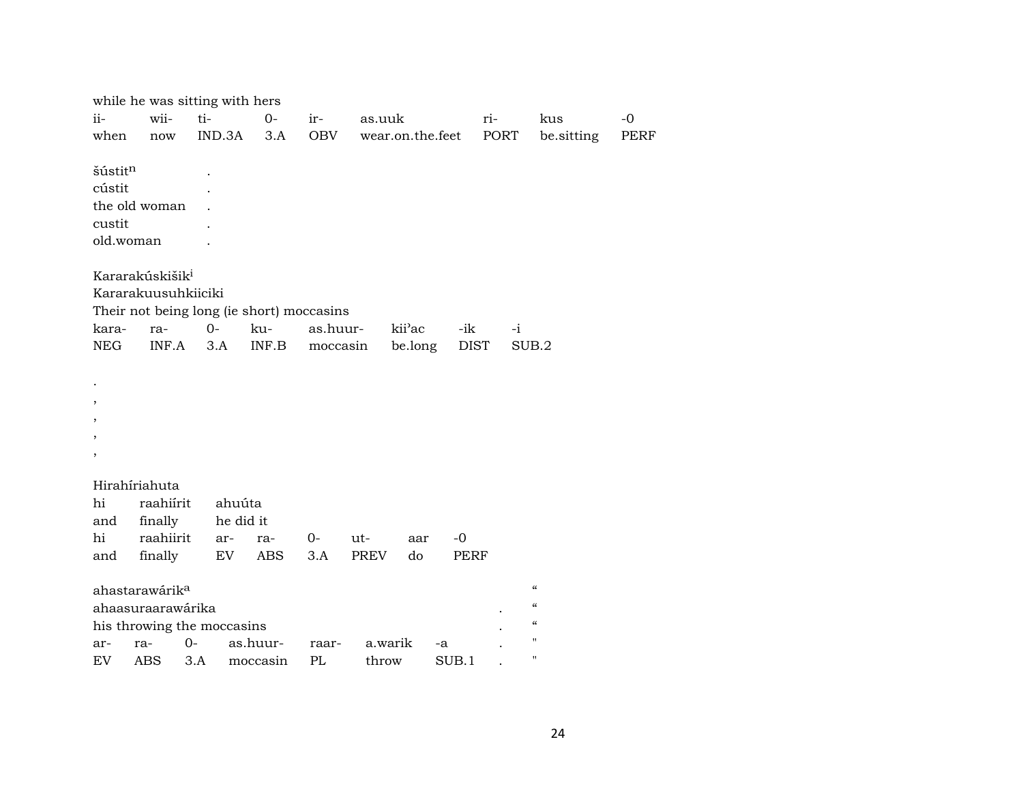|            |                             | while he was sitting with hers |                                           |          |             |                  |             |      |                            |      |
|------------|-----------------------------|--------------------------------|-------------------------------------------|----------|-------------|------------------|-------------|------|----------------------------|------|
| ii-        | wii-                        | ti-                            | $0-$                                      | ir-      | as.uuk      |                  |             | ri-  | kus                        | $-0$ |
| when       | now                         | IND.3A                         | 3.A                                       | OBV      |             | wear.on.the.feet |             | PORT | be.sitting                 | PERF |
|            |                             |                                |                                           |          |             |                  |             |      |                            |      |
| šústitn    |                             |                                |                                           |          |             |                  |             |      |                            |      |
| cústit     |                             |                                |                                           |          |             |                  |             |      |                            |      |
|            | the old woman               |                                |                                           |          |             |                  |             |      |                            |      |
| custit     |                             |                                |                                           |          |             |                  |             |      |                            |      |
|            | old.woman                   |                                |                                           |          |             |                  |             |      |                            |      |
|            | Kararakúskišik <sup>i</sup> |                                |                                           |          |             |                  |             |      |                            |      |
|            | Kararakuusuhkiiciki         |                                |                                           |          |             |                  |             |      |                            |      |
|            |                             |                                | Their not being long (ie short) moccasins |          |             |                  |             |      |                            |      |
| kara-      | ra-                         | $0-$                           | ku-                                       | as.huur- |             | kii'ac           | -ik         | $-i$ |                            |      |
| <b>NEG</b> | INF.A                       | 3.A                            | INF.B                                     | moccasin |             | be.long          | <b>DIST</b> |      | SUB.2                      |      |
|            |                             |                                |                                           |          |             |                  |             |      |                            |      |
|            |                             |                                |                                           |          |             |                  |             |      |                            |      |
|            |                             |                                |                                           |          |             |                  |             |      |                            |      |
|            |                             |                                |                                           |          |             |                  |             |      |                            |      |
|            |                             |                                |                                           |          |             |                  |             |      |                            |      |
| ,          |                             |                                |                                           |          |             |                  |             |      |                            |      |
|            | Hirahíriahuta               |                                |                                           |          |             |                  |             |      |                            |      |
| hi         | raahiírit                   |                                | ahuúta                                    |          |             |                  |             |      |                            |      |
| and        | finally                     |                                | he did it                                 |          |             |                  |             |      |                            |      |
| hi         | raahiirit                   | ar-                            | ra-                                       | $O -$    | ut-         | aar              | $-0$        |      |                            |      |
| and        | finally                     | EV                             | <b>ABS</b>                                | 3.A      | <b>PREV</b> | do               | <b>PERF</b> |      |                            |      |
|            | ahastarawárik <sup>a</sup>  |                                |                                           |          |             |                  |             |      | $\boldsymbol{\mathcal{C}}$ |      |
|            | ahaasuraarawárika           |                                |                                           |          |             |                  |             |      | $\mathcal{C}$              |      |
|            |                             | his throwing the moccasins     |                                           |          |             |                  |             |      | $\mathcal{C}$              |      |
| ar-        | ra-                         | $0-$                           | as.huur-                                  | raar-    | a.warik     |                  | -a          |      | $\pmb{\mathsf{H}}$         |      |
| EV         | ABS 3.A                     |                                | moccasin                                  | PL       | throw       |                  | SUB.1       |      | $\pmb{\mathsf{H}}$         |      |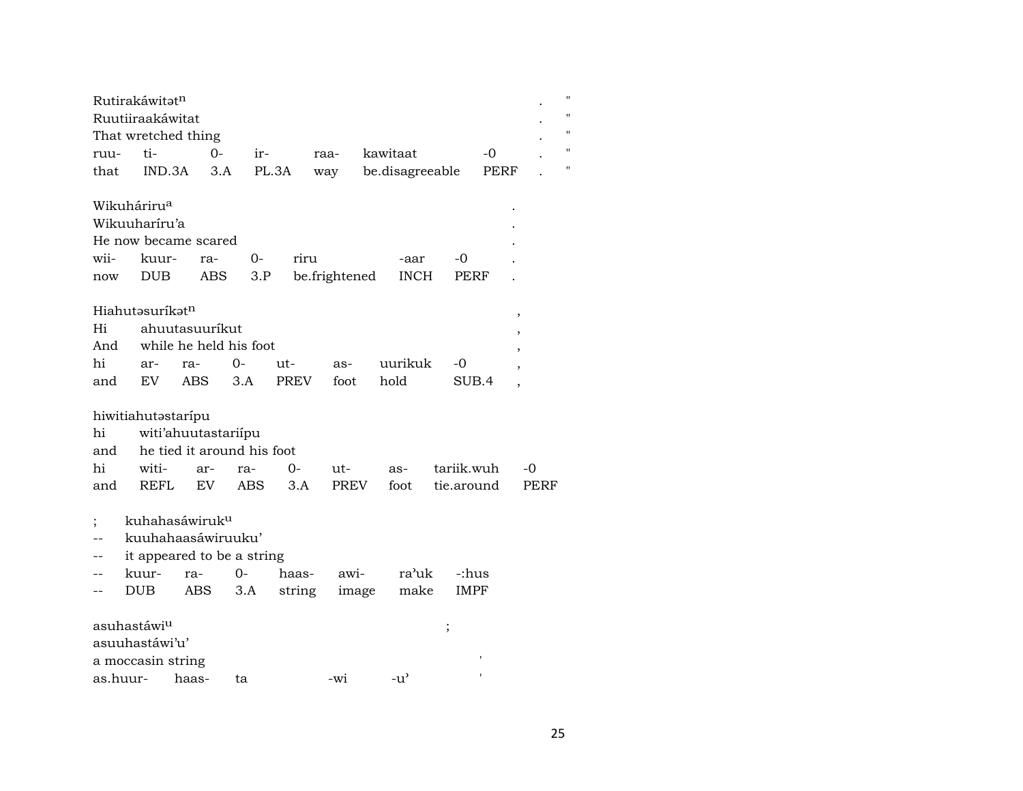| Rutirakáwitat <sup>n</sup>           |                     |       |       |      |                 |       |  |              |  |  |  |  |
|--------------------------------------|---------------------|-------|-------|------|-----------------|-------|--|--------------|--|--|--|--|
| Ruutiiraakáwitat                     |                     |       |       |      |                 |       |  |              |  |  |  |  |
|                                      | That wretched thing |       |       |      |                 |       |  | $\mathbf{H}$ |  |  |  |  |
| ruu-                                 | ti-                 | $O -$ | $ir-$ | raa- | kawitaat        | $-()$ |  | п.           |  |  |  |  |
| that                                 | IND.3A              | 3.A   | PL.3A | way  | be.disagreeable | PERF  |  | $\mathbf{H}$ |  |  |  |  |
|                                      |                     |       |       |      |                 |       |  |              |  |  |  |  |
| Wikuháriru <sup>a</sup><br>$\bullet$ |                     |       |       |      |                 |       |  |              |  |  |  |  |
| Wikuuhariru'a<br>$\bullet$           |                     |       |       |      |                 |       |  |              |  |  |  |  |

| He now became scared   |  |                                           |         |  |
|------------------------|--|-------------------------------------------|---------|--|
| wii- kuur- ra- 0- riru |  |                                           | -aar -0 |  |
|                        |  | now DUB ABS 3.P be.frightened INCH PERF . |         |  |

## $\label{eq:discreteH} \text{H}i\text{ahut}\text{-}\text{s}\text{urík}\text{-}\text{tr}^{\text{n}} \qquad \qquad \text{and} \qquad \qquad \text{and} \qquad \qquad \text{and} \qquad \qquad \text{and} \qquad \qquad \text{and} \qquad \text{tr}^{\text{-}\text{u}}\text{-}\text{tr}^{\text{-}\text{u}}\text{-}\text{tr}^{\text{-}\text{u}}\text{-}\text{tr}^{\text{-}\text{u}}\text{-}\text{tr}^{\text{-}\text{u}}\text{-}\text{tr}^{\text{-}\text{u}}\text{-}\text{tr}^{\text{-}\text{u}}\$

|  | Hi ahuutasuurikut          |  |  |  |                                      |  |  |  |  |  |
|--|----------------------------|--|--|--|--------------------------------------|--|--|--|--|--|
|  | And while he held his foot |  |  |  |                                      |  |  |  |  |  |
|  |                            |  |  |  | hi ar- ra- 0- ut- as- uurikuk -0     |  |  |  |  |  |
|  |                            |  |  |  | and EV ABS 3.A PREV foot hold SUB.4, |  |  |  |  |  |

#### hiwitiahutastarípu

| hi witi'ahuutastariipu         |  |  |  |  |  |                                               |  |  |  |  |  |  |
|--------------------------------|--|--|--|--|--|-----------------------------------------------|--|--|--|--|--|--|
| and he tied it around his foot |  |  |  |  |  |                                               |  |  |  |  |  |  |
|                                |  |  |  |  |  | hi witi- ar- ra- 0- ut- as- tariik.wuh -0     |  |  |  |  |  |  |
|                                |  |  |  |  |  | and REFL EV ABS 3.A PREV foot tie.around PERF |  |  |  |  |  |  |

- ; kuhahasáwiruk<sup>u</sup>
- -- kuuhahaasáwiruuku'
- 
- -- it appeared to be a string<br>-- kuur- ra- 0- haas--- kuur- ra- 0- haas- awi- ra'uk -:hus<br>-- DUB ABS 3.A string image make IMPF -- DUB ABS 3.A string image make

| asuhastáwi <sup>u</sup> |    |     |                    |  |
|-------------------------|----|-----|--------------------|--|
| asuuhastáwi'u'          |    |     |                    |  |
| a moccasin string       |    |     |                    |  |
| as.huur- haas-          | tа | -wi | $-11$ <sup>2</sup> |  |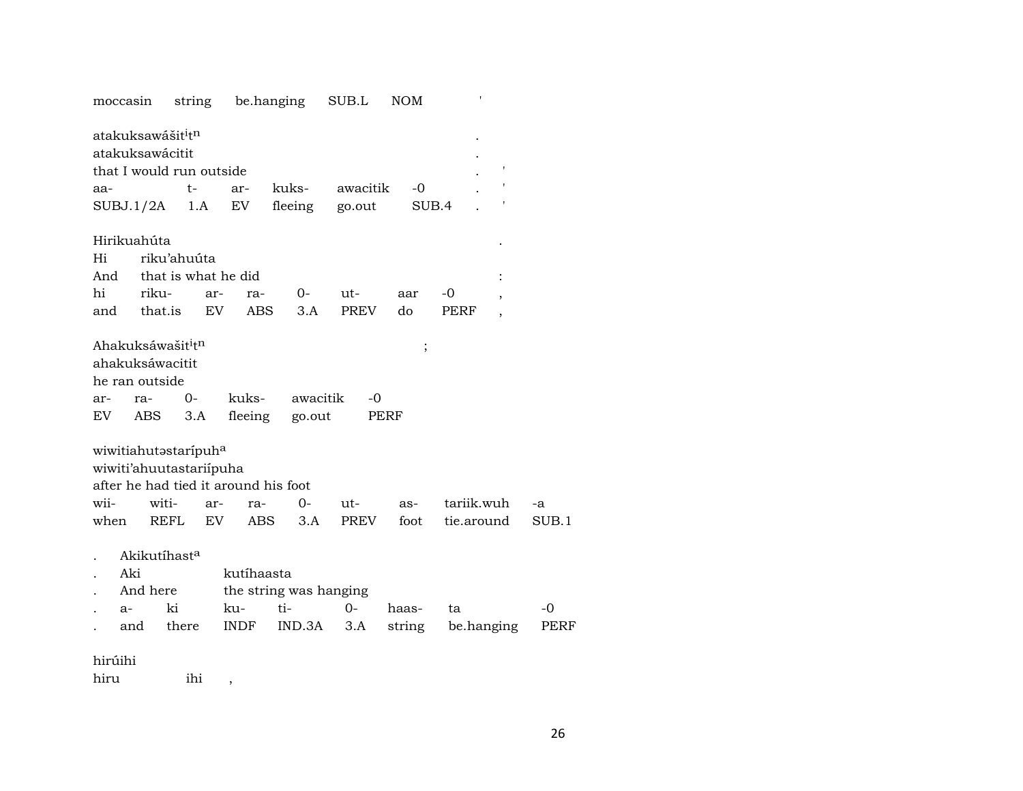|    | moccasin |                                                 | string      |                     | be.hanging                           | SUB.L       | <b>NOM</b> |            |                |       |
|----|----------|-------------------------------------------------|-------------|---------------------|--------------------------------------|-------------|------------|------------|----------------|-------|
|    |          | atakuksawášit <sup>i</sup> t <sup>n</sup>       |             |                     |                                      |             |            |            |                |       |
|    |          | atakuksawácitit                                 |             |                     |                                      |             |            |            |                |       |
|    |          | that I would run outside                        |             |                     |                                      |             |            |            |                |       |
|    | aa-      |                                                 | t-          | ar-                 | kuks-                                | awacitik    | -0         |            |                |       |
|    |          | SUBJ.1/2A                                       | 1.A         | EV                  | fleeing                              | go.out      |            | SUB.4      |                |       |
|    |          |                                                 |             |                     |                                      |             |            |            |                |       |
|    |          | Hirikuahúta                                     |             |                     |                                      |             |            |            |                |       |
| Hi |          |                                                 | riku'ahuúta |                     |                                      |             |            |            |                |       |
|    | And      |                                                 |             | that is what he did |                                      |             |            |            | $\vdots$       |       |
| hi |          | riku-                                           | ar-         | ra-                 | $O-$                                 | ut-         | aar        | -0         |                |       |
|    | and      | that.is                                         | EV          | <b>ABS</b>          | 3.A                                  | <b>PREV</b> | do         | PERF       | $\overline{ }$ |       |
|    |          |                                                 |             |                     |                                      |             |            |            |                |       |
|    |          | Ahakuksáwašit <sup>i</sup> t <sup>n</sup>       |             |                     |                                      |             |            | $\,$       |                |       |
|    |          | ahakuksáwacitit                                 |             |                     |                                      |             |            |            |                |       |
|    |          | he ran outside                                  |             |                     |                                      |             |            |            |                |       |
|    | ar-      | ra-                                             | $0-$        | kuks-               |                                      | awacitik    | -0         |            |                |       |
|    | EV       | ABS                                             | 3.A         | fleeing             | go.out                               |             | PERF       |            |                |       |
|    |          |                                                 |             |                     |                                      |             |            |            |                |       |
|    |          | wiwitiahutastaripuha<br>wiwiti'ahuutastariipuha |             |                     |                                      |             |            |            |                |       |
|    |          |                                                 |             |                     | after he had tied it around his foot |             |            |            |                |       |
|    | wii-     | witi-                                           | ar-         | ra-                 | $0-$                                 | ut-         | as-        | tariik.wuh |                | -a    |
|    | when     | REFL                                            | EV.         | <b>ABS</b>          | 3.A                                  | PREV        | foot       | tie.around |                | SUB.1 |
|    |          |                                                 |             |                     |                                      |             |            |            |                |       |
|    |          | Akikutíhast <sup>a</sup>                        |             |                     |                                      |             |            |            |                |       |
|    | Aki      |                                                 |             | kutíhaasta          |                                      |             |            |            |                |       |
|    |          | And here                                        |             |                     | the string was hanging               |             |            |            |                |       |
|    | a-       | ki                                              |             | ku-                 | ti-                                  | $O -$       | haas-      | ta         |                | $-0$  |
|    |          | and                                             | there       | INDF                | IND.3A                               | 3.A         | string     | be.hanging |                | PERF  |
|    |          |                                                 |             |                     |                                      |             |            |            |                |       |
|    | hirúihi  |                                                 |             |                     |                                      |             |            |            |                |       |

hiru ihi ,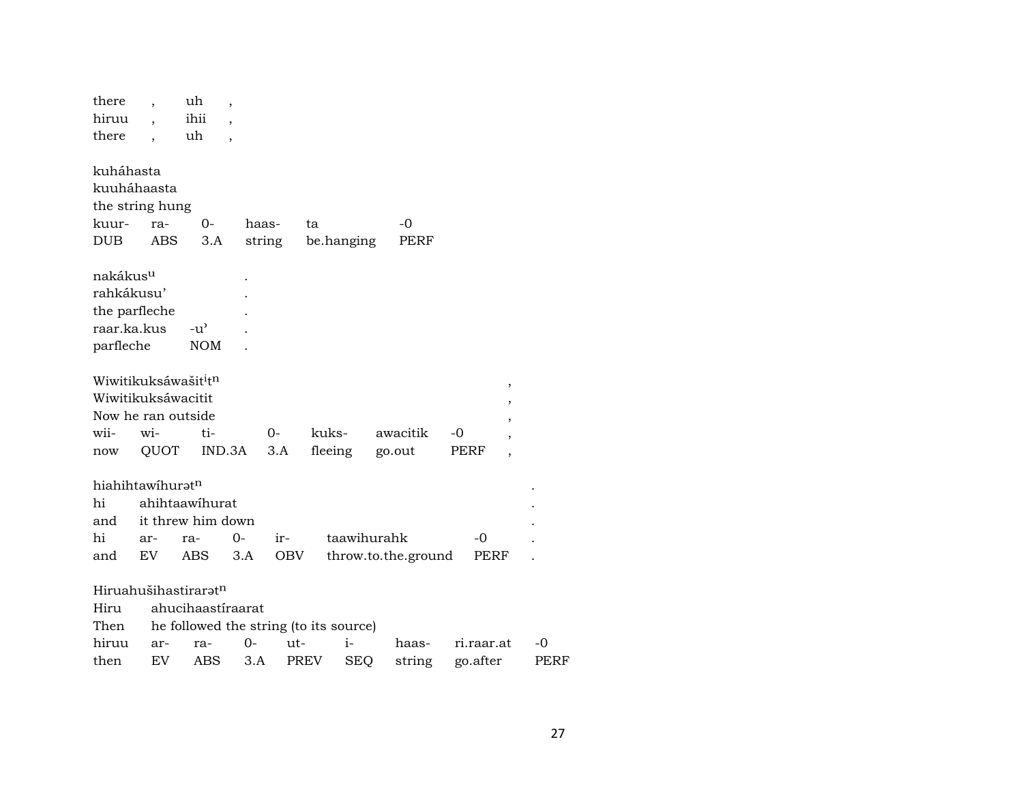| there                                        |            | uh                                     | $\overline{\phantom{a}}$ |        |            |             |                     |          |            |
|----------------------------------------------|------------|----------------------------------------|--------------------------|--------|------------|-------------|---------------------|----------|------------|
| hiruu                                        |            | ihii                                   |                          |        |            |             |                     |          |            |
| there                                        |            | uh                                     |                          |        |            |             |                     |          |            |
|                                              |            |                                        |                          |        |            |             |                     |          |            |
| kuháhasta                                    |            |                                        |                          |        |            |             |                     |          |            |
| kuuháhaasta                                  |            |                                        |                          |        |            |             |                     |          |            |
| the string hung                              |            |                                        |                          |        |            |             |                     |          |            |
| kuur-                                        | ra-        | 0-                                     |                          | haas-  | ta         |             | -0                  |          |            |
| DUB                                          | <b>ABS</b> | 3.A                                    |                          | string | be.hanging |             | PERF                |          |            |
|                                              |            |                                        |                          |        |            |             |                     |          |            |
| nakákus <sup>u</sup>                         |            |                                        |                          |        |            |             |                     |          |            |
| rahkákusu'                                   |            |                                        |                          |        |            |             |                     |          |            |
| the parfleche                                |            |                                        |                          |        |            |             |                     |          |            |
| raar.ka.kus                                  |            | $-u^{\prime}$                          |                          |        |            |             |                     |          |            |
| parfleche                                    |            | <b>NOM</b>                             |                          |        |            |             |                     |          |            |
|                                              |            |                                        |                          |        |            |             |                     |          |            |
| Wiwitikuksáwašit <sup>i</sup> t <sup>n</sup> |            |                                        |                          |        |            |             |                     |          | ,          |
| Wiwitikuksáwacitit                           |            |                                        |                          |        |            |             |                     |          |            |
| Now he ran outside                           |            |                                        |                          |        |            |             |                     |          |            |
| wii-                                         | wi-        | ti-                                    |                          | $0 -$  | kuks-      |             | awacitik            | -0       |            |
| now                                          | QUOT       | IND.3A                                 |                          | 3.A    |            | fleeing     | go.out              | PERF     |            |
|                                              |            |                                        |                          |        |            |             |                     |          |            |
| hiahihtawihurat <sup>n</sup>                 |            |                                        |                          |        |            |             |                     |          |            |
| hi                                           |            | ahihtaawihurat                         |                          |        |            |             |                     |          |            |
| and                                          |            | it threw him down                      |                          |        |            |             |                     |          |            |
| hi                                           | ar-        | ra-                                    | $0 -$                    | ir-    |            | taawihurahk |                     |          | -0         |
| and                                          | EV         | <b>ABS</b>                             | 3.A                      | OBV    |            |             | throw.to.the.ground |          | PERF       |
|                                              |            |                                        |                          |        |            |             |                     |          |            |
|                                              |            | Hiruahušihastirarat <sup>n</sup>       |                          |        |            |             |                     |          |            |
| Hiru                                         |            | ahucihaastíraarat                      |                          |        |            |             |                     |          |            |
| Then                                         |            | he followed the string (to its source) |                          |        |            |             |                     |          |            |
| hiruu                                        | ar-        | ra-                                    | $0-$                     | ut-    |            | $i-$        | haas-               |          | ri.raar.at |
| then                                         | EV         | ABS                                    | 3.A                      |        | PREV       | <b>SEQ</b>  | string              | go.after |            |
|                                              |            |                                        |                          |        |            |             |                     |          |            |

 $\mbox{-}0$ PERF

 $\sim$  $\cdot$  $\sim$  $\sim$  $\mathbb{Z}^2$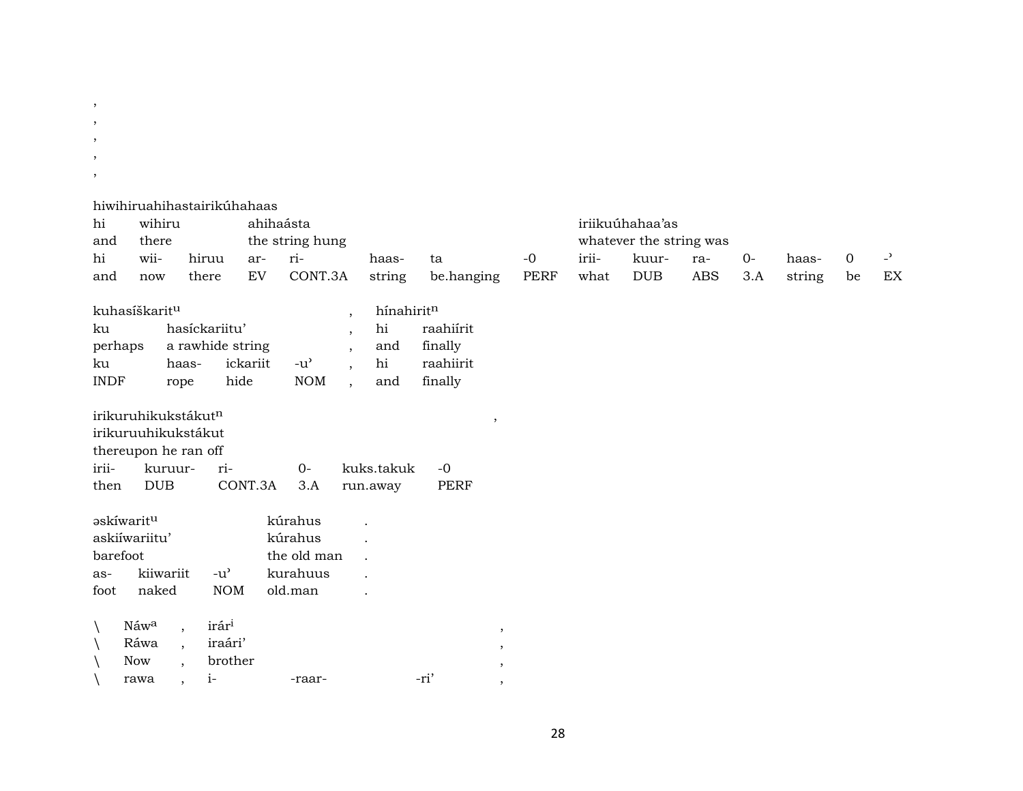- $, \,$
- $\, ,$
- $\cdot$
- $\, ,$
- $\, ,$

#### hiwihiruahihastairikúhahaas

| hi<br>and   | wihiru<br>there                 |                          |                   |                            | ahihaásta<br>the string hung |                          |            |            |         |      |       | iriikuúhahaa'as<br>whatever the string was |     |      |        |             |                |
|-------------|---------------------------------|--------------------------|-------------------|----------------------------|------------------------------|--------------------------|------------|------------|---------|------|-------|--------------------------------------------|-----|------|--------|-------------|----------------|
| hi          | wii-                            |                          | hiruu             | ar-                        | ri-                          |                          | haas-      | ta         | $-0$    |      | irii- | kuur-                                      | ra- | $0-$ | haas-  | $\mathbf 0$ | $\overline{a}$ |
| and         | now                             |                          | there             | $\mathop{\rm EV}\nolimits$ | CONT.3A                      |                          | string     | be.hanging |         | PERF | what  | $DUB$                                      | ABS | 3.A  | string | be          | EX             |
|             | kuhasíškarit <sup>u</sup>       |                          |                   |                            |                              | $\cdot$                  | hínahiritn |            |         |      |       |                                            |     |      |        |             |                |
| ku          |                                 |                          | hasíckariitu'     |                            |                              | $\cdot$                  | hi         | raahiírit  |         |      |       |                                            |     |      |        |             |                |
| perhaps     |                                 |                          |                   | a rawhide string           |                              | $\overline{ }$           | and        | finally    |         |      |       |                                            |     |      |        |             |                |
| ku          |                                 | haas-                    |                   | ickariit                   | $-u^{\prime}$                | $\overline{\phantom{a}}$ | hi         | raahiirit  |         |      |       |                                            |     |      |        |             |                |
| <b>INDF</b> |                                 | rope                     |                   | hide                       | <b>NOM</b>                   | $\cdot$                  | and        | finally    |         |      |       |                                            |     |      |        |             |                |
|             | irikuruhikukstákut <sup>n</sup> |                          |                   |                            |                              |                          |            |            | $\cdot$ |      |       |                                            |     |      |        |             |                |
|             | irikuruuhikukstákut             |                          |                   |                            |                              |                          |            |            |         |      |       |                                            |     |      |        |             |                |
|             | thereupon he ran off            |                          |                   |                            |                              |                          |            |            |         |      |       |                                            |     |      |        |             |                |
| irii-       |                                 | kuruur-                  |                   | ri-                        | $0-$                         |                          | kuks.takuk | $-0$       |         |      |       |                                            |     |      |        |             |                |
| then        | <b>DUB</b>                      |                          |                   | CONT.3A                    | 3.A                          |                          | run.away   | PERF       |         |      |       |                                            |     |      |        |             |                |
|             | <b>askíwaritu</b>               |                          |                   |                            | kúrahus                      |                          |            |            |         |      |       |                                            |     |      |        |             |                |
|             | askiíwariitu'                   |                          |                   |                            | kúrahus                      |                          |            |            |         |      |       |                                            |     |      |        |             |                |
| barefoot    |                                 |                          |                   |                            | the old man                  |                          |            |            |         |      |       |                                            |     |      |        |             |                |
| as-         | kiiwariit                       |                          | $-u^{\prime}$     |                            | kurahuus                     |                          |            |            |         |      |       |                                            |     |      |        |             |                |
| foot        | naked                           |                          |                   | <b>NOM</b>                 | old.man                      |                          |            |            |         |      |       |                                            |     |      |        |             |                |
|             | Náwa                            | $\overline{\phantom{a}}$ | irár <sup>i</sup> |                            |                              |                          |            |            | $\,$    |      |       |                                            |     |      |        |             |                |
|             | Ráwa                            | $\overline{\phantom{a}}$ |                   | iraári'                    |                              |                          |            |            | $\,$    |      |       |                                            |     |      |        |             |                |
|             | Now                             | $\overline{\phantom{a}}$ |                   | brother                    |                              |                          |            |            | $\,$    |      |       |                                            |     |      |        |             |                |
|             | rawa                            | $\overline{\phantom{a}}$ | $i-$              |                            | -raar-                       |                          |            | -ri'       | $\cdot$ |      |       |                                            |     |      |        |             |                |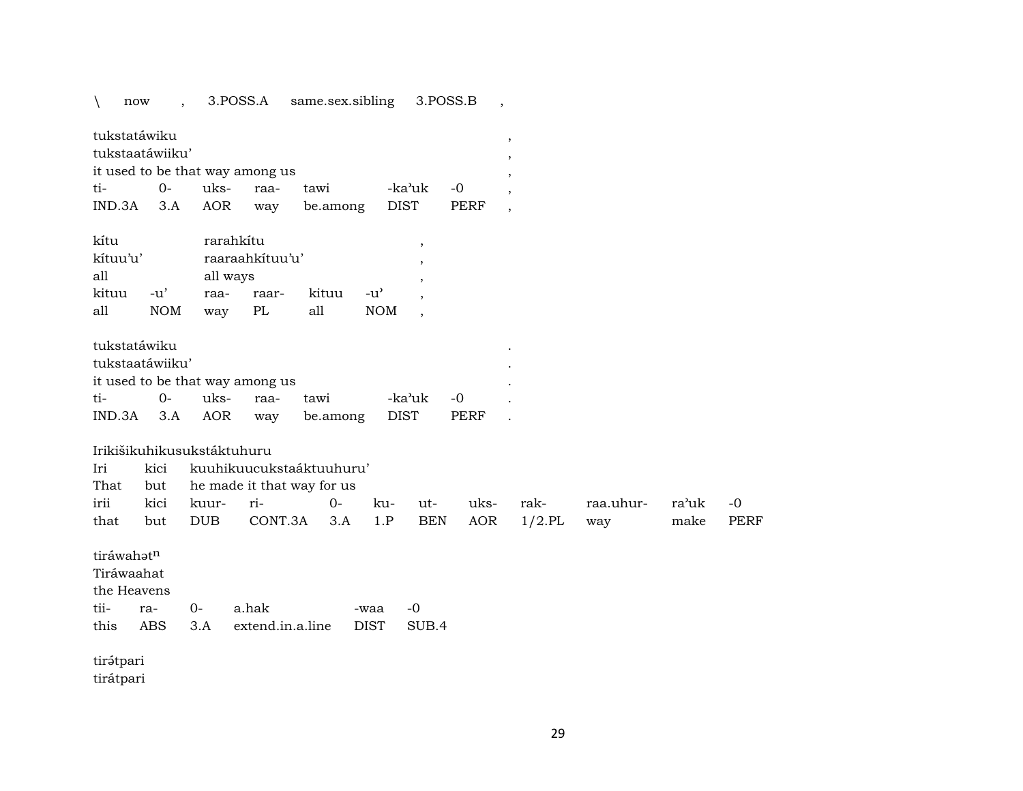\ now , 3.POSS.A same.sex.sibling 3.POSS.B ,

| tukstatáwiku                    |  |                                  |           |      |  |
|---------------------------------|--|----------------------------------|-----------|------|--|
| tukstaatáwiiku'                 |  |                                  |           |      |  |
| it used to be that way among us |  |                                  |           |      |  |
|                                 |  | tawi                             | -ka'uk -0 |      |  |
|                                 |  | IND.3A 3.A AOR way be.among DIST |           | PERF |  |

| kítu     |        | rarahkítu |                 |       |            |  |  |  |  |
|----------|--------|-----------|-----------------|-------|------------|--|--|--|--|
| kítuu'u' |        |           | raaraahkituu'u' |       |            |  |  |  |  |
| all      |        | all ways  |                 |       |            |  |  |  |  |
| kituu    | $-11'$ | raa-      | raar-           | kituu | $-11'$     |  |  |  |  |
| all      | NOM    | way       | PL              | all   | <b>NOM</b> |  |  |  |  |

| tukstatáwiku                    |  |                                  |           |      |  |
|---------------------------------|--|----------------------------------|-----------|------|--|
| tukstaatáwiiku'                 |  |                                  |           |      |  |
| it used to be that way among us |  |                                  |           |      |  |
|                                 |  | tawi                             | -ka'uk -0 |      |  |
|                                 |  | IND.3A 3.A AOR way be.among DIST |           | PERF |  |

#### Irikišikuhikusukstáktuhuru

| Iri  |     | kici kuuhikuucukstaáktuuhuru'       |  |  |         |  |  |                      |          |      |  |  |  |
|------|-----|-------------------------------------|--|--|---------|--|--|----------------------|----------|------|--|--|--|
|      |     | That but he made it that way for us |  |  |         |  |  |                      |          |      |  |  |  |
| irii |     |                                     |  |  | ku- ut- |  |  | uks- rak-  raa.uhur- | ra'uk -0 |      |  |  |  |
| that | but | DUB CONT.3A 3.A 1.P BEN AOR 1/2.PL  |  |  |         |  |  | wav                  | make     | PERF |  |  |  |

| tiráwahət <sup>n</sup> |             |                                    |      |       |
|------------------------|-------------|------------------------------------|------|-------|
|                        | Tiráwaahat  |                                    |      |       |
|                        | the Heavens |                                    |      |       |
|                        | tii- ra- 0- | a hak                              | -waa | $-()$ |
|                        |             | this ABS 3.A extend.in.a.line DIST |      | SUB 4 |
|                        |             |                                    |      |       |

tir<br/>ə́tpari tirátpari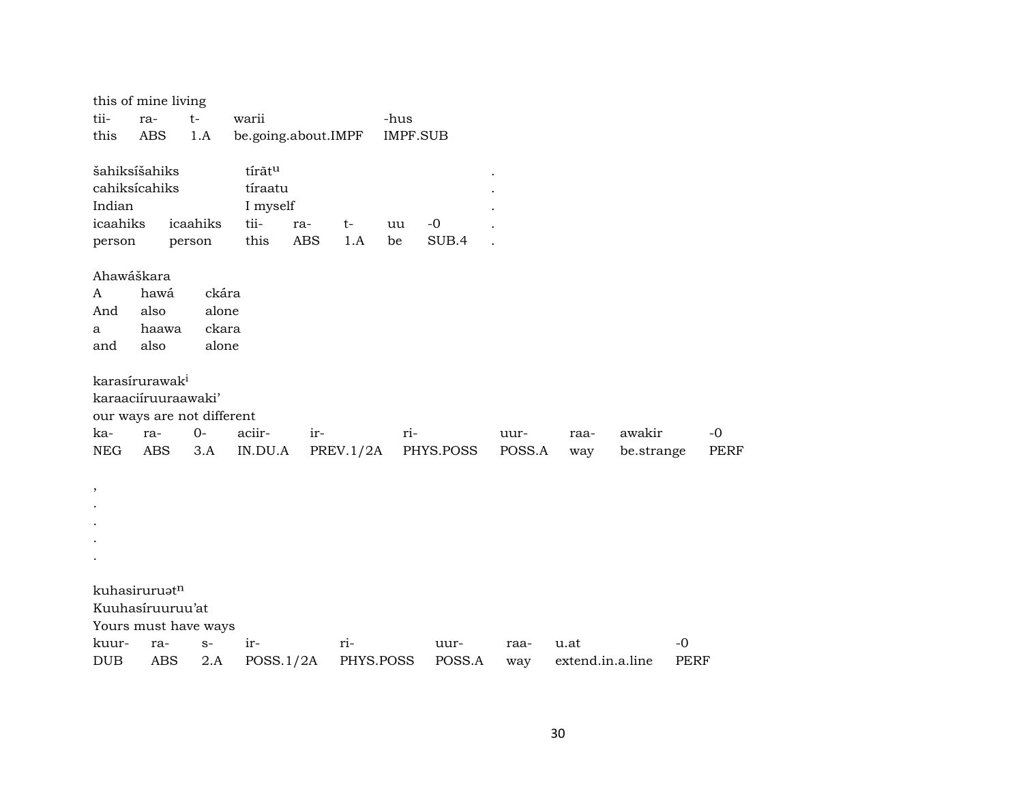|               | this of mine living        |          |                     |            |           |                 |           |        |                  |            |      |             |
|---------------|----------------------------|----------|---------------------|------------|-----------|-----------------|-----------|--------|------------------|------------|------|-------------|
| tii-          | ra-                        | $t-$     | warii               |            |           | -hus            |           |        |                  |            |      |             |
| this          | <b>ABS</b>                 | 1.A      | be.going.about.IMPF |            |           | <b>IMPF.SUB</b> |           |        |                  |            |      |             |
|               |                            |          |                     |            |           |                 |           |        |                  |            |      |             |
| šahiksíšahiks |                            |          | tírãtu              |            |           |                 |           |        |                  |            |      |             |
| cahiksícahiks |                            |          | tíraatu             |            |           |                 |           |        |                  |            |      |             |
| Indian        |                            |          | I myself            |            |           |                 |           |        |                  |            |      |             |
| icaahiks      |                            | icaahiks | tii-                | ra-        | $t-$      | uu              | $-0$      |        |                  |            |      |             |
| person        |                            | person   | this                | <b>ABS</b> | 1.A       | be              | SUB.4     |        |                  |            |      |             |
|               |                            |          |                     |            |           |                 |           |        |                  |            |      |             |
| Ahawáškara    |                            |          |                     |            |           |                 |           |        |                  |            |      |             |
| A             | hawá                       | ckára    |                     |            |           |                 |           |        |                  |            |      |             |
| And           | also                       | alone    |                     |            |           |                 |           |        |                  |            |      |             |
| a             | haawa                      | ckara    |                     |            |           |                 |           |        |                  |            |      |             |
| and           | also                       | alone    |                     |            |           |                 |           |        |                  |            |      |             |
|               |                            |          |                     |            |           |                 |           |        |                  |            |      |             |
|               | karasírurawak <sup>i</sup> |          |                     |            |           |                 |           |        |                  |            |      |             |
|               | karaaciíruuraawaki'        |          |                     |            |           |                 |           |        |                  |            |      |             |
|               | our ways are not different |          |                     |            |           |                 |           |        |                  |            |      |             |
| ka-           | ra-                        | $O -$    | aciir-              | ir-        |           | ri-             |           | uur-   | raa-             | awakir     |      | $-0$        |
| <b>NEG</b>    | <b>ABS</b>                 | 3.A      | IN.DU.A             |            | PREV.1/2A |                 | PHYS.POSS | POSS.A | way              | be.strange |      | <b>PERF</b> |
|               |                            |          |                     |            |           |                 |           |        |                  |            |      |             |
| $\, ,$        |                            |          |                     |            |           |                 |           |        |                  |            |      |             |
|               |                            |          |                     |            |           |                 |           |        |                  |            |      |             |
|               |                            |          |                     |            |           |                 |           |        |                  |            |      |             |
|               |                            |          |                     |            |           |                 |           |        |                  |            |      |             |
|               |                            |          |                     |            |           |                 |           |        |                  |            |      |             |
|               |                            |          |                     |            |           |                 |           |        |                  |            |      |             |
|               | kuhasiruruatn              |          |                     |            |           |                 |           |        |                  |            |      |             |
|               | Kuuhasíruuruu'at           |          |                     |            |           |                 |           |        |                  |            |      |             |
|               | Yours must have ways       |          |                     |            |           |                 |           |        |                  |            |      |             |
| kuur-         | ra-                        | $S-$     | ir-                 |            | ri-       |                 | uur-      | raa-   | u.at             |            | $-0$ |             |
| <b>DUB</b>    | ABS                        | 2.A      | POSS.1/2A           |            | PHYS.POSS |                 | POSS.A    | way    | extend.in.a.line |            | PERF |             |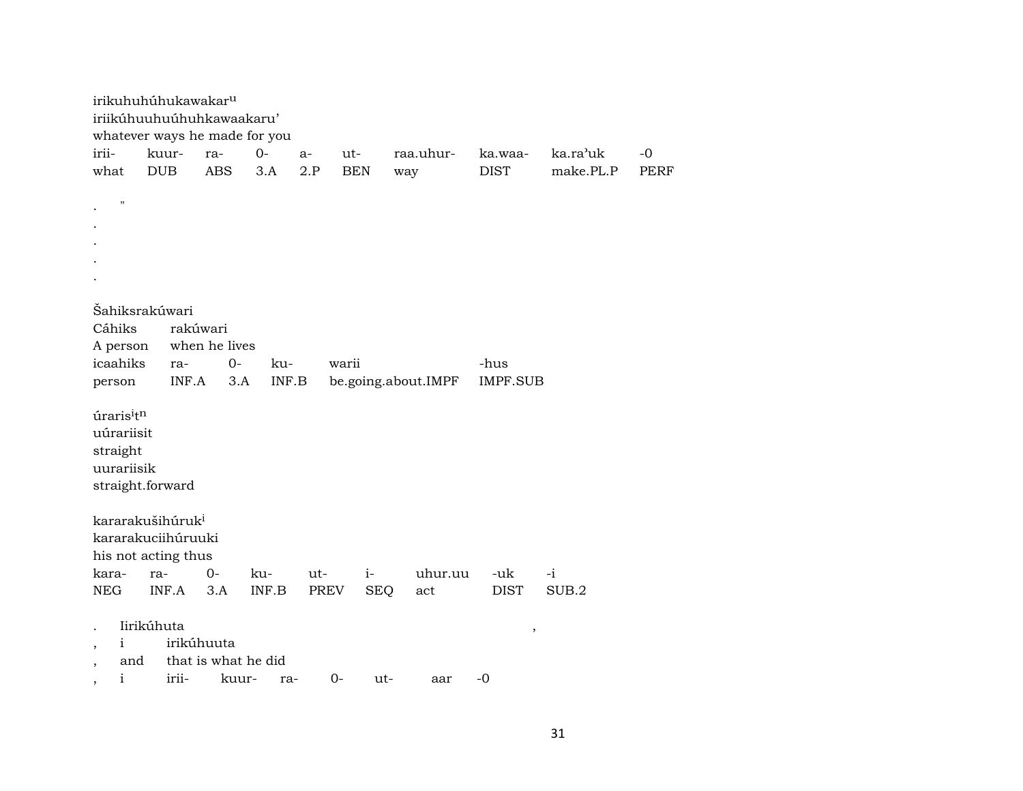|                                                       | irikuhuhúhukawakar <sup>u</sup><br>iriikúhuuhuúhuhkawaakaru'<br>whatever ways he made for you |                                          |              |                    |                    |                     |                         |                       |                     |
|-------------------------------------------------------|-----------------------------------------------------------------------------------------------|------------------------------------------|--------------|--------------------|--------------------|---------------------|-------------------------|-----------------------|---------------------|
| irii-<br>what                                         | kuur-<br><b>DUB</b>                                                                           | ra-<br><b>ABS</b>                        | $0 -$<br>3.A | a-<br>2.P          | ut-<br><b>BEN</b>  | raa.uhur-<br>way    | ka.waa-<br><b>DIST</b>  | ka.ra'uk<br>make.PL.P | $-0$<br><b>PERF</b> |
| $\pmb{\mathsf{H}}$                                    |                                                                                               |                                          |              |                    |                    |                     |                         |                       |                     |
|                                                       |                                                                                               |                                          |              |                    |                    |                     |                         |                       |                     |
| Cáhiks<br>A person<br>icaahiks<br>person              | <b>Sahiksrakúwari</b><br>ra-<br>INF.A                                                         | rakúwari<br>when he lives<br>$0-$<br>3.A | ku-<br>INF.B | warii              |                    | be.going.about.IMPF | -hus<br><b>IMPF.SUB</b> |                       |                     |
| úrarisitn<br>uúrariisit<br>straight<br>uurariisik     | straight.forward                                                                              |                                          |              |                    |                    |                     |                         |                       |                     |
|                                                       | kararakušihúruk <sup>i</sup><br>kararakuciihúruuki<br>his not acting thus                     |                                          |              |                    |                    |                     |                         |                       |                     |
| kara-<br><b>NEG</b>                                   | ra-<br>INF.A                                                                                  | $0 -$<br>3.A                             | ku-<br>INF.B | ut-<br><b>PREV</b> | $i-$<br><b>SEQ</b> | uhur.uu<br>act      | -uk<br><b>DIST</b>      | $-i$<br>SUB.2         |                     |
| i<br>$^\mathrm{,}$<br>and<br>$\overline{\phantom{a}}$ | Iirikúhuta                                                                                    | irikúhuuta<br>that is what he did        |              |                    |                    |                     | $\,$                    |                       |                     |
| $\mathbf{i}$                                          | irii-                                                                                         | kuur-                                    | ra-          | $0-$               | ut-                | aar                 | $-0$                    |                       |                     |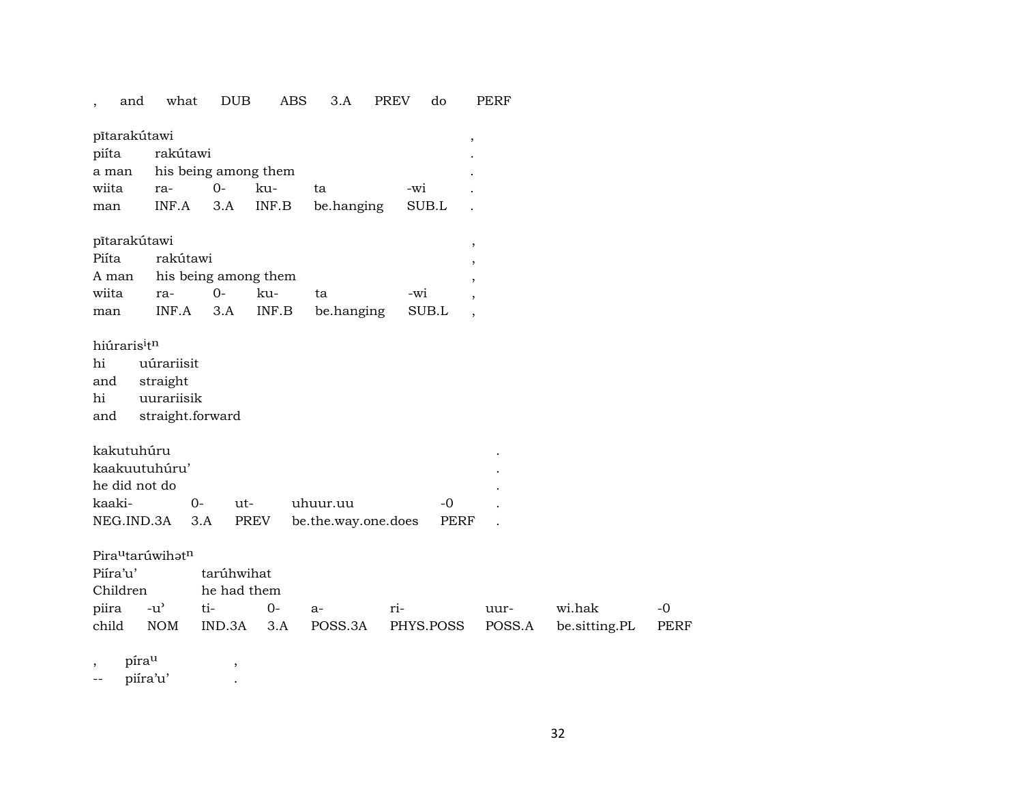| and                                               | what                                                                  | <b>DUB</b> | ABS                  | 3.A                 | <b>PREV</b> | do        | PERF                     |               |      |  |  |  |
|---------------------------------------------------|-----------------------------------------------------------------------|------------|----------------------|---------------------|-------------|-----------|--------------------------|---------------|------|--|--|--|
| pītarakútawi<br>piíta<br>a man                    | rakútawi<br>his being among them                                      |            |                      |                     |             | $\, ,$    |                          |               |      |  |  |  |
| wiita                                             | ra-                                                                   | $0-$       | ku-                  | ta                  | -wi         |           |                          |               |      |  |  |  |
| man                                               | INF.A                                                                 | 3.A        | INF.B                | be.hanging          |             | SUB.L     |                          |               |      |  |  |  |
| pītarakūtawi                                      |                                                                       |            |                      |                     |             |           | $\, ,$                   |               |      |  |  |  |
| Piíta                                             | rakútawi                                                              |            |                      |                     |             |           | ,                        |               |      |  |  |  |
| A man                                             |                                                                       |            | his being among them |                     |             |           |                          |               |      |  |  |  |
| wiita                                             | ra-                                                                   | $0-$       | ku-                  | ta                  | -wi         |           |                          |               |      |  |  |  |
| man                                               | INF.A                                                                 | 3.A        | INF.B                | be.hanging          |             | SUB.L     | $\overline{\phantom{a}}$ |               |      |  |  |  |
| hiúraris <sup>itn</sup><br>hi<br>and<br>hi<br>and | uúrariisit<br>straight<br>uurariisik<br>straight.forward              |            |                      |                     |             |           |                          |               |      |  |  |  |
| kakutuhúru                                        |                                                                       |            |                      |                     |             |           |                          |               |      |  |  |  |
| kaakuutuhúru'                                     |                                                                       |            |                      |                     |             |           |                          |               |      |  |  |  |
| he did not do                                     |                                                                       |            |                      |                     |             |           |                          |               |      |  |  |  |
| kaaki-                                            | $0-$                                                                  | ut-        |                      | uhuur.uu            |             | $-0$      |                          |               |      |  |  |  |
| NEG.IND.3A                                        |                                                                       | 3.A        | PREV                 | be.the.way.one.does |             | PERF      |                          |               |      |  |  |  |
| Piíra'u'<br>Children                              | Pira <sup>u</sup> tarúwihat <sup>n</sup><br>tarúhwihat<br>he had them |            |                      |                     |             |           |                          |               |      |  |  |  |
| piira                                             | $-u$ <sup><math>\prime</math></sup>                                   | ti-        | $0-$                 | a-                  | ri-         |           | uur-                     | wi.hak        | $-0$ |  |  |  |
| child                                             | <b>NOM</b>                                                            | IND.3A     | 3.A                  | POSS.3A             |             | PHYS.POSS | POSS.A                   | be.sitting.PL | PERF |  |  |  |
| . 11 - - - 11                                     |                                                                       |            |                      |                     |             |           |                          |               |      |  |  |  |

, píra<sup>u</sup> ,

-- piíra'u' .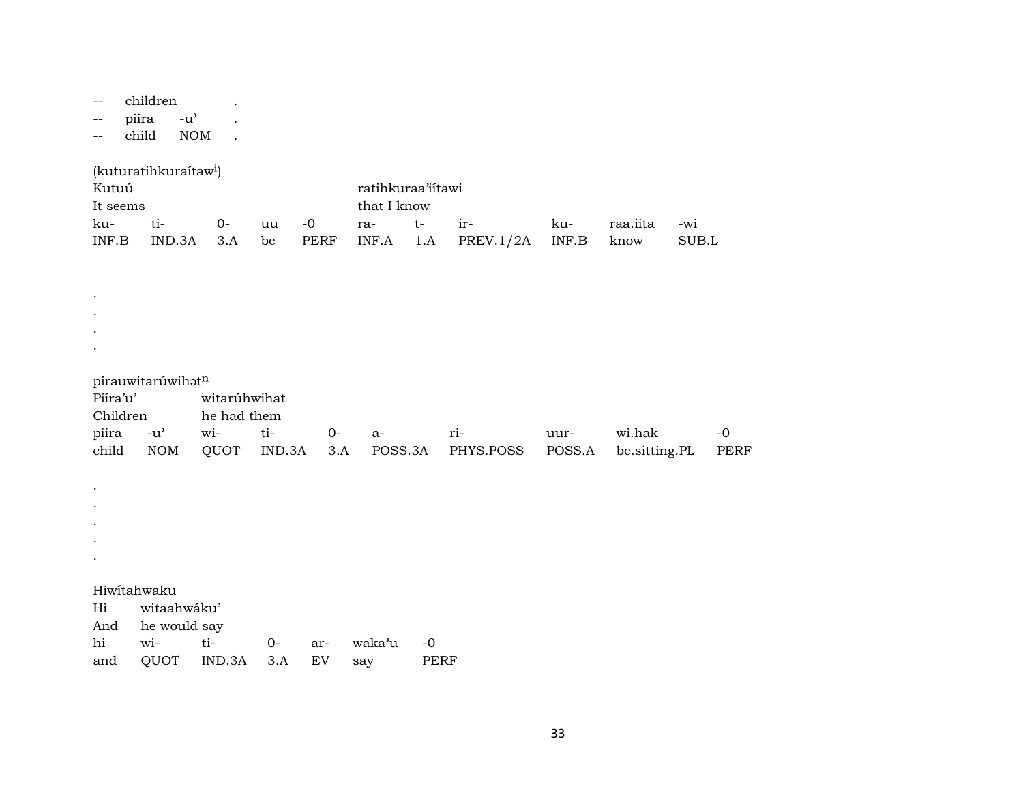-- children .

-- piira -u' .

-- child NOM .

(kuturatihkuraítaw<sup>i</sup>)

| Kutuú    |               |      |       | ratihkuraa'iitawi   |  |                                     |     |          |       |  |  |  |
|----------|---------------|------|-------|---------------------|--|-------------------------------------|-----|----------|-------|--|--|--|
| It seems |               |      |       | that I know         |  |                                     |     |          |       |  |  |  |
| ku-      | $t_{i-}$      | $O-$ | uu -0 | ra-<br>$\mathsf{t}$ |  | $-ir-$                              | ku- | raa.iita | $-wi$ |  |  |  |
| INF.B    | IND.3A 3.A be |      | PERF  |                     |  | INF.A $1.A$ PREV. $1/2A$ INF.B know |     |          | SUB.L |  |  |  |

.

#### pirauwitarúwih $\mathfrak{t}^n$

. . .

. . . . .

| Piíra'u'<br>witarúhwihat |  |                   |       |       |      |                                                                       |       |
|--------------------------|--|-------------------|-------|-------|------|-----------------------------------------------------------------------|-------|
| Children                 |  | he had them       |       |       |      |                                                                       |       |
|                          |  | piira -u' wi- ti- | 0- a- | $ri-$ | uur- | wi.hak                                                                | $-()$ |
|                          |  |                   |       |       |      | child NOM QUOT IND.3A 3.A POSS.3A PHYS.POSS POSS.A be.sitting.PL PERF |       |

Hiwítahwaku

Hi witaahwáku' And he would say hi wi- ti- 0- ar- waka"u -0 and QUOT IND.3A 3.A EV say PERF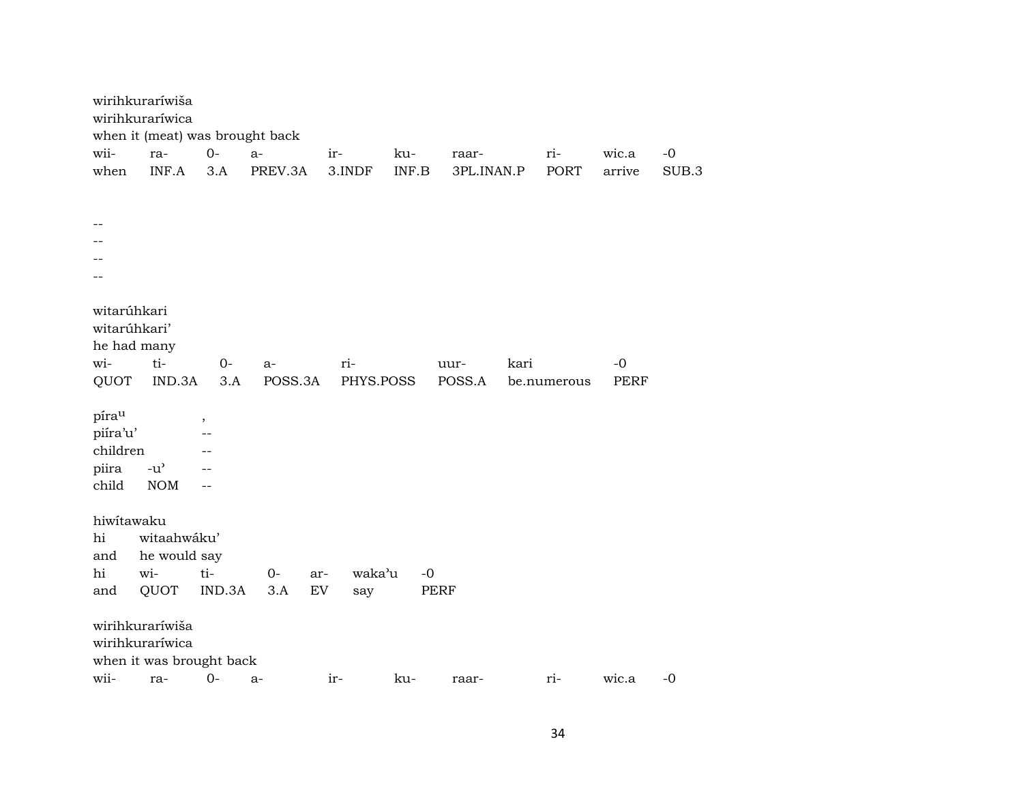|                                                           | wirihkuraríwiša                                                |               |               |                  |       |                |      |             |                     |       |
|-----------------------------------------------------------|----------------------------------------------------------------|---------------|---------------|------------------|-------|----------------|------|-------------|---------------------|-------|
|                                                           | wirihkuraríwica                                                |               |               |                  |       |                |      |             |                     |       |
| wii-                                                      | when it (meat) was brought back<br>ra-                         | $0-$          | $a-$          | ir-              | ku-   | raar-          |      | ri-         | wic.a               | $-0$  |
| when                                                      | INF.A                                                          | 3.A           | PREV.3A       | 3.INDF           | INF.B | 3PL.INAN.P     |      | PORT        | arrive              | SUB.3 |
|                                                           |                                                                |               |               |                  |       |                |      |             |                     |       |
|                                                           |                                                                |               |               |                  |       |                |      |             |                     |       |
|                                                           |                                                                |               |               |                  |       |                |      |             |                     |       |
|                                                           |                                                                |               |               |                  |       |                |      |             |                     |       |
|                                                           |                                                                |               |               |                  |       |                |      |             |                     |       |
|                                                           |                                                                |               |               |                  |       |                |      |             |                     |       |
| witarúhkari<br>witarúhkari'<br>he had many<br>wi-<br>QUOT | ti-<br>IND.3A                                                  | $0-$<br>3.A   | a-<br>POSS.3A | ri-<br>PHYS.POSS |       | uur-<br>POSS.A | kari | be.numerous | $-0$<br><b>PERF</b> |       |
| pírau<br>piíra'u'<br>children<br>piira<br>child           | $-u$ <sup><math>\prime</math></sup><br><b>NOM</b>              | ,<br>--<br>-- |               |                  |       |                |      |             |                     |       |
| hiwitawaku<br>hi<br>and<br>hi                             | witaahwáku'<br>he would say<br>wi-                             | ti-           | $0-$          | waka'u<br>ar-    | $-0$  |                |      |             |                     |       |
| and                                                       | QUOT                                                           | IND.3A        | 3.A           | EV<br>say        | PERF  |                |      |             |                     |       |
|                                                           | wirihkuraríwiša<br>wirihkuraríwica<br>when it was brought back |               |               |                  |       |                |      |             |                     |       |
| wii-                                                      | ra-                                                            | $0-$          | a-            | ir-              | ku-   | raar-          |      | ri-         | wic.a               | $-0$  |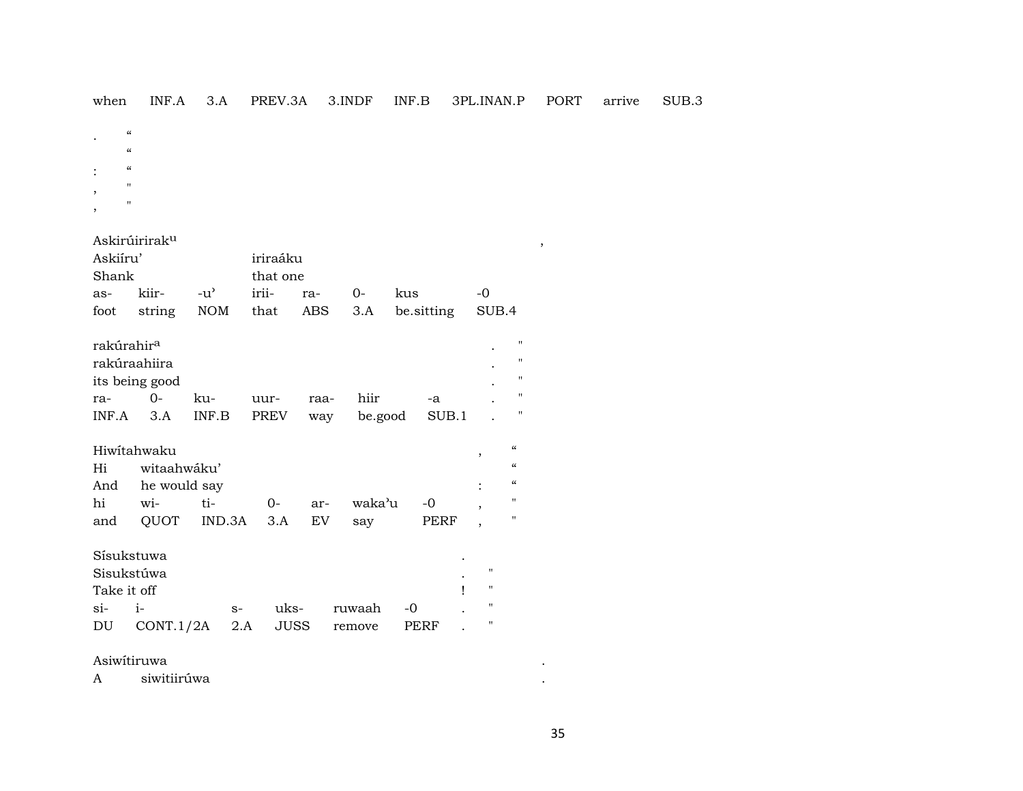| Askirúirirak <sup>u</sup><br>Askiíru'<br>iriraáku<br>Shank<br>that one<br>$-u^{\prime}$<br>irii-<br>kiir-<br>$0-$<br>kus<br>$-0$<br>as-<br>ra-<br>NOM<br>that<br>be.sitting<br>ABS<br>3.A<br>SUB.4<br>foot<br>string<br>rakúrahir <sup>a</sup><br>rakúraahiira |                                        |
|----------------------------------------------------------------------------------------------------------------------------------------------------------------------------------------------------------------------------------------------------------------|----------------------------------------|
|                                                                                                                                                                                                                                                                |                                        |
|                                                                                                                                                                                                                                                                |                                        |
|                                                                                                                                                                                                                                                                |                                        |
|                                                                                                                                                                                                                                                                | $\blacksquare$                         |
|                                                                                                                                                                                                                                                                | "                                      |
| its being good                                                                                                                                                                                                                                                 | $\blacksquare$                         |
| $O -$<br>hiir<br>ku-<br>uur-<br>ra-<br>raa-<br>-a                                                                                                                                                                                                              | $\blacksquare$                         |
| $INF.A$ 3.A<br>INF.B<br>PREV<br>be.good<br>SUB.1<br>way                                                                                                                                                                                                        | "                                      |
|                                                                                                                                                                                                                                                                |                                        |
| Hiwitahwaku<br>,                                                                                                                                                                                                                                               | $\mathcal{C}$                          |
| witaahwáku'<br>Hi                                                                                                                                                                                                                                              | $\boldsymbol{\zeta}\boldsymbol{\zeta}$ |
| And he would say                                                                                                                                                                                                                                               | $\mathcal{C}\mathcal{C}$               |
| hi<br>ti-<br>waka'u<br>wi-<br>$-0$<br>0-<br>ar-                                                                                                                                                                                                                | п                                      |
| QUOT IND.3A<br>EV<br>and<br>3.A<br>PERF<br>say<br>,                                                                                                                                                                                                            | п                                      |
|                                                                                                                                                                                                                                                                |                                        |
| Sísukstuwa<br>$\mathbf{H}$                                                                                                                                                                                                                                     |                                        |
| Sisukstúwa<br>$\mathbf{H}$                                                                                                                                                                                                                                     |                                        |
| Take it off<br>Ţ                                                                                                                                                                                                                                               |                                        |
| $\pmb{\mathsf{H}}$<br>$i-$<br>$\sin$<br>uks-<br>ruwaah<br>$-0$<br>$S-$                                                                                                                                                                                         |                                        |
| п<br>CONT.1/2A<br>2.A<br>JUSS<br>PERF<br>DU<br>remove                                                                                                                                                                                                          |                                        |
| Asiwitiruwa                                                                                                                                                                                                                                                    |                                        |
| siwitiirúwa<br>A                                                                                                                                                                                                                                               |                                        |

 $\epsilon$ 

 $\epsilon$  $\therefore$   $\alpha$  $\mathcal{O}(\mathcal{O}(\mathcal{O}(\mathcal{O})))$  $\overline{\phantom{a}}$ 

 $\mathcal{L}^{\text{max}}$ 

when INF.A 3.A PREV.3A 3.INDF INF.B 3PL.INAN.P PORT arrive SUB.3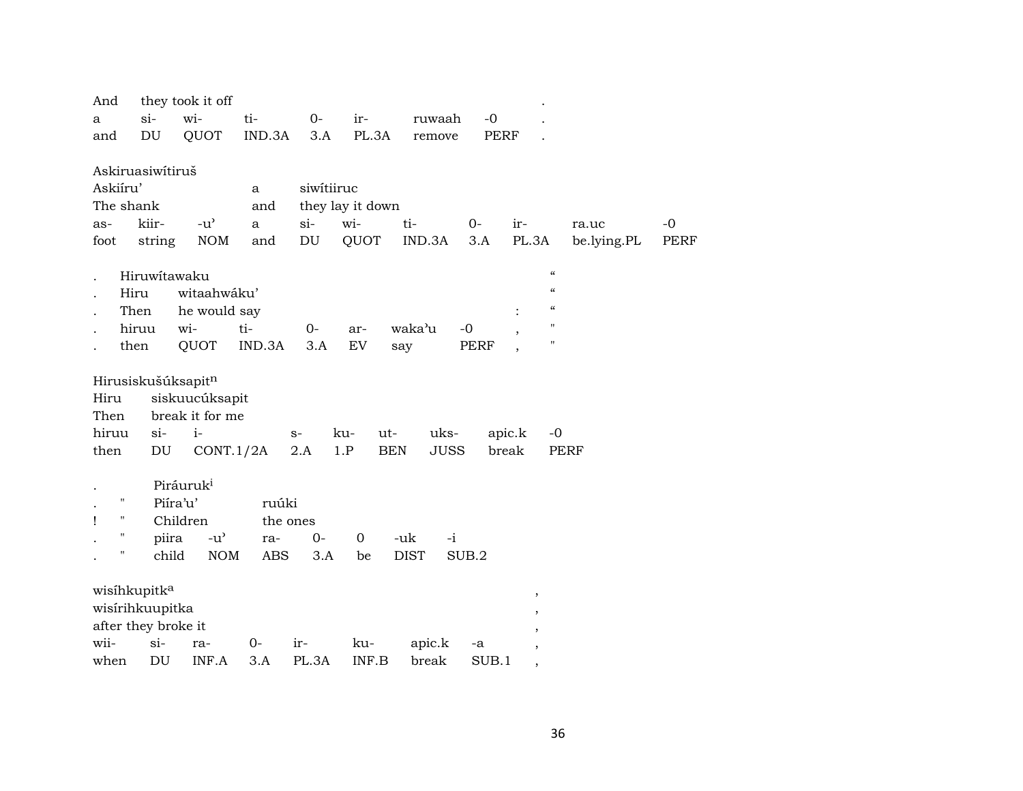| And       |                            | they took it off                    |            |                            |                  |                           |             |                                        |             |             |
|-----------|----------------------------|-------------------------------------|------------|----------------------------|------------------|---------------------------|-------------|----------------------------------------|-------------|-------------|
| a         | $si-$                      | wi-                                 | ti-        | $0-$                       | ir-              | ruwaah                    | $-0$        |                                        |             |             |
| and       | DU                         | QUOT                                | IND.3A     | 3.A                        | PL.3A            | remove                    | <b>PERF</b> |                                        |             |             |
|           |                            |                                     |            |                            |                  |                           |             |                                        |             |             |
|           | Askiruasiwítiruš           |                                     |            |                            |                  |                           |             |                                        |             |             |
| Askiíru'  |                            |                                     | a          | siwitiiruc                 |                  |                           |             |                                        |             |             |
| The shank |                            |                                     | and        |                            | they lay it down |                           |             |                                        |             |             |
| as-       | kiir-                      | $-u^{\prime}$                       | a          | $si-$                      | wi-              | ti-                       | $0-$        | ir-                                    | ra.uc       | $-0$        |
| foot      | string                     | <b>NOM</b>                          | and        | $\mathop{\rm DU}\nolimits$ | QUOT             | IND.3A                    | 3.A         | PL.3A                                  | be.lying.PL | <b>PERF</b> |
|           | Hiruwitawaku               |                                     |            |                            |                  |                           |             | $\boldsymbol{\mathcal{C}}$             |             |             |
|           | Hiru                       | witaahwáku'                         |            |                            |                  |                           |             | $\mathcal{C}$                          |             |             |
|           | Then                       | he would say                        |            |                            |                  |                           |             | $\boldsymbol{\zeta}\boldsymbol{\zeta}$ |             |             |
|           | hiruu                      | wi-                                 | ti-        | $0-$                       | ar-              | waka'u                    | $-0$        | $\mathbf{H}$                           |             |             |
|           | then                       | QUOT                                | IND.3A     | 3.A                        | EV               | say                       | <b>PERF</b> | $\mathbf{H}$                           |             |             |
|           |                            |                                     |            |                            |                  |                           |             |                                        |             |             |
|           | Hirusiskušúksapitn         |                                     |            |                            |                  |                           |             |                                        |             |             |
| Hiru      |                            | siskuucúksapit                      |            |                            |                  |                           |             |                                        |             |             |
| Then      |                            | break it for me                     |            |                            |                  |                           |             |                                        |             |             |
| hiruu     | $\sin$                     | $i-$                                |            | $S-$                       | ku-<br>ut-       | uks-                      |             | apic.k                                 | $-0$        |             |
| then      | $\mathop{\rm DU}\nolimits$ | CONT.1/2A                           |            | 2.A                        | 1.P              | <b>BEN</b><br><b>JUSS</b> |             | break                                  | <b>PERF</b> |             |
|           |                            |                                     |            |                            |                  |                           |             |                                        |             |             |
|           |                            | Piráuruk <sup>i</sup>               |            |                            |                  |                           |             |                                        |             |             |
| 11        | Piíra'u'                   |                                     | ruúki      |                            |                  |                           |             |                                        |             |             |
| Ţ<br>н    |                            | Children                            | the ones   |                            |                  |                           |             |                                        |             |             |
| 11        | piira                      | $-u$ <sup><math>\prime</math></sup> | ra-        | $0-$                       | $\mathbf 0$      | -uk<br>$-i$               |             |                                        |             |             |
|           | child                      | <b>NOM</b>                          | <b>ABS</b> | 3.A                        | be               | <b>DIST</b>               | SUB.2       |                                        |             |             |
|           |                            |                                     |            |                            |                  |                           |             |                                        |             |             |
|           | wisíhkupitk <sup>a</sup>   |                                     |            |                            |                  |                           |             | ,                                      |             |             |
|           | wisirihkuupitka            |                                     |            |                            |                  |                           |             |                                        |             |             |
|           | after they broke it        |                                     |            |                            |                  |                           |             |                                        |             |             |
| wii-      | $si-$                      | ra-                                 | 0-         | ir-                        | ku-              | apic.k                    | -a          | $^\mathrm{,}$                          |             |             |
| when      | DU                         | INF.A                               | 3.A        | PL.3A                      | INF.B            | break                     | SUB.1       | $\, \,$                                |             |             |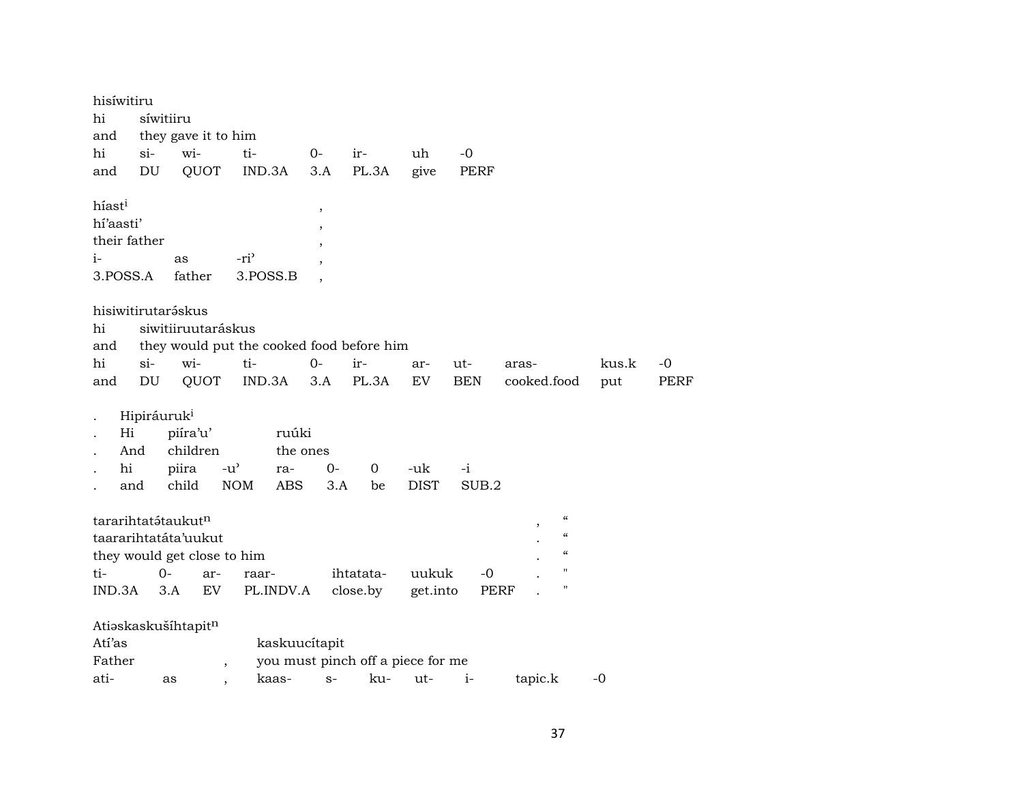| hisíwitiru         |                         |                                     |                                            |                          |                                   |                    |             |                                                 |       |      |
|--------------------|-------------------------|-------------------------------------|--------------------------------------------|--------------------------|-----------------------------------|--------------------|-------------|-------------------------------------------------|-------|------|
| hi                 |                         | síwitiiru                           |                                            |                          |                                   |                    |             |                                                 |       |      |
| and                |                         | they gave it to him                 |                                            |                          |                                   |                    |             |                                                 |       |      |
| hi                 | $si-$                   | wi-                                 | ti-                                        | $O -$                    | ir-                               | uh                 | $-0$        |                                                 |       |      |
| and                | DU                      | QUOT                                | IND.3A                                     | 3.A                      | PL.3A                             | give               | PERF        |                                                 |       |      |
|                    |                         |                                     |                                            |                          |                                   |                    |             |                                                 |       |      |
| híast <sup>i</sup> |                         |                                     |                                            | $\, ,$                   |                                   |                    |             |                                                 |       |      |
| hí'aasti'          |                         |                                     |                                            |                          |                                   |                    |             |                                                 |       |      |
|                    | their father            |                                     |                                            |                          |                                   |                    |             |                                                 |       |      |
| $i-$               |                         | as                                  | -ri <sup>3</sup>                           | $\overline{\phantom{a}}$ |                                   |                    |             |                                                 |       |      |
| 3.POSS.A           |                         | father                              | 3.POSS.B                                   |                          |                                   |                    |             |                                                 |       |      |
|                    |                         |                                     |                                            |                          |                                   |                    |             |                                                 |       |      |
|                    |                         | hisiwitirutaráskus                  |                                            |                          |                                   |                    |             |                                                 |       |      |
| hi                 |                         | siwitiiruutaráskus                  |                                            |                          |                                   |                    |             |                                                 |       |      |
| and                |                         |                                     | they would put the cooked food before him  |                          |                                   |                    |             |                                                 |       |      |
| hi                 | $si$ -                  | wi-                                 | ti-                                        | $0-$                     | ir-                               | ar-                | ut-         | aras-                                           | kus.k | -0   |
| and                | DU                      | QUOT                                | IND.3A                                     | 3.A                      | PL.3A                             | EV                 | <b>BEN</b>  | cooked.food                                     | put   | PERF |
|                    | Hipiráuruk <sup>i</sup> |                                     |                                            |                          |                                   |                    |             |                                                 |       |      |
| Hi                 |                         | piíra'u'                            | ruúki                                      |                          |                                   |                    |             |                                                 |       |      |
|                    | And                     | children                            |                                            | the ones                 |                                   |                    |             |                                                 |       |      |
| hi                 |                         |                                     |                                            |                          |                                   |                    |             |                                                 |       |      |
|                    |                         | piira                               | $-u$ <sup><math>\prime</math></sup><br>ra- | $0-$                     | 0                                 | -uk<br><b>DIST</b> | -i<br>SUB.2 |                                                 |       |      |
|                    | and                     | child                               | <b>NOM</b><br>ABS                          | 3.A                      | be                                |                    |             |                                                 |       |      |
|                    |                         | tararihtatátaukutn                  |                                            |                          |                                   |                    |             | $\boldsymbol{\varsigma} \boldsymbol{\varsigma}$ |       |      |
|                    |                         | taararihtatáta'uukut                |                                            |                          |                                   |                    |             | $\pmb{\zeta}\pmb{\zeta}$                        |       |      |
|                    |                         |                                     |                                            |                          |                                   |                    |             | $\pmb{\zeta}\pmb{\zeta}$                        |       |      |
| ti-                |                         | they would get close to him<br>$0-$ |                                            |                          |                                   | uukuk              |             | $\blacksquare$                                  |       |      |
|                    |                         | ar-                                 | raar-                                      |                          | ihtatata-                         |                    | -0          | $\blacksquare$                                  |       |      |
| IND.3A             |                         | 3.A<br>EV                           | PL.INDV.A                                  |                          | close.by                          | get.into           |             | <b>PERF</b>                                     |       |      |
|                    |                         | Atiaskaskušíhtapitn                 |                                            |                          |                                   |                    |             |                                                 |       |      |
| Atí'as             |                         |                                     |                                            | kaskuucítapit            |                                   |                    |             |                                                 |       |      |
| Father             |                         |                                     | $\overline{ }$                             |                          | you must pinch off a piece for me |                    |             |                                                 |       |      |
| ati-               |                         | as                                  | kaas-<br>$\overline{\phantom{a}}$          | $S-$                     | ku-                               | ut-                | $i-$        | tapic.k                                         | $-0$  |      |
|                    |                         |                                     |                                            |                          |                                   |                    |             |                                                 |       |      |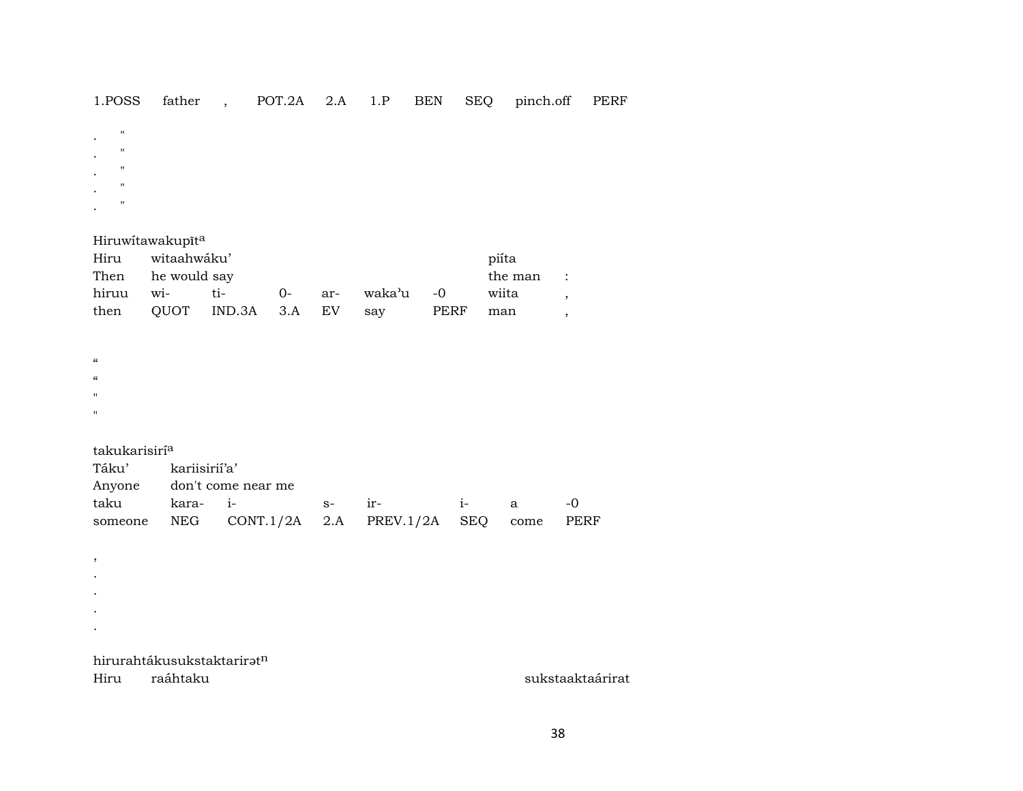#### 1.POSS father , POT.2A 2.A 1.P BEN SEQ pinch.off PERF

- $\bar{\mathbf{u}}$  $\mathbb{R}^2$  $\bar{\mathbf{u}}$  $\ddot{\phantom{a}}$  $\mathbf{u}$  $\bullet$  $\mathbf{u}$  $\mathcal{L}$
- $\mathbf{u}$  $\ddot{\phantom{a}}$

#### Hiruwitawakupīta

| Hiru witaahwáku'  |               |           | piíta                            |  |       |  |
|-------------------|---------------|-----------|----------------------------------|--|-------|--|
| Then he would say |               | the man : |                                  |  |       |  |
|                   | hiruu wi- ti- |           | 0- ar- waka'u -0                 |  | wiita |  |
|                   |               |           | then QUOT IND.3A 3.A EV say PERF |  | man   |  |

- $\pmb{\mathcal{C}}$  $\boldsymbol{\mathcal{U}}$
- $\mathbf{u}$
- $\mathbf{u}$

 $\overline{\phantom{a}}$ 

#### takukarisirí<sup>a</sup>

| Táku' kariisirií'a' |                                                   |  |  |  |  |       |  |  |  |  |  |
|---------------------|---------------------------------------------------|--|--|--|--|-------|--|--|--|--|--|
|                     | Anyone don't come near me                         |  |  |  |  |       |  |  |  |  |  |
|                     |                                                   |  |  |  |  | $-()$ |  |  |  |  |  |
|                     | someone NEG CONT.1/2A 2.A PREV.1/2A SEQ come PERF |  |  |  |  |       |  |  |  |  |  |

 $\sim$  $\bullet$ 

- $\bullet$
- $\bullet$

# hirurahtákusukstaktariratn

Hiru raáhtaku sukstaaktaárirat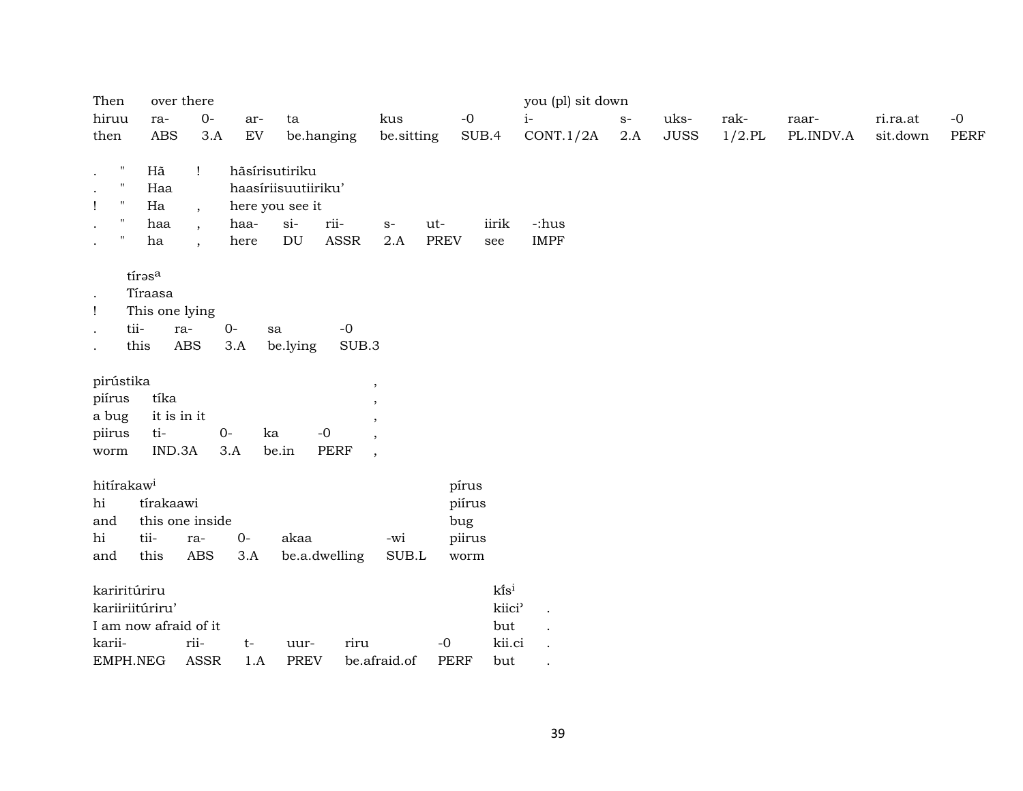| Then                                   |                        | over there           |      |                     |             |                          |             |                 | you (pl) sit down |                |             |           |           |          |             |
|----------------------------------------|------------------------|----------------------|------|---------------------|-------------|--------------------------|-------------|-----------------|-------------------|----------------|-------------|-----------|-----------|----------|-------------|
| hiruu                                  | ra-                    | $0-$                 | ar-  | ta                  |             | kus                      | $-0$        |                 | $i-$              | $\mathbf{S}^-$ | uks-        | rak-      | raar-     | ri.ra.at | $-0$        |
| then                                   | <b>ABS</b>             | 3.A                  | EV   | be.hanging          |             | be.sitting               |             | SUB.4           | CONT.1/2A         | 2.A            | <b>JUSS</b> | $1/2$ .PL | PL.INDV.A | sit.down | <b>PERF</b> |
| $\boldsymbol{\mathsf{H}}$<br>$\bullet$ | Hã                     | Ţ                    |      | hāsírisutiriku      |             |                          |             |                 |                   |                |             |           |           |          |             |
| $\pmb{\mathsf{H}}$<br>$\bullet$        | Haa                    |                      |      | haasíriisuutiiriku' |             |                          |             |                 |                   |                |             |           |           |          |             |
| $\pmb{\mathsf{H}}$<br>$\mathbf{I}$     | Ha                     | $\overline{ }$       |      | here you see it     |             |                          |             |                 |                   |                |             |           |           |          |             |
| $\pmb{\mathsf{H}}$<br>$\bullet$        | haa                    | $\overline{ }$       | haa- | $si-$               | rii-        | $S-$                     | ut-         | iirik           | -:hus             |                |             |           |           |          |             |
| $\pmb{\mathsf{H}}$<br>$\bullet$        | ha                     | $\ddot{\phantom{1}}$ | here | DU                  | ASSR        | 2.A                      | <b>PREV</b> | see             | <b>IMPF</b>       |                |             |           |           |          |             |
|                                        | tírasa                 |                      |      |                     |             |                          |             |                 |                   |                |             |           |           |          |             |
|                                        | Tíraasa                |                      |      |                     |             |                          |             |                 |                   |                |             |           |           |          |             |
| $\bullet$                              |                        |                      |      |                     |             |                          |             |                 |                   |                |             |           |           |          |             |
| Ţ                                      | This one lying<br>tii- |                      |      |                     |             |                          |             |                 |                   |                |             |           |           |          |             |
| $\bullet$                              |                        | ra-                  | $0-$ | sa                  | $-0$        |                          |             |                 |                   |                |             |           |           |          |             |
| $\bullet$                              | this                   | <b>ABS</b>           | 3.A  | be.lying            | SUB.3       |                          |             |                 |                   |                |             |           |           |          |             |
| pirústika                              |                        |                      |      |                     |             | $\,$                     |             |                 |                   |                |             |           |           |          |             |
| piírus                                 | tíka                   |                      |      |                     |             | $\cdot$                  |             |                 |                   |                |             |           |           |          |             |
| a bug                                  |                        | it is in it          |      |                     |             | $\cdot$                  |             |                 |                   |                |             |           |           |          |             |
| piirus                                 | ti-                    |                      | $0-$ | $-0$<br>ka          |             | $\cdot$                  |             |                 |                   |                |             |           |           |          |             |
| worm                                   | IND.3A                 |                      | 3.A  | be.in               | <b>PERF</b> | $\overline{\phantom{a}}$ |             |                 |                   |                |             |           |           |          |             |
| hitírakaw <sup>i</sup>                 |                        |                      |      |                     |             |                          | pírus       |                 |                   |                |             |           |           |          |             |
| hi                                     | tírakaawi              |                      |      |                     |             |                          | piírus      |                 |                   |                |             |           |           |          |             |
| and                                    |                        | this one inside      |      |                     |             |                          | bug         |                 |                   |                |             |           |           |          |             |
| hi                                     | tii-                   | ra-                  | $0-$ | akaa                |             | -wi                      | piirus      |                 |                   |                |             |           |           |          |             |
| and                                    | this                   | ABS                  | 3.A  | be.a.dwelling       |             | SUB.L                    | worm        |                 |                   |                |             |           |           |          |             |
|                                        | kariritúriru           |                      |      |                     |             |                          |             | $k\tilde{i}s^i$ |                   |                |             |           |           |          |             |
|                                        | kariiriitúriru'        |                      |      |                     |             |                          |             | kiici'          |                   |                |             |           |           |          |             |
|                                        | I am now afraid of it  |                      |      |                     |             |                          |             | but             |                   |                |             |           |           |          |             |
| karii-                                 |                        | rii-                 | $t-$ | uur-                | riru        |                          | $-0$        | kii.ci          |                   |                |             |           |           |          |             |
|                                        | EMPH.NEG               | <b>ASSR</b>          | 1.A  | <b>PREV</b>         |             | be.afraid.of             | PERF        | but             |                   |                |             |           |           |          |             |
|                                        |                        |                      |      |                     |             |                          |             |                 |                   |                |             |           |           |          |             |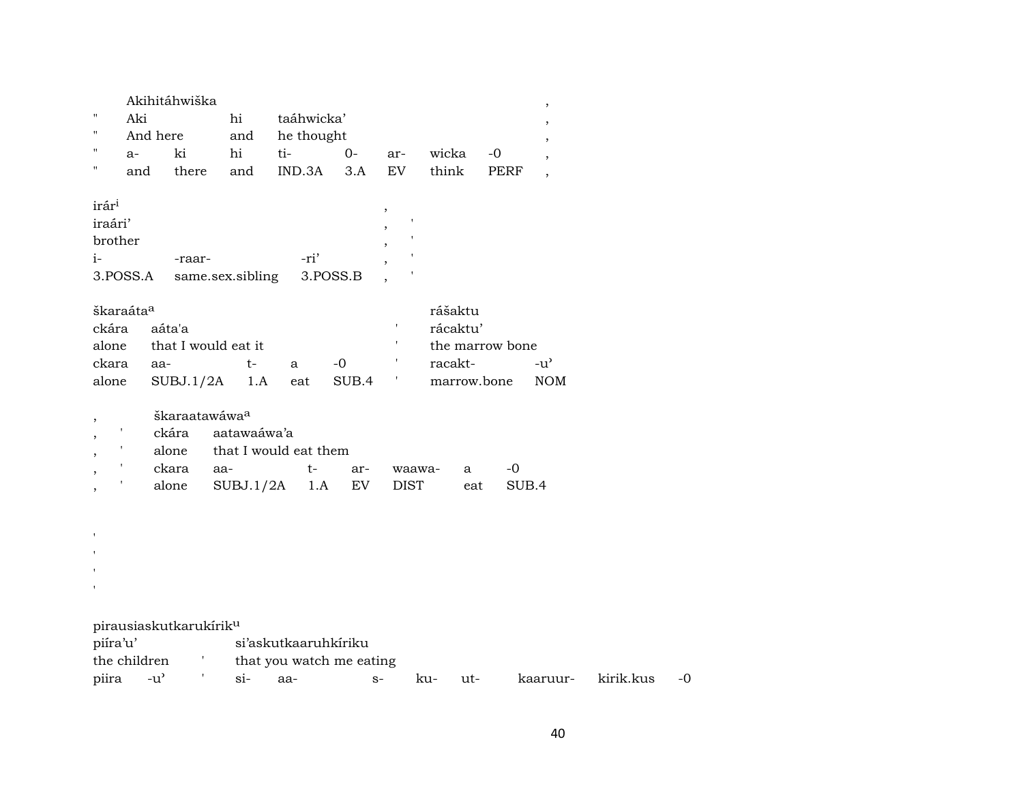|              |          | Akihitáhwiška |     |                |      |     |       |      |  |
|--------------|----------|---------------|-----|----------------|------|-----|-------|------|--|
| $\mathbf{H}$ | Aki      |               | hi  | taáhwicka'     |      |     |       |      |  |
| $\mathbf{H}$ | And here |               |     | and he thought |      |     |       |      |  |
| $\mathbf{H}$ | $a-$     | ki            | hi  | ti-            | $O-$ | ar- | wicka | $-0$ |  |
| $\mathbf{H}$ | and      | there         | and | IND.3A 3.A     |      | EV  | think | PERF |  |
|              |          |               |     |                |      |     |       |      |  |

| irár <sup>i</sup> |                                         |      |  |
|-------------------|-----------------------------------------|------|--|
| iraári'           |                                         |      |  |
| brother           |                                         |      |  |
| $\mathbf{i}$      | -raar-                                  | -ri' |  |
|                   | 3. POSS. A same.sex. sibling 3. POSS. B |      |  |

| škaraáta <sup>a</sup> |                           | rášaktu |                 |       |             |                    |
|-----------------------|---------------------------|---------|-----------------|-------|-------------|--------------------|
| ckára aáta'a          |                           |         |                 |       | rácaktu'    |                    |
|                       | alone that I would eat it |         | the marrow bone |       |             |                    |
| ckara                 | aa-                       | t –     | a.              | $-()$ | racakt-     | $-11$ <sup>2</sup> |
|                       | alone SUBJ.1/2A 1.A       |         | eat             | SUB.4 | marrow.bone | NOM N              |

|  |           | škaraatawáwa <sup>a</sup>   |                             |  |                 |     |       |  |  |  |  |  |  |
|--|-----------|-----------------------------|-----------------------------|--|-----------------|-----|-------|--|--|--|--|--|--|
|  |           | ckára aatawaáwa'a           |                             |  |                 |     |       |  |  |  |  |  |  |
|  |           |                             | alone that I would eat them |  |                 |     |       |  |  |  |  |  |  |
|  | ckara aa- |                             |                             |  | t- ar- waawa- a |     |       |  |  |  |  |  |  |
|  |           | alone SUBJ.1/2A 1.A EV DIST |                             |  |                 | eat | SUR 4 |  |  |  |  |  |  |

| $\blacksquare$           |                                    |       |                      |                          |     |     |          |           |      |
|--------------------------|------------------------------------|-------|----------------------|--------------------------|-----|-----|----------|-----------|------|
| $\overline{\phantom{a}}$ |                                    |       |                      |                          |     |     |          |           |      |
|                          |                                    |       |                      |                          |     |     |          |           |      |
| $\mathbf{r}$             |                                    |       |                      |                          |     |     |          |           |      |
|                          |                                    |       |                      |                          |     |     |          |           |      |
|                          | pirausiaskutkarukírik <sup>u</sup> |       |                      |                          |     |     |          |           |      |
| piíra'u'                 |                                    |       | si'askutkaaruhkiriku |                          |     |     |          |           |      |
| the children             |                                    |       |                      | that you watch me eating |     |     |          |           |      |
| piira                    | -uʻ                                | $S1-$ | aa-                  | $S-$                     | ku- | ut- | kaaruur- | kirik.kus | $-0$ |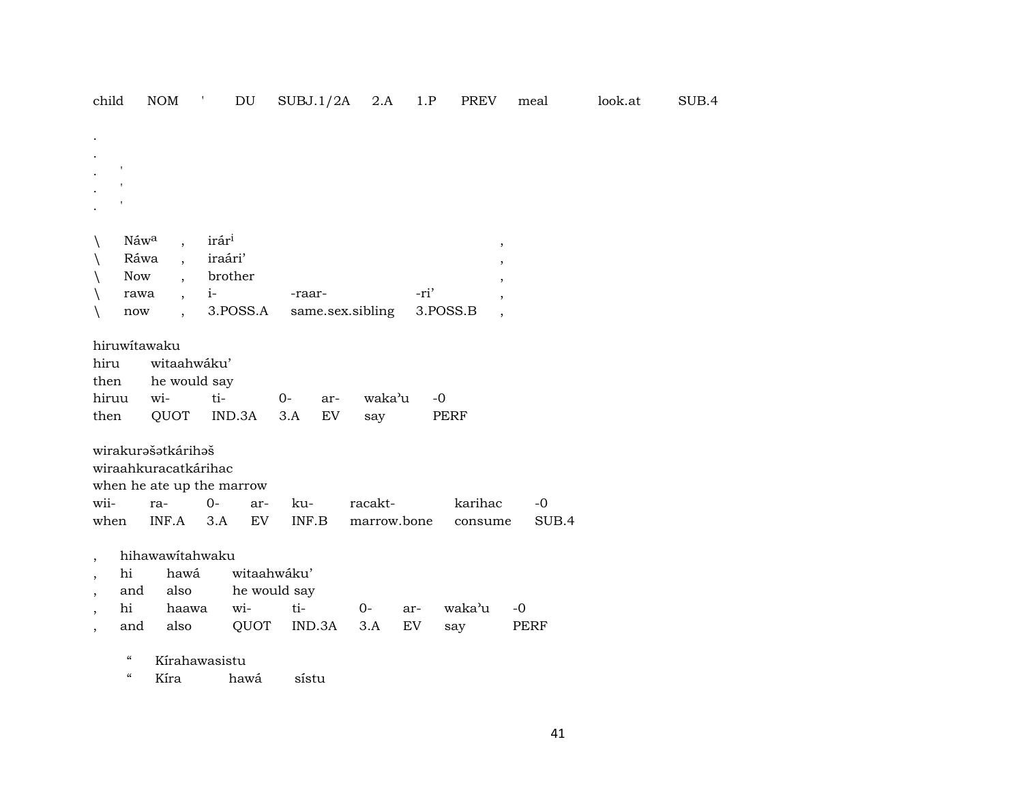| child                                                                | <b>NOM</b>                                                 | ÷,<br>$\mathop{\rm DU}\nolimits$                      | SUBJ.1/2A                                    | 2.A                    | 1.P              | PREV                                            | meal          | look.at | SUB.4 |
|----------------------------------------------------------------------|------------------------------------------------------------|-------------------------------------------------------|----------------------------------------------|------------------------|------------------|-------------------------------------------------|---------------|---------|-------|
|                                                                      |                                                            |                                                       |                                              |                        |                  |                                                 |               |         |       |
| Náwa<br>$\backslash$<br>$\backslash$<br>Now<br>rawa<br>now<br>X      | $\overline{\phantom{a}}$<br>Ráwa<br>$\ddot{\phantom{a}}$   | irári<br>iraári'<br>brother<br>$i-$<br>3.POSS.A       | -raar-<br>same.sex.sibling                   |                        | -ri'<br>3.POSS.B | $\pmb{\mathcal{E}}$<br>$\overline{\phantom{a}}$ |               |         |       |
| hiruwitawaku<br>hiru<br>then<br>hiruu<br>then                        | witaahwáku'<br>he would say<br>wi-<br>QUOT                 | ti-<br>IND.3A                                         | $0-$<br>ar-<br>3.A<br>EV                     | waka'u<br>say          | $-0$<br>PERF     |                                                 |               |         |       |
| wii-<br>when                                                         | wirakurašatkárihaš<br>wiraahkuracatkárihac<br>ra-<br>INF.A | when he ate up the marrow<br>$0-$<br>ar-<br>EV<br>3.A | ku-<br>INF.B                                 | racakt-<br>marrow.bone |                  | karihac<br>consume                              | $-0$<br>SUB.4 |         |       |
| $\overline{ }$<br>hi<br>$\overline{\phantom{a}}$<br>and<br>hi<br>and | hihawawitahwaku<br>hawá<br>also<br>haawa<br>also           | wi-<br>QUOT                                           | witaahwáku'<br>he would say<br>ti-<br>IND.3A | $0-$<br>3.A            | ar-<br>EV        | waka'u<br>say                                   | $-0$<br>PERF  |         |       |

" Kírahawasistu

" Kíra hawá sístu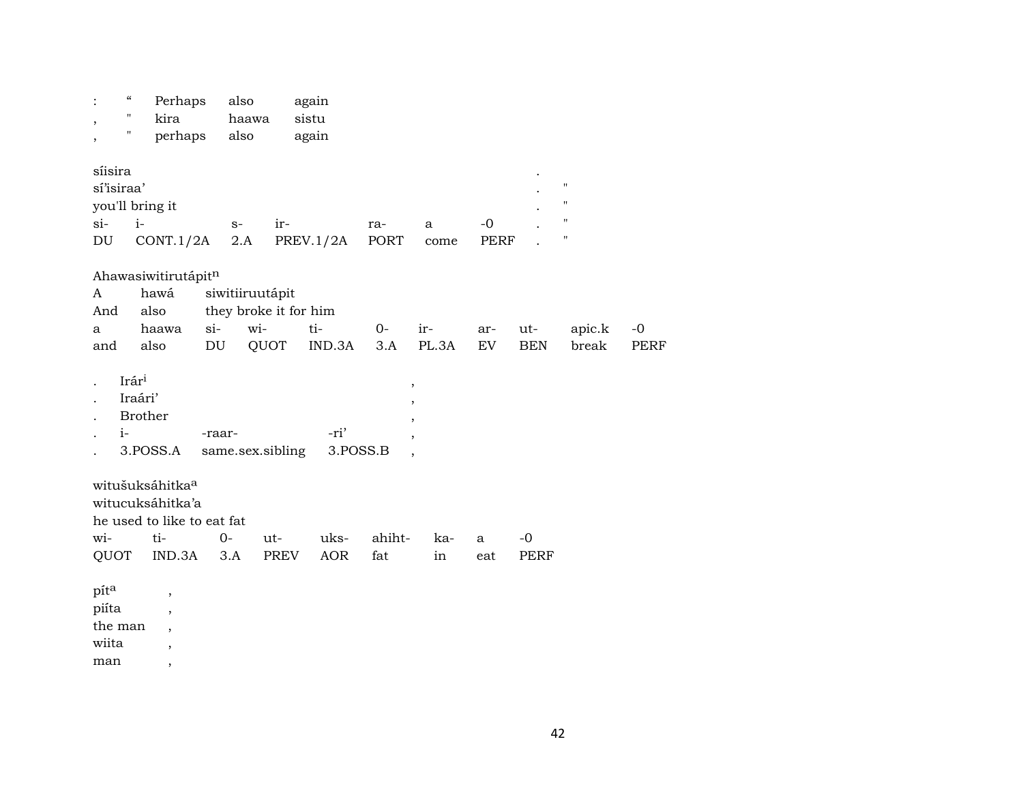| $\zeta\zeta$<br>$\pmb{\mathsf{H}}$<br>,<br>$\pmb{\mathsf{H}}$   | Perhaps<br>kira<br>perhaps                                               | also<br>haawa<br>also                                   | again<br>sistu<br>again |                                    |              |                     |                   |                                                                     |                     |
|-----------------------------------------------------------------|--------------------------------------------------------------------------|---------------------------------------------------------|-------------------------|------------------------------------|--------------|---------------------|-------------------|---------------------------------------------------------------------|---------------------|
| síisira<br>sí'isiraa'<br>you'll bring it<br>$si-$<br>$i-$<br>DU | CONT.1/2A                                                                | ir-<br>$S-$<br>2.A                                      | PREV.1/2A               | ra-<br>PORT                        | a<br>come    | $-0$<br><b>PERF</b> |                   | $\pmb{\mathsf{H}}$<br>$\pmb{\mathsf{H}}$<br>$\pmb{\mathsf{H}}$<br>Η |                     |
| A<br>also<br>And<br>a<br>also<br>and                            | Ahawasiwitirutápitn<br>hawá<br>$si-$<br>haawa<br>DU                      | siwitiiruutápit<br>they broke it for him<br>wi-<br>QUOT | ti-<br>IND.3A           | 0-<br>3.A                          | ir-<br>PL.3A | ar-<br>EV           | ut-<br><b>BEN</b> | apic.k<br>break                                                     | $-0$<br><b>PERF</b> |
| Irári<br>Iraári'<br><b>Brother</b><br>$i-$<br>3.POSS.A          | -raar-                                                                   | same.sex.sibling                                        | -ri'<br>3.POSS.B        | ,<br>,<br>$\overline{\phantom{a}}$ |              |                     |                   |                                                                     |                     |
| witušuksáhitkaa<br>witucuksáhitka'a<br>wi-<br>QUOT              | he used to like to eat fat<br>ti-<br>IND.3A                              | $O -$<br>ut-<br>PREV<br>3.A                             | uks-<br>AOR             | ahiht-<br>fat                      | ka-<br>in    | a<br>eat            | $-0$<br>PERF      |                                                                     |                     |
| píta<br>piíta<br>the man<br>wiita                               | $\, ,$<br>$\overline{\phantom{a}}$<br>$\overline{\phantom{a}}$<br>$\, ,$ |                                                         |                         |                                    |              |                     |                   |                                                                     |                     |

man  $\overline{\phantom{a}}$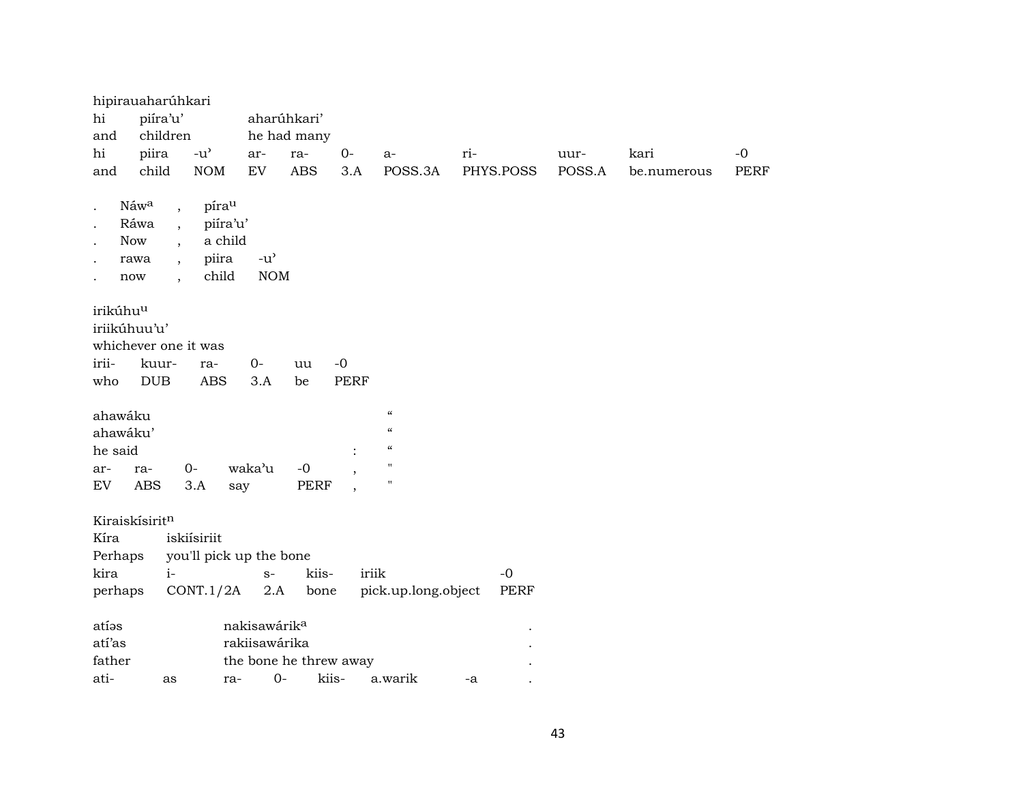|                                                      | hipirauaharúhkari                                                                                                                                    |                                                     |                                                   |                        |                     |                                                                                            |                     |        |             |             |
|------------------------------------------------------|------------------------------------------------------------------------------------------------------------------------------------------------------|-----------------------------------------------------|---------------------------------------------------|------------------------|---------------------|--------------------------------------------------------------------------------------------|---------------------|--------|-------------|-------------|
| hi                                                   | piíra'u'                                                                                                                                             |                                                     |                                                   | aharúhkari'            |                     |                                                                                            |                     |        |             |             |
| and                                                  | children                                                                                                                                             |                                                     |                                                   | he had many            |                     |                                                                                            |                     |        |             |             |
| hi                                                   | piira                                                                                                                                                | $-u^{\prime}$                                       | ar-                                               | ra-                    | $0-$                | a-                                                                                         | ri-                 | uur-   | kari        | $-0$        |
| and                                                  | child                                                                                                                                                | <b>NOM</b>                                          | ${\rm EV}$                                        | <b>ABS</b>             | 3.A                 | POSS.3A                                                                                    | PHYS.POSS           | POSS.A | be.numerous | <b>PERF</b> |
| <b>Now</b><br>rawa<br>now                            | Náwa<br>$\overline{\phantom{a}}$<br>Ráwa<br>$\overline{\phantom{a}}$<br>$\overline{\phantom{a}}$<br>$\overline{\phantom{a}}$<br>$\ddot{\phantom{1}}$ | pírau<br>piíra'u'<br>a child<br>piira<br>child      | $-u$ <sup><math>\prime</math></sup><br><b>NOM</b> |                        |                     |                                                                                            |                     |        |             |             |
| irikúhu <sup>u</sup><br>iriikúhuu'u'<br>irii-<br>who | whichever one it was<br>kuur-<br><b>DUB</b>                                                                                                          | ra-<br><b>ABS</b>                                   | $O -$<br>3.A                                      | uu<br>be               | $-0$<br><b>PERF</b> |                                                                                            |                     |        |             |             |
| ahawáku<br>ahawáku'<br>he said<br>ar-<br>${\rm EV}$  | $0-$<br>ra-<br><b>ABS</b>                                                                                                                            | 3.A<br>say                                          | waka'u                                            | $-0$<br>PERF           |                     | $\boldsymbol{\zeta}\boldsymbol{\zeta}$<br>$\epsilon$<br>$\mathcal{C}$<br>Ħ<br>$\mathbf{H}$ |                     |        |             |             |
| Kiraiskísiritn<br>Kíra<br>Perhaps<br>kira<br>perhaps | $i-$                                                                                                                                                 | iskiísiriit<br>you'll pick up the bone<br>CONT.1/2A | $S-$<br>2.A                                       | kiis-<br>bone          | iriik               | pick.up.long.object                                                                        | $-0$<br><b>PERF</b> |        |             |             |
| atíos<br>atí'as<br>father                            |                                                                                                                                                      |                                                     | nakisawárik <sup>a</sup><br>rakiisawárika         | the bone he threw away |                     |                                                                                            |                     |        |             |             |
| ati-                                                 | as                                                                                                                                                   | ra-                                                 | $0-$                                              | kiis-                  |                     | a.warik                                                                                    | -a                  |        |             |             |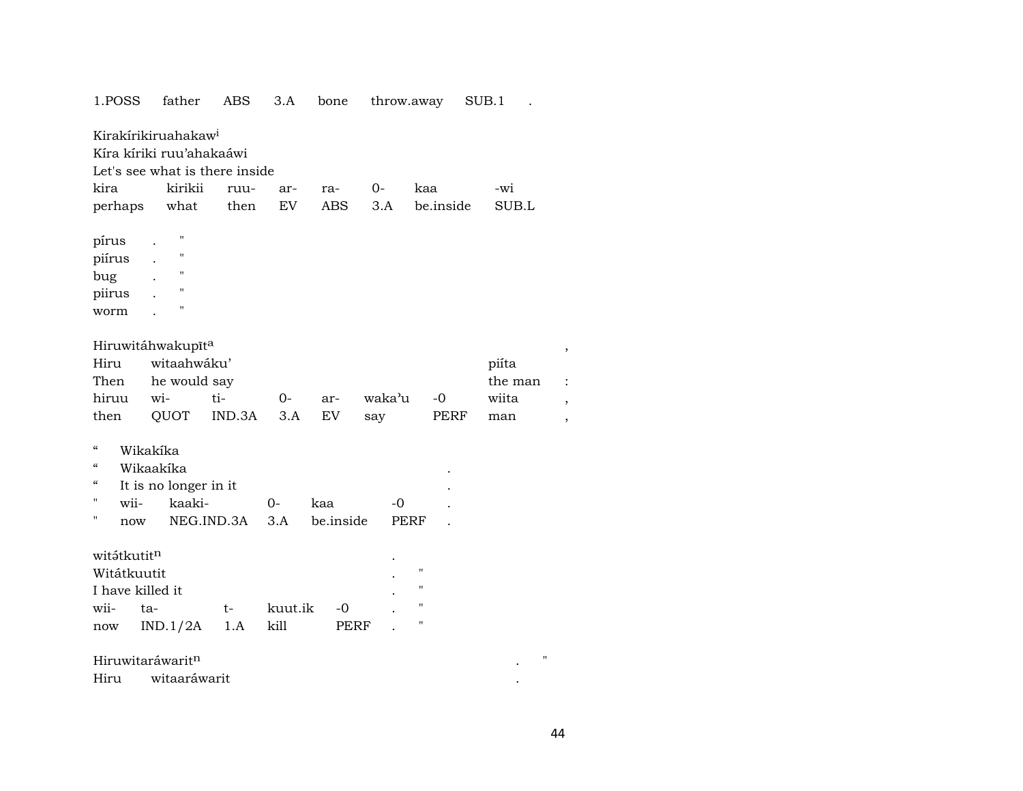| 1.POSS           | father                          | ABS        | 3.A       | bone       |                     | throw.away         | SUB.1   |                          |
|------------------|---------------------------------|------------|-----------|------------|---------------------|--------------------|---------|--------------------------|
|                  | Kirakírikiruahakaw <sup>i</sup> |            |           |            |                     |                    |         |                          |
|                  | Kíra kíriki ruu'ahakaáwi        |            |           |            |                     |                    |         |                          |
|                  | Let's see what is there inside  |            |           |            |                     |                    |         |                          |
| kira             | kirikii                         | ruu-       | ar-       | ra-        | $O-$                | kaa                | -wi     |                          |
| perhaps          | what                            | then       | <b>EV</b> | <b>ABS</b> | 3.A                 | be.inside          | SUB.L   |                          |
|                  |                                 |            |           |            |                     |                    |         |                          |
| pírus            | $\pmb{\mathsf{H}}$              |            |           |            |                     |                    |         |                          |
| piírus           | $\blacksquare$                  |            |           |            |                     |                    |         |                          |
| bug              | $\pmb{\mathsf{H}}$              |            |           |            |                     |                    |         |                          |
| piirus           | $\pmb{\mathsf{H}}$              |            |           |            |                     |                    |         |                          |
| worm             | $^{\prime}$                     |            |           |            |                     |                    |         |                          |
|                  |                                 |            |           |            |                     |                    |         |                          |
|                  | Hiruwitáhwakupīta               |            |           |            |                     |                    |         |                          |
| Hiru             | witaahwáku'                     |            |           |            |                     |                    | piíta   |                          |
| Then             | he would say                    |            |           |            |                     |                    | the man |                          |
| hiruu            | wi-                             | ti-        | 0-        | ar-        | waka <sup>3</sup> u | $-0$               | wiita   |                          |
| then             | QUOT                            | IND.3A     | 3.A       | EV         | say                 | PERF               | man     | $\overline{\phantom{a}}$ |
|                  |                                 |            |           |            |                     |                    |         |                          |
| "                | Wikakíka                        |            |           |            |                     |                    |         |                          |
| $\epsilon$       | Wikaakíka                       |            |           |            |                     |                    |         |                          |
| "                | It is no longer in it           |            |           |            |                     |                    |         |                          |
| Н<br>wii-        | kaaki-                          |            | 0-        | kaa        | -0                  |                    |         |                          |
| н<br>now         |                                 | NEG.IND.3A | 3.A       | be.inside  |                     | <b>PERF</b>        |         |                          |
|                  |                                 |            |           |            |                     |                    |         |                          |
| witátkutitn      |                                 |            |           |            |                     | $\bar{\mathbf{H}}$ |         |                          |
| Witátkuutit      |                                 |            |           |            |                     | $\pmb{\mathsf{H}}$ |         |                          |
| I have killed it |                                 |            |           |            |                     | 11                 |         |                          |
| wii-             | ta-                             | t-         | kuut.ik   | -0         |                     | н                  |         |                          |
| now              | IND.1/2A                        | 1.A        | kill      | PERF       |                     |                    |         |                          |
|                  | Hiruwitaráwaritn                |            |           |            |                     |                    | П       |                          |
| Hiru             | witaaráwarit                    |            |           |            |                     |                    |         |                          |
|                  |                                 |            |           |            |                     |                    |         |                          |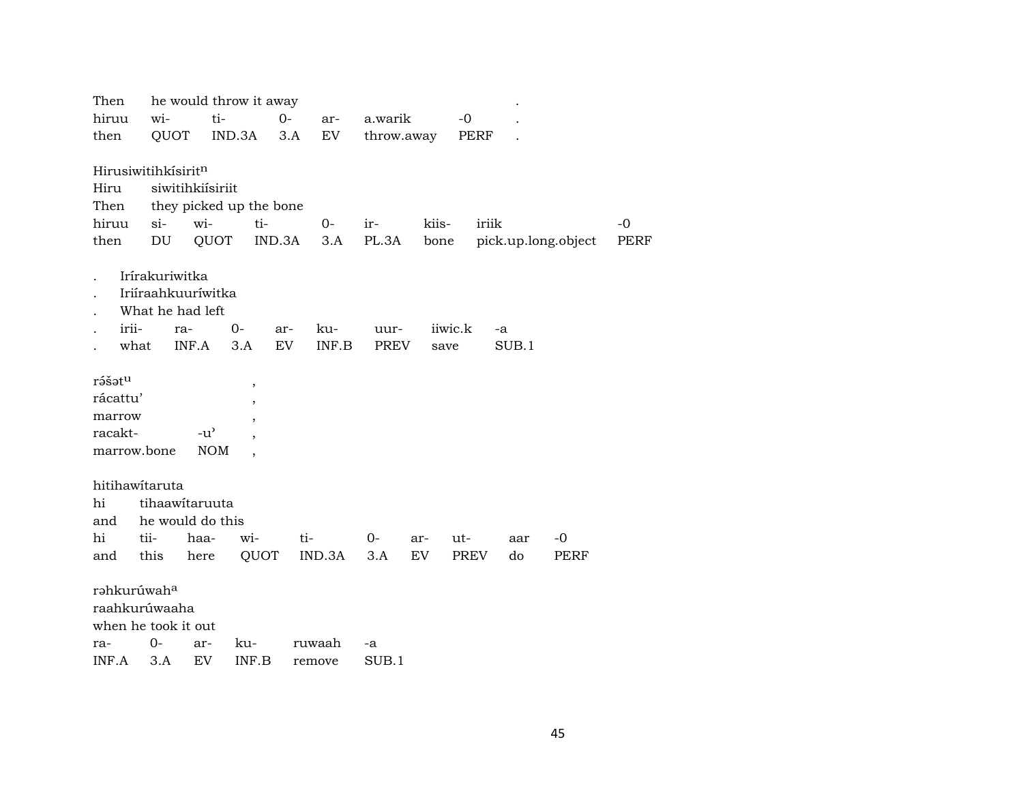| Then                    |                |                    | he would throw it away   |        |        |             |       |         |       |       |                     |             |
|-------------------------|----------------|--------------------|--------------------------|--------|--------|-------------|-------|---------|-------|-------|---------------------|-------------|
| hiruu                   | wi-            | ti-                |                          | $O -$  | ar-    | a.warik     |       | $-0$    |       |       |                     |             |
| then                    | QUOT           |                    | IND.3A                   | 3.A    | EV     | throw.away  |       | PERF    |       |       |                     |             |
|                         |                |                    |                          |        |        |             |       |         |       |       |                     |             |
| Hirusiwitihkisiritn     |                |                    |                          |        |        |             |       |         |       |       |                     |             |
| Hiru                    |                | siwitihkiísiriit   |                          |        |        |             |       |         |       |       |                     |             |
| Then                    |                |                    | they picked up the bone  |        |        |             |       |         |       |       |                     |             |
| hiruu                   | $si-$          | wi-                | ti-                      |        | $O -$  | ir-         | kiis- |         | iriik |       |                     | $-0$        |
| then                    | DU             | QUOT               |                          | IND.3A | 3.A    | PL.3A       | bone  |         |       |       | pick.up.long.object | <b>PERF</b> |
|                         |                |                    |                          |        |        |             |       |         |       |       |                     |             |
|                         | Irírakuriwitka |                    |                          |        |        |             |       |         |       |       |                     |             |
|                         |                | Iriíraahkuuríwitka |                          |        |        |             |       |         |       |       |                     |             |
|                         |                | What he had left   |                          |        |        |             |       |         |       |       |                     |             |
| irii-                   | ra-            |                    | $0-$                     | ar-    | ku-    | uur-        |       | iiwic.k | -a    |       |                     |             |
| what                    |                | INF.A              | 3.A                      | EV     | INF.B  | <b>PREV</b> |       | save    |       | SUB.1 |                     |             |
| rášatu                  |                |                    | $\overline{\phantom{a}}$ |        |        |             |       |         |       |       |                     |             |
| rácattu'                |                |                    |                          |        |        |             |       |         |       |       |                     |             |
| marrow                  |                |                    |                          |        |        |             |       |         |       |       |                     |             |
| racakt-                 |                | $-u^{\prime}$      |                          |        |        |             |       |         |       |       |                     |             |
| marrow.bone             |                | <b>NOM</b>         |                          |        |        |             |       |         |       |       |                     |             |
|                         |                |                    |                          |        |        |             |       |         |       |       |                     |             |
| hitihawitaruta          |                |                    |                          |        |        |             |       |         |       |       |                     |             |
| hi                      |                | tihaawitaruuta     |                          |        |        |             |       |         |       |       |                     |             |
| and                     |                | he would do this   |                          |        |        |             |       |         |       |       |                     |             |
| hi                      | tii-           | haa-               | wi-                      | ti-    |        | $O -$       | ar-   | ut-     |       | aar   | -0                  |             |
| and                     | this           | here               | QUOT                     |        | IND.3A | 3.A         | EV    | PREV    |       | do    | PERF                |             |
|                         |                |                    |                          |        |        |             |       |         |       |       |                     |             |
| rahkurúwah <sup>a</sup> |                |                    |                          |        |        |             |       |         |       |       |                     |             |
| raahkurúwaaha           |                |                    |                          |        |        |             |       |         |       |       |                     |             |
| when he took it out     |                |                    |                          |        |        |             |       |         |       |       |                     |             |
| ra-                     | $0-$           | ar-                | ku-                      |        | ruwaah | -a          |       |         |       |       |                     |             |
| INF.A                   | 3.A            | EV                 | INF.B                    |        | remove | SUB.1       |       |         |       |       |                     |             |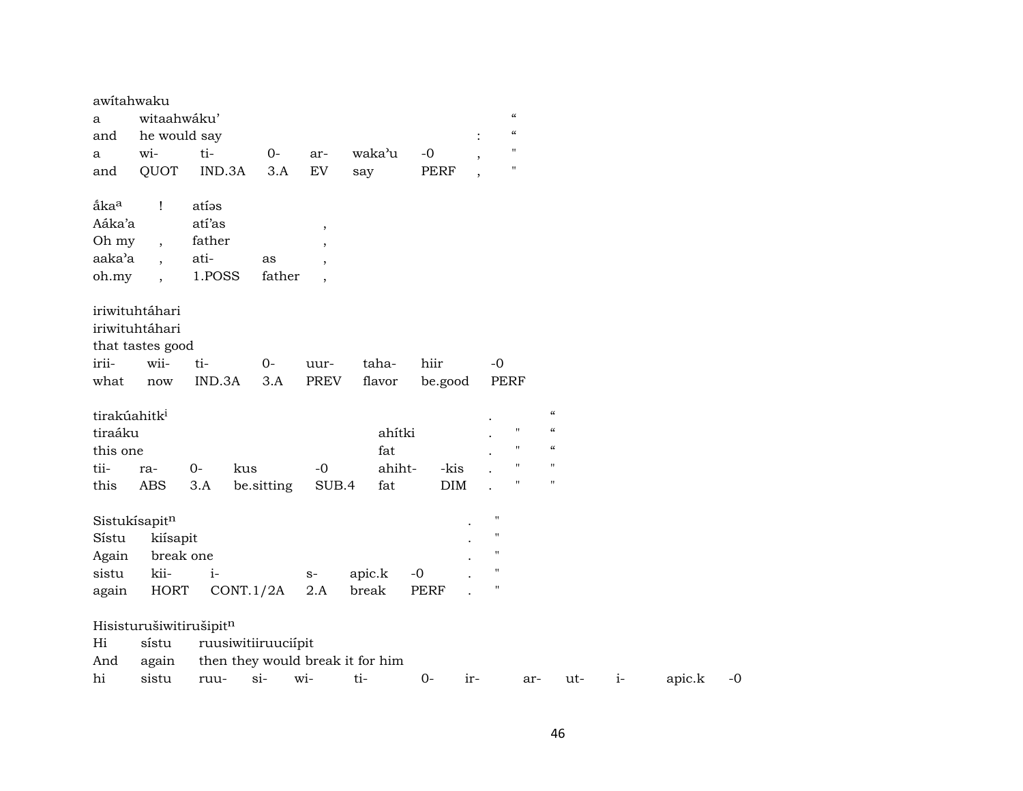| awitahwaku               |                      |                         |                     |                          |                                  |             |                          |                            |                            |      |        |      |
|--------------------------|----------------------|-------------------------|---------------------|--------------------------|----------------------------------|-------------|--------------------------|----------------------------|----------------------------|------|--------|------|
| a                        | witaahwáku'          |                         |                     |                          |                                  |             |                          | $\boldsymbol{\mathcal{C}}$ |                            |      |        |      |
| and                      | he would say         |                         |                     |                          |                                  |             |                          | $\boldsymbol{\mathcal{C}}$ |                            |      |        |      |
| a                        | wi-                  | ti-                     | $O-$                | ar-                      | waka'u                           | $-0$        | $\cdot$                  | $\mathbf{H}$               |                            |      |        |      |
| and                      | QUOT                 | IND.3A                  | 3.A                 | ${\rm EV}$               | say                              | PERF        | $\overline{\phantom{a}}$ | $\pmb{\mathsf{H}}$         |                            |      |        |      |
| åka <sup>a</sup>         | $\mathbf{I}$         | atías                   |                     |                          |                                  |             |                          |                            |                            |      |        |      |
| Aáka'a                   |                      | atí'as                  |                     | $\overline{\phantom{a}}$ |                                  |             |                          |                            |                            |      |        |      |
| Oh my                    | $\overline{ }$ ,     | father                  |                     | $\overline{\phantom{a}}$ |                                  |             |                          |                            |                            |      |        |      |
| aaka'a                   | $\overline{ }$       | ati-                    | as                  | $\overline{\phantom{a}}$ |                                  |             |                          |                            |                            |      |        |      |
| oh.my                    | $\ddot{\phantom{0}}$ | 1.POSS                  | father              | $\overline{\phantom{a}}$ |                                  |             |                          |                            |                            |      |        |      |
|                          | iriwituhtáhari       |                         |                     |                          |                                  |             |                          |                            |                            |      |        |      |
|                          | iriwituhtáhari       |                         |                     |                          |                                  |             |                          |                            |                            |      |        |      |
|                          | that tastes good     |                         |                     |                          |                                  |             |                          |                            |                            |      |        |      |
| irii-                    | wii-                 | ti-                     | $0-$                | uur-                     | taha-                            | hiir        |                          | $-0$                       |                            |      |        |      |
| what                     | now                  | IND.3A                  | 3.A                 | PREV                     | flavor                           | be.good     |                          | PERF                       |                            |      |        |      |
| tirakúahitk <sup>i</sup> |                      |                         |                     |                          |                                  |             |                          |                            | $\boldsymbol{\mathcal{C}}$ |      |        |      |
| tiraáku                  |                      |                         |                     |                          | ahítki                           |             |                          | $\pmb{\mathsf{H}}$         | $\boldsymbol{\mathcal{C}}$ |      |        |      |
| this one                 |                      |                         |                     |                          | fat                              |             |                          | $\mathbf{H}$               | $\epsilon\epsilon$         |      |        |      |
| tii-                     | ra-                  | $0-$                    | kus                 | $-0$                     | ahiht-                           | -kis        |                          | $\pmb{\mathsf{H}}$         | $\mathbf{H}$               |      |        |      |
| this                     | <b>ABS</b>           | 3.A                     | be.sitting          | SUB.4                    | fat                              | DIM         |                          | $\pmb{\mathsf{H}}$         | $\pmb{\mathsf{H}}$         |      |        |      |
|                          | Sistukísapitn        |                         |                     |                          |                                  |             |                          | $\blacksquare$             |                            |      |        |      |
| Sístu                    | kiísapit             |                         |                     |                          |                                  |             |                          | 11                         |                            |      |        |      |
| Again                    | break one            |                         |                     |                          |                                  |             |                          | 11                         |                            |      |        |      |
| sistu                    | kii-                 | $i-$                    |                     | $S-$                     | apic.k                           | $-0$        |                          | П                          |                            |      |        |      |
| again                    | <b>HORT</b>          |                         | CONT.1/2A           | $2.A$                    | break                            | <b>PERF</b> |                          | $\blacksquare$             |                            |      |        |      |
|                          |                      | Hisisturušiwitirušipitn |                     |                          |                                  |             |                          |                            |                            |      |        |      |
| Hi                       | sístu                |                         | ruusiwitiiruuciípit |                          |                                  |             |                          |                            |                            |      |        |      |
| And                      | again                |                         |                     |                          | then they would break it for him |             |                          |                            |                            |      |        |      |
| hi                       | sistu                | ruu-                    | $si-$               | wi-                      | ti-                              | $0-$        | ir-                      | ar-                        | ut-                        | $i-$ | apic.k | $-0$ |
|                          |                      |                         |                     |                          |                                  |             |                          |                            |                            |      |        |      |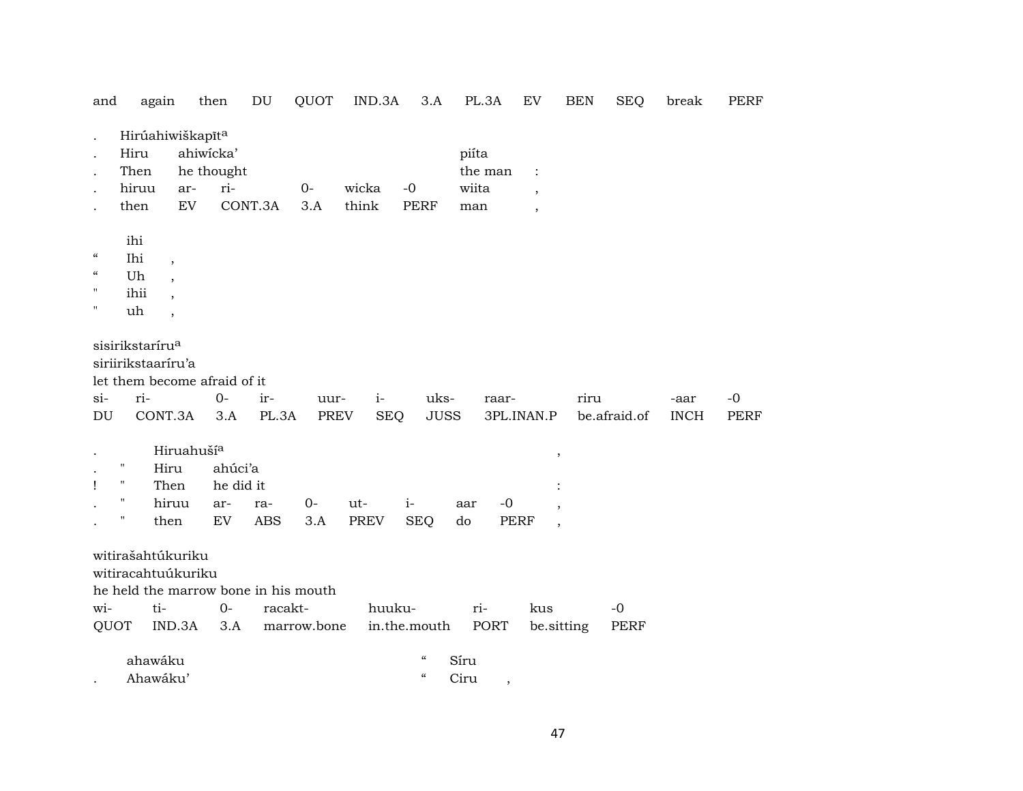| and                      |                             | again                        | then       | DU                                   | QUOT        | IND.3A     | 3.A                      | PL.3A           | EV                       | <b>BEN</b>               | SEQ          | break       | PERF        |
|--------------------------|-----------------------------|------------------------------|------------|--------------------------------------|-------------|------------|--------------------------|-----------------|--------------------------|--------------------------|--------------|-------------|-------------|
|                          |                             | Hirúahiwiškapīt <sup>a</sup> |            |                                      |             |            |                          |                 |                          |                          |              |             |             |
|                          | Hiru                        |                              | ahiwicka'  |                                      |             |            |                          | piíta           |                          |                          |              |             |             |
|                          | Then                        |                              | he thought |                                      |             |            |                          | the man         | $\ddot{\cdot}$           |                          |              |             |             |
|                          | hiruu                       | ar-                          | ri-        |                                      | $0-$        | wicka      | $-0$                     | wiita           |                          |                          |              |             |             |
|                          | then                        | EV                           |            | CONT.3A                              | 3.A         | think      | PERF                     | man             | $\ddot{\phantom{0}}$     |                          |              |             |             |
|                          |                             |                              |            |                                      |             |            |                          |                 | $\overline{\phantom{a}}$ |                          |              |             |             |
|                          | ihi                         |                              |            |                                      |             |            |                          |                 |                          |                          |              |             |             |
| $\mathcal{C}\mathcal{C}$ | Ihi                         | $\cdot$                      |            |                                      |             |            |                          |                 |                          |                          |              |             |             |
| $\mathcal{C}\mathcal{C}$ | Uh                          |                              |            |                                      |             |            |                          |                 |                          |                          |              |             |             |
| $\pmb{\mathsf{H}}$       | ihii                        |                              |            |                                      |             |            |                          |                 |                          |                          |              |             |             |
| $\pmb{\mathsf{H}}$       | uh                          |                              |            |                                      |             |            |                          |                 |                          |                          |              |             |             |
|                          |                             |                              |            |                                      |             |            |                          |                 |                          |                          |              |             |             |
|                          | sisirikstaríru <sup>a</sup> |                              |            |                                      |             |            |                          |                 |                          |                          |              |             |             |
|                          | siriirikstaaríru'a          |                              |            |                                      |             |            |                          |                 |                          |                          |              |             |             |
|                          |                             | let them become afraid of it |            |                                      |             |            |                          |                 |                          |                          |              |             |             |
| $si$ -                   | ri-                         |                              | 0-         | ir-                                  | uur-        | $i-$       | uks-                     | raar-           |                          | riru                     |              | -aar        | $-0$        |
| DU                       |                             | CONT.3A                      | 3.A        | PL.3A                                | <b>PREV</b> | <b>SEQ</b> | <b>JUSS</b>              |                 | 3PL.INAN.P               |                          | be.afraid.of | <b>INCH</b> | <b>PERF</b> |
|                          |                             |                              |            |                                      |             |            |                          |                 |                          |                          |              |             |             |
|                          |                             | Hiruahuší <sup>a</sup>       |            |                                      |             |            |                          |                 |                          | $\overline{\phantom{a}}$ |              |             |             |
|                          | п                           | Hiru                         | ahúci'a    |                                      |             |            |                          |                 |                          |                          |              |             |             |
| 1                        | $\mathbf H$                 | Then                         | he did it  |                                      |             |            |                          |                 |                          |                          |              |             |             |
|                          | п                           | hiruu                        | ar-        | ra-                                  | $O -$       | ut-        | $i-$                     | $-0$<br>aar     |                          |                          |              |             |             |
|                          | $\pmb{\mathsf{H}}$          | then                         | ${\rm EV}$ | ABS                                  | 3.A         | PREV       | <b>SEQ</b>               | do              | <b>PERF</b>              | $\overline{\phantom{a}}$ |              |             |             |
|                          |                             |                              |            |                                      |             |            |                          |                 |                          |                          |              |             |             |
|                          |                             | witirašahtúkuriku            |            |                                      |             |            |                          |                 |                          |                          |              |             |             |
|                          |                             | witiracahtuúkuriku           |            |                                      |             |            |                          |                 |                          |                          |              |             |             |
|                          |                             |                              |            | he held the marrow bone in his mouth |             |            |                          |                 |                          |                          |              |             |             |
| wi-                      |                             | ti-                          | $0-$       | racakt-                              |             | huuku-     |                          | ri-             | kus                      |                          | $-0$         |             |             |
| QUOT                     |                             | IND.3A                       | 3.A        |                                      | marrow.bone |            | in.the.mouth             | PORT            |                          | be.sitting               | <b>PERF</b>  |             |             |
|                          |                             |                              |            |                                      |             |            |                          |                 |                          |                          |              |             |             |
|                          | ahawáku                     |                              |            |                                      |             |            | $\mathcal{C}\mathcal{C}$ | Síru            |                          |                          |              |             |             |
|                          | Ahawáku'                    |                              |            |                                      |             |            | $\mathcal{C}$            | Ciru<br>$\cdot$ |                          |                          |              |             |             |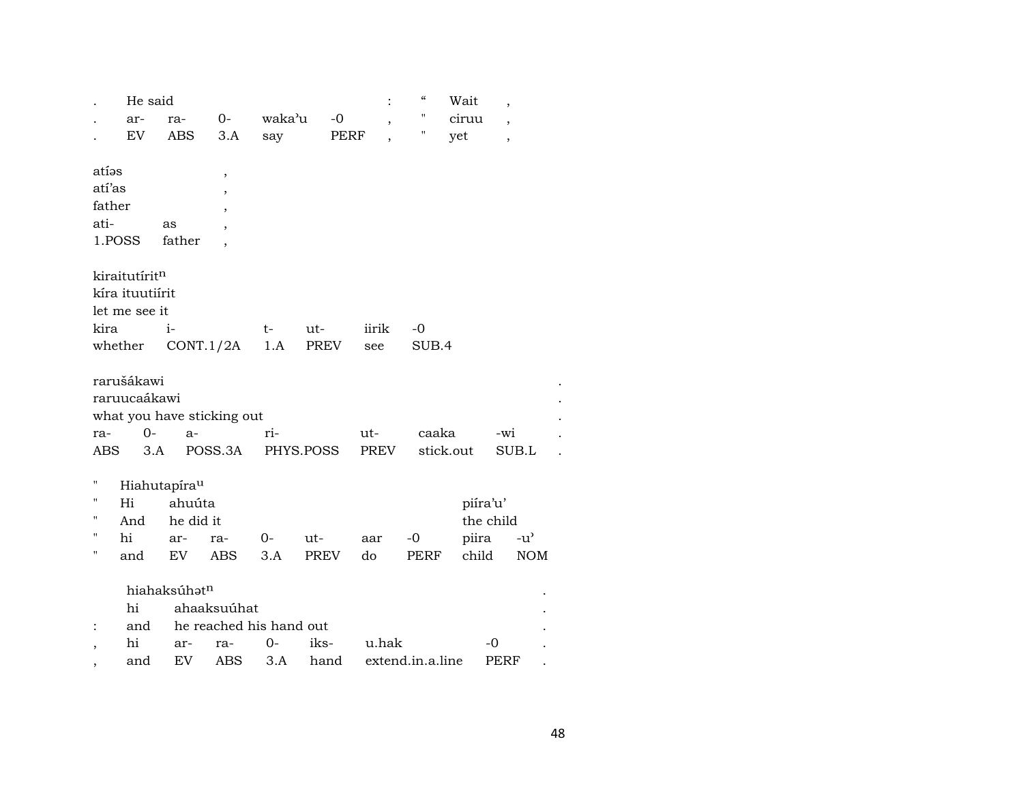|                          | He said         |                          |                            |        |             |       | $\boldsymbol{\zeta}\boldsymbol{\zeta}$ | Wait      | ,                        |            |  |
|--------------------------|-----------------|--------------------------|----------------------------|--------|-------------|-------|----------------------------------------|-----------|--------------------------|------------|--|
|                          | ar-             | ra-                      | $O -$                      | waka'u | $-0$        |       | "                                      | ciruu     | $\overline{\phantom{a}}$ |            |  |
|                          | EV              | <b>ABS</b>               | 3.A                        | say    |             | PERF  | 11                                     | yet       | $\overline{\phantom{a}}$ |            |  |
|                          |                 |                          |                            |        |             |       |                                        |           |                          |            |  |
| atías                    |                 |                          | $\overline{\phantom{a}}$   |        |             |       |                                        |           |                          |            |  |
| atí'as                   |                 |                          | $\overline{\phantom{a}}$   |        |             |       |                                        |           |                          |            |  |
| father                   |                 |                          |                            |        |             |       |                                        |           |                          |            |  |
| ati-                     |                 | as                       |                            |        |             |       |                                        |           |                          |            |  |
|                          | 1.POSS          | father                   |                            |        |             |       |                                        |           |                          |            |  |
|                          | kiraitutíritn   |                          |                            |        |             |       |                                        |           |                          |            |  |
|                          | kíra ituutiírit |                          |                            |        |             |       |                                        |           |                          |            |  |
|                          | let me see it   |                          |                            |        |             |       |                                        |           |                          |            |  |
| kira                     |                 | $\mathbf{i}$             |                            | t-     | ut-         | iirik | $-0$                                   |           |                          |            |  |
|                          | whether         |                          | CONT.1/2A                  | 1.A    | PREV        | see   | SUB.4                                  |           |                          |            |  |
|                          |                 |                          |                            |        |             |       |                                        |           |                          |            |  |
|                          | rarušákawi      |                          |                            |        |             |       |                                        |           |                          |            |  |
|                          | raruucaákawi    |                          |                            |        |             |       |                                        |           |                          |            |  |
|                          |                 |                          | what you have sticking out |        |             |       |                                        |           |                          |            |  |
| ra-                      | $0-$            | a-                       |                            | ri-    |             | ut-   | caaka                                  |           | -wi                      |            |  |
| ABS                      | 3.A             |                          | POSS.3A                    |        | PHYS.POSS   | PREV  |                                        | stick.out | SUB.L                    |            |  |
|                          |                 |                          |                            |        |             |       |                                        |           |                          |            |  |
| 11                       |                 | Hiahutapíra <sup>u</sup> |                            |        |             |       |                                        |           |                          |            |  |
| "                        | Hi              | ahuúta                   |                            |        |             |       |                                        | piíra'u'  |                          |            |  |
| $\pmb{\mathsf{H}}$       | And             | he did it                |                            |        |             |       |                                        |           | the child                |            |  |
| $\pmb{\mathsf{H}}$       | hi              | ar-                      | ra-                        | $0-$   | ut-         | aar   | $-0$                                   | piira     | $-u^{\prime}$            |            |  |
| $\mathbf{H}$             | and             | EV                       | <b>ABS</b>                 | 3.A    | <b>PREV</b> | do    | <b>PERF</b>                            | child     |                          | <b>NOM</b> |  |
|                          |                 | hiahaksúhatn             |                            |        |             |       |                                        |           |                          |            |  |
|                          | hi              |                          | ahaaksuúhat                |        |             |       |                                        |           |                          |            |  |
| $\ddot{\cdot}$           | and             |                          | he reached his hand out    |        |             |       |                                        |           |                          |            |  |
| $\overline{\phantom{a}}$ | hi              | ar-                      | ra-                        | 0-     | iks-        | u.hak |                                        |           | -0                       |            |  |
|                          | and             | EV                       | <b>ABS</b>                 | 3.A    | hand        |       | extend.in.a.line                       |           | PERF                     |            |  |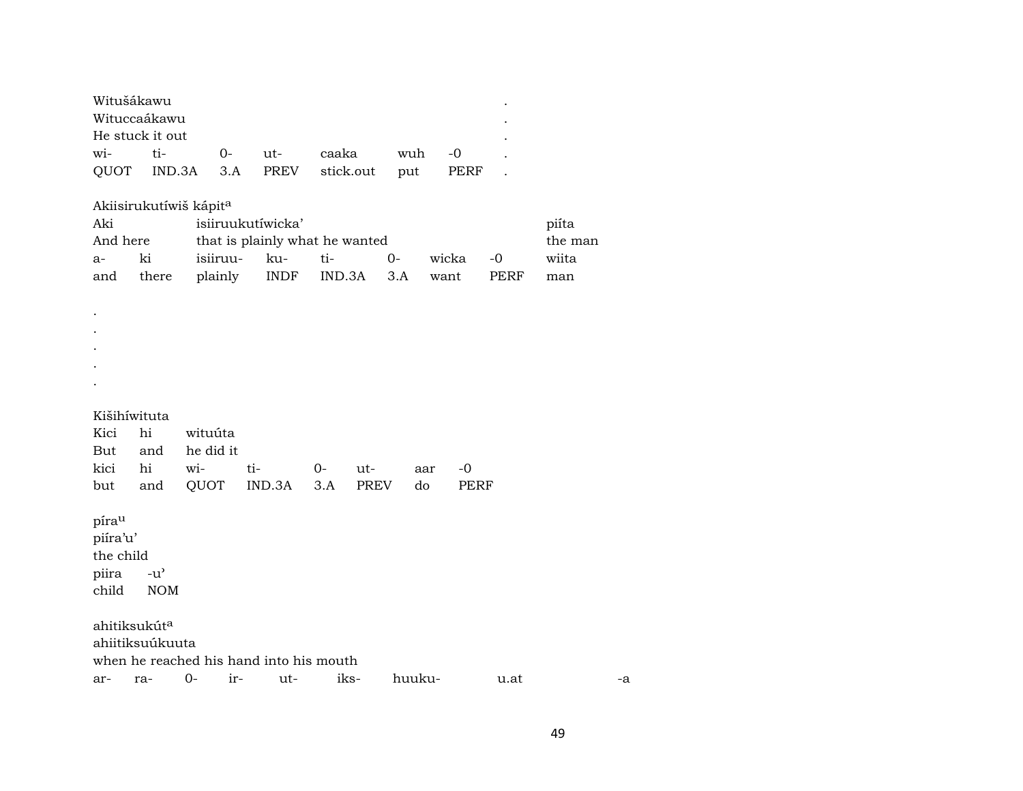| Witušákawu      |                |  |                                         |        | $\bullet$ |
|-----------------|----------------|--|-----------------------------------------|--------|-----------|
| Wituccaákawu    |                |  |                                         |        | ٠         |
| He stuck it out |                |  |                                         |        | ٠         |
|                 | wi- ti- 0- ut- |  | caaka                                   | wuh -0 |           |
|                 |                |  | OUOT IND.3A 3.A PREV stick.out put PERF |        |           |

Akiisirukutíwiš kápit<sup>a</sup>

| isiiruukutíwicka'<br>Aki |       |                                |         |  |           |          |             |       |  |
|--------------------------|-------|--------------------------------|---------|--|-----------|----------|-------------|-------|--|
| And here                 |       | that is plainly what he wanted | the man |  |           |          |             |       |  |
| $a-$                     | ki    | isiiruu- ku- ti-               |         |  | <u>ດ-</u> | wicka -0 |             | wiita |  |
| and                      | there | plainly INDF IND.3A 3.A want   |         |  |           |          | <b>PERF</b> | man   |  |

Kišihíwituta

. . . . .

|  | Kici hi wituúta   |                                      |  |  |
|--|-------------------|--------------------------------------|--|--|
|  | But and he did it |                                      |  |  |
|  |                   | kici hi wi- ti- 0- ut- aar -0        |  |  |
|  |                   | but and QUOT IND.3A 3.A PREV do PERF |  |  |

píraµ piíra'u' the child<br>piira  $-u'$ piira<br>child NOM

ahitiksukút $^{\rm a}$ ahiitiksuúkuuta when he reached his hand into his mouth ar- ra- 0- ir- ut- iks- huuku- u.at -a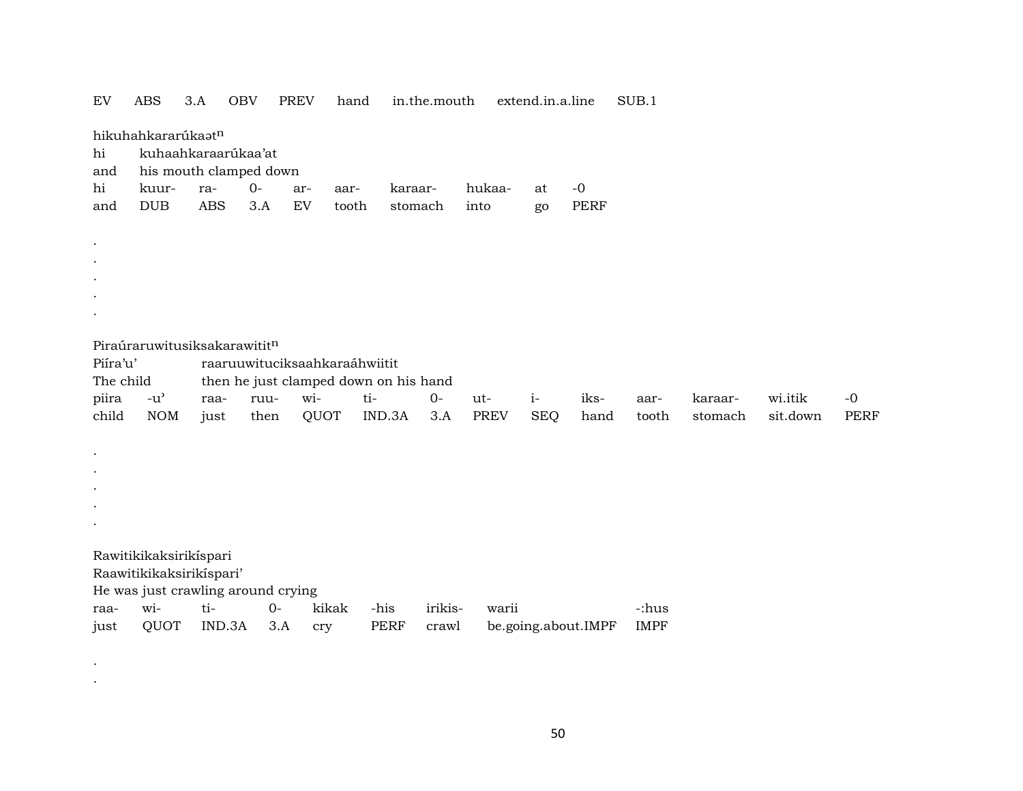| ${\rm EV}$ | <b>ABS</b>                        | 3.A        | <b>OBV</b>                         | <b>PREV</b> | hand                          |                                       | in.the.mouth |             |       | extend.in.a.line |                     | SUB.1       |         |          |             |
|------------|-----------------------------------|------------|------------------------------------|-------------|-------------------------------|---------------------------------------|--------------|-------------|-------|------------------|---------------------|-------------|---------|----------|-------------|
|            | hikuhahkararúkaatn                |            |                                    |             |                               |                                       |              |             |       |                  |                     |             |         |          |             |
| hi         |                                   |            | kuhaahkaraarúkaa'at                |             |                               |                                       |              |             |       |                  |                     |             |         |          |             |
| and        |                                   |            | his mouth clamped down             |             |                               |                                       |              |             |       |                  |                     |             |         |          |             |
| hi         | kuur-                             | ra-        | $O -$                              | ar-         | aar-                          | karaar-                               |              | hukaa-      |       | at               | $-0$                |             |         |          |             |
| and        | DUB                               | <b>ABS</b> | 3.A                                | EV          | tooth                         | stomach                               |              | into        |       | go               | <b>PERF</b>         |             |         |          |             |
| $\bullet$  |                                   |            |                                    |             |                               |                                       |              |             |       |                  |                     |             |         |          |             |
| $\bullet$  |                                   |            |                                    |             |                               |                                       |              |             |       |                  |                     |             |         |          |             |
| $\bullet$  |                                   |            |                                    |             |                               |                                       |              |             |       |                  |                     |             |         |          |             |
|            |                                   |            |                                    |             |                               |                                       |              |             |       |                  |                     |             |         |          |             |
| $\bullet$  |                                   |            |                                    |             |                               |                                       |              |             |       |                  |                     |             |         |          |             |
|            |                                   |            | Piraúraruwitusiksakarawititn       |             |                               |                                       |              |             |       |                  |                     |             |         |          |             |
| Piíra'u'   |                                   |            |                                    |             | raaruuwituciksaahkaraáhwiitit |                                       |              |             |       |                  |                     |             |         |          |             |
| The child  |                                   |            |                                    |             |                               | then he just clamped down on his hand |              |             |       |                  |                     |             |         |          |             |
| piira      | $-u$ <sup><math>\sim</math></sup> | raa-       | ruu-                               | wi-         |                               | ti-                                   | $0-$         | ut-         |       | $i-$             | iks-                | aar-        | karaar- | wi.itik  | $-0$        |
| child      | <b>NOM</b>                        | just       | then                               |             | QUOT                          | IND.3A                                | 3.A          | <b>PREV</b> |       | <b>SEQ</b>       | hand                | tooth       | stomach | sit.down | <b>PERF</b> |
| $\bullet$  |                                   |            |                                    |             |                               |                                       |              |             |       |                  |                     |             |         |          |             |
| $\bullet$  |                                   |            |                                    |             |                               |                                       |              |             |       |                  |                     |             |         |          |             |
|            |                                   |            |                                    |             |                               |                                       |              |             |       |                  |                     |             |         |          |             |
|            |                                   |            |                                    |             |                               |                                       |              |             |       |                  |                     |             |         |          |             |
| $\bullet$  |                                   |            |                                    |             |                               |                                       |              |             |       |                  |                     |             |         |          |             |
|            | Rawitikikaksirikíspari            |            |                                    |             |                               |                                       |              |             |       |                  |                     |             |         |          |             |
|            | Raawitikikaksirikispari'          |            |                                    |             |                               |                                       |              |             |       |                  |                     |             |         |          |             |
|            |                                   |            | He was just crawling around crying |             |                               |                                       |              |             |       |                  |                     |             |         |          |             |
| raa-       | wi-                               | ti-        |                                    | $0-$        | kikak                         | -his                                  | irikis-      |             | warii |                  |                     | -:hus       |         |          |             |
| just       | QUOT                              |            | IND.3A                             | 3.A         | cry                           | <b>PERF</b>                           | crawl        |             |       |                  | be.going.about.IMPF | <b>IMPF</b> |         |          |             |

.

.

50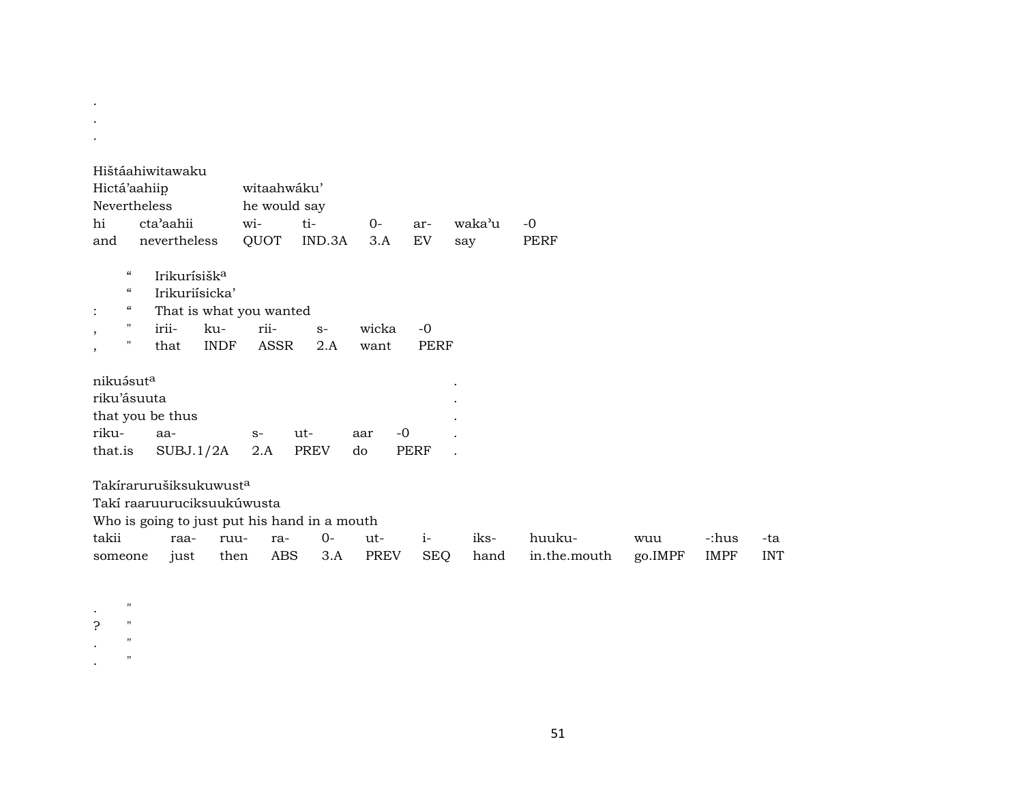| $\bullet$                                       |                          |             |                         |                                              |             |             |           |              |         |             |            |
|-------------------------------------------------|--------------------------|-------------|-------------------------|----------------------------------------------|-------------|-------------|-----------|--------------|---------|-------------|------------|
| Hištáahiwitawaku                                |                          |             |                         |                                              |             |             |           |              |         |             |            |
| Hictá'aahiip                                    |                          |             | witaahwáku'             |                                              |             |             |           |              |         |             |            |
| Nevertheless                                    |                          |             | he would say            |                                              |             |             |           |              |         |             |            |
| hi                                              | cta'aahii                |             | wi-                     | ti-                                          | $0-$        | ar-         | waka'u    | $-0$         |         |             |            |
| and                                             | nevertheless             |             | QUOT                    | IND.3A                                       | 3.A         | EV          | say       | <b>PERF</b>  |         |             |            |
| $\boldsymbol{\varsigma} \boldsymbol{\varsigma}$ | Irikurísišk <sup>a</sup> |             |                         |                                              |             |             |           |              |         |             |            |
| $\boldsymbol{\zeta}\boldsymbol{\zeta}$          | Irikuriísicka'           |             |                         |                                              |             |             |           |              |         |             |            |
| $\epsilon$                                      |                          |             |                         |                                              |             |             |           |              |         |             |            |
| $\ddot{\cdot}$<br>$\pmb{\mathsf{H}}$            |                          |             | That is what you wanted |                                              |             |             |           |              |         |             |            |
| $\cdot$<br>$\pmb{\mathsf{H}}$                   | irii-                    | ku-         | rii-                    | $S-$                                         | wicka       | $-0$        |           |              |         |             |            |
| $\,$                                            | that                     | <b>INDF</b> | ASSR                    | 2.A                                          | want        | <b>PERF</b> |           |              |         |             |            |
| nikuásuta                                       |                          |             |                         |                                              |             |             | $\bullet$ |              |         |             |            |
| riku'ásuuta                                     |                          |             |                         |                                              |             |             |           |              |         |             |            |
| that you be thus                                |                          |             |                         |                                              |             |             |           |              |         |             |            |
| riku-                                           | aa-                      |             | $S-$                    | ut-                                          | $-0$<br>aar |             |           |              |         |             |            |
| that.is                                         | SUBJ.1/2A                |             | 2.A                     | <b>PREV</b>                                  | do          | <b>PERF</b> |           |              |         |             |            |
|                                                 |                          |             |                         |                                              |             |             |           |              |         |             |            |
| Takírarurušiksukuwust <sup>a</sup>              |                          |             |                         |                                              |             |             |           |              |         |             |            |
| Takí raaruuruciksuukúwusta                      |                          |             |                         |                                              |             |             |           |              |         |             |            |
|                                                 |                          |             |                         | Who is going to just put his hand in a mouth |             |             |           |              |         |             |            |
| takii                                           | raa-                     | ruu-        | ra-                     | $O -$                                        | ut-         | $i-$        | iks-      | huuku-       | wuu     | -:hus       | -ta        |
| someone                                         | just                     | then        | <b>ABS</b>              | 3.A                                          | <b>PREV</b> | SEQ         | hand      | in.the.mouth | go.IMPF | <b>IMPF</b> | <b>INT</b> |
|                                                 |                          |             |                         |                                              |             |             |           |              |         |             |            |
|                                                 |                          |             |                         |                                              |             |             |           |              |         |             |            |

 $\langle \cdot \rangle$  $\mathbb{Z}^2$ 

 $\pmb{\mathsf{H}}$ 

 $\mathbf{u}$ 

 $\mathbf{u}$  $\pmb{\mathsf{H}}$ 

 $\frac{1}{2}$ 

 $\ddot{\phantom{a}}$ 

 $\ddot{\phantom{a}}$ 

51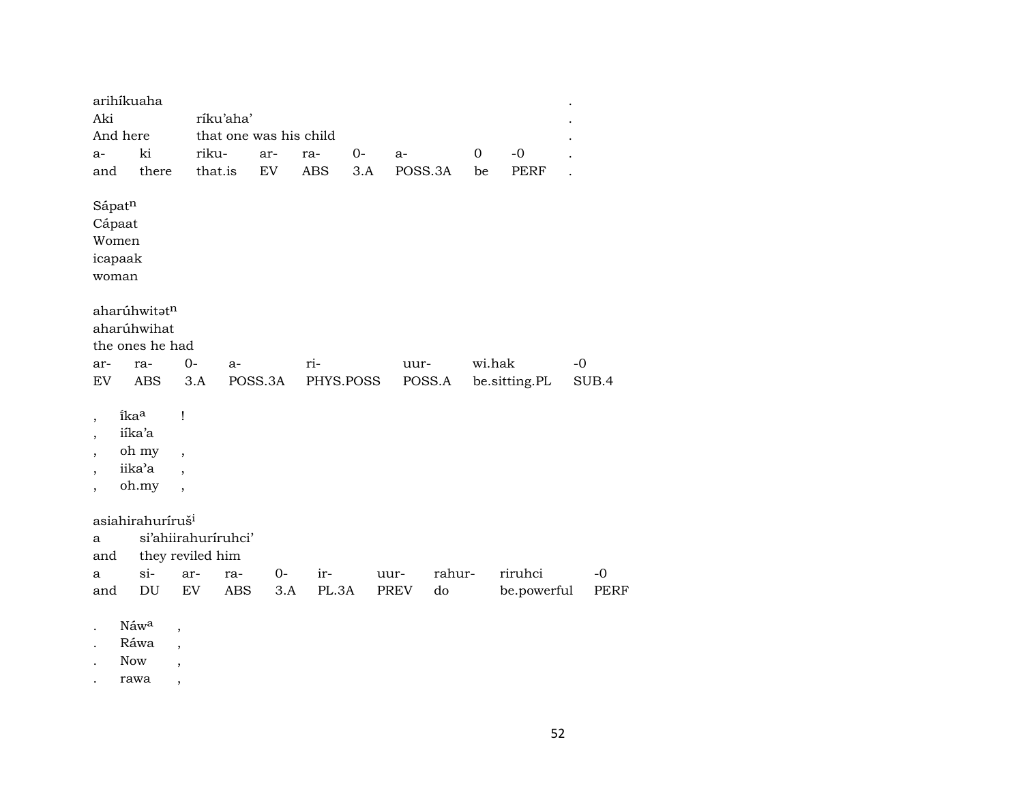| Aki                                                                                                                                      | arihíkuaha<br>And here                     |                                                           | ríku'aha'           | that one was his child |            |           |         |             |        |               |       |
|------------------------------------------------------------------------------------------------------------------------------------------|--------------------------------------------|-----------------------------------------------------------|---------------------|------------------------|------------|-----------|---------|-------------|--------|---------------|-------|
| a-                                                                                                                                       | ki                                         |                                                           | riku-               | ar-                    | ra-        | 0-        | a-      | $\mathbf 0$ |        | $-0$          |       |
| and                                                                                                                                      | there                                      |                                                           | that.is             | EV                     | <b>ABS</b> | 3.A       | POSS.3A |             | be     | PERF          |       |
| Sápatn<br>Cápaat<br>woman                                                                                                                | Women<br>icapaak                           |                                                           |                     |                        |            |           |         |             |        |               |       |
|                                                                                                                                          | aharúhwitatn                               |                                                           |                     |                        |            |           |         |             |        |               |       |
|                                                                                                                                          | aharúhwihat                                |                                                           |                     |                        |            |           |         |             |        |               |       |
|                                                                                                                                          | the ones he had                            |                                                           |                     |                        |            |           |         |             |        |               |       |
| ar-                                                                                                                                      | ra-                                        | $0-$                                                      | a-                  |                        | ri-        |           | uur-    |             | wi.hak |               | $-0$  |
| EV                                                                                                                                       | <b>ABS</b>                                 |                                                           | 3.A                 | POSS.3A                |            | PHYS.POSS | POSS.A  |             |        | be.sitting.PL | SUB.4 |
| $\overline{\phantom{a}}$<br>$\overline{\phantom{a}}$<br>$\overline{\phantom{a}}$<br>$\overline{\phantom{a}}$<br>$\overline{\phantom{a}}$ | ikaa<br>iíka'a<br>oh my<br>iika'a<br>oh.my | Ţ<br>$\overline{\phantom{a}}$<br>$\overline{\phantom{a}}$ |                     |                        |            |           |         |             |        |               |       |
|                                                                                                                                          | asiahirahuríruš <sup>i</sup>               |                                                           |                     |                        |            |           |         |             |        |               |       |
| а                                                                                                                                        |                                            |                                                           | si'ahiirahuriruhci' |                        |            |           |         |             |        |               |       |
| and                                                                                                                                      |                                            |                                                           | they reviled him    |                        |            |           |         |             |        |               |       |
| а                                                                                                                                        | $si-$                                      | ar-                                                       | ra-                 | $0-$                   | ir-        |           | uur-    | rahur-      |        | riruhci       | $-0$  |
| and                                                                                                                                      | DU                                         | EV                                                        | ABS                 | 3.A                    | PL.3A      |           | PREV    | do          |        | be.powerful   | PERF  |
|                                                                                                                                          | Náwa<br>Ráwa<br><b>Now</b>                 | ,<br>$\overline{\phantom{a}}$<br>$\,$                     |                     |                        |            |           |         |             |        |               |       |

. rawa ,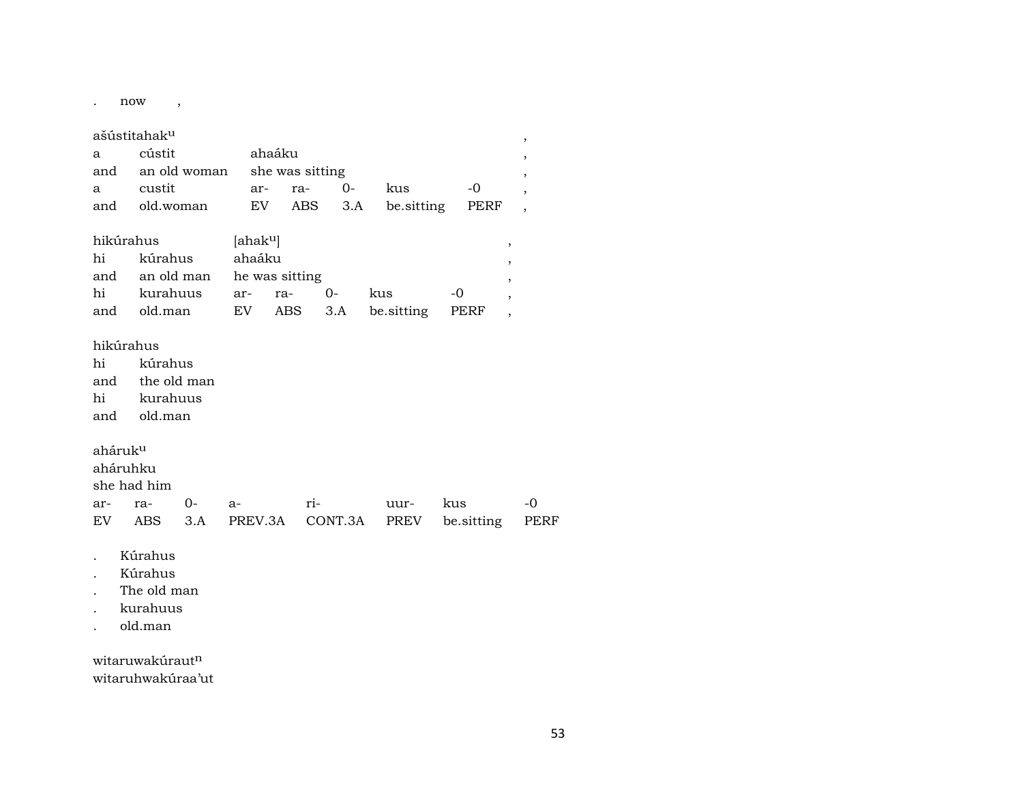. now ,

#### ašústitahakµ ,

| and old.woman | a cústit ahaáku | and an old woman she was sitting | a custit  ar- ra- 0- kus | $-0$<br>EV ABS 3.A be.sitting PERF, |
|---------------|-----------------|----------------------------------|--------------------------|-------------------------------------|

| hikúrahus |                                        |        | [ahak <sup>u</sup> ] |        |     |       |  |  |  |  |
|-----------|----------------------------------------|--------|----------------------|--------|-----|-------|--|--|--|--|
|           | hi kúrahus                             | ahaáku |                      |        |     |       |  |  |  |  |
|           | and an old man he was sitting          |        |                      |        |     |       |  |  |  |  |
|           | hi kurahuus ar- ra-                    |        |                      | $()$ - | kus | $-()$ |  |  |  |  |
|           | and old.man EV ABS 3.A be.sitting PERF |        |                      |        |     |       |  |  |  |  |

#### hikúrahus

hi kúrahus and the old man hi kurahuus and old.man

### ahárukµ

aháruhku

she had him

|  |  |  | EV ABS 3.A PREV.3A CONT.3A PREV be.sitting PERF |  |
|--|--|--|-------------------------------------------------|--|

- . Kúrahus
- . Kúrahus
- . The old man
- . kurahuus
- . old.man

witaruwakúraut<sup>n</sup> witaruhwakúraa'ut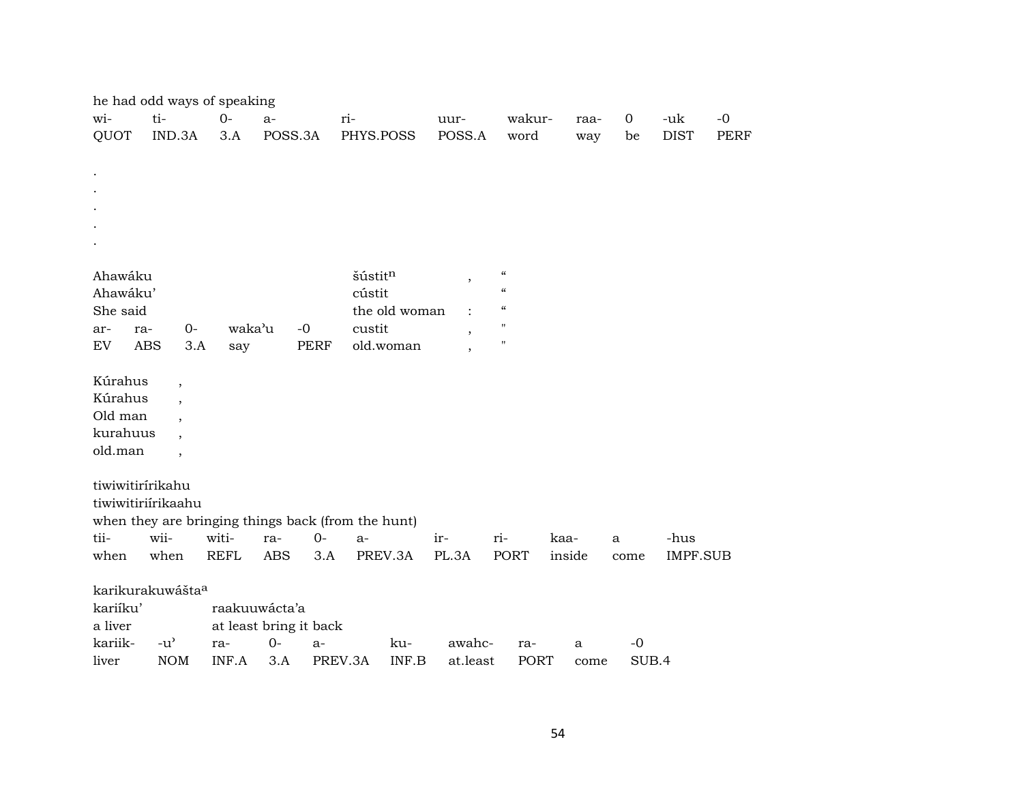|                      | he had odd ways of speaking                          |             |                        |                                                    |               |                          |                            |        |             |             |      |
|----------------------|------------------------------------------------------|-------------|------------------------|----------------------------------------------------|---------------|--------------------------|----------------------------|--------|-------------|-------------|------|
| wi-                  | ti-                                                  | $0-$        | $a-$                   | ri-                                                |               | uur-                     | wakur-                     | raa-   | $\mathbf 0$ | -uk         | $-0$ |
| QUOT                 | IND.3A                                               | 3.A         | POSS.3A                | PHYS.POSS                                          |               | POSS.A                   | word                       | way    | be          | <b>DIST</b> | PERF |
|                      |                                                      |             |                        |                                                    |               |                          |                            |        |             |             |      |
|                      |                                                      |             |                        |                                                    |               |                          |                            |        |             |             |      |
|                      |                                                      |             |                        |                                                    |               |                          |                            |        |             |             |      |
|                      |                                                      |             |                        |                                                    |               |                          |                            |        |             |             |      |
|                      |                                                      |             |                        |                                                    |               |                          |                            |        |             |             |      |
|                      |                                                      |             |                        |                                                    |               |                          |                            |        |             |             |      |
|                      |                                                      |             |                        |                                                    |               |                          | $\zeta\zeta$               |        |             |             |      |
| Ahawáku              |                                                      |             |                        | šústitn                                            |               | $\, ,$                   | $\epsilon\epsilon$         |        |             |             |      |
| Ahawáku'<br>She said |                                                      |             |                        | cústit                                             | the old woman |                          | $\boldsymbol{\mathcal{C}}$ |        |             |             |      |
| ar-<br>ra-           | $0-$                                                 | waka'u      | $-0$                   | custit                                             |               |                          | $\pmb{\mathsf{H}}$         |        |             |             |      |
| EV                   | <b>ABS</b><br>3.A                                    |             | PERF                   |                                                    | old.woman     | $\, ,$                   | $\pmb{\mathsf{H}}$         |        |             |             |      |
|                      |                                                      | say         |                        |                                                    |               | $\overline{\phantom{a}}$ |                            |        |             |             |      |
| Kúrahus              |                                                      |             |                        |                                                    |               |                          |                            |        |             |             |      |
| Kúrahus              | $\overline{\phantom{a}}$<br>$\overline{\phantom{a}}$ |             |                        |                                                    |               |                          |                            |        |             |             |      |
| Old man              | $\overline{\phantom{a}}$                             |             |                        |                                                    |               |                          |                            |        |             |             |      |
| kurahuus             |                                                      |             |                        |                                                    |               |                          |                            |        |             |             |      |
| old.man              | $\overline{\phantom{a}}$                             |             |                        |                                                    |               |                          |                            |        |             |             |      |
|                      |                                                      |             |                        |                                                    |               |                          |                            |        |             |             |      |
| tiwiwitirírikahu     |                                                      |             |                        |                                                    |               |                          |                            |        |             |             |      |
|                      | tiwiwitiriirikaahu                                   |             |                        |                                                    |               |                          |                            |        |             |             |      |
|                      |                                                      |             |                        | when they are bringing things back (from the hunt) |               |                          |                            |        |             |             |      |
| tii-                 | wii-                                                 | witi-       | ra-                    | $0-$<br>$a-$                                       |               | ir-                      | ri-                        | kaa-   | a           | -hus        |      |
| when                 | when                                                 | <b>REFL</b> | <b>ABS</b>             | 3.A                                                | PREV.3A       | PL.3A                    | <b>PORT</b>                | inside | come        | IMPF.SUB    |      |
|                      |                                                      |             |                        |                                                    |               |                          |                            |        |             |             |      |
|                      | karikurakuwášta <sup>a</sup>                         |             |                        |                                                    |               |                          |                            |        |             |             |      |
| kariíku'             |                                                      |             | raakuuwácta'a          |                                                    |               |                          |                            |        |             |             |      |
| a liver              |                                                      |             | at least bring it back |                                                    |               |                          |                            |        |             |             |      |
| kariik-              | $-u$ <sup><math>\prime</math></sup>                  | ra-         | $0-$                   | $a-$                                               | ku-           | awahc-                   | ra-                        | a      | $-0$        |             |      |
| liver                | <b>NOM</b>                                           | INF.A       | 3.A                    | PREV.3A                                            | INF.B         | at.least                 | PORT                       | come   | SUB.4       |             |      |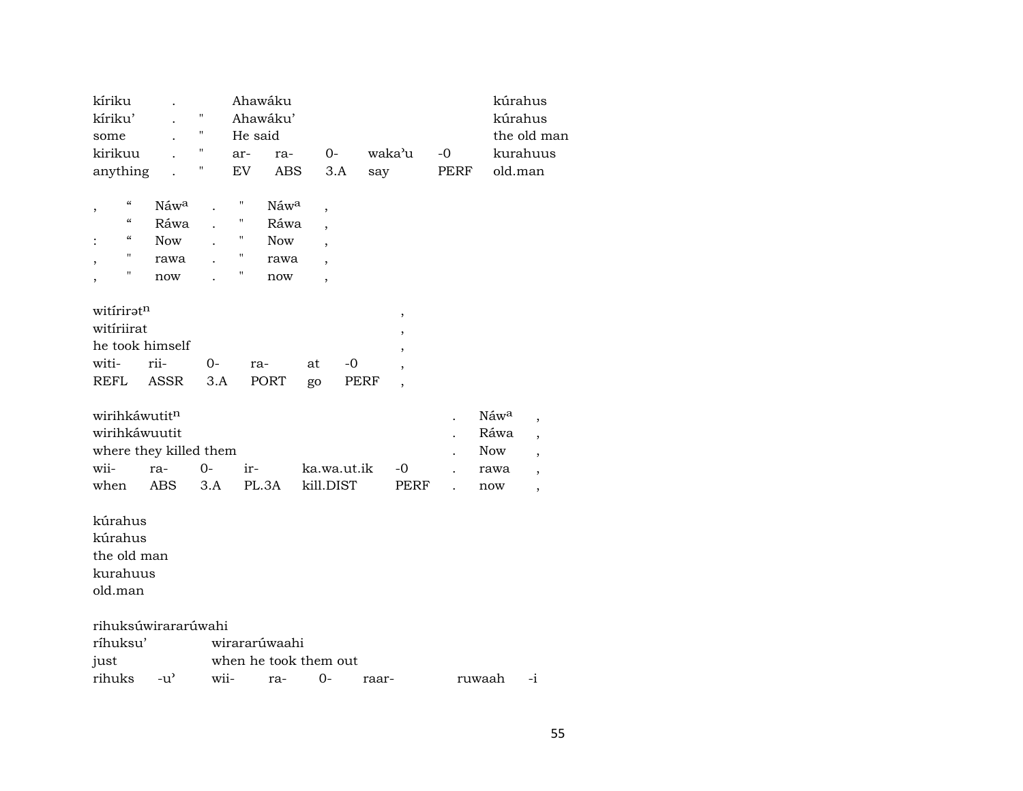| kíriku                                 |               |      | Ahawáku               |            |                          |       |                          |      | kúrahus    |                          |
|----------------------------------------|---------------|------|-----------------------|------------|--------------------------|-------|--------------------------|------|------------|--------------------------|
| kíriku'                                |               | П    | Ahawáku'              |            |                          |       |                          |      | kúrahus    |                          |
| some                                   |               | Ħ    | He said               |            |                          |       |                          |      |            | the old man              |
| kirikuu                                |               | Ħ    | ar-                   | ra-        | $O -$                    |       | waka'u                   | $-0$ |            | kurahuus                 |
| anything                               |               | Π    | EV                    | <b>ABS</b> | 3.A                      | say   |                          | PERF | old.man    |                          |
|                                        |               |      |                       |            |                          |       |                          |      |            |                          |
| $\mathcal{C}\mathcal{C}$<br>,          | Náwa          |      | Ħ                     | Náwa       | ,                        |       |                          |      |            |                          |
| $\boldsymbol{\zeta}\boldsymbol{\zeta}$ | Ráwa          |      | "                     | Ráwa       |                          |       |                          |      |            |                          |
| "                                      | <b>Now</b>    |      | "                     | <b>Now</b> |                          |       |                          |      |            |                          |
| П                                      | rawa          |      | $\pmb{\mathsf{H}}$    | rawa       | $\overline{\phantom{a}}$ |       |                          |      |            |                          |
| "                                      | now           |      | 11<br>now             |            | $\overline{\phantom{a}}$ |       |                          |      |            |                          |
|                                        |               |      |                       |            |                          |       |                          |      |            |                          |
| witiriratn                             |               |      |                       |            |                          |       | $\, ,$                   |      |            |                          |
| witiriirat                             |               |      |                       |            |                          |       | $\overline{\phantom{a}}$ |      |            |                          |
| he took himself                        |               |      |                       |            |                          |       |                          |      |            |                          |
| witi-                                  | rii-          | 0-   | ra-                   | at         | -0                       |       |                          |      |            |                          |
| REFL                                   | <b>ASSR</b>   | 3.A  | <b>PORT</b>           | go         |                          | PERF  | $\cdot$                  |      |            |                          |
|                                        |               |      |                       |            |                          |       |                          |      |            |                          |
| wirihkáwutitn                          |               |      |                       |            |                          |       |                          |      | Náwa       | $\overline{\phantom{a}}$ |
| wirihkáwuutit                          |               |      |                       |            |                          |       |                          |      | Ráwa       | $\overline{ }$           |
| where they killed them                 |               |      |                       |            |                          |       |                          |      | <b>Now</b> | $\overline{\phantom{a}}$ |
| wii-                                   | ra-           | $0-$ | ir-                   |            | ka.wa.ut.ik              |       | -0                       |      | rawa       | $\overline{\phantom{a}}$ |
| when                                   | ABS           | 3.A  | PL.3A                 |            | kill.DIST                |       | PERF                     |      | now        | $\overline{ }$           |
|                                        |               |      |                       |            |                          |       |                          |      |            |                          |
| kúrahus                                |               |      |                       |            |                          |       |                          |      |            |                          |
| kúrahus                                |               |      |                       |            |                          |       |                          |      |            |                          |
| the old man                            |               |      |                       |            |                          |       |                          |      |            |                          |
| kurahuus                               |               |      |                       |            |                          |       |                          |      |            |                          |
| old.man                                |               |      |                       |            |                          |       |                          |      |            |                          |
|                                        |               |      |                       |            |                          |       |                          |      |            |                          |
| rihuksúwirararúwahi                    |               |      |                       |            |                          |       |                          |      |            |                          |
| ríhuksu'                               |               |      | wirararúwaahi         |            |                          |       |                          |      |            |                          |
| just                                   |               |      | when he took them out |            |                          |       |                          |      |            |                          |
| rihuks                                 | $-u^{\prime}$ | wii- | ra-                   |            | $0-$                     | raar- |                          |      | ruwaah     | $-i$                     |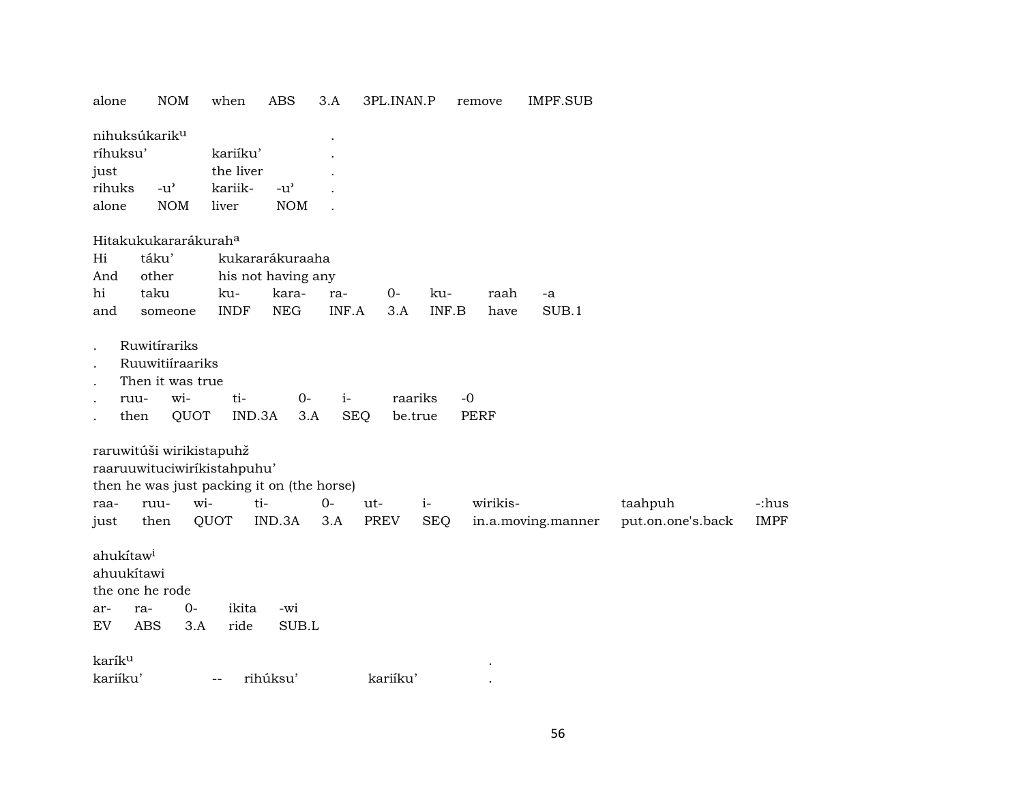| alone                                            | <b>NOM</b>                                                                                                                   | when                                      | ABS                                                          | 3.A                | 3PL.INAN.P         |                    | remove              | IMPF.SUB           |                              |                      |
|--------------------------------------------------|------------------------------------------------------------------------------------------------------------------------------|-------------------------------------------|--------------------------------------------------------------|--------------------|--------------------|--------------------|---------------------|--------------------|------------------------------|----------------------|
| ríhuksu'<br>just<br>rihuks<br>alone              | nihuksúkarik <sup>u</sup><br>$-u$ <sup><math>\prime</math></sup><br><b>NOM</b>                                               | kariíku'<br>the liver<br>kariik-<br>liver | $-u$ <sup><math>\prime</math></sup><br><b>NOM</b>            |                    |                    |                    |                     |                    |                              |                      |
| Hi<br>And<br>hi<br>and                           | Hitakukukararákurah <sup>a</sup><br>táku'<br>other<br>taku<br>someone                                                        | ku-<br><b>INDF</b>                        | kukararákuraaha<br>his not having any<br>kara-<br><b>NEG</b> | ra-<br>INF.A       | $0-$<br>3.A        | ku-<br>INF.B       | raah<br>have        | -a<br>SUB.1        |                              |                      |
| $\cdot$<br>$\bullet$                             | Ruwitírariks<br>Ruuwitiíraariks<br>Then it was true<br>wi-<br>ruu-<br>QUOT<br>then                                           | ti-<br>IND.3A                             | $0-$<br>3.A                                                  | $i-$<br><b>SEQ</b> | raariks<br>be.true |                    | $-0$<br><b>PERF</b> |                    |                              |                      |
| raa-<br>just                                     | raruwitúši wirikistapuhž<br>raaruuwituciwirikistahpuhu'<br>then he was just packing it on (the horse)<br>wi-<br>ruu-<br>then | ti-<br>QUOT                               | IND.3A                                                       | $0-$<br>3.A        | ut-<br><b>PREV</b> | $i-$<br><b>SEQ</b> | wirikis-            | in.a.moving.manner | taahpuh<br>put.on.one's.back | -:hus<br><b>IMPF</b> |
| ahukítaw <sup>i</sup><br>ahuukítawi<br>ar-<br>EV | the one he rode<br>$0-$<br>ra-<br><b>ABS</b><br>3.A                                                                          | ikita<br>ride                             | -wi<br>SUB.L                                                 |                    |                    |                    |                     |                    |                              |                      |
| karík <sup>u</sup>                               |                                                                                                                              |                                           |                                                              |                    |                    |                    |                     |                    |                              |                      |
| kariíku'                                         |                                                                                                                              | $\overline{\phantom{m}}$                  | rihúksu'                                                     |                    | kariíku'           |                    |                     |                    |                              |                      |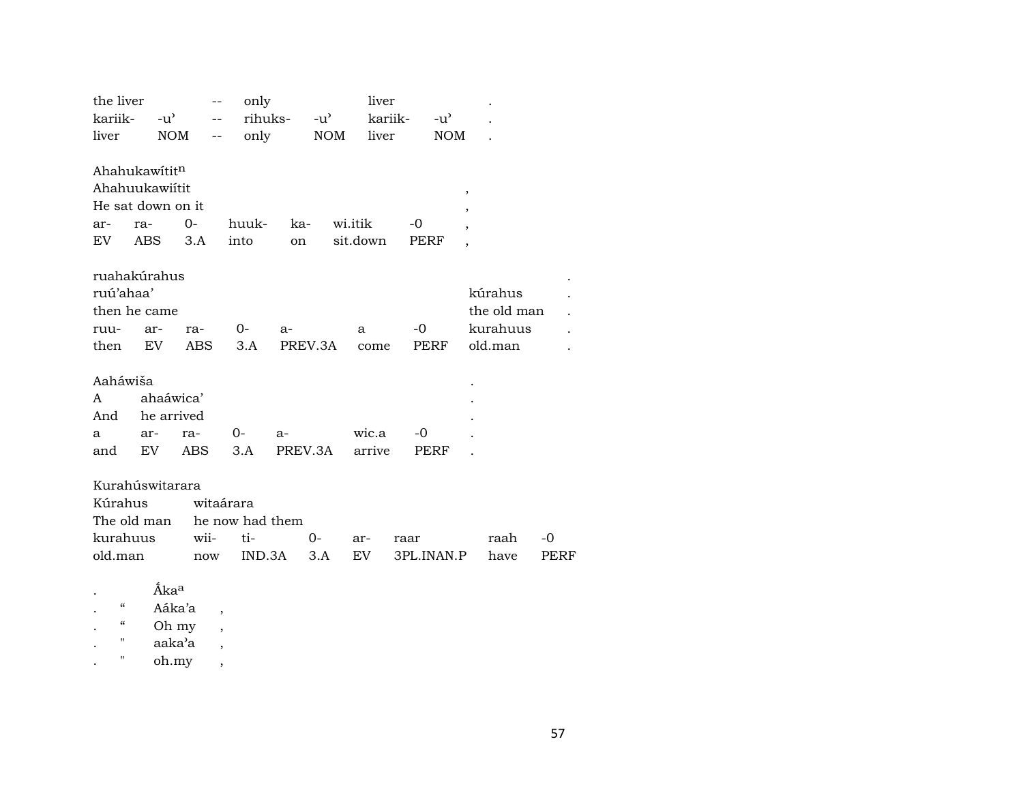| the liver                                     |                                           |                  | only                                          |                 |            | liver               |                    |                          |                                               |            |  |
|-----------------------------------------------|-------------------------------------------|------------------|-----------------------------------------------|-----------------|------------|---------------------|--------------------|--------------------------|-----------------------------------------------|------------|--|
| kariik-                                       | -u'                                       | $-$              | rihuks-                                       |                 | -u'        | kariik-             | $-u^{\prime}$      |                          |                                               |            |  |
| liver                                         | <b>NOM</b>                                | $-$              | only                                          |                 | <b>NOM</b> | liver               |                    | <b>NOM</b>               |                                               |            |  |
| Ahahukawititn<br>Ahahuukawiítit<br>ar-<br>EV  | He sat down on it<br>ra-<br>ABS           | $0-$<br>3.A      | huuk-<br>into                                 | ka-<br>on       |            | wi.itik<br>sit.down | $-0$<br>PERF       | $\overline{\phantom{a}}$ |                                               |            |  |
| ruú'ahaa'<br>ruu-<br>then                     | ruahakúrahus<br>then he came<br>ar-<br>EV | ra-<br>ABS       | 0-<br>3.A                                     | $a-$<br>PREV.3A |            | a<br>come           | $-0$<br>PERF       |                          | kúrahus<br>the old man<br>kurahuus<br>old.man |            |  |
| Aaháwiša<br>A<br>And<br>a<br>and              | ahaáwica'<br>he arrived<br>ar-<br>EV.     | ra-<br>ABS.      | 0-<br>3.A                                     | $a-$<br>PREV.3A |            | wic.a<br>arrive     | $-0$<br>PERF       |                          |                                               |            |  |
| Kúrahus<br>The old man<br>kurahuus<br>old.man | Kurahúswitarara                           | wii-<br>now      | witaárara<br>he now had them<br>ti-<br>IND.3A |                 | 0-<br>3.A  | ar-<br>EV           | raar<br>3PL.INAN.P |                          | raah<br>have                                  | -0<br>PERF |  |
| $\mathcal{C}$                                 | Áka <sup>a</sup>                          | Aáka'a<br>$\sim$ |                                               |                 |            |                     |                    |                          |                                               |            |  |

Oh my  $\boldsymbol{\mathcal{C}}$  $\overline{\phantom{a}}$  $\bullet$  $\mathsf{a}\mathsf{a}\mathsf{k}\mathsf{a}\mathsf{a}$  $\mathbf{H}$  $\langle \cdot \rangle$  $\overline{\phantom{a}}$ 

 $_{\rm oh.}$  $\mathbf{u}$  $\mathbb{Z}^{\mathbb{Z}}$  $\overline{\phantom{a}}$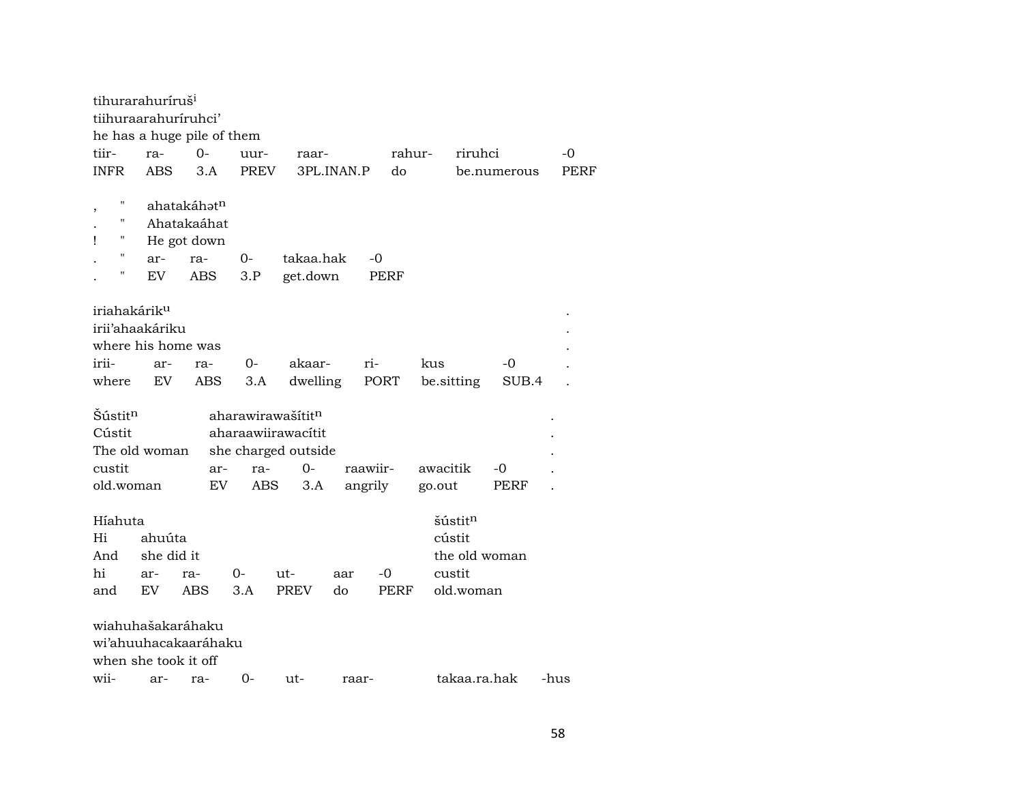| tihurarahuríruš <sup>i</sup> |            |                            |             |                     |            |             |                   |             |      |
|------------------------------|------------|----------------------------|-------------|---------------------|------------|-------------|-------------------|-------------|------|
| tiihuraarahuriruhci'         |            |                            |             |                     |            |             |                   |             |      |
|                              |            | he has a huge pile of them |             |                     |            |             |                   |             |      |
| tiir-                        | ra-        | $0-$                       | uur-        | raar-               |            |             | rahur-<br>riruhci |             | -0   |
| <b>INFR</b>                  | ABS        | 3.A                        | <b>PREV</b> |                     | 3PL.INAN.P | do          |                   | be.numerous | PERF |
|                              |            |                            |             |                     |            |             |                   |             |      |
| $\overline{\phantom{a}}$     |            | ahatakáhət <sup>n</sup>    |             |                     |            |             |                   |             |      |
| н                            |            | Ahatakaáhat                |             |                     |            |             |                   |             |      |
| Ţ                            |            | He got down                |             |                     |            |             |                   |             |      |
| $\pmb{\mathsf{H}}$           | ar-        | ra-                        | 0-          | takaa.hak           |            | -0          |                   |             |      |
| $\mathbf{H}$                 | EV         | <b>ABS</b>                 | 3.P         | get.down            |            | <b>PERF</b> |                   |             |      |
|                              |            |                            |             |                     |            |             |                   |             |      |
| iriahakárik <sup>u</sup>     |            |                            |             |                     |            |             |                   |             |      |
| irii'ahaakáriku              |            |                            |             |                     |            |             |                   |             |      |
| where his home was           |            |                            |             |                     |            |             |                   |             |      |
|                              |            |                            |             |                     |            |             |                   |             |      |
| irii-                        | ar-        | ra-                        | $0-$        | akaar-              |            | ri-         | kus               | -0          |      |
| where                        | EV         | ABS                        | 3.A         | dwelling            |            | PORT        | be.sitting        | SUB.4       |      |
|                              |            |                            |             |                     |            |             |                   |             |      |
| Šústit <sup>n</sup>          |            |                            |             | aharawirawašítitn   |            |             |                   |             |      |
| Cústit                       |            |                            |             | aharaawiirawacítit  |            |             |                   |             |      |
| The old woman                |            |                            |             | she charged outside |            |             |                   |             |      |
| custit                       |            | ar-                        | ra-         | 0-                  |            | raawiir-    | awacitik          | -0          |      |
| old.woman                    |            | EV                         | ABS         | 3.A                 |            | angrily     | go.out            | PERF        |      |
|                              |            |                            |             |                     |            |             |                   |             |      |
| Híahuta                      |            |                            |             |                     |            |             | šústitn           |             |      |
| Hi                           | ahuúta     |                            |             |                     |            |             | cústit            |             |      |
| And                          | she did it |                            |             |                     |            |             | the old woman     |             |      |
| hi                           | ar-        | ra-                        | 0-          | ut-                 | aar        | -0          | custit            |             |      |
| and                          | EV.        | <b>ABS</b>                 | 3.A         | <b>PREV</b>         | do         | PERF        | old.woman         |             |      |
|                              |            |                            |             |                     |            |             |                   |             |      |
| wiahuhašakaráhaku            |            |                            |             |                     |            |             |                   |             |      |
|                              |            | wi'ahuuhacakaaráhaku       |             |                     |            |             |                   |             |      |
| when she took it off         |            |                            |             |                     |            |             |                   |             |      |
| wii-                         |            |                            |             |                     |            |             | takaa.ra.hak      |             | -hus |
|                              | ar-        | ra-                        | 0-          | ut-                 | raar-      |             |                   |             |      |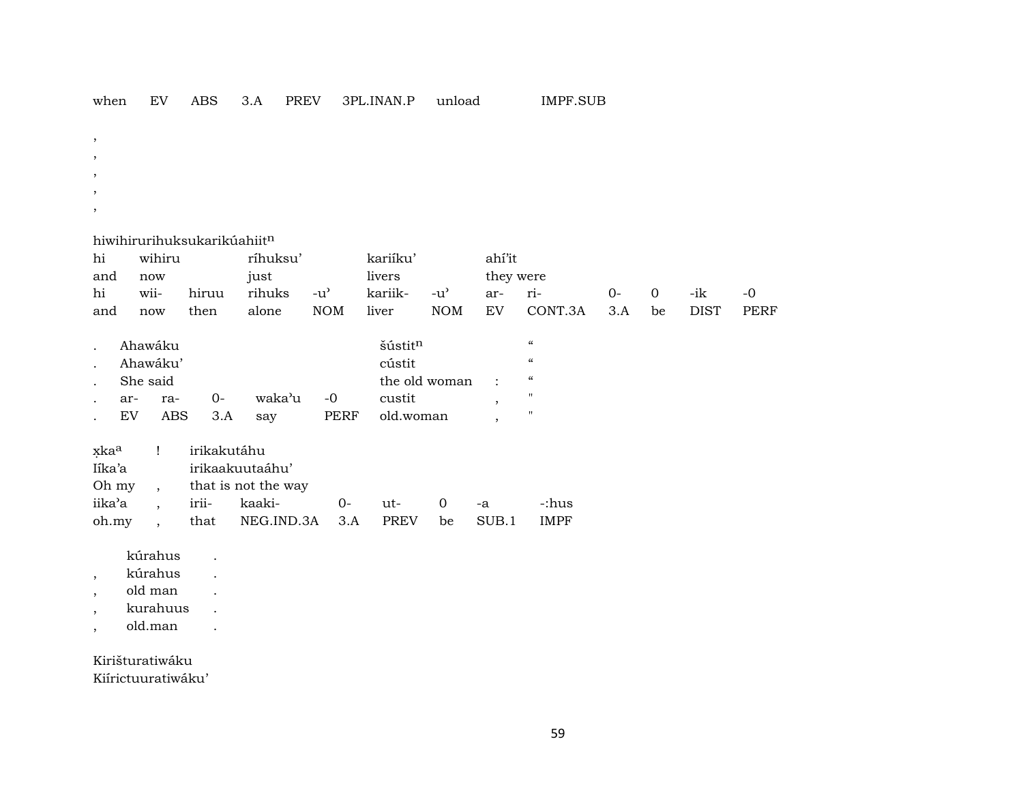| when | EV | ABS |  | PREV | 3PL.INAN.P | unload | IMPF.SUB |
|------|----|-----|--|------|------------|--------|----------|
|------|----|-----|--|------|------------|--------|----------|

- ,
- ,
- ,
- ,
- ,

#### hiwihirurihuksukarikúahiit<sup>n</sup>

| hi  | wihiru<br>ríhuksu' |      |        | kariíku'      |             | ahí'it |           |             |      |                |      |      |
|-----|--------------------|------|--------|---------------|-------------|--------|-----------|-------------|------|----------------|------|------|
| and | now                |      | just   |               | livers      |        | they were |             |      |                |      |      |
| hi  | wii- hiruu         |      | rihuks | $-u^{\prime}$ | kariik- -u' |        | ar- ri-   |             | $O-$ | $\overline{0}$ | -ik- | $-0$ |
| and | now                | then | alone  | NOM liver     |             | NOM EV |           | CONT.3A 3.A |      | be             | DIST | PERF |

| $\cdot$ | Ahawáku  |     |      |        |      | šústit <sup>n</sup> | $\epsilon$ |  |
|---------|----------|-----|------|--------|------|---------------------|------------|--|
|         | Ahawáku' |     |      |        |      | cústit              | $\epsilon$ |  |
| $\cdot$ | She said |     |      |        |      | the old woman :     | $\epsilon$ |  |
| $\cdot$ | ar-      | ra- | $0-$ | waka'u | $-0$ | custit              | "          |  |
|         | EV       | ABS | 3.A  | sav    | PERF | old.woman           | "          |  |

| xka <sup>a</sup> ! irikakutáhu |  |                                          |  |  |  |  |             |  |  |  |  |
|--------------------------------|--|------------------------------------------|--|--|--|--|-------------|--|--|--|--|
| Iíka'a                         |  | irikaakuutaáhu'                          |  |  |  |  |             |  |  |  |  |
|                                |  | Oh my, that is not the way               |  |  |  |  |             |  |  |  |  |
|                                |  | iika'a , irii- kaaki-   0- ut-  0 -a     |  |  |  |  | -:hus       |  |  |  |  |
|                                |  | oh.my, that NEG.IND.3A 3.A PREV be SUB.1 |  |  |  |  | <b>IMPF</b> |  |  |  |  |

- kúrahus .
- , kúrahus .
- , old man .
- , kurahuus .
- , old.man .

## Kirišturatiwáku

Kiírictuuratiwáku'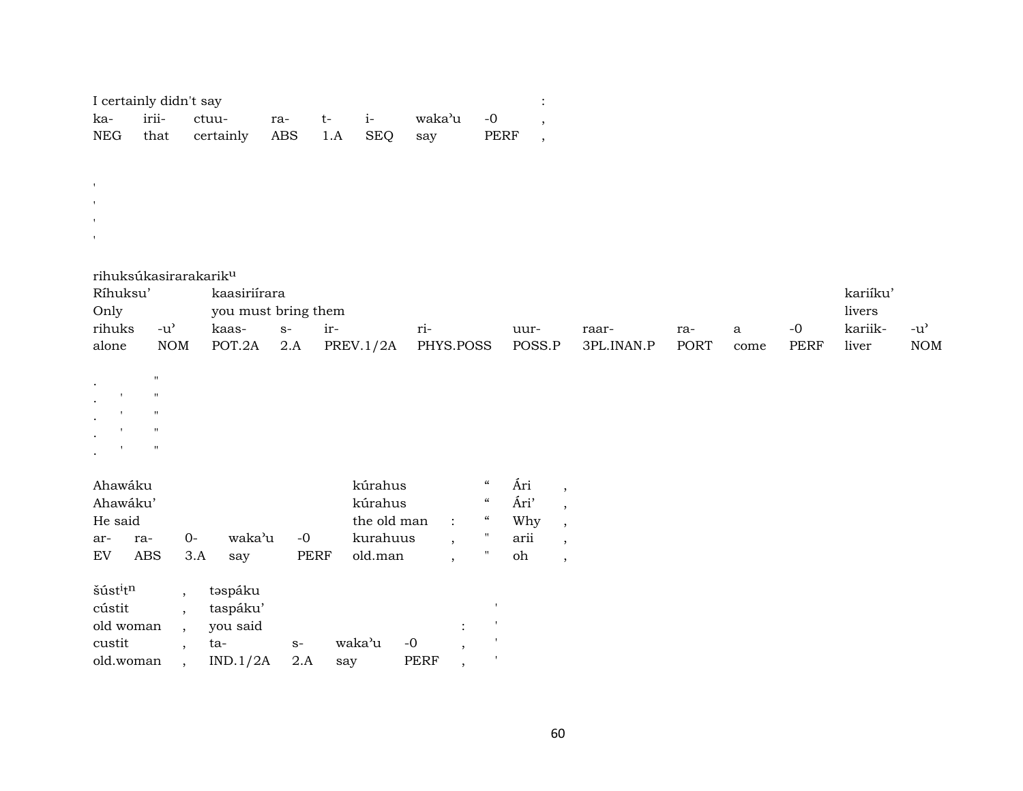| I certainly didn't say |  |                                          |  |  |  |  |  |  |  |  |
|------------------------|--|------------------------------------------|--|--|--|--|--|--|--|--|
|                        |  | ka- irii- ctuu- ra- t- i- waka'u -0      |  |  |  |  |  |  |  |  |
|                        |  | NEG that certainly ABS 1.A SEO say PERF, |  |  |  |  |  |  |  |  |

| rihuksúkasirarakarik <sup>u</sup> |
|-----------------------------------|
|-----------------------------------|

| Ríhuksu'<br>kaasiriírara |            |                     |      |       |                                       |      |       |      |      | kariíku'  |         |     |
|--------------------------|------------|---------------------|------|-------|---------------------------------------|------|-------|------|------|-----------|---------|-----|
| Only                     |            | you must bring them |      |       |                                       |      |       |      |      |           | livers  |     |
| rihuks                   | -u'        | kaas-               | $S-$ | $ir-$ | $r_{1}$ -                             | uur- | raar- | ra-  | a    | $-\Omega$ | kariik- | -u' |
| alone                    | <b>NOM</b> | POT.2A              | 2.A  |       | PREV.1/2A PHYS.POSS POSS.P 3PL.INAN.P |      |       | PORT | come | PERF      | liver   | NOM |

|              | Ħ           |
|--------------|-------------|
| $\mathbf{r}$ | $^{\prime}$ |
| $\mathbf{r}$ | $^{\prime}$ |
| $\mathbf{r}$ | 11          |
| ٠.           | $^{\prime}$ |
|              |             |

| ٠ |  |  |
|---|--|--|
|   |  |  |
|   |  |  |
|   |  |  |
|   |  |  |

| Ahawáku |          |      |        | kúrahus |                    |      |  |      |  |
|---------|----------|------|--------|---------|--------------------|------|--|------|--|
|         | Ahawáku' |      |        | kúrahus | $\epsilon$         | Ári' |  |      |  |
| He said |          |      |        |         | the old man $\;$ : |      |  |      |  |
| ar-     | ra-      | $O-$ | waka'u | $-0$    | kurahuus           |      |  | arii |  |
| EV      | ABS      | 3.A  | sav    | PERF    | old.man            |      |  | oh   |  |

| šúst <sup>i</sup> t <sup>n</sup> | təspáku  |      |        |      |  |
|----------------------------------|----------|------|--------|------|--|
| cústit                           | taspáku' |      |        |      |  |
| old woman                        | you said |      |        |      |  |
| custit                           | ta-      | $S-$ | waka'u | -0   |  |
| old.woman                        | IND.1/2A | 2.A  | sav    | PERF |  |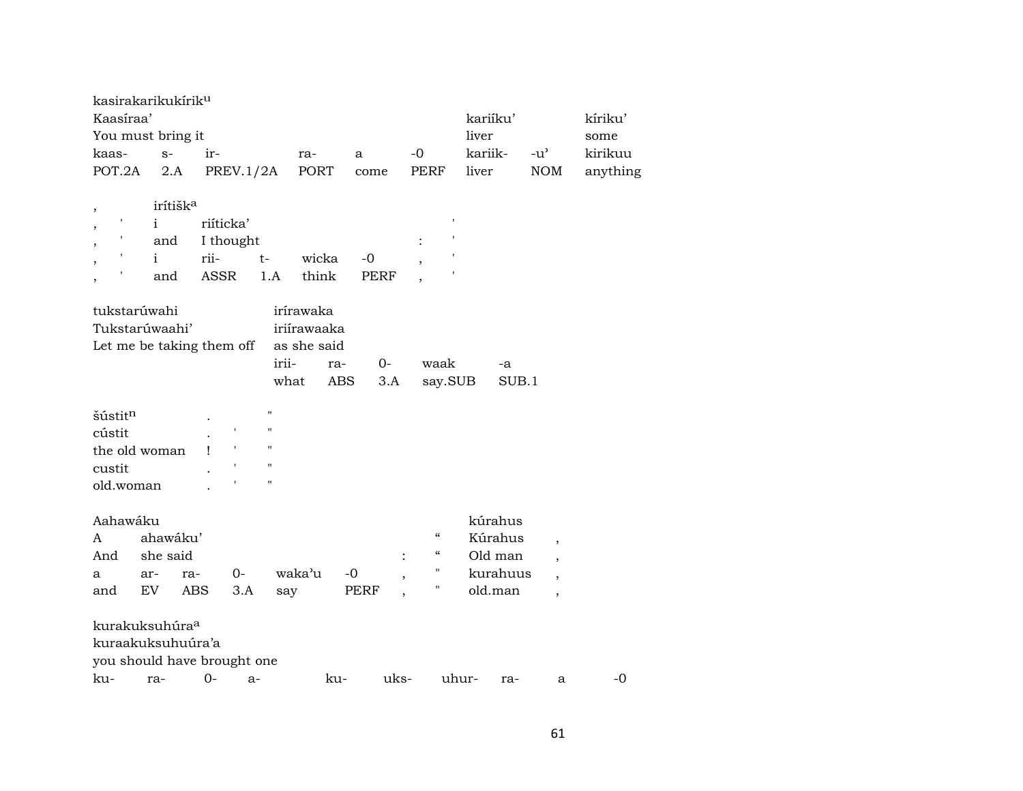| kasirakarikukírik <sup>u</sup> |                      |      |           |                    |             |             |                                        |              |                          |          |
|--------------------------------|----------------------|------|-----------|--------------------|-------------|-------------|----------------------------------------|--------------|--------------------------|----------|
| Kaasíraa'                      |                      |      |           |                    |             |             |                                        | kariíku'     |                          | kíriku'  |
| You must bring it              |                      |      |           |                    |             |             |                                        | liver        |                          | some     |
| kaas-                          | $S-$                 | ir-  |           |                    | ra-         | a           | -0                                     | kariik-      | $-u^{\prime}$            | kirikuu  |
| POT.2A                         | 2.A                  |      | PREV.1/2A |                    | PORT        | come        | <b>PERF</b>                            | liver        | <b>NOM</b>               | anything |
|                                |                      |      |           |                    |             |             |                                        |              |                          |          |
| $\, ,$                         | irítišk <sup>a</sup> |      |           |                    |             |             |                                        |              |                          |          |
|                                | $\mathbf{i}$         |      | riíticka' |                    |             |             |                                        |              |                          |          |
|                                | and                  |      | I thought |                    |             |             |                                        |              |                          |          |
|                                | $\mathbf{i}$         | rii- |           | $t-$               | wicka       | $-0$        |                                        |              |                          |          |
|                                | and                  |      | ASSR      | 1.A                | think       | <b>PERF</b> |                                        |              |                          |          |
|                                |                      |      |           |                    |             |             |                                        |              |                          |          |
| tukstarúwahi                   |                      |      |           |                    | irírawaka   |             |                                        |              |                          |          |
| Tukstarúwaahi'                 |                      |      |           |                    | iriírawaaka |             |                                        |              |                          |          |
| Let me be taking them off      |                      |      |           |                    | as she said |             |                                        |              |                          |          |
|                                |                      |      |           | irii-              | ra-         | $0-$        | waak                                   | -a           |                          |          |
|                                |                      |      |           | what               | ABS         | 3.A         | say.SUB                                | SUB.1        |                          |          |
|                                |                      |      |           |                    |             |             |                                        |              |                          |          |
| šústit <sup>n</sup>            |                      |      |           | $\pmb{\mathsf{H}}$ |             |             |                                        |              |                          |          |
| cústit                         |                      |      |           | $\pmb{\mathsf{H}}$ |             |             |                                        |              |                          |          |
| the old woman                  |                      | 1    |           | $\pmb{\mathsf{H}}$ |             |             |                                        |              |                          |          |
| custit                         |                      |      |           | $\pmb{\mathsf{H}}$ |             |             |                                        |              |                          |          |
| old.woman                      |                      |      |           | Ħ                  |             |             |                                        |              |                          |          |
|                                |                      |      |           |                    |             |             |                                        |              |                          |          |
| Aahawáku                       |                      |      |           |                    |             |             |                                        | kúrahus      |                          |          |
| A                              | ahawáku'             |      |           |                    |             |             | $\boldsymbol{\zeta}\boldsymbol{\zeta}$ | Kúrahus      | $\cdot$                  |          |
| And                            | she said             |      |           |                    |             |             | "<br>:                                 | Old man      | $\overline{\phantom{a}}$ |          |
| a                              | ar-                  | ra-  | $0-$      |                    | waka'u      | $-0$        | "                                      | kurahuus     | $\overline{\phantom{a}}$ |          |
| and                            | EV                   | ABS  | 3.A       | say                |             | PERF        | "                                      | old.man      | $\overline{\phantom{a}}$ |          |
|                                |                      |      |           |                    |             |             |                                        |              |                          |          |
| kurakuksuhúra <sup>a</sup>     |                      |      |           |                    |             |             |                                        |              |                          |          |
| kuraakuksuhuúra'a              |                      |      |           |                    |             |             |                                        |              |                          |          |
| you should have brought one    |                      |      |           |                    |             |             |                                        |              |                          |          |
| ku-                            | ra-                  | $0-$ | $a-$      |                    | ku-         | uks-        |                                        | uhur-<br>ra- | a                        | $-0$     |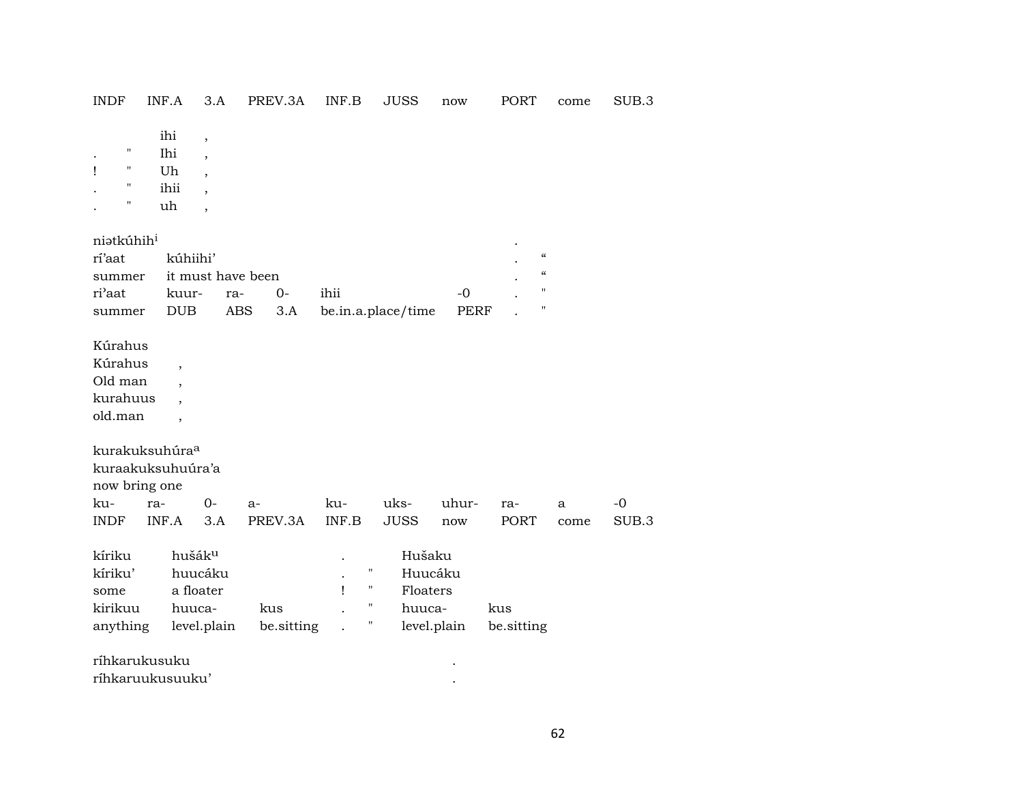| INDF                                                           | INF.A                                                           | 3.A                                                                        | PREV.3A           | INF.B        | JUSS                                                                                   | now                 | PORT                                                                                                             | come      | SUB.3         |
|----------------------------------------------------------------|-----------------------------------------------------------------|----------------------------------------------------------------------------|-------------------|--------------|----------------------------------------------------------------------------------------|---------------------|------------------------------------------------------------------------------------------------------------------|-----------|---------------|
| 11<br>$\bullet$<br>11<br>Ţ<br>11<br>11                         | ihi<br>Ihi<br>Uh<br>ihii<br>uh                                  | $\overline{\phantom{a}}$<br>$\overline{\phantom{a}}$<br>$\cdot$<br>$\cdot$ |                   |              |                                                                                        |                     |                                                                                                                  |           |               |
| niatkúhih <sup>i</sup><br>rí'aat<br>summer<br>ri'aat<br>summer | kúhiihi'<br>kuur-<br><b>DUB</b>                                 | it must have been<br>ra-<br>ABS                                            | $0-$<br>3.A       | ihii         | be.in.a.place/time                                                                     | $-0$<br><b>PERF</b> | $\boldsymbol{\zeta}\boldsymbol{\zeta}$<br>$\boldsymbol{\mathcal{C}}$<br>$\pmb{\mathsf{H}}$<br>$\pmb{\mathsf{H}}$ |           |               |
| Kúrahus<br>Kúrahus<br>Old man<br>kurahuus<br>old.man           | $\overline{\phantom{a}}$<br>$\overline{\phantom{a}}$            |                                                                            |                   |              |                                                                                        |                     |                                                                                                                  |           |               |
| now bring one<br>ku-<br><b>INDF</b>                            | kurakuksuhúra <sup>a</sup><br>kuraakuksuhuúra'a<br>ra-<br>INF.A | $0-$<br>3.A                                                                | $a-$<br>PREV.3A   | ku-<br>INF.B | uks-<br><b>JUSS</b>                                                                    | uhur-<br>now        | ra-<br><b>PORT</b>                                                                                               | a<br>come | $-0$<br>SUB.3 |
| kíriku<br>kíriku'<br>some<br>kirikuu<br>anything               | huuca-                                                          | hušák <sup>u</sup><br>huucáku<br>a floater<br>level.plain                  | kus<br>be.sitting | 1            | Hušaku<br>Ħ<br>Huucáku<br>Н<br>Floaters<br>$\mathbf{H}$<br>huuca-<br>11<br>level.plain |                     | kus<br>be.sitting                                                                                                |           |               |
|                                                                | ríhkarukusuku<br>ríhkaruukusuuku'                               |                                                                            |                   |              |                                                                                        |                     |                                                                                                                  |           |               |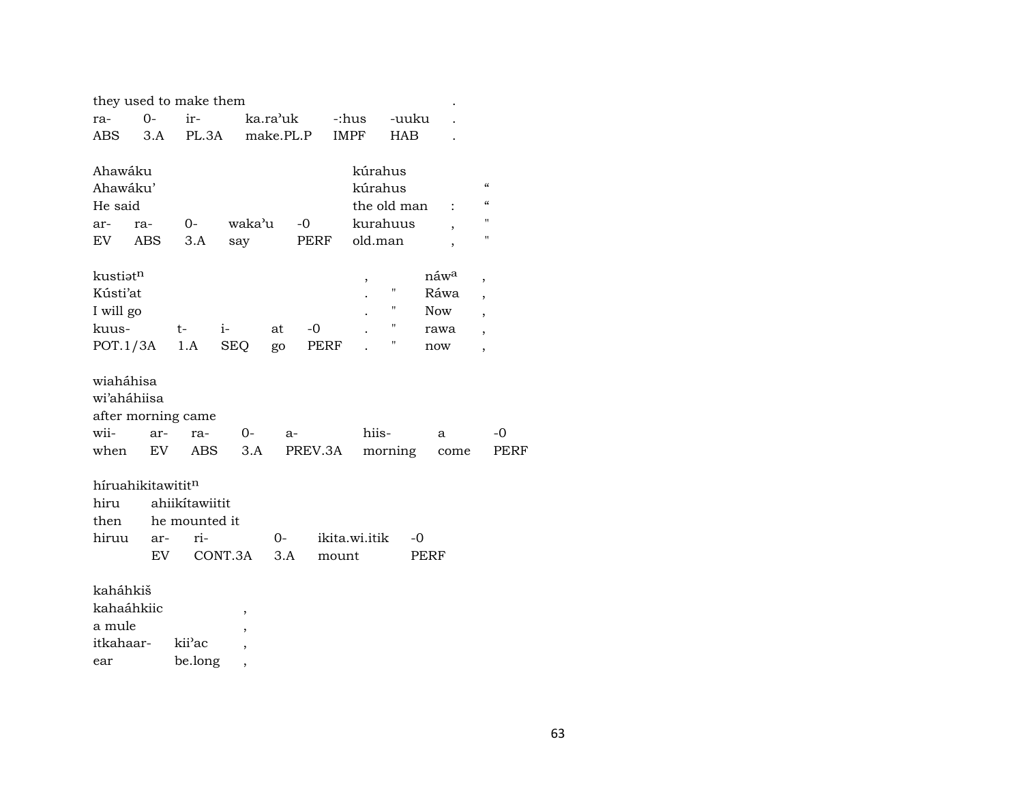| they used to make them                         |                |                                 |                               |                       |         |               |             |                          |                            |      |
|------------------------------------------------|----------------|---------------------------------|-------------------------------|-----------------------|---------|---------------|-------------|--------------------------|----------------------------|------|
| ra-                                            | $0 -$          | ir-                             |                               | ka.ra <sup>,</sup> uk |         | -:hus         | -uuku       |                          |                            |      |
| ABS                                            | 3.A            | PL.3A                           |                               | make.PL.P             |         | IMPF          | <b>HAB</b>  |                          |                            |      |
|                                                |                |                                 |                               |                       |         |               |             |                          |                            |      |
| Ahawáku                                        |                |                                 |                               |                       |         | kúrahus       |             |                          |                            |      |
| Ahawáku'                                       |                |                                 |                               |                       |         | kúrahus       |             |                          | $\boldsymbol{\mathcal{C}}$ |      |
| He said                                        |                |                                 |                               |                       |         |               | the old man |                          | $\epsilon$                 |      |
| ar-                                            | ra-            | 0-                              | waka'u                        |                       | $-0$    | kurahuus      |             | $\overline{\phantom{a}}$ | п                          |      |
| EV                                             | ABS            | 3.A                             | say                           |                       | PERF    | old.man       |             |                          | п                          |      |
|                                                |                |                                 |                               |                       |         |               |             |                          |                            |      |
| kustiat <sup>n</sup>                           |                |                                 |                               |                       |         | ,             |             | náw <sup>a</sup>         | $\overline{ }$             |      |
| Kústi'at                                       |                |                                 |                               |                       |         |               | П           | Ráwa                     | $\overline{\phantom{a}}$   |      |
| I will go                                      |                |                                 |                               |                       |         |               | н           | <b>Now</b>               | $\overline{\phantom{a}}$   |      |
| kuus-                                          |                | $t-$                            | i-                            | at                    | -0      |               | 11          | rawa                     | ,                          |      |
| POT.1/3A                                       |                | 1.A                             | <b>SEQ</b>                    | go                    | PERF    |               | П           | now                      | $\overline{ }$             |      |
| wiaháhisa<br>wi'aháhiisa<br>after morning came |                |                                 |                               |                       |         |               |             |                          |                            |      |
| wii-                                           | ar-            | ra-                             | 0-                            | $a-$                  |         | hiis-         |             | a                        |                            | $-0$ |
| when                                           | EV <sub></sub> | <b>ABS</b>                      | 3.A                           |                       | PREV.3A |               | morning     | come                     |                            | PERF |
| híruahikitawititn<br>hiru<br>then              |                | ahiikítawiitit<br>he mounted it |                               |                       |         |               |             |                          |                            |      |
| hiruu                                          | ar-            | ri-                             |                               | $0-$                  |         | ikita.wi.itik | -0          |                          |                            |      |
|                                                | EV.            |                                 | CONT.3A                       | 3.A                   | mount   |               |             | PERF                     |                            |      |
| kaháhkiš<br>kahaáhkiic<br>a mule<br>itkahaar-  |                | kii'ac                          | $\overline{\phantom{a}}$<br>, |                       |         |               |             |                          |                            |      |

ear be.long ,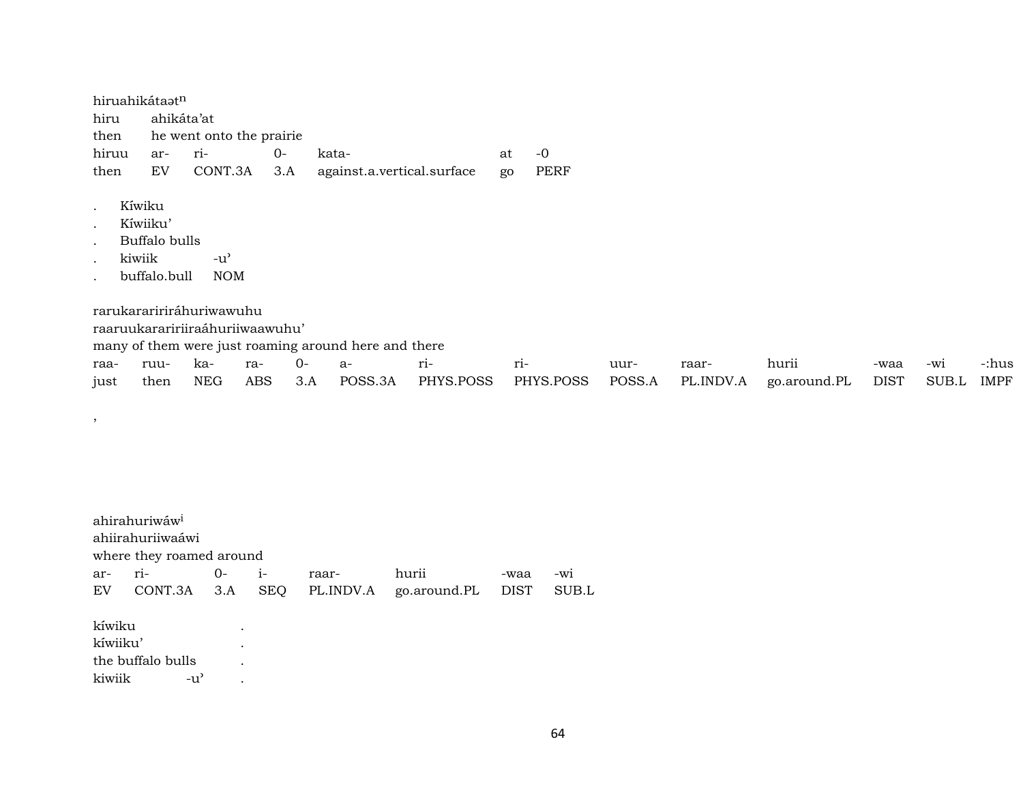hiruahikátaatn hiru ahikáta'at then he went onto the prairie hiruu ar- ri- 0- kata- at -0 then EV CONT.3A 3.A against.a.vertical.surface go PERF

- . Kíwiku
- . Kíwiiku'

,

- . Buffalo bulls
- kiwiik -u'
- . buffalo.bull NOM

rarukaraririráhuriwawuhu

raaruukaraririiraáhuriiwaawuhu'

many of them were just roaming around here and there

|  |  |  | raa- ruu- ka- ra- 0- a-      ri-        ri- |  |                                                                                                 |  |  |
|--|--|--|---------------------------------------------|--|-------------------------------------------------------------------------------------------------|--|--|
|  |  |  |                                             |  | just then NEG ABS 3.A POSS.3A PHYS.POSS PHYS.POSS POSS.A PL.INDV.A go.around.PL DIST SUB.L IMPF |  |  |

ahirahuriwáw<sup>i</sup> ahiirahuriiwaáwi where they roamed around ar- ri- 0- i- raar- hurii -waa -wi EV CONT.3A 3.A SEQ PL.INDV.A go.around.PL DIST SUB.L kíwiku . kíwiiku' . the buffalo bulls . kiwiik -u' .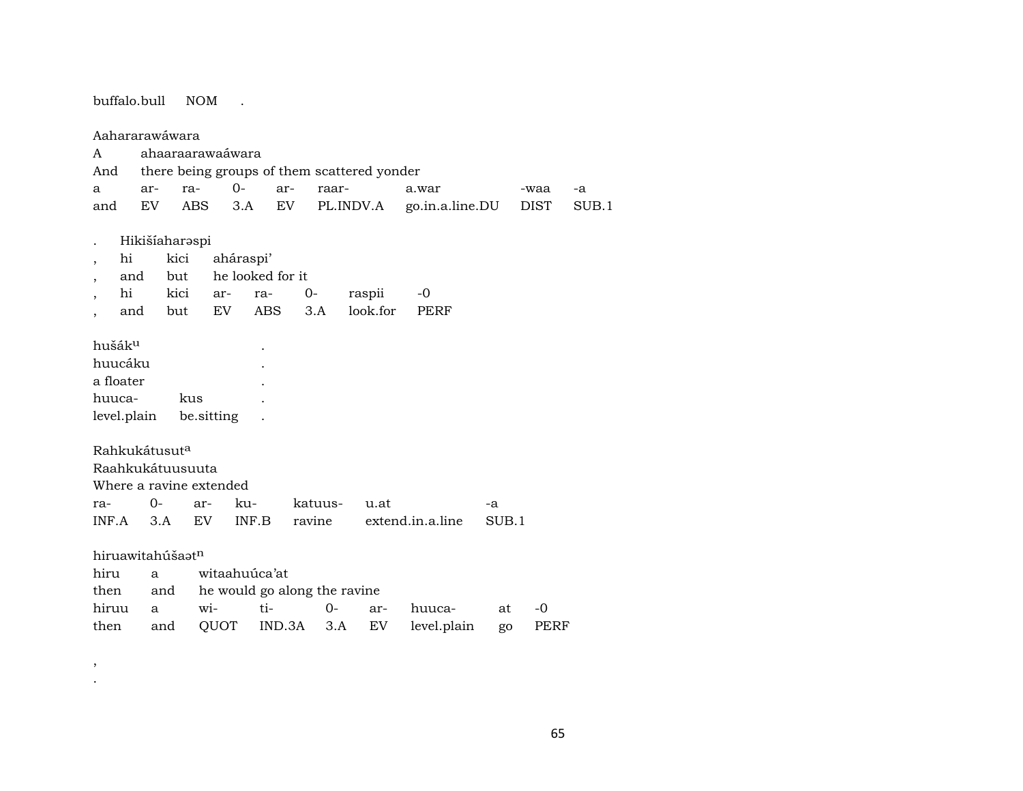buffalo.bull NOM  $\mathbb{R}$ Aahararawáwara ahaaraarawaáwara  $\mathbf{A}$ there being groups of them scattered yonder And  $\mathbf{a}$ arra- $0$ arraara.war  $-a$ -waa  $3.A$ go.in.a.line.DU **EV ABS** EV PL.INDV.A **DIST**  $SUB.1$ and Hikišíaharaspi  $\cdot$ aháraspi' hi kici  $\ddot{\phantom{a}}$ and but he looked for it  $\overline{\phantom{a}}$ kici  $O$ raspii  $-0$ hi arra- $3.A$ look.for **PERF** and but EV **ABS** hušák $^{\rm u}$ huucáku a floater huucakus level.plain be.sitting  $\ddot{\phantom{a}}$ Rahkukátusut<sup>a</sup> Raahkukátuusuuta Where a ravine extended  $O$ raarkukatuusu.at  $-a$  $INF.A$  $3.A$ EV INF.B ravine extend.in.a.line SUB.1 hiruawitahúšaatn hiru witaahuúca'at a then he would go along the ravine and tihiruu wi- $0$ arhuuca- $-0$ a at QUOT IND.3A  $3.A$ level.plain then EV PERF and go

 $\cdot$ 

 $\, ,$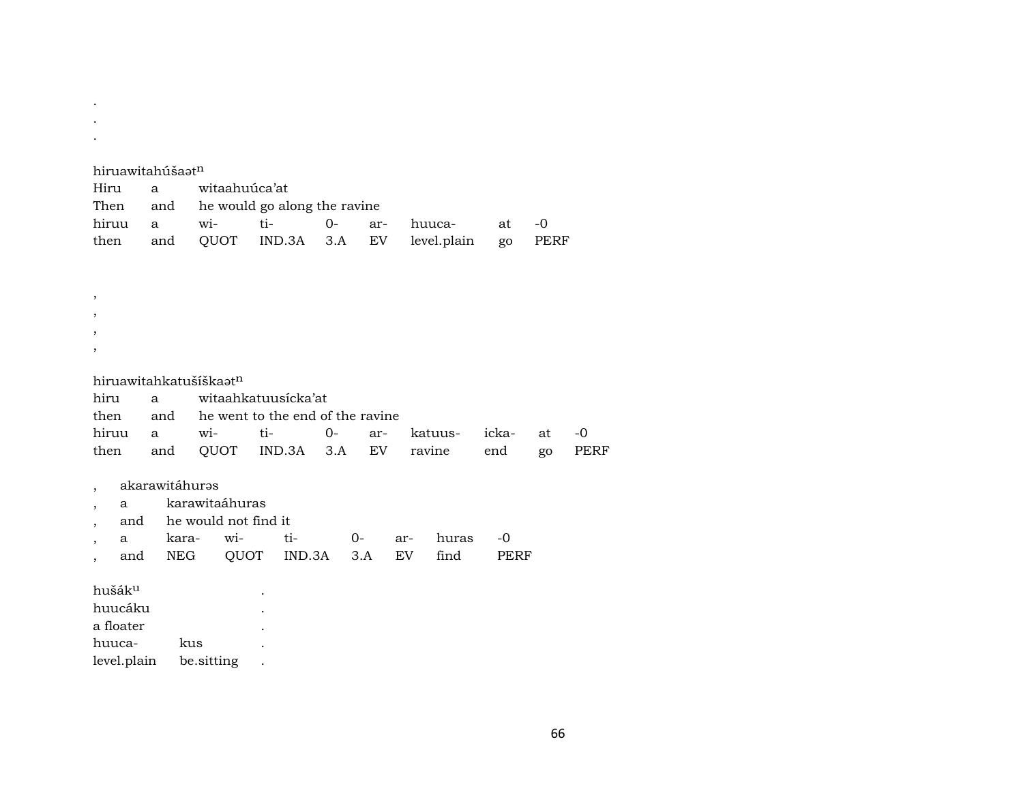. . . hiruawitahúšaat<sup>n</sup> Hiru a witaahuúca'at Then and he would go along the ravine hiruu a wi- ti- 0- ar- huuca- at -0 then and QUOT IND.3A 3.A EV level.plain go PERF , , , ,

hiruawitahkatušíškaatn hiru a witaahkatuusícka'at then and he went to the end of the ravine hiruu a wi- ti- 0- ar- katuus- icka- at -0 then and QUOT IND.3A 3.A EV ravine end go PERF

akarawitáhuras

, a karawitaáhuras

, and he would not find it

, a kara- wi- ti- 0- ar- huras -0 , and NEG QUOT IND.3A 3.A EV find PERF

hušákµ . huucáku . a floater . huuca- kus . level.plain be.sitting .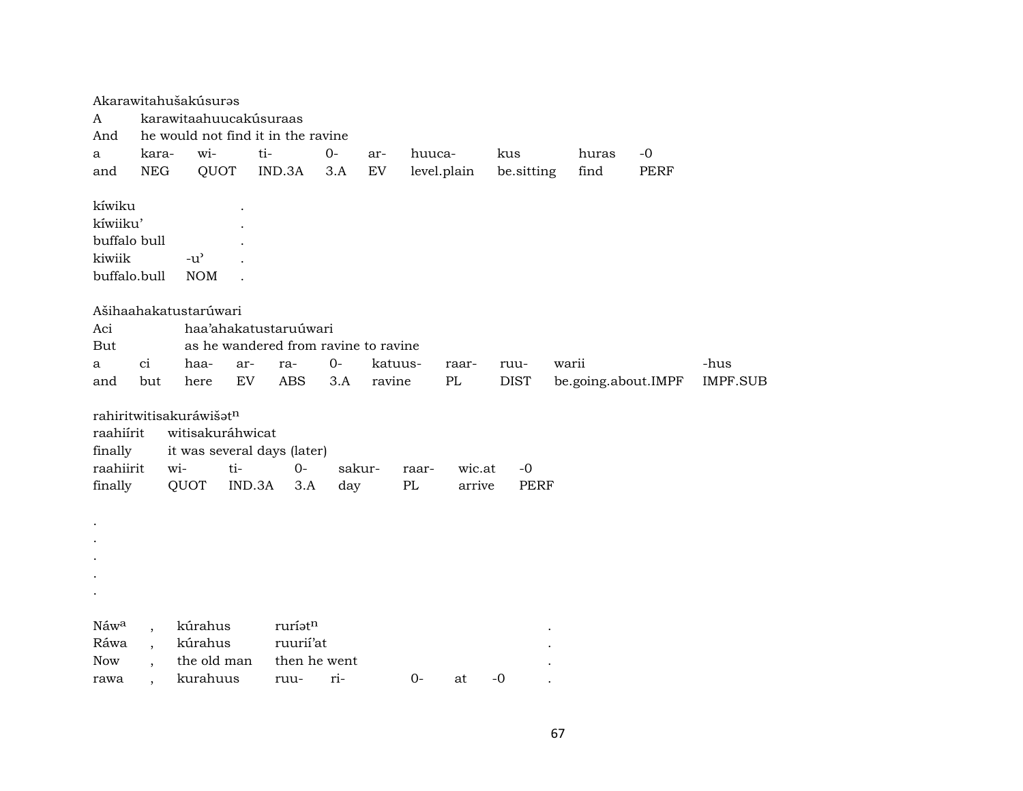|                      |                          | Akarawitahušakúsuras                        |        |                                      |        |            |             |                  |             |                     |             |                 |
|----------------------|--------------------------|---------------------------------------------|--------|--------------------------------------|--------|------------|-------------|------------------|-------------|---------------------|-------------|-----------------|
| A                    |                          | karawitaahuucakúsuraas                      |        |                                      |        |            |             |                  |             |                     |             |                 |
| And                  |                          | he would not find it in the ravine          |        |                                      |        |            |             |                  |             |                     |             |                 |
| a                    | kara-                    | wi-                                         | ti-    |                                      | $0-$   | ar-        | huuca-      |                  | kus         | huras               | $-0$        |                 |
| and                  | <b>NEG</b>               | QUOT                                        |        | IND.3A                               | 3.A    | ${\rm EV}$ |             | level.plain      | be.sitting  | find                | <b>PERF</b> |                 |
| kíwiku               |                          |                                             |        |                                      |        |            |             |                  |             |                     |             |                 |
| kíwiiku'             |                          |                                             |        |                                      |        |            |             |                  |             |                     |             |                 |
| buffalo bull         |                          |                                             |        |                                      |        |            |             |                  |             |                     |             |                 |
| kiwiik               |                          | $-u$ <sup><math>\prime</math></sup>         |        |                                      |        |            |             |                  |             |                     |             |                 |
| buffalo.bull         |                          | <b>NOM</b>                                  |        |                                      |        |            |             |                  |             |                     |             |                 |
|                      |                          |                                             |        |                                      |        |            |             |                  |             |                     |             |                 |
|                      |                          | Ašihaahakatustarúwari                       |        |                                      |        |            |             |                  |             |                     |             |                 |
| Aci                  |                          |                                             |        | haa'ahakatustaruúwari                |        |            |             |                  |             |                     |             |                 |
| But                  |                          |                                             |        | as he wandered from ravine to ravine |        |            |             |                  |             |                     |             |                 |
| a                    | ci                       | haa-                                        | ar-    | ra-                                  | $0-$   | katuus-    |             | raar-            | ruu-        | warii               |             | -hus            |
| and                  | but                      | here                                        | EV     | <b>ABS</b>                           | 3.A    | ravine     |             | PL               | <b>DIST</b> | be.going.about.IMPF |             | <b>IMPF.SUB</b> |
|                      |                          |                                             |        |                                      |        |            |             |                  |             |                     |             |                 |
| raahiírit            |                          | rahiritwitisakuráwišatn<br>witisakuráhwicat |        |                                      |        |            |             |                  |             |                     |             |                 |
|                      |                          |                                             |        |                                      |        |            |             |                  |             |                     |             |                 |
| finally<br>raahiirit |                          | it was several days (later)                 | ti-    | $0-$                                 | sakur- |            |             |                  | $-0$        |                     |             |                 |
|                      |                          | wi-<br>QUOT                                 |        |                                      |        |            | raar-<br>PL | wic.at<br>arrive | <b>PERF</b> |                     |             |                 |
| finally              |                          |                                             | IND.3A | 3.A                                  | day    |            |             |                  |             |                     |             |                 |
|                      |                          |                                             |        |                                      |        |            |             |                  |             |                     |             |                 |
|                      |                          |                                             |        |                                      |        |            |             |                  |             |                     |             |                 |
|                      |                          |                                             |        |                                      |        |            |             |                  |             |                     |             |                 |
|                      |                          |                                             |        |                                      |        |            |             |                  |             |                     |             |                 |
|                      |                          |                                             |        |                                      |        |            |             |                  |             |                     |             |                 |
|                      |                          |                                             |        |                                      |        |            |             |                  |             |                     |             |                 |
| Náwa                 | $\overline{\phantom{a}}$ | kúrahus                                     |        | ruríatn                              |        |            |             |                  |             |                     |             |                 |
| Ráwa                 | $\overline{\phantom{a}}$ | kúrahus                                     |        | ruurii'at                            |        |            |             |                  |             |                     |             |                 |
| <b>Now</b>           | $\ddot{\phantom{a}}$     | the old man                                 |        | then he went                         |        |            |             |                  |             |                     |             |                 |
| rawa                 |                          | kurahuus                                    |        | ruu-                                 | ri-    |            | $0-$        | at               | $-0$        |                     |             |                 |
|                      |                          |                                             |        |                                      |        |            |             |                  |             |                     |             |                 |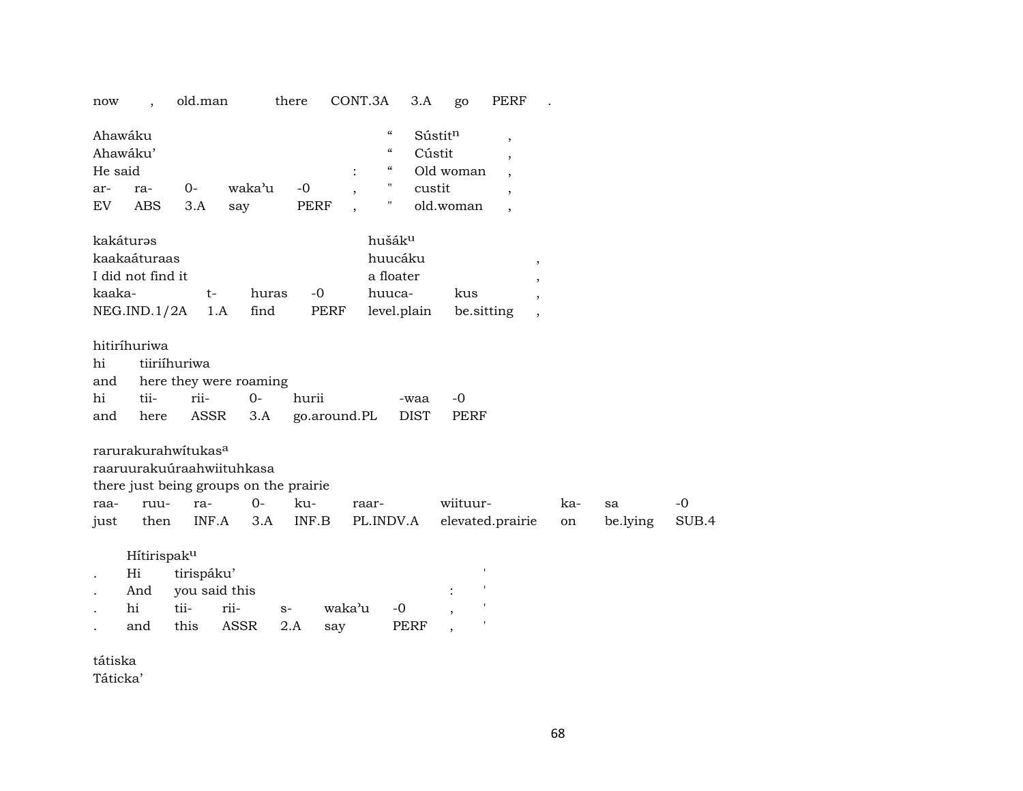| now                                         |                                                   | old.man                                         |                                                                                  | there                 | CONT.3A                                                                                   | 3.A                         | go                     | <b>PERF</b>                                                     |           |                |             |
|---------------------------------------------|---------------------------------------------------|-------------------------------------------------|----------------------------------------------------------------------------------|-----------------------|-------------------------------------------------------------------------------------------|-----------------------------|------------------------|-----------------------------------------------------------------|-----------|----------------|-------------|
| Ahawáku<br>Ahawáku'<br>He said<br>ar-<br>EV | ra-<br><b>ABS</b>                                 | $O -$<br>3.A                                    | waka'u<br>say                                                                    | $-0$<br><b>PERF</b>   | $\boldsymbol{\mathcal{C}}$<br>$\boldsymbol{\mathcal{C}}$<br>$\epsilon\epsilon$<br>Ħ<br>11 | Sústitn<br>Cústit<br>custit | Old woman<br>old.woman | $\overline{\phantom{a}}$<br>$\cdot$<br>$\overline{\phantom{a}}$ |           |                |             |
| kakáturəs<br>kaaka-                         | kaakaáturaas<br>I did not find it<br>NEG.IND.1/2A | $t-$                                            | huras<br>find<br>1.A                                                             | $-0$<br>PERF          | hušák <sup>u</sup><br>huucáku<br>a floater<br>huuca-                                      | level.plain                 | kus<br>be.sitting      | $^\mathrm{,}$<br>$\cdot$                                        |           |                |             |
| hi<br>and<br>hi<br>and                      | hitiríhuriwa<br>tii-<br>here                      | tiiriíhuriwa<br>rii-<br><b>ASSR</b>             | here they were roaming<br>$O -$<br>3.A                                           | hurii<br>go.around.PL |                                                                                           | -waa<br><b>DIST</b>         | $-0$<br><b>PERF</b>    |                                                                 |           |                |             |
| raa-<br>just                                | ruu-<br>then                                      | rarurakurahwitukas <sup>a</sup><br>ra-<br>INF.A | raaruurakuúraahwiituhkasa<br>there just being groups on the prairie<br>0-<br>3.A | ku-<br>INF.B          | raar-<br>PL.INDV.A                                                                        |                             | wiituur-               | elevated.prairie                                                | ka-<br>on | sa<br>be.lying | -0<br>SUB.4 |
| $\cdots$                                    | Hítirispaku<br>Hi<br>And<br>hi<br>and             | tirispáku'<br>tii-<br>this                      | you said this<br>rii-<br>ASSR                                                    | $S-$<br>2.A<br>say    | waka'u                                                                                    | $-0$<br>PERF                |                        |                                                                 |           |                |             |

tátiska

Táticka'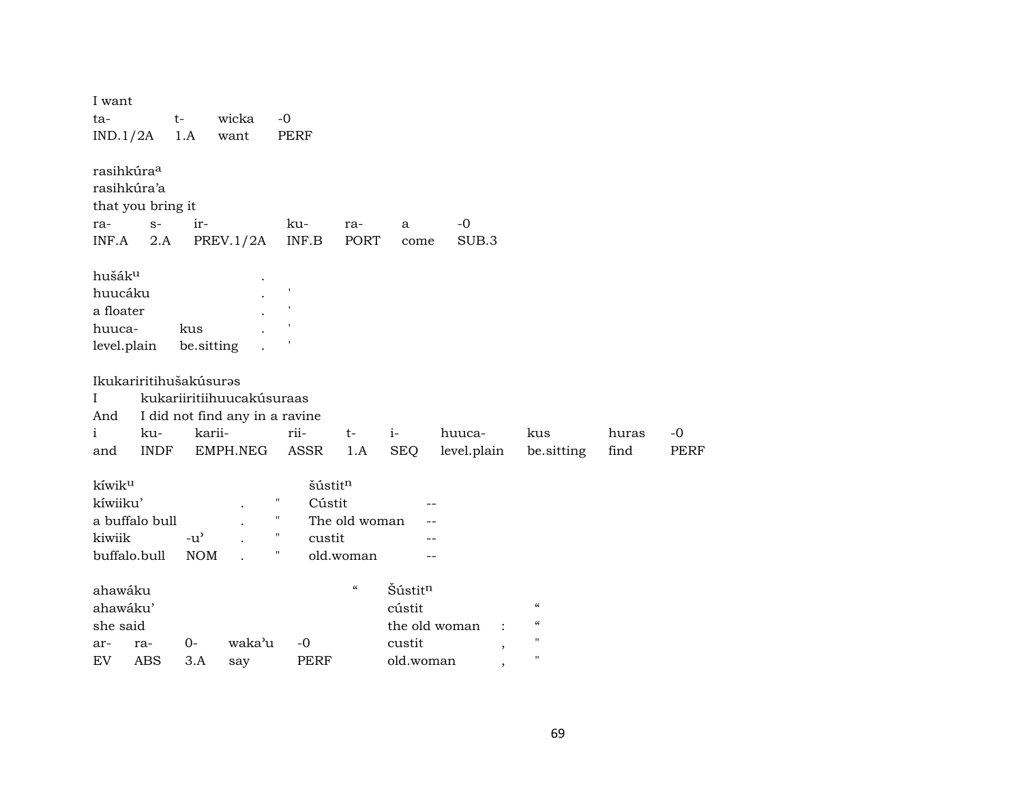| I want<br>ta-<br>IND.1/2A                                                  | $t-$               | 1.A                         | wicka<br>want                                                           | $-0$                              | <b>PERF</b>                 |                                        |                                          |                                                             |                                                                                                      |               |                     |
|----------------------------------------------------------------------------|--------------------|-----------------------------|-------------------------------------------------------------------------|-----------------------------------|-----------------------------|----------------------------------------|------------------------------------------|-------------------------------------------------------------|------------------------------------------------------------------------------------------------------|---------------|---------------------|
| rasihkúra <sup>a</sup><br>rasihkúra'a<br>that you bring it<br>ra-<br>INF.A | $S-$<br>2.A        | ir-                         | PREV.1/2A                                                               |                                   | ku-<br>INF.B                | ra-<br>PORT                            | a<br>come                                | $-0$<br>SUB.3                                               |                                                                                                      |               |                     |
| hušák <sup>u</sup><br>huucáku<br>a floater<br>huuca-<br>level.plain        |                    | kus<br>be.sitting           |                                                                         |                                   |                             |                                        |                                          |                                                             |                                                                                                      |               |                     |
| Ikukariritihušakúsuras<br>$\bf{I}$<br>And<br>$\mathbf{i}$<br>and           | ku-<br><b>INDF</b> | karii-                      | kukariiritiihuucakúsuraas<br>I did not find any in a ravine<br>EMPH.NEG |                                   | rii-<br>ASSR                | $t-$<br>1.A                            | $i-$<br><b>SEQ</b>                       | huuca-<br>level.plain                                       | kus<br>be.sitting                                                                                    | huras<br>find | $-0$<br><b>PERF</b> |
| kíwik <sup>u</sup><br>kíwiiku'<br>a buffalo bull<br>kiwiik<br>buffalo.bull |                    | $-u^{\prime}$<br><b>NOM</b> |                                                                         | н<br>$\pmb{\mathsf{H}}$<br>н<br>Ħ | šústitn<br>Cústit<br>custit | The old woman<br>old.woman             |                                          |                                                             |                                                                                                      |               |                     |
| ahawáku<br>ahawáku'<br>she said<br>ar-<br>ra-<br><b>ABS</b><br>EV          |                    | $0-$<br>3.A                 | waka'u<br>say                                                           |                                   | $-0$<br><b>PERF</b>         | $\boldsymbol{\zeta}\boldsymbol{\zeta}$ | Šústitn<br>cústit<br>custit<br>old.woman | the old woman<br>$\overline{\phantom{a}}$<br>$\overline{ }$ | $\boldsymbol{\mathcal{C}}$<br>$\boldsymbol{\zeta}\boldsymbol{\zeta}$<br>$\mathbf{H}$<br>$\mathbf{H}$ |               |                     |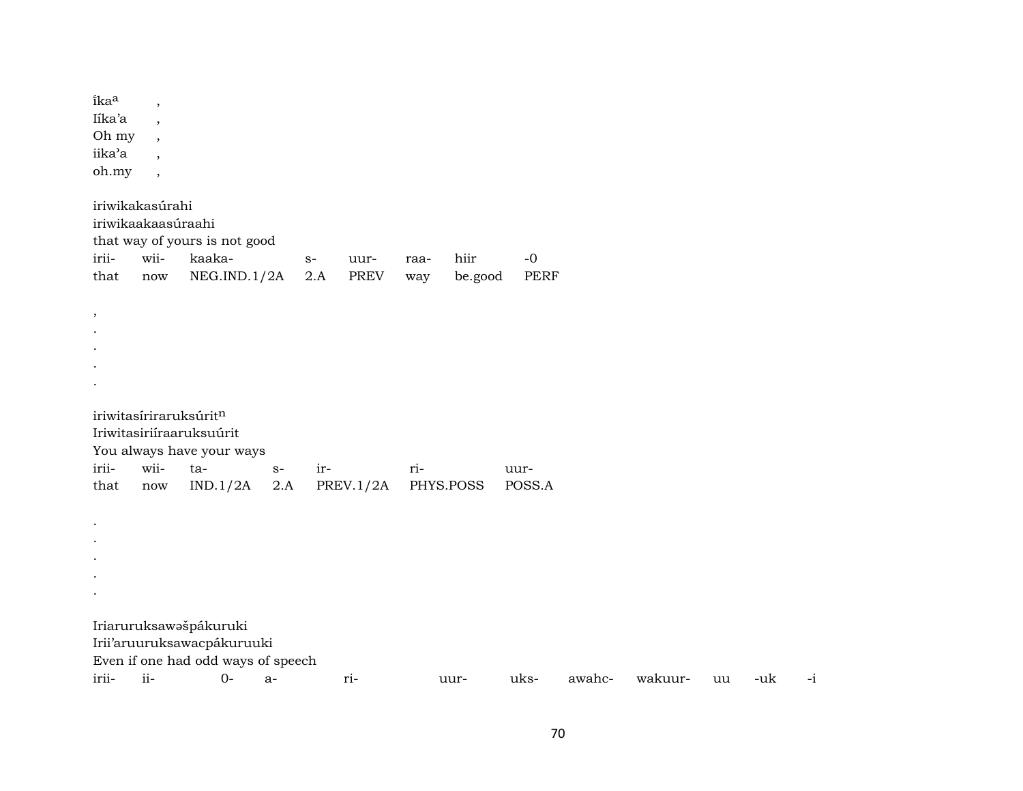îka<sup>a</sup>  $\overline{\phantom{a}}$ Iíka'a  $\overline{\phantom{a}}$ Oh my  $\overline{\phantom{a}}$ iika'a  $\overline{\phantom{a}}$ oh.my  $\ddot{\phantom{0}}$ iriwikakasúrahi iriwikaakaasúraahi that way of yours is not good iriiwiikaakahiir  $-0$  $S$ uurraa-NEG.IND.1/2A  $2.A$ **PERF** that now **PREV** way be.good  $\,$  $\bullet$  $\bullet$  $\cdot$  $\bullet$ iriwitasíriraruksúrit<sup>n</sup> Iriwitasiriíraaruksuúrit You always have your ways iriiwiitairri- $S$ uur- $IND.1/2A$  2.A  $PREV.1/2A$ that PHYS.POSS POSS.A now  $\mathbf{r}$  $\bullet$  $\sim$  $\bullet$ Iriaruruksawašpákuruki Irii'aruuruksawacpákuruuki Even if one had odd ways of speech irii $ii 0$  $a$ riuksawahcwakuur--uk uu uur-

 $-i$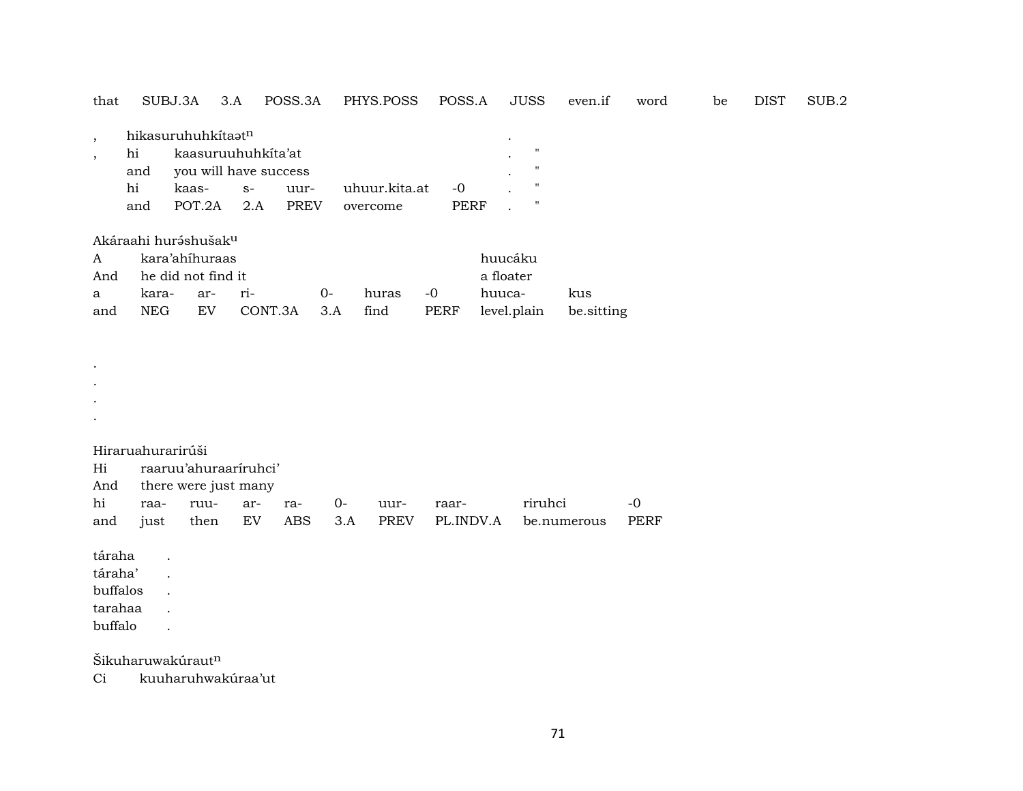| that                   |                                                         | SUBJ.3A                                           | 3.A                                                        | POSS.3A             |             | PHYS.POSS                 | POSS.A             |                                               | <b>JUSS</b>                                                              | even.if           | word                | be | <b>DIST</b> | SUB.2 |
|------------------------|---------------------------------------------------------|---------------------------------------------------|------------------------------------------------------------|---------------------|-------------|---------------------------|--------------------|-----------------------------------------------|--------------------------------------------------------------------------|-------------------|---------------------|----|-------------|-------|
| $\cdot$<br>$\cdot$     | hi<br>and<br>hi<br>and                                  | hikasuruhuhkitaatn<br>kaas-<br>POT.2A             | kaasuruuhuhkita'at<br>you will have success<br>$S-$<br>2.A | uur-<br><b>PREV</b> |             | uhuur.kita.at<br>overcome | $-0$<br>PERF       |                                               | $\pmb{\mathsf{H}}$<br>$\mathbf{H}$<br>$\mathbf{H}$<br>$\pmb{\mathsf{H}}$ |                   |                     |    |             |       |
| A<br>And<br>a<br>and   | Akáraahi huráshušak <sup>u</sup><br>kara-<br><b>NEG</b> | kara'ahíhuraas<br>he did not find it<br>ar-<br>EV | ri-                                                        | CONT.3A             | $0-$<br>3.A | huras<br>find             | $-0$<br>PERF       | huucáku<br>a floater<br>huuca-<br>level.plain |                                                                          | kus<br>be sitting |                     |    |             |       |
|                        |                                                         |                                                   |                                                            |                     |             |                           |                    |                                               |                                                                          |                   |                     |    |             |       |
| Hi<br>And<br>hi<br>and | Hiraruahurarirúši<br>raa-<br>just                       | ruu-<br>then                                      | raaruu'ahuraariruhci'<br>there were just many<br>ar-<br>EV | ra-<br><b>ABS</b>   | 0-<br>3.A   | uur-<br><b>PREV</b>       | raar-<br>PL.INDV.A |                                               | riruhci                                                                  | be.numerous       | $-0$<br><b>PERF</b> |    |             |       |

táraha .

táraha' .

buffalos .

tarahaa .

buffalo .

Šikuharuwakúraut $^n$ 

Ci kuuharuhwakúraa'ut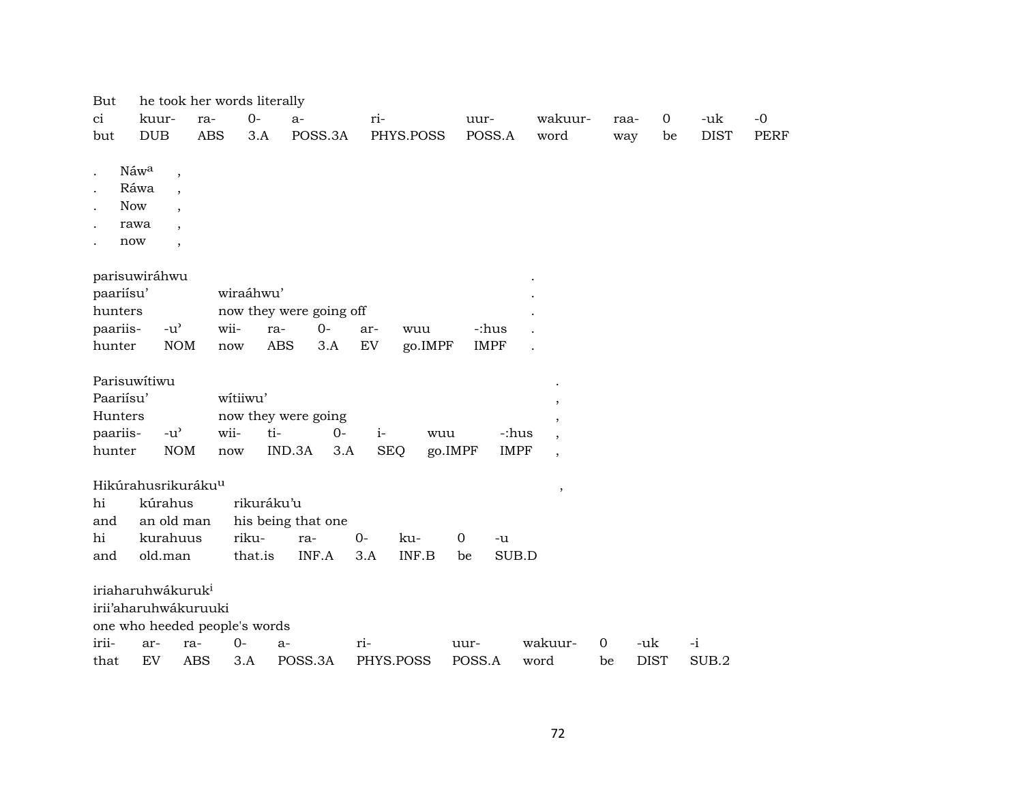| But                                                                                                    | he took her words literally    |                          |                               |                     |              |                |             |             |                          |                |                |             |             |
|--------------------------------------------------------------------------------------------------------|--------------------------------|--------------------------|-------------------------------|---------------------|--------------|----------------|-------------|-------------|--------------------------|----------------|----------------|-------------|-------------|
| ci                                                                                                     | kuur-                          | ra-                      | $0-$                          | $a-$                | ri-          |                | uur-        |             | wakuur-                  | raa-           | $\overline{0}$ | -uk         | $-0$        |
| but                                                                                                    | <b>DUB</b>                     | <b>ABS</b>               | 3.A                           |                     | POSS.3A      | PHYS.POSS      | POSS.A      |             | word                     | way            | be             | <b>DIST</b> | <b>PERF</b> |
|                                                                                                        |                                |                          |                               |                     |              |                |             |             |                          |                |                |             |             |
| $\cdot$                                                                                                | Náwa                           | $\overline{\phantom{a}}$ |                               |                     |              |                |             |             |                          |                |                |             |             |
|                                                                                                        | Ráwa                           | $\cdot$                  |                               |                     |              |                |             |             |                          |                |                |             |             |
|                                                                                                        | <b>Now</b>                     |                          |                               |                     |              |                |             |             |                          |                |                |             |             |
|                                                                                                        | rawa                           |                          |                               |                     |              |                |             |             |                          |                |                |             |             |
|                                                                                                        | now                            | $\cdot$                  |                               |                     |              |                |             |             |                          |                |                |             |             |
|                                                                                                        |                                |                          |                               |                     |              |                |             |             |                          |                |                |             |             |
|                                                                                                        | parisuwiráhwu                  |                          | wiraáhwu'                     |                     |              |                |             |             |                          |                |                |             |             |
| paariisu'                                                                                              |                                |                          |                               |                     |              |                |             |             |                          |                |                |             |             |
| hunters<br>now they were going off<br>wii-<br>paariis-<br>$-u^{\prime}$<br>$0-$<br>ra-<br>-:hus<br>ar- |                                |                          |                               |                     |              |                |             |             |                          |                |                |             |             |
| hunter                                                                                                 |                                | <b>NOM</b>               | now                           | <b>ABS</b>          | 3.A<br>EV    | wuu<br>go.IMPF | <b>IMPF</b> |             |                          |                |                |             |             |
|                                                                                                        |                                |                          |                               |                     |              |                |             |             |                          |                |                |             |             |
|                                                                                                        | Parisuwítiwu                   |                          |                               |                     |              |                |             |             |                          |                |                |             |             |
| Paariisu'                                                                                              |                                |                          | witiiwu'                      |                     |              |                |             |             | ,                        |                |                |             |             |
| Hunters                                                                                                |                                |                          |                               | now they were going |              |                |             |             | ,                        |                |                |             |             |
| paariis-                                                                                               | $-u^{\prime}$                  |                          | wii-                          | ti-                 | $0-$         | $i-$<br>wuu    |             | -:hus       | $\cdot$                  |                |                |             |             |
| hunter                                                                                                 |                                | <b>NOM</b>               | now                           | IND.3A              | 3.A          | <b>SEQ</b>     | go.IMPF     | <b>IMPF</b> | $\overline{\phantom{a}}$ |                |                |             |             |
|                                                                                                        |                                |                          |                               |                     |              |                |             |             |                          |                |                |             |             |
|                                                                                                        | Hikúrahusrikuráku <sup>u</sup> |                          |                               |                     |              |                |             |             | $\, ,$                   |                |                |             |             |
| hi                                                                                                     | kúrahus                        |                          |                               | rikuráku'u          |              |                |             |             |                          |                |                |             |             |
| and                                                                                                    | an old man                     |                          |                               | his being that one  |              |                |             |             |                          |                |                |             |             |
| hi                                                                                                     | kurahuus                       |                          | riku-                         | ra-                 | $0-$         | ku-            | 0           | -u          |                          |                |                |             |             |
| and                                                                                                    | old.man                        |                          | that.is                       |                     | INF.A<br>3.A | INF.B          | be          | SUB.D       |                          |                |                |             |             |
|                                                                                                        |                                |                          |                               |                     |              |                |             |             |                          |                |                |             |             |
|                                                                                                        | iriaharuhwákuruk <sup>i</sup>  |                          |                               |                     |              |                |             |             |                          |                |                |             |             |
|                                                                                                        | irii'aharuhwákuruuki           |                          |                               |                     |              |                |             |             |                          |                |                |             |             |
|                                                                                                        |                                |                          | one who heeded people's words |                     |              |                |             |             |                          |                |                |             |             |
| irii-                                                                                                  | ar-                            | ra-                      | $0-$                          | a-                  | $ri-$        |                | uur-        |             | wakuur-                  | $\overline{0}$ | -uk            | -i          |             |
| that                                                                                                   | EV                             | <b>ABS</b>               | 3.A                           | POSS.3A             |              | PHYS.POSS      | POSS.A      |             | word                     | be             | <b>DIST</b>    | SUB.2       |             |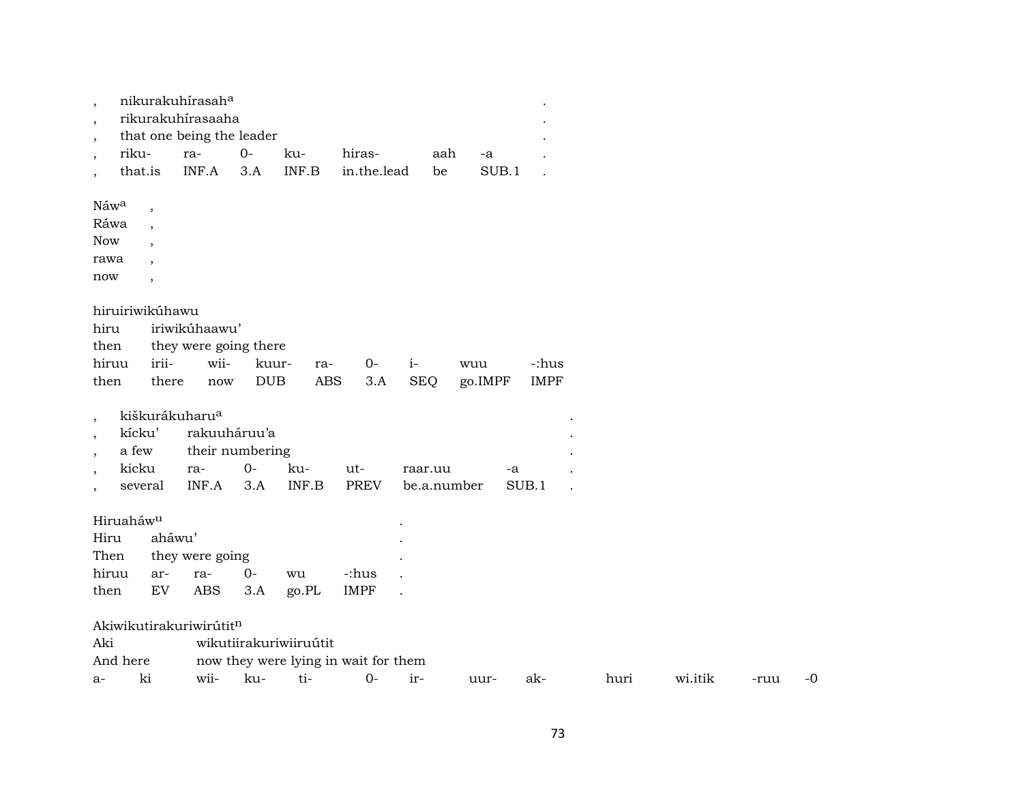|         |                       |                          | nikurakuhírasaha           |            |                        |                                      |            |             |       |             |      |         |      |    |
|---------|-----------------------|--------------------------|----------------------------|------------|------------------------|--------------------------------------|------------|-------------|-------|-------------|------|---------|------|----|
| $\cdot$ |                       |                          | rikurakuhírasaaha          |            |                        |                                      |            |             |       |             |      |         |      |    |
| $\cdot$ |                       |                          | that one being the leader  |            |                        |                                      |            |             |       |             |      |         |      |    |
| $\cdot$ | riku-                 |                          | ra-                        | $0-$       | ku-                    | hiras-                               |            | aah         | -a    |             |      |         |      |    |
|         |                       | that.is                  | INF.A                      | 3.A        | INF.B                  | in.the.lead                          |            | be          | SUB.1 |             |      |         |      |    |
|         | Náwa                  | $\overline{\phantom{a}}$ |                            |            |                        |                                      |            |             |       |             |      |         |      |    |
|         | Ráwa                  | $\cdot$                  |                            |            |                        |                                      |            |             |       |             |      |         |      |    |
|         | <b>Now</b>            | $\ddot{\phantom{1}}$     |                            |            |                        |                                      |            |             |       |             |      |         |      |    |
|         | rawa                  |                          |                            |            |                        |                                      |            |             |       |             |      |         |      |    |
|         | now                   | $\overline{\phantom{a}}$ |                            |            |                        |                                      |            |             |       |             |      |         |      |    |
|         |                       | hiruiriwikúhawu          |                            |            |                        |                                      |            |             |       |             |      |         |      |    |
|         | hiru                  |                          | iriwikúhaawu'              |            |                        |                                      |            |             |       |             |      |         |      |    |
|         | then                  |                          | they were going there      |            |                        |                                      |            |             |       |             |      |         |      |    |
|         | hiruu                 | irii-                    | wii-                       | kuur-      | ra-                    | $0-$                                 | $i-$       | wuu         |       | -:hus       |      |         |      |    |
|         | then                  | there                    | now                        | <b>DUB</b> | <b>ABS</b>             | 3.A                                  | <b>SEQ</b> | go.IMPF     |       | <b>IMPF</b> |      |         |      |    |
|         |                       |                          |                            |            |                        |                                      |            |             |       |             |      |         |      |    |
| $\cdot$ |                       |                          | kiškurákuharu <sup>a</sup> |            |                        |                                      |            |             |       |             |      |         |      |    |
|         | kícku'                |                          | rakuuháruu'a               |            |                        |                                      |            |             |       |             |      |         |      |    |
|         | a few                 |                          | their numbering            | $0-$       |                        |                                      |            |             |       |             |      |         |      |    |
|         | kicku                 |                          | ra-<br>INF.A               |            | ku-<br>INF.B           | ut-<br><b>PREV</b>                   | raar.uu    |             | -a    | SUB.1       |      |         |      |    |
| $\cdot$ |                       | several                  |                            | 3.A        |                        |                                      |            | be.a.number |       |             |      |         |      |    |
|         | Hiruaháw <sup>u</sup> |                          |                            |            |                        |                                      |            |             |       |             |      |         |      |    |
|         | Hiru                  | aháwu'                   |                            |            |                        |                                      |            |             |       |             |      |         |      |    |
|         | Then                  |                          | they were going            |            |                        |                                      |            |             |       |             |      |         |      |    |
|         | hiruu                 | ar-                      | ra-                        | $0-$       | wu                     | -:hus                                |            |             |       |             |      |         |      |    |
|         | then                  | EV                       | <b>ABS</b>                 | 3.A        | go.PL                  | <b>IMPF</b>                          |            |             |       |             |      |         |      |    |
|         |                       |                          | Akiwikutirakuriwirútitn    |            |                        |                                      |            |             |       |             |      |         |      |    |
|         | Aki                   |                          |                            |            | wikutiirakuriwiiruútit |                                      |            |             |       |             |      |         |      |    |
|         | And here              |                          |                            |            |                        | now they were lying in wait for them |            |             |       |             |      |         |      |    |
| a-      |                       | ki                       | wii-                       | ku-        | ti-                    | $0-$                                 | ir-        | uur-        |       | ak-         | huri | wi.itik | -ruu | -0 |
|         |                       |                          |                            |            |                        |                                      |            |             |       |             |      |         |      |    |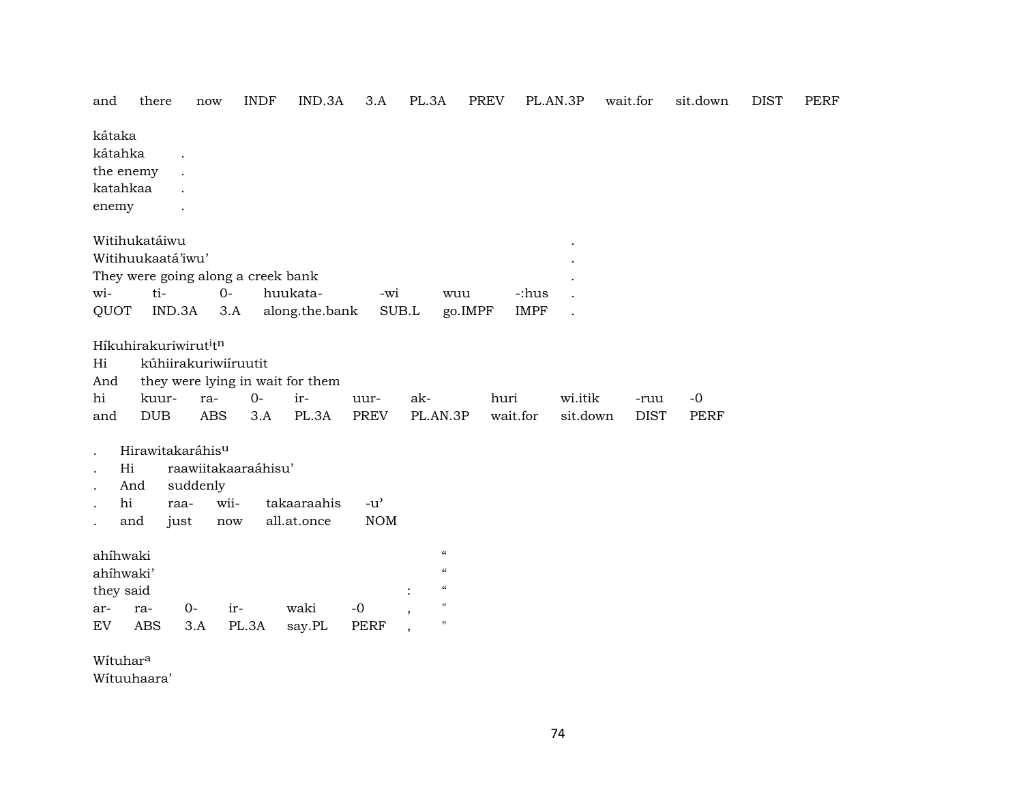| and                                                     | there                                                                                     | now                                       | <b>INDF</b>         | IND.3A                                           | 3.A                                               | PL.3A                                                                                                                 | <b>PREV</b> |                      | PL.AN.3P             | wait.for            | sit.down     | <b>DIST</b> | PERF |
|---------------------------------------------------------|-------------------------------------------------------------------------------------------|-------------------------------------------|---------------------|--------------------------------------------------|---------------------------------------------------|-----------------------------------------------------------------------------------------------------------------------|-------------|----------------------|----------------------|---------------------|--------------|-------------|------|
| kátaka<br>kátahka<br>the enemy<br>katahkaa<br>enemy     |                                                                                           |                                           |                     |                                                  |                                                   |                                                                                                                       |             |                      |                      |                     |              |             |      |
| wi-<br>QUOT                                             | Witihukatáiwu<br>Witihuukaatá'iwu'<br>They were going along a creek bank<br>ti-<br>IND.3A | $0 -$<br>3.A                              |                     | huukata-<br>along.the.bank                       | -wi<br>SUB.L                                      | wuu                                                                                                                   | go.IMPF     | -:hus<br><b>IMPF</b> | $\ddot{\phantom{0}}$ |                     |              |             |      |
| Hi<br>And<br>hi<br>and                                  | Híkuhirakuriwirut <sup>i</sup> tn<br>kuur-<br>$_{\rm DUB}$                                | kúhiirakuriwiíruutit<br>ra-<br><b>ABS</b> | $0-$<br>3.A         | they were lying in wait for them<br>ir-<br>PL.3A | uur-<br>PREV                                      | ak-<br>PL.AN.3P                                                                                                       | huri        | wait.for             | wi.itik<br>sit.down  | -ruu<br><b>DIST</b> | $-0$<br>PERF |             |      |
| Hi<br>hi                                                | Hirawitakaráhis <sup>u</sup><br>And<br>raa-<br>and<br>just                                | suddenly<br>wii-<br>$\operatorname{now}$  | raawiitakaaraáhisu' | takaaraahis<br>all.at.once                       | $-u$ <sup><math>\prime</math></sup><br><b>NOM</b> |                                                                                                                       |             |                      |                      |                     |              |             |      |
| ahíhwaki<br>ahíhwaki'<br>they said<br>ar-<br>${\rm EV}$ | ra-<br><b>ABS</b>                                                                         | $0-$<br>3.A                               | ir-<br>PL.3A        | waki<br>say.PL                                   | $-0$<br><b>PERF</b>                               | $\boldsymbol{\mathcal{C}}$<br>$\boldsymbol{\mathcal{U}}$<br>$\boldsymbol{\mathcal{C}}$<br>$\mathbf H$<br>$\mathbf{H}$ |             |                      |                      |                     |              |             |      |
| Wituhara                                                |                                                                                           |                                           |                     |                                                  |                                                   |                                                                                                                       |             |                      |                      |                     |              |             |      |

Wítuuhaara'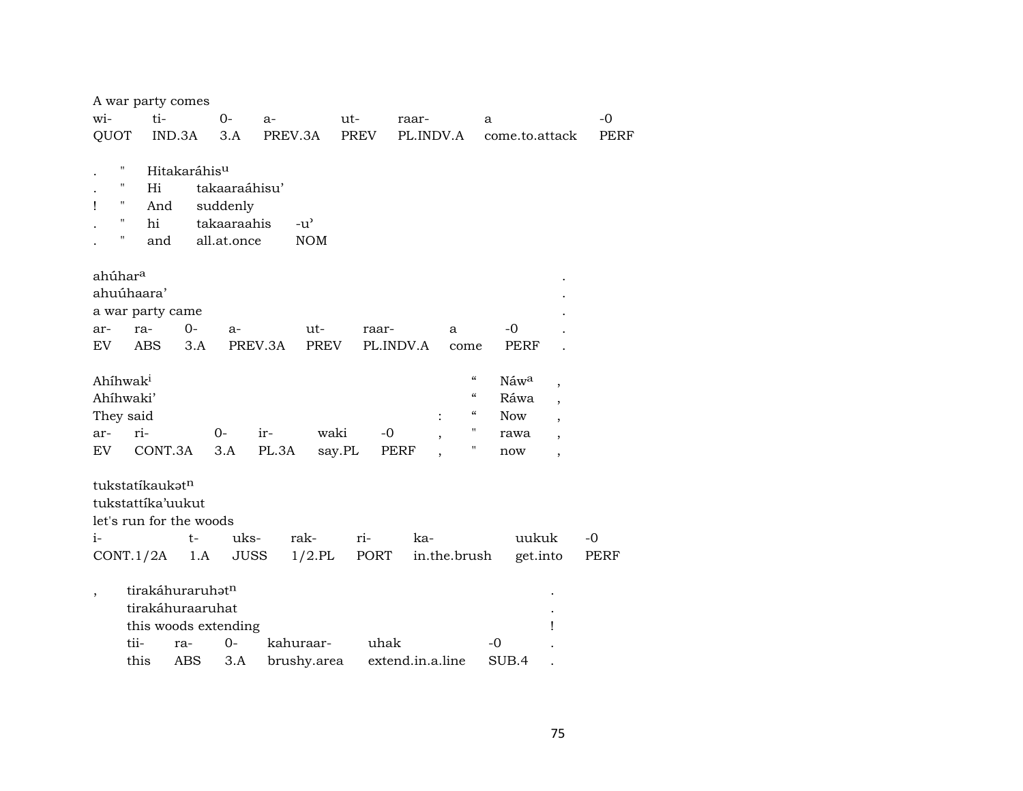|                          | A war party comes        |               |               |              |                   |                                                            |                          |      |
|--------------------------|--------------------------|---------------|---------------|--------------|-------------------|------------------------------------------------------------|--------------------------|------|
| wi-                      | ti-                      | $0-$          | $a-$          | ut-          | raar-             | a                                                          |                          | $-0$ |
| QUOT                     | IND.3A                   | 3.A           | PREV.3A       | <b>PREV</b>  | PL.INDV.A         | come.to.attack                                             |                          | PERF |
|                          |                          |               |               |              |                   |                                                            |                          |      |
| п                        | Hitakaráhis <sup>u</sup> |               |               |              |                   |                                                            |                          |      |
| н                        | Hi                       | takaaraáhisu' |               |              |                   |                                                            |                          |      |
| Ħ<br>Ţ                   | And                      | suddenly      |               |              |                   |                                                            |                          |      |
| 11                       | hi                       | takaaraahis   | $-u^{\prime}$ |              |                   |                                                            |                          |      |
| $\mathbf{u}$             | and                      | all.at.once   | <b>NOM</b>    |              |                   |                                                            |                          |      |
|                          |                          |               |               |              |                   |                                                            |                          |      |
| ahúhar <sup>a</sup>      |                          |               |               |              |                   |                                                            |                          |      |
| ahuúhaara'               |                          |               |               |              |                   |                                                            |                          |      |
|                          | a war party came         |               |               |              |                   |                                                            |                          |      |
| ra-<br>ar-               | $O -$                    | a-            | ut-           | raar-        | a                 | $-0$                                                       |                          |      |
| EV.                      | <b>ABS</b><br>3.A        |               | PREV.3A       | PREV         | PL.INDV.A<br>come | PERF                                                       |                          |      |
|                          |                          |               |               |              |                   | $\boldsymbol{\zeta}\boldsymbol{\zeta}$                     |                          |      |
| Ahíhwak <sup>i</sup>     |                          |               |               |              |                   | Náw <sup>a</sup><br>$\boldsymbol{\zeta}\boldsymbol{\zeta}$ | $\overline{\phantom{a}}$ |      |
| Ahíhwaki'                |                          |               |               |              |                   | Ráwa<br>$\boldsymbol{\zeta}\boldsymbol{\zeta}$             | $\cdot$                  |      |
| They said                |                          |               |               |              | $\ddot{\cdot}$    | <b>Now</b><br>"                                            |                          |      |
| ri-<br>ar-               |                          | $0-$          | ir-           | waki<br>$-0$ |                   | rawa<br>Π                                                  | $\overline{\phantom{a}}$ |      |
| EV.                      | CONT.3A                  | 3.A           | PL.3A         | say.PL       | PERF              | now                                                        | $\overline{\phantom{a}}$ |      |
|                          |                          |               |               |              |                   |                                                            |                          |      |
| tukstatíkaukatn          | tukstattíka'uukut        |               |               |              |                   |                                                            |                          |      |
|                          |                          |               |               |              |                   |                                                            |                          |      |
|                          | let's run for the woods  |               |               |              |                   |                                                            |                          |      |
| $i-$                     | $t-$                     | uks-          | rak-          | $ri-$        | ka-               | uukuk                                                      |                          | $-0$ |
| CONT.1/2A                | 1.A                      | <b>JUSS</b>   | $1/2$ .PL     | PORT         | in.the.brush      | get.into                                                   |                          | PERF |
|                          | tirakáhuraruhatn         |               |               |              |                   |                                                            |                          |      |
| $\overline{\phantom{a}}$ | tirakáhuraaruhat         |               |               |              |                   |                                                            |                          |      |
|                          | this woods extending     |               |               |              |                   |                                                            | ı                        |      |
| tii-                     | ra-                      | $0 -$         | kahuraar-     | uhak         |                   | $-0$                                                       |                          |      |
| this                     | ABS                      | 3.A           | brushy.area   |              | extend.in.a.line  | SUB.4                                                      |                          |      |
|                          |                          |               |               |              |                   |                                                            |                          |      |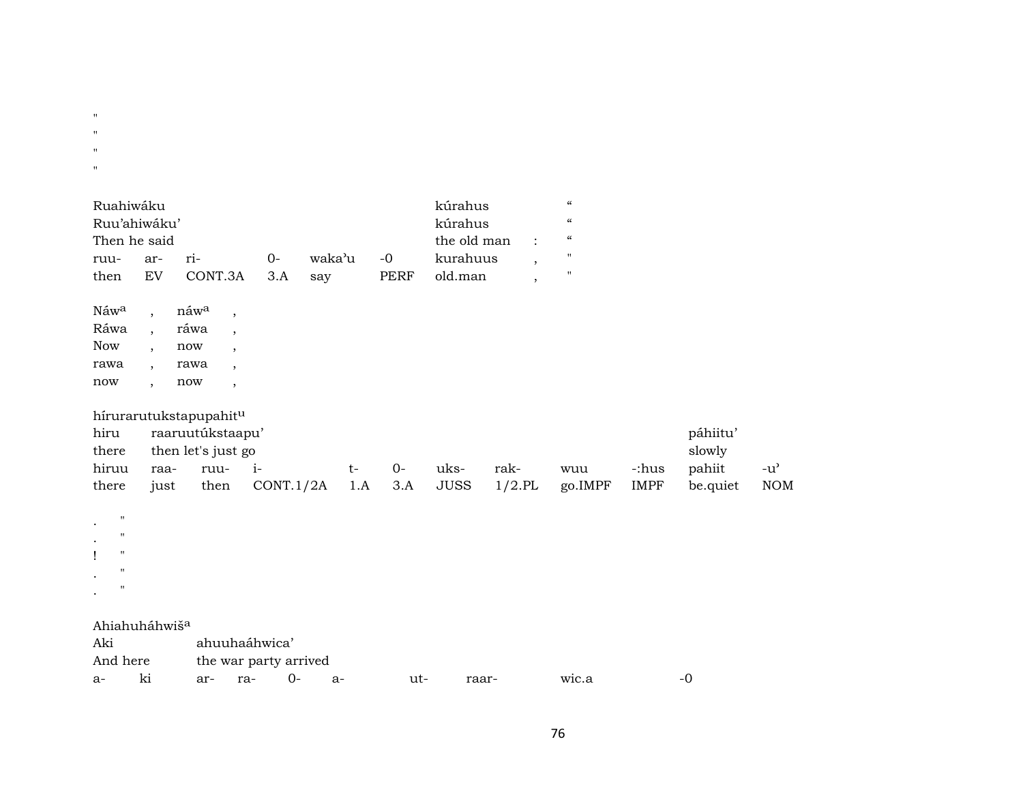" " " " Ruahiwáku kúrahus "kúrahus " Ruu'ahiwáku' kúrahus " Then he said the old man : " ruu- ar- ri- 0- waka"u -0 kurahuus , " then EV CONT.3A 3.A say PERF old.man , " Náw<sup>a</sup> , náw<sup>a</sup> , Ráwa , ráwa , Now , now , rawa , rawa , now , now , hírurarutukstapupahit<sup>u</sup> hiru raaruutúkstaapu' páhiitu' there then let's just go slowly hiruu raa- ruu- i- t- 0- uks- rak- wuu -:hus pahiit -u' there just then CONT.1/2A 1.A 3.A JUSS 1/2.PL go.IMPF IMPF be.quiet NOM . " . " ! " . " . " Ahiahuháhwiš<sup>a</sup> Aki ahuuhaáhwica' And here the war party arrived

a- ki ar- ra- 0- a- ut- raar- wic.a -0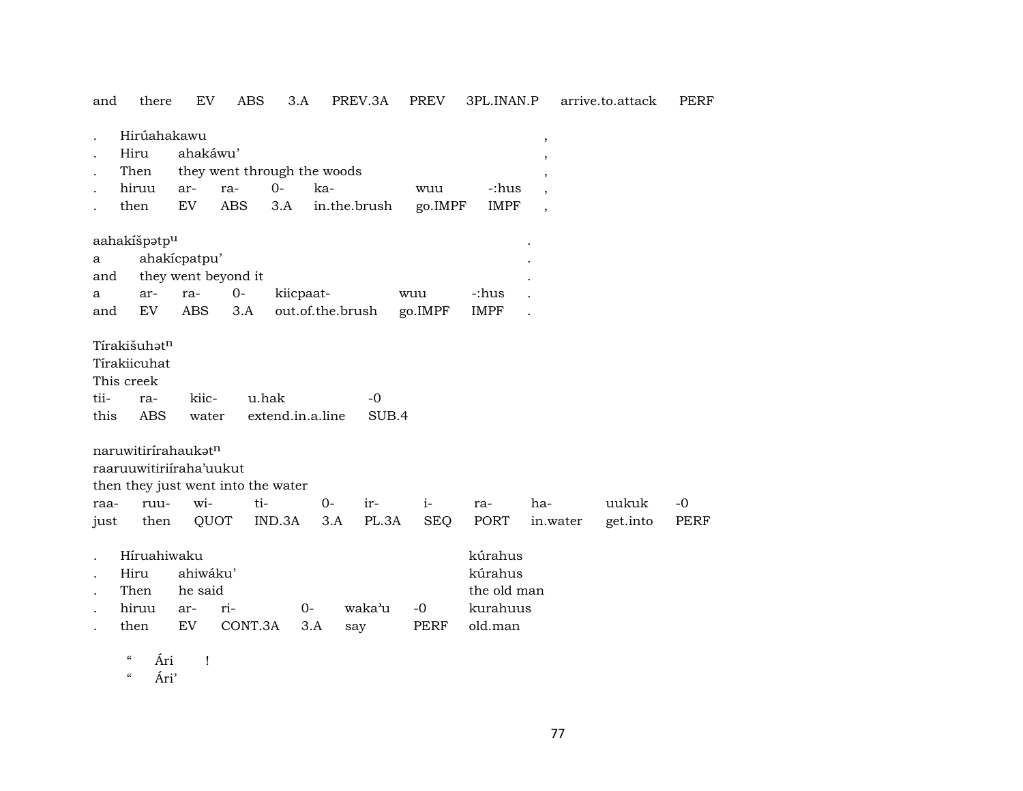| and          | there                              | <b>EV</b>                  | ABS                         | 3.A                       |                  | PREV.3A       | PREV        | 3PL.INAN.P  |                          | arrive.to.attack | PERF        |
|--------------|------------------------------------|----------------------------|-----------------------------|---------------------------|------------------|---------------|-------------|-------------|--------------------------|------------------|-------------|
|              | Hirúahakawu                        |                            |                             |                           |                  |               |             |             | $\, ,$                   |                  |             |
|              | Hiru                               | ahakáwu'                   |                             |                           |                  |               |             |             | $\overline{\phantom{a}}$ |                  |             |
|              | Then                               |                            | they went through the woods |                           |                  |               |             |             |                          |                  |             |
|              | hiruu                              | ar-                        | ra-                         | $0 -$                     | ka-              |               | wuu         | -:hus       |                          |                  |             |
|              | then                               | $\mathop{\rm EV}\nolimits$ | <b>ABS</b>                  | 3.A                       |                  | in.the.brush  | go.IMPF     | <b>IMPF</b> | $\overline{\phantom{a}}$ |                  |             |
|              | aahakíšpatp <sup>u</sup>           |                            |                             |                           |                  |               |             |             |                          |                  |             |
| a            |                                    | ahakícpatpu'               |                             |                           |                  |               |             |             |                          |                  |             |
| and          |                                    |                            | they went beyond it         |                           |                  |               |             |             |                          |                  |             |
| a            | ar-                                | ra-                        | $0-$                        | kiicpaat-                 |                  |               | wuu         | -:hus       |                          |                  |             |
| and          | EV                                 | <b>ABS</b>                 | 3.A                         |                           | out.of.the.brush |               | go.IMPF     | <b>IMPF</b> |                          |                  |             |
|              |                                    |                            |                             |                           |                  |               |             |             |                          |                  |             |
|              | Tírakišuhət <sup>n</sup>           |                            |                             |                           |                  |               |             |             |                          |                  |             |
|              | Tírakiicuhat                       |                            |                             |                           |                  |               |             |             |                          |                  |             |
|              | This creek                         |                            |                             |                           |                  |               |             |             |                          |                  |             |
| tii-<br>this | ra-<br><b>ABS</b>                  | kiic-<br>water             |                             | u.hak<br>extend.in.a.line |                  | $-0$<br>SUB.4 |             |             |                          |                  |             |
|              |                                    |                            |                             |                           |                  |               |             |             |                          |                  |             |
|              | naruwitirirahaukatn                |                            |                             |                           |                  |               |             |             |                          |                  |             |
|              | raaruuwitiriiraha'uukut            |                            |                             |                           |                  |               |             |             |                          |                  |             |
|              | then they just went into the water |                            |                             |                           |                  |               |             |             |                          |                  |             |
| raa-         | ruu-                               | wi-                        | ti-                         |                           | $0-$             | ir-           | $i-$        | ra-         | ha-                      | uukuk            | $-0$        |
| just         | then                               | QUOT                       |                             | IND.3A                    | 3.A              | PL.3A         | <b>SEQ</b>  | PORT        | in.water                 | get.into         | <b>PERF</b> |
|              |                                    |                            |                             |                           |                  |               |             |             |                          |                  |             |
|              | Híruahiwaku                        |                            |                             |                           |                  |               |             | kúrahus     |                          |                  |             |
|              | Hiru                               | ahiwáku'                   |                             |                           |                  |               |             | kúrahus     |                          |                  |             |
|              | Then                               | he said                    |                             |                           |                  |               |             | the old man |                          |                  |             |
|              | hiruu                              | ar-                        | ri-                         |                           | 0-               | waka'u        | $-0$        | kurahuus    |                          |                  |             |
|              | then                               | EV                         | CONT.3A                     |                           | 3.A              | say           | <b>PERF</b> | old.man     |                          |                  |             |

" Ári !

" Ári'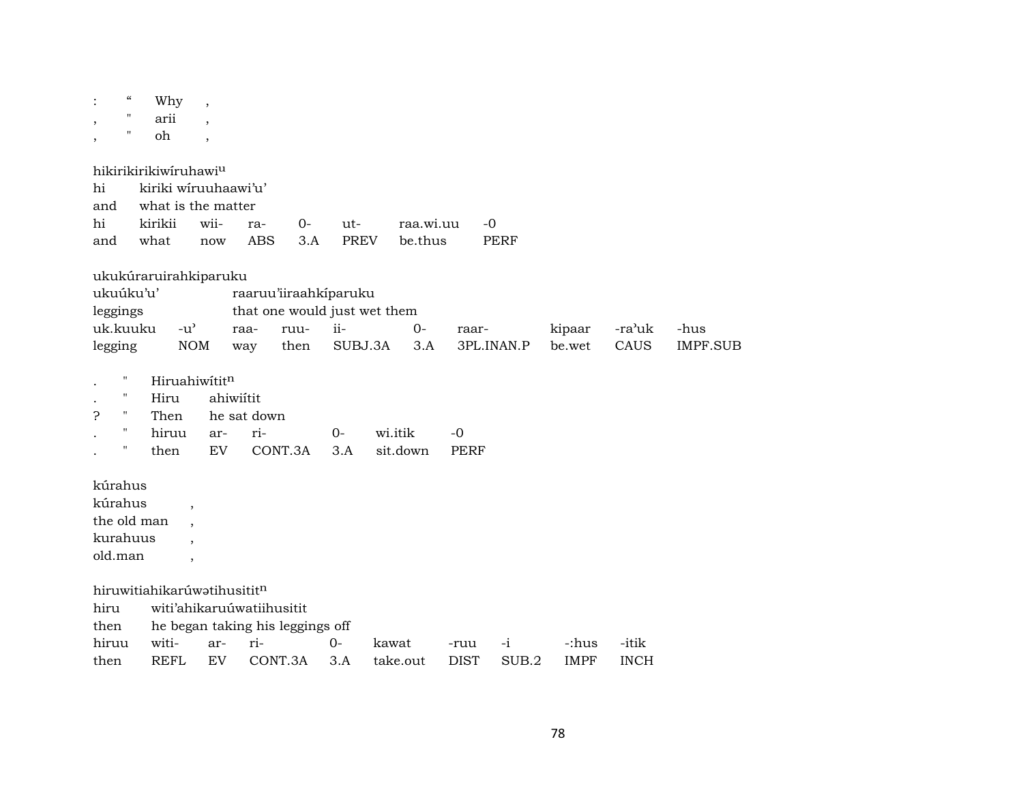| $\cdot$                 | $\epsilon\epsilon$<br>$\pmb{\mathsf{H}}$ | Why<br>arii                         | $\overline{\phantom{a}}$ |             |                              |             |       |           |             |             |             |             |                 |
|-------------------------|------------------------------------------|-------------------------------------|--------------------------|-------------|------------------------------|-------------|-------|-----------|-------------|-------------|-------------|-------------|-----------------|
| ,                       | $\pmb{\mathsf{H}}$                       | oh                                  | $\overline{\phantom{a}}$ |             |                              |             |       |           |             |             |             |             |                 |
|                         |                                          | hikirikirikiwiruhawi <sup>u</sup>   |                          |             |                              |             |       |           |             |             |             |             |                 |
| hi                      |                                          | kiriki wiruuhaawi'u'                |                          |             |                              |             |       |           |             |             |             |             |                 |
| and                     |                                          | what is the matter                  |                          |             |                              |             |       |           |             |             |             |             |                 |
| hi                      |                                          | kirikii                             | wii-                     | ra-         | $0-$                         | ut-         |       | raa.wi.uu | $-0$        |             |             |             |                 |
| and                     |                                          | what                                | now                      | <b>ABS</b>  | 3.A                          | <b>PREV</b> |       | be.thus   |             | <b>PERF</b> |             |             |                 |
|                         |                                          | ukukúraruirahkiparuku               |                          |             |                              |             |       |           |             |             |             |             |                 |
| ukuúku'u'               |                                          |                                     |                          |             | raaruu'iiraahkiparuku        |             |       |           |             |             |             |             |                 |
| leggings                |                                          |                                     |                          |             | that one would just wet them |             |       |           |             |             |             |             |                 |
| uk.kuuku                |                                          | $-u$ <sup><math>\prime</math></sup> |                          | raa-        | ruu-                         | ii-         |       | $0-$      | raar-       |             | kipaar      | -ra'uk      | -hus            |
| legging                 |                                          | <b>NOM</b>                          |                          | way         | then                         | SUBJ.3A     |       | 3.A       | 3PL.INAN.P  |             | be.wet      | CAUS        | <b>IMPF.SUB</b> |
| $\pmb{\mathsf{H}}$      |                                          | Hiruahiwititn                       |                          |             |                              |             |       |           |             |             |             |             |                 |
| $\pmb{\mathsf{H}}$      |                                          | Hiru                                | ahiwiítit                |             |                              |             |       |           |             |             |             |             |                 |
| 5<br>$\pmb{\mathsf{H}}$ |                                          | Then                                |                          | he sat down |                              |             |       |           |             |             |             |             |                 |
| $\pmb{\mathsf{H}}$      |                                          | hiruu                               | ar-                      | ri-         |                              | $0 -$       |       | wi.itik   | $-0$        |             |             |             |                 |
| $\pmb{\mathsf{H}}$      |                                          | then                                | <b>EV</b>                |             | CONT.3A                      | 3.A         |       | sit.down  | <b>PERF</b> |             |             |             |                 |
| kúrahus                 |                                          |                                     |                          |             |                              |             |       |           |             |             |             |             |                 |
| kúrahus                 |                                          | $\cdot$                             |                          |             |                              |             |       |           |             |             |             |             |                 |
| the old man             |                                          |                                     |                          |             |                              |             |       |           |             |             |             |             |                 |
| kurahuus                |                                          |                                     |                          |             |                              |             |       |           |             |             |             |             |                 |
| old.man                 |                                          | $\cdot$                             |                          |             |                              |             |       |           |             |             |             |             |                 |
|                         |                                          | hiruwitiahikarúwatihusititn         |                          |             |                              |             |       |           |             |             |             |             |                 |
| hiru                    |                                          | witi'ahikaruuwatiihusitit           |                          |             |                              |             |       |           |             |             |             |             |                 |
| then                    |                                          | he began taking his leggings off    |                          |             |                              |             |       |           |             |             |             |             |                 |
| hiruu                   |                                          | witi-                               | ar-                      | ri-         |                              | $0-$        | kawat |           | -ruu        | $-i$        | -:hus       | -itik       |                 |
| then                    |                                          | <b>REFL</b>                         | EV                       |             | CONT.3A                      | 3.A         |       | take.out  | <b>DIST</b> | SUB.2       | <b>IMPF</b> | <b>INCH</b> |                 |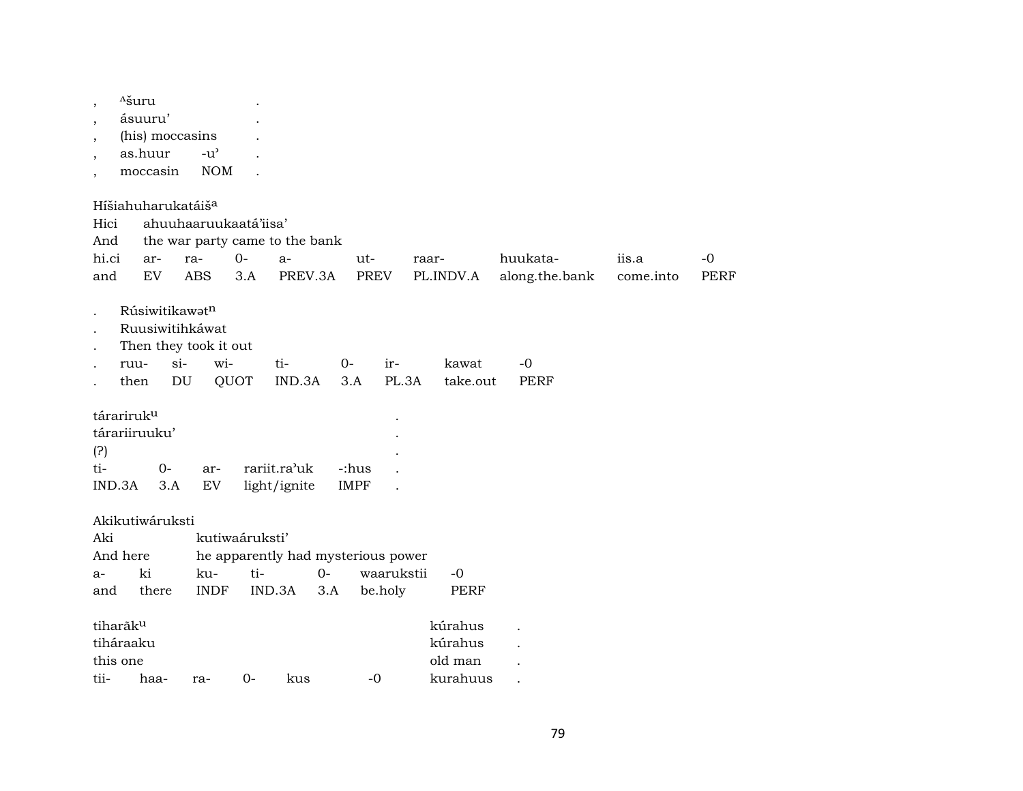| <sup>A</sup> šuru<br>$\overline{\phantom{a}}$<br>ásuuru'<br>$\cdot$<br>(his) moccasins<br>$\overline{\phantom{a}}$<br>as.huur<br>$\cdot$<br>moccasin | $-u$ <sup><math>\prime</math></sup><br><b>NOM</b>          |                                                             |                             |                                           |                            |                    |                     |
|------------------------------------------------------------------------------------------------------------------------------------------------------|------------------------------------------------------------|-------------------------------------------------------------|-----------------------------|-------------------------------------------|----------------------------|--------------------|---------------------|
| Híšiahuharukatáiš <sup>a</sup><br>Hici<br>And<br>hi.ci<br>ar-<br>EV<br>and                                                                           | ahuuhaaruukaatá'iisa'<br>$O -$<br>ra-<br><b>ABS</b><br>3.A | the war party came to the bank<br>$a-$<br>PREV.3A           | ut-<br><b>PREV</b>          | raar-<br>PL.INDV.A                        | huukata-<br>along.the.bank | iis.a<br>come.into | $-0$<br><b>PERF</b> |
| Rúsiwitikawatn<br>Ruusiwitihkáwat<br>Then they took it out<br>$si-$<br>ruu-<br>then<br>DU                                                            | wi-<br>QUOT                                                | ti-<br>IND.3A                                               | $0-$<br>ir-<br>PL.3A<br>3.A | kawat<br>take.out                         | $-0$<br><b>PERF</b>        |                    |                     |
| tárariruk <sup>u</sup><br>tárariiruuku'<br>(?)<br>ti-<br>$0-$<br>IND.3A<br>3.A                                                                       | ar-<br>${\rm EV}$                                          | rariit.ra'uk<br>light/ignite                                | -:hus<br><b>IMPF</b>        |                                           |                            |                    |                     |
| Akikutiwáruksti<br>Aki<br>And here<br>ki<br>$a-$<br>there<br>and                                                                                     | kutiwaáruksti'<br>ku-<br>ti-<br><b>INDF</b>                | he apparently had mysterious power<br>$0-$<br>IND.3A<br>3.A | waarukstii<br>be.holy       | -0<br><b>PERF</b>                         |                            |                    |                     |
| tiharãk <sup>u</sup><br>tiháraaku<br>this one<br>tii- haa-                                                                                           | $\Omega$<br>ra-                                            | kus                                                         | $-0$                        | kúrahus<br>kúrahus<br>old man<br>kurahuus |                            |                    |                     |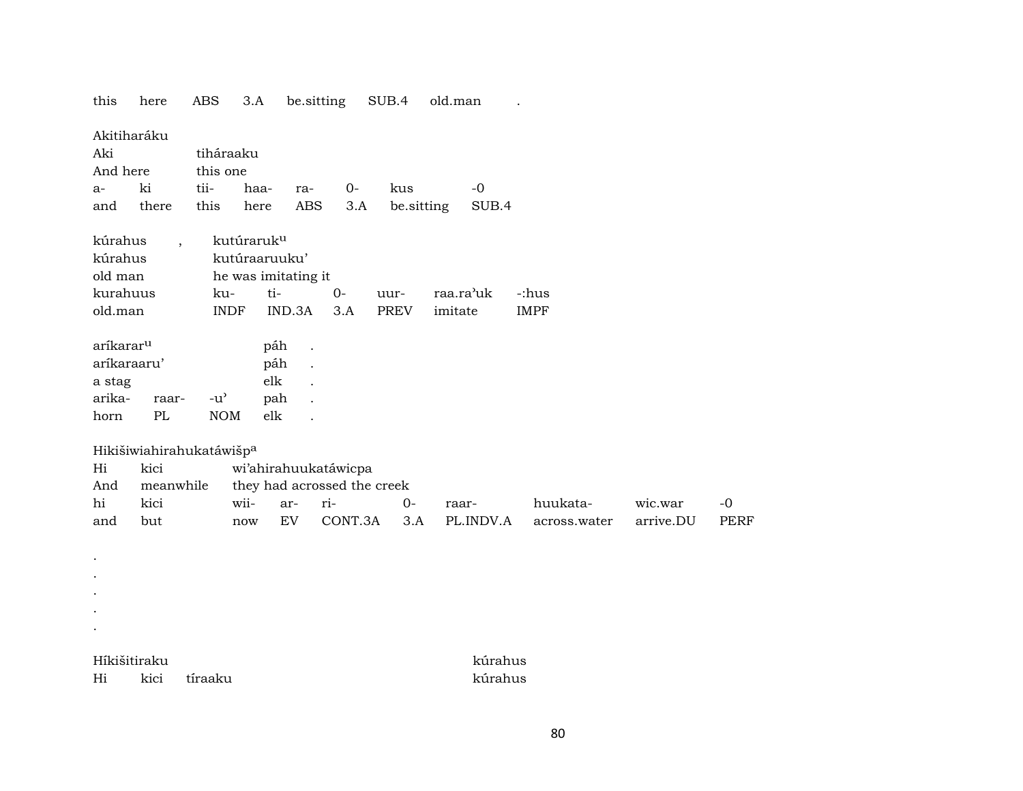this here ABS 3.A be.sitting SUB.4 old.man . Akitiharáku Aki tiháraaku And here this one a- ki tii- haa- ra- 0- kus -0 and there this here ABS 3.A be.sitting SUB.4 kúrahus , kutúraruk<sup>u</sup> kúrahus kutúraaruuku' old man he was imitating it kurahuus ku- ti- 0- uur- raa.ra"uk -:hus old.man INDF IND.3A 3.A PREV imitate IMPF aríkarar<sup>u</sup> páh . aríkaraaru' páh . a stag ble later and the stag ble later and the stage of the stage of the stage of the stage of the stage of the stage of the stage of the stage of the stage of the stage of the stage of the stage of the stage of the stage arika- raar- -u" pah . horn PL NOM elk . Hikišiwiahirahukatáwišp<sup>a</sup> Hi kici wi'ahirahuukatáwicpa And meanwhile they had acrossed the creek hi kici wii- ar- ri- 0- raar- huukata- wic.war -0 and but now EV CONT.3A 3.A PL.INDV.A across.water arrive.DU PERF . . . . . Híkišitiraku kúrahus

Hi kici tíraaku kúrahus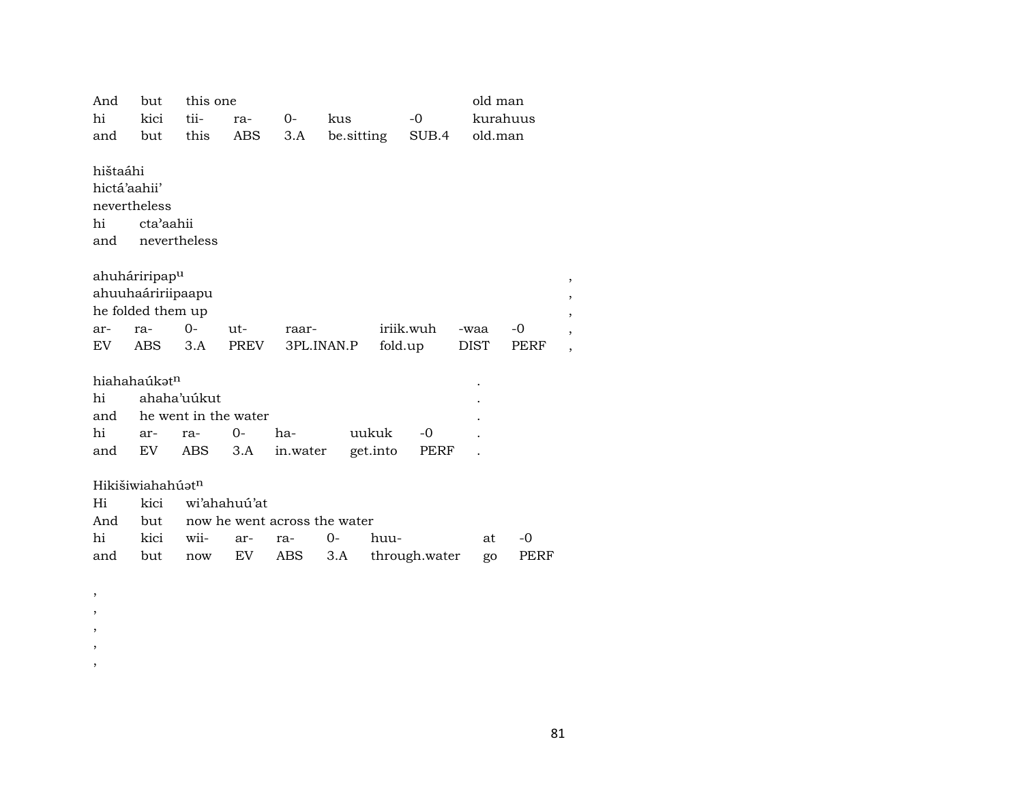| And                                                   | but                                                                 | this one             |              |          |                              |           |               | old man     |      |   |
|-------------------------------------------------------|---------------------------------------------------------------------|----------------------|--------------|----------|------------------------------|-----------|---------------|-------------|------|---|
| hi                                                    | kici                                                                | tii-                 | ra-          | 0-       | kus                          |           | $-0$          | kurahuus    |      |   |
| and                                                   | but                                                                 | this                 | ABS          | 3.A      | be.sitting                   |           | SUB.4         | old.man     |      |   |
| hištaáhi<br>hictá'aahii'<br>nevertheless<br>hi<br>and | cta'aahii<br>nevertheless                                           |                      |              |          |                              |           |               |             |      |   |
|                                                       | ahuháriripap <sup>u</sup><br>ahuuhaáririipaapu<br>he folded them up |                      |              |          |                              |           |               |             |      | , |
| ar-                                                   | ra-                                                                 | $0-$                 | ut-          | raar-    |                              | iriik.wuh |               | -waa        | -0   |   |
| EV.                                                   | ABS                                                                 | 3.A                  | PREV         |          | 3PL.INAN.P                   | fold.up   |               | <b>DIST</b> | PERF | , |
|                                                       | hiahahaúkat <sup>n</sup>                                            |                      |              |          |                              |           |               |             |      |   |
| hi                                                    |                                                                     | ahaha'uúkut          |              |          |                              |           |               |             |      |   |
| and                                                   |                                                                     | he went in the water |              |          |                              |           |               |             |      |   |
| hi                                                    |                                                                     |                      |              |          |                              |           |               |             |      |   |
|                                                       | ar-                                                                 | ra-                  | 0-           | ha-      | uukuk                        |           | -0            |             |      |   |
| and                                                   | EV.                                                                 | ABS                  | 3.A          | in.water |                              | get.into  | PERF          |             |      |   |
| Hi<br>And                                             | Hikišiwiahahúatn<br>kici<br>but                                     |                      | wi'ahahuú'at |          | now he went across the water |           |               |             |      |   |
| hi                                                    | kici                                                                | wii-                 | ar-          | ra-      | $0-$                         | huu-      |               | at          | $-0$ |   |
| and                                                   | but                                                                 | now                  | EV           | ABS      | 3.A                          |           | through.water | go          | PERF |   |

, , , , ,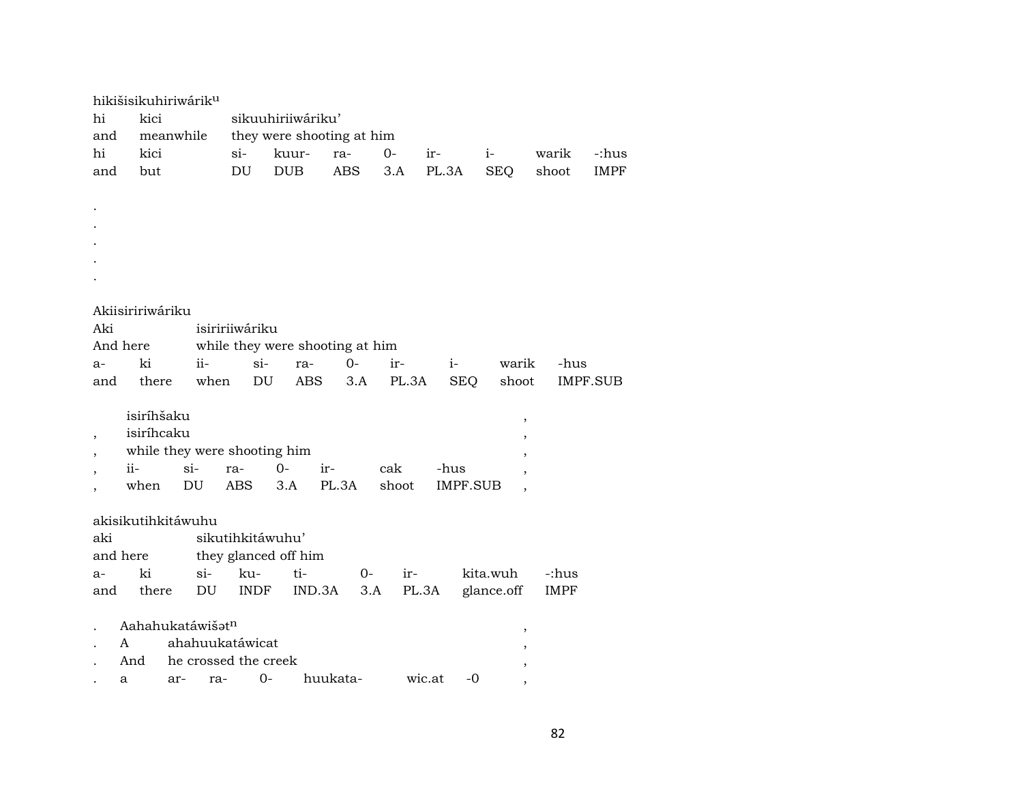|                          | hikišisikuhiriwárik <sup>u</sup> |           |       |                              |            |                                 |       |                 |               |             |             |  |  |  |
|--------------------------|----------------------------------|-----------|-------|------------------------------|------------|---------------------------------|-------|-----------------|---------------|-------------|-------------|--|--|--|
| hi                       | kici                             |           |       | sikuuhiriiwáriku'            |            |                                 |       |                 |               |             |             |  |  |  |
| and                      |                                  | meanwhile |       |                              |            | they were shooting at him       |       |                 |               |             |             |  |  |  |
| hi                       | kici                             |           |       | si-                          | kuur-      | ra-                             | 0-    | ir-             | $i-$          | warik       | -:hus       |  |  |  |
| and                      | but                              |           |       | DU                           | <b>DUB</b> | <b>ABS</b>                      | 3.A   | PL.3A           | <b>SEQ</b>    | shoot       | <b>IMPF</b> |  |  |  |
|                          |                                  |           |       |                              |            |                                 |       |                 |               |             |             |  |  |  |
|                          |                                  |           |       |                              |            |                                 |       |                 |               |             |             |  |  |  |
|                          |                                  |           |       |                              |            |                                 |       |                 |               |             |             |  |  |  |
|                          |                                  |           |       |                              |            |                                 |       |                 |               |             |             |  |  |  |
|                          |                                  |           |       |                              |            |                                 |       |                 |               |             |             |  |  |  |
|                          |                                  |           |       |                              |            |                                 |       |                 |               |             |             |  |  |  |
|                          |                                  |           |       |                              |            |                                 |       |                 |               |             |             |  |  |  |
|                          | Akiisiririwáriku                 |           |       |                              |            |                                 |       |                 |               |             |             |  |  |  |
| Aki                      |                                  |           |       | isiririiwáriku               |            |                                 |       |                 |               |             |             |  |  |  |
|                          | And here                         |           |       |                              |            | while they were shooting at him |       |                 |               |             |             |  |  |  |
| $a-$                     | ki                               |           | ii-   | $si-$                        | ra-        | $0-$                            | ir-   | $i-$            | warik         | -hus        |             |  |  |  |
| and                      | there                            |           | when  | DU                           | ABS        | 3.A                             | PL.3A | <b>SEQ</b>      | shoot         |             | IMPF.SUB    |  |  |  |
|                          | isiríhšaku                       |           |       |                              |            |                                 |       |                 |               |             |             |  |  |  |
|                          | isiríhcaku                       |           |       |                              |            |                                 |       |                 | $^\mathrm{,}$ |             |             |  |  |  |
|                          |                                  |           |       | while they were shooting him |            |                                 |       |                 | ,             |             |             |  |  |  |
|                          | ii-                              | $si-$     | ra-   | $O -$                        | ir-        |                                 | cak   | -hus            |               |             |             |  |  |  |
|                          | when                             | DU        |       | ABS                          | 3.A        | PL.3A                           | shoot | <b>IMPF.SUB</b> |               |             |             |  |  |  |
| $\overline{\phantom{a}}$ |                                  |           |       |                              |            |                                 |       |                 |               |             |             |  |  |  |
|                          | akisikutihkitáwuhu               |           |       |                              |            |                                 |       |                 |               |             |             |  |  |  |
| aki                      |                                  |           |       | sikutihkitáwuhu'             |            |                                 |       |                 |               |             |             |  |  |  |
|                          | and here                         |           |       | they glanced off him         |            |                                 |       |                 |               |             |             |  |  |  |
| $a-$                     | ki                               |           | $si-$ | ku-                          | ti-        | $O -$                           | ir-   |                 | kita.wuh      | -:hus       |             |  |  |  |
| and                      | there                            |           | DU    | <b>INDF</b>                  | IND.3A     | 3.A                             |       | PL.3A           | glance.off    | <b>IMPF</b> |             |  |  |  |
|                          |                                  |           |       |                              |            |                                 |       |                 |               |             |             |  |  |  |
|                          | Aahahukatáwišatn                 |           |       |                              |            |                                 |       |                 | $\, ,$        |             |             |  |  |  |
|                          | A                                |           |       | ahahuukatáwicat              |            |                                 |       |                 |               |             |             |  |  |  |
|                          | And                              |           |       | he crossed the creek         |            |                                 |       |                 |               |             |             |  |  |  |
|                          | a                                | ar-       | ra-   | $0-$                         |            | huukata-                        |       | $-0$<br>wic.at  |               |             |             |  |  |  |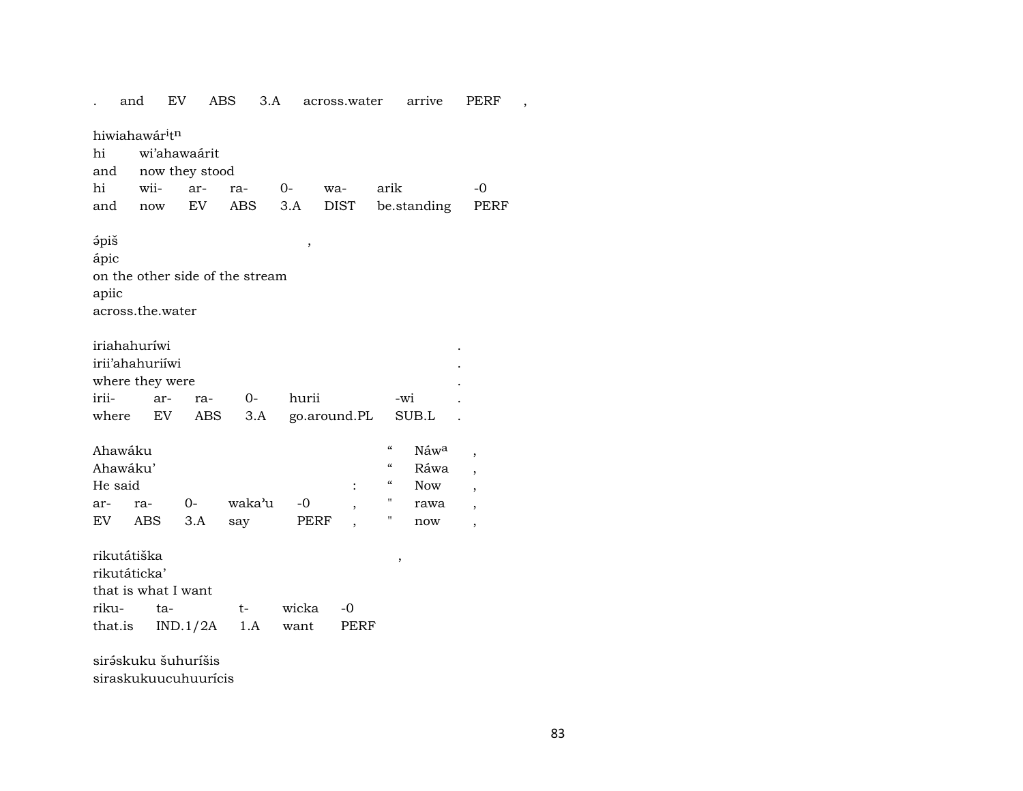|                    | and                                                          | EV                  |                | 3.A<br>ABS |       |      | across.water |                                        | arrive           | PERF                     |  |  |  |  |
|--------------------|--------------------------------------------------------------|---------------------|----------------|------------|-------|------|--------------|----------------------------------------|------------------|--------------------------|--|--|--|--|
|                    | hiwiahawár <sup>i</sup> t <sup>n</sup><br>hi<br>wi'ahawaárit |                     |                |            |       |      |              |                                        |                  |                          |  |  |  |  |
|                    |                                                              |                     |                |            |       |      |              |                                        |                  |                          |  |  |  |  |
| and<br>hi          |                                                              |                     | now they stood |            |       |      |              |                                        |                  |                          |  |  |  |  |
|                    |                                                              | wii-                | ar-            | ra-        | $0-$  | wa-  |              | arik                                   |                  | $-0$                     |  |  |  |  |
| and                |                                                              | now                 | EV             | ABS        | 3.A   |      | <b>DIST</b>  |                                        | be.standing      | PERF                     |  |  |  |  |
| <i><b>ápiš</b></i> |                                                              |                     |                |            |       | $\,$ |              |                                        |                  |                          |  |  |  |  |
| ápic               |                                                              |                     |                |            |       |      |              |                                        |                  |                          |  |  |  |  |
|                    | on the other side of the stream                              |                     |                |            |       |      |              |                                        |                  |                          |  |  |  |  |
|                    | apiic                                                        |                     |                |            |       |      |              |                                        |                  |                          |  |  |  |  |
|                    | across.the.water                                             |                     |                |            |       |      |              |                                        |                  |                          |  |  |  |  |
|                    |                                                              |                     |                |            |       |      |              |                                        |                  |                          |  |  |  |  |
|                    | iriahahuríwi                                                 |                     |                |            |       |      |              |                                        |                  |                          |  |  |  |  |
|                    | irii'ahahuriíwi                                              |                     |                |            |       |      |              |                                        |                  |                          |  |  |  |  |
|                    | where they were                                              |                     |                |            |       |      |              |                                        |                  |                          |  |  |  |  |
| irii-              | hurii<br>0-<br>ar-<br>-wi<br>ra-                             |                     |                |            |       |      |              |                                        |                  |                          |  |  |  |  |
|                    | EV<br>SUB.L<br>where<br>ABS<br>3.A<br>go.around.PL           |                     |                |            |       |      |              |                                        |                  |                          |  |  |  |  |
|                    |                                                              |                     |                |            |       |      |              |                                        |                  |                          |  |  |  |  |
| Ahawáku            |                                                              |                     |                |            |       |      |              | $\pmb{\zeta}\pmb{\zeta}$               | Náw <sup>a</sup> | $\overline{\phantom{a}}$ |  |  |  |  |
| Ahawáku'           |                                                              |                     |                |            |       |      |              | $\pmb{\zeta}\pmb{\zeta}$               | Ráwa             | $\overline{\phantom{a}}$ |  |  |  |  |
| He said            |                                                              |                     |                |            |       |      |              | $\boldsymbol{\zeta}\boldsymbol{\zeta}$ | <b>Now</b>       | $\overline{ }$           |  |  |  |  |
| ar-                |                                                              | ra-                 | $0-$           | waka'u     |       | -0   |              | п                                      | rawa             | $\overline{\phantom{a}}$ |  |  |  |  |
| EV                 |                                                              | <b>ABS</b>          | 3.A            | say        |       | PERF |              | Π                                      | now              | $\overline{\phantom{a}}$ |  |  |  |  |
|                    |                                                              |                     |                |            |       |      |              |                                        |                  |                          |  |  |  |  |
| rikutátiška        |                                                              |                     |                |            |       |      |              | ,                                      |                  |                          |  |  |  |  |
| rikutáticka'       |                                                              |                     |                |            |       |      |              |                                        |                  |                          |  |  |  |  |
|                    |                                                              | that is what I want |                |            |       |      |              |                                        |                  |                          |  |  |  |  |
| riku-              |                                                              | ta-                 |                | t-         | wicka |      | -0           |                                        |                  |                          |  |  |  |  |
| that.is            |                                                              |                     | IND.1/2A       | 1.A        | want  |      | PERF         |                                        |                  |                          |  |  |  |  |
|                    |                                                              |                     |                |            |       |      |              |                                        |                  |                          |  |  |  |  |

siráskuku šuhuríšis siraskukuucuhuurícis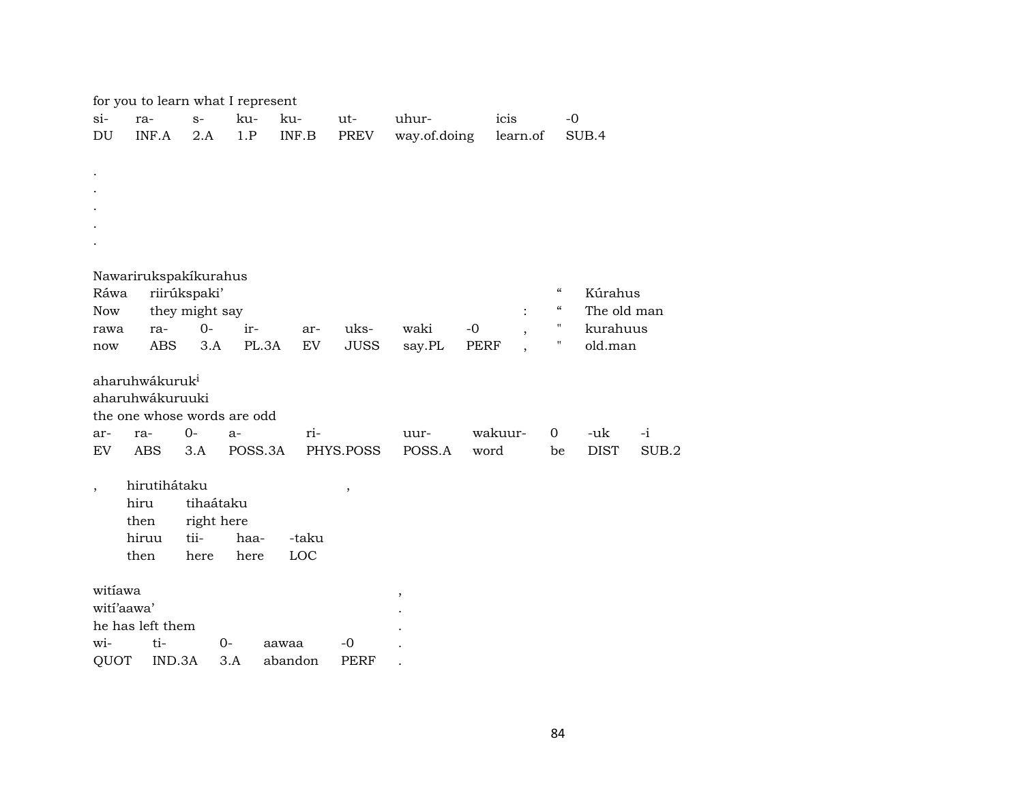|                          | for you to learn what I represent |              |                |         |                           |       |             |              |             |         |                |                          |             |       |
|--------------------------|-----------------------------------|--------------|----------------|---------|---------------------------|-------|-------------|--------------|-------------|---------|----------------|--------------------------|-------------|-------|
| $si-$                    | ra-                               |              | $S-$           | ku-     | ku-                       |       | ut-         | uhur-        |             | icis    |                | $-0$                     |             |       |
| DU                       | INF.A                             |              | 2.A            | 1.P     | $\textsf{INF}.\textsf{B}$ |       | PREV        | way.of.doing |             |         | learn.of       |                          | SUB.4       |       |
|                          |                                   |              |                |         |                           |       |             |              |             |         |                |                          |             |       |
|                          |                                   |              |                |         |                           |       |             |              |             |         |                |                          |             |       |
|                          |                                   |              |                |         |                           |       |             |              |             |         |                |                          |             |       |
|                          |                                   |              |                |         |                           |       |             |              |             |         |                |                          |             |       |
|                          |                                   |              |                |         |                           |       |             |              |             |         |                |                          |             |       |
|                          |                                   |              |                |         |                           |       |             |              |             |         |                |                          |             |       |
|                          | Nawarirukspakíkurahus             |              |                |         |                           |       |             |              |             |         |                |                          |             |       |
| Ráwa                     |                                   | riirúkspaki' |                |         |                           |       |             |              |             |         |                | $\mathcal{C}\mathcal{C}$ | Kúrahus     |       |
| <b>Now</b>               |                                   |              | they might say |         |                           |       |             |              |             |         | $\ddot{\cdot}$ | $\epsilon\epsilon$       | The old man |       |
| rawa                     | ra-                               |              | $0 -$          | ir-     |                           | ar-   | uks-        | waki         | $-0$        |         |                | 11                       | kurahuus    |       |
| now                      | ABS                               |              | 3.A            | PL.3A   |                           | EV    | <b>JUSS</b> | say.PL       | <b>PERF</b> |         |                |                          | old.man     |       |
|                          | aharuhwákuruk <sup>i</sup>        |              |                |         |                           |       |             |              |             |         |                |                          |             |       |
|                          | aharuhwákuruuki                   |              |                |         |                           |       |             |              |             |         |                |                          |             |       |
|                          | the one whose words are odd       |              |                |         |                           |       |             |              |             |         |                |                          |             |       |
| ar-                      | ra-                               | $O -$        |                | $a-$    |                           | ri-   |             | uur-         |             | wakuur- |                | $\overline{0}$           | -uk         | $-i$  |
| EV                       | <b>ABS</b>                        |              | 3.A            | POSS.3A |                           |       | PHYS.POSS   | POSS.A       | word        |         |                | be                       | <b>DIST</b> | SUB.2 |
|                          |                                   |              |                |         |                           |       |             |              |             |         |                |                          |             |       |
| $\overline{\phantom{a}}$ | hirutihátaku                      |              |                |         |                           |       | ,           |              |             |         |                |                          |             |       |
|                          | hiru                              |              | tihaátaku      |         |                           |       |             |              |             |         |                |                          |             |       |
|                          | then                              |              | right here     |         |                           |       |             |              |             |         |                |                          |             |       |
|                          | hiruu                             | tii-         |                | haa-    |                           | -taku |             |              |             |         |                |                          |             |       |
|                          | then                              |              | here           | here    |                           | LOC   |             |              |             |         |                |                          |             |       |
| witiawa                  |                                   |              |                |         |                           |       |             | $\,$         |             |         |                |                          |             |       |
| wití'aawa'               |                                   |              |                |         |                           |       |             |              |             |         |                |                          |             |       |
|                          | he has left them                  |              |                |         |                           |       |             |              |             |         |                |                          |             |       |
| wi-                      | ti-                               |              | $0-$           |         | aawaa                     |       | $-0$        |              |             |         |                |                          |             |       |
| QUOT                     |                                   | IND.3A       |                | 3.A     | abandon                   |       | PERF        |              |             |         |                |                          |             |       |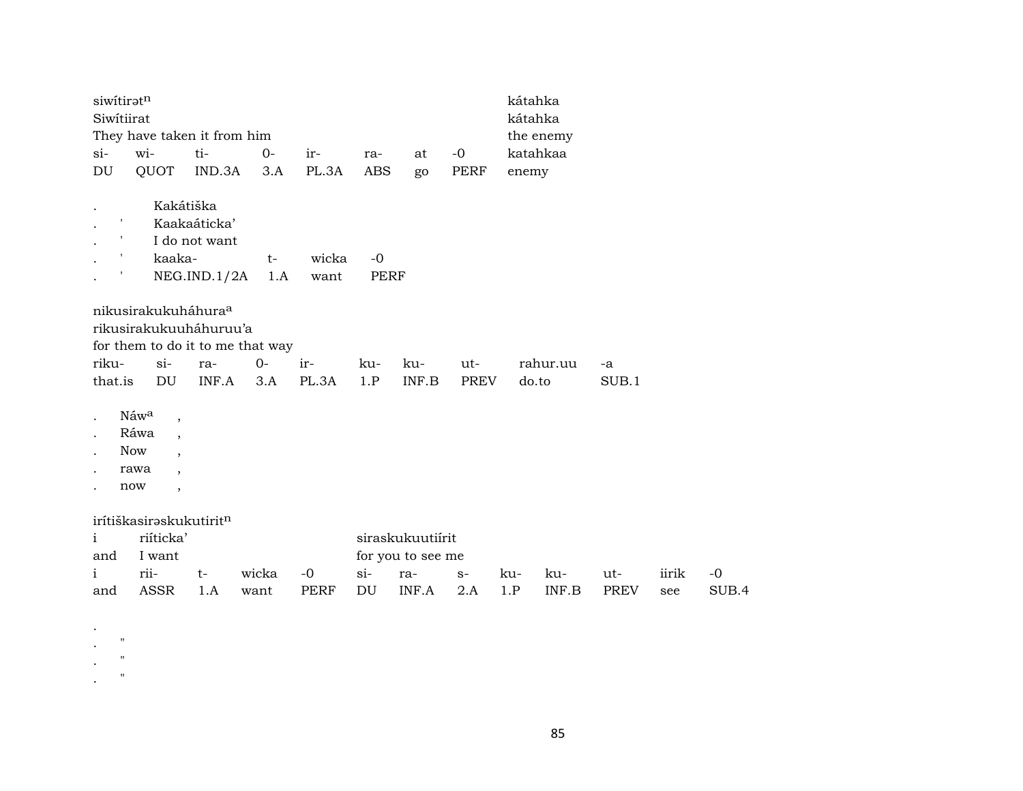|       | siwitiratn<br>kátahka<br>Siwitiirat |                          |                                     |      |       |     |       |      |           |       |  |  |  |  |  |
|-------|-------------------------------------|--------------------------|-------------------------------------|------|-------|-----|-------|------|-----------|-------|--|--|--|--|--|
|       |                                     |                          |                                     |      |       |     |       |      | kátahka   |       |  |  |  |  |  |
|       |                                     |                          | They have taken it from him         |      |       |     |       |      | the enemy |       |  |  |  |  |  |
| $si-$ | wi-                                 |                          | ti-                                 | $0-$ | ir-   | ra- | at    | -0   | katahkaa  |       |  |  |  |  |  |
| DU    |                                     |                          | QUOT IND.3A 3.A                     |      | PL.3A | ABS | go    | PERF | enemy     |       |  |  |  |  |  |
|       |                                     |                          |                                     |      |       |     |       |      |           |       |  |  |  |  |  |
|       |                                     | Kakátiška                |                                     |      |       |     |       |      |           |       |  |  |  |  |  |
|       | Kaakaáticka'                        |                          |                                     |      |       |     |       |      |           |       |  |  |  |  |  |
|       | I do not want                       |                          |                                     |      |       |     |       |      |           |       |  |  |  |  |  |
|       | t<br>kaaka-<br>wicka<br>$t-$<br>-0  |                          |                                     |      |       |     |       |      |           |       |  |  |  |  |  |
|       | NEG.IND.1/2A<br>1.A<br>PERF<br>want |                          |                                     |      |       |     |       |      |           |       |  |  |  |  |  |
|       |                                     |                          |                                     |      |       |     |       |      |           |       |  |  |  |  |  |
|       |                                     |                          | nikusirakukuháhura <sup>a</sup>     |      |       |     |       |      |           |       |  |  |  |  |  |
|       |                                     |                          | rikusirakukuuháhuruu'a              |      |       |     |       |      |           |       |  |  |  |  |  |
|       |                                     |                          | for them to do it to me that way    |      |       |     |       |      |           |       |  |  |  |  |  |
| riku- |                                     | $\sin$                   | ra-                                 | $0-$ | ir-   | ku- | ku-   | ut-  | rahur.uu  | -a    |  |  |  |  |  |
|       | that.is                             | DU                       | $INF.A$ 3.A                         |      | PL.3A | 1.P | INF.B | PREV | do.to     | SUB.1 |  |  |  |  |  |
|       |                                     |                          |                                     |      |       |     |       |      |           |       |  |  |  |  |  |
|       | Náwa                                | $\overline{\phantom{a}}$ |                                     |      |       |     |       |      |           |       |  |  |  |  |  |
|       | Ráwa                                | $\overline{\phantom{a}}$ |                                     |      |       |     |       |      |           |       |  |  |  |  |  |
|       | Now                                 | $\overline{ }$           |                                     |      |       |     |       |      |           |       |  |  |  |  |  |
|       | rawa                                | $\overline{ }$           |                                     |      |       |     |       |      |           |       |  |  |  |  |  |
|       | now                                 | $\overline{\phantom{a}}$ |                                     |      |       |     |       |      |           |       |  |  |  |  |  |
|       |                                     |                          |                                     |      |       |     |       |      |           |       |  |  |  |  |  |
|       |                                     |                          | irítiškasirəskukutirit <sup>n</sup> |      |       |     |       |      |           |       |  |  |  |  |  |

. .  $"$  $\cdot$  " .  $"$  "

| $\mathbf{i}$ | riíticka'    |                     | siraskukuutiírit                           |  |  |     |     |     |       |       |  |  |  |
|--------------|--------------|---------------------|--------------------------------------------|--|--|-----|-----|-----|-------|-------|--|--|--|
| and          | I want       |                     | for you to see me                          |  |  |     |     |     |       |       |  |  |  |
| $\mathbf{i}$ | rii-<br>$t-$ | wicka -0 si- ra- s- |                                            |  |  | ku- | ku- | ut- | iirik | $-()$ |  |  |  |
| and          | ASSR 1.A     | want                | PERF DU INF.A 2.A 1.P INF.B<br>PREV<br>see |  |  |     |     |     | SUB.4 |       |  |  |  |

85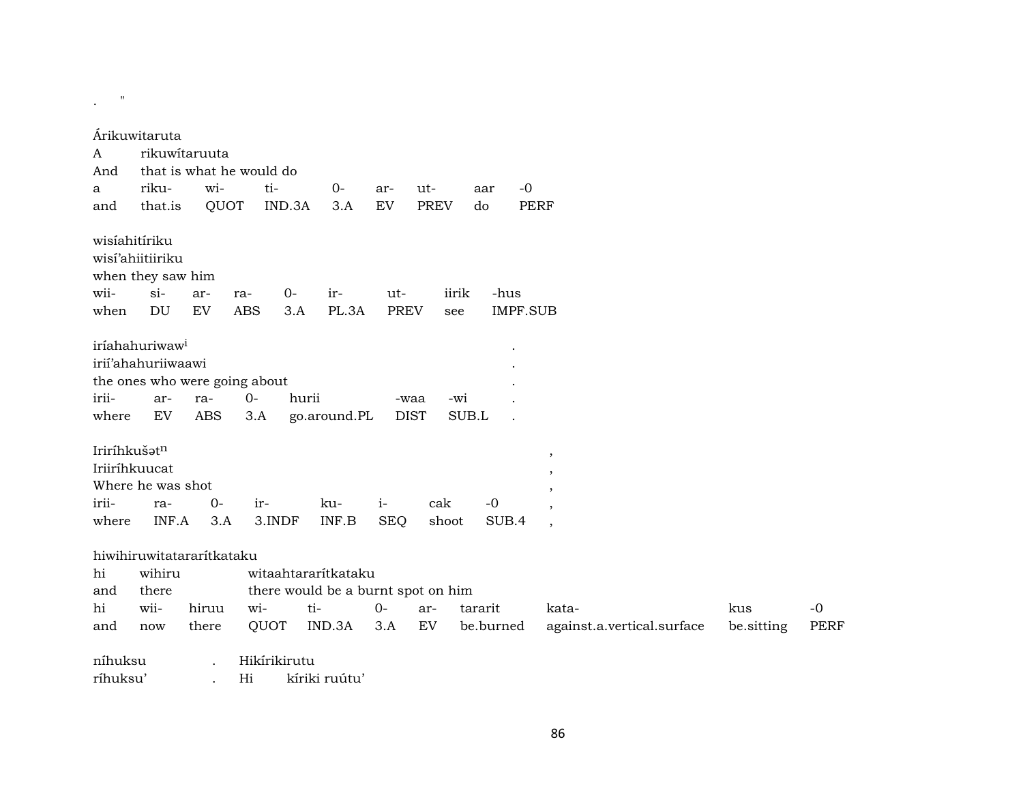| $\mathbf{H}$  |                                       |                           |                               |                                    |              |             |                 |                            |            |             |
|---------------|---------------------------------------|---------------------------|-------------------------------|------------------------------------|--------------|-------------|-----------------|----------------------------|------------|-------------|
|               | Árikuwitaruta                         |                           |                               |                                    |              |             |                 |                            |            |             |
| A             |                                       | rikuwitaruuta             |                               |                                    |              |             |                 |                            |            |             |
| And           |                                       |                           | that is what he would do      |                                    |              |             |                 |                            |            |             |
| a             | riku-                                 | wi-                       | ti-                           | $O -$                              | ar-          | ut-         | $-0$<br>aar     |                            |            |             |
| and           | that.is                               | QUOT                      | IND.3A                        | 3.A                                | ${\rm EV}$   | <b>PREV</b> | do              | PERF                       |            |             |
| wisíahitíriku | wisí'ahiitiiriku<br>when they saw him |                           |                               |                                    |              |             |                 |                            |            |             |
| wii-          | $si-$                                 | ar-                       | $0-$<br>ra-                   | ir-                                | ut-          |             | -hus<br>iirik   |                            |            |             |
| when          | <b>DU</b>                             | ${\rm EV}$                | <b>ABS</b><br>3.A             | PL.3A                              | <b>PREV</b>  | see         | <b>IMPF.SUB</b> |                            |            |             |
|               |                                       |                           |                               |                                    |              |             |                 |                            |            |             |
|               | iríahahuriwaw <sup>i</sup>            |                           |                               |                                    |              |             |                 |                            |            |             |
|               | irii'ahahuriiwaawi                    |                           |                               |                                    |              |             |                 |                            |            |             |
|               |                                       |                           | the ones who were going about |                                    |              |             |                 |                            |            |             |
| irii-         | ar-                                   | ra-                       | $0-$                          | hurii                              | -waa         |             | -wi             |                            |            |             |
| where         | EV                                    | <b>ABS</b>                | 3.A                           | go.around.PL                       | <b>DIST</b>  |             | SUB.L           |                            |            |             |
| Iriríhkušatn  |                                       |                           |                               |                                    |              |             |                 |                            |            |             |
|               | Iriiríhkuucat                         |                           |                               |                                    |              |             |                 | $\,$                       |            |             |
|               | Where he was shot                     |                           |                               |                                    |              |             |                 |                            |            |             |
| irii-         | ra-                                   | $0 -$                     | ir-                           | ku-                                | $\mathbf{i}$ | cak         | $-0$            |                            |            |             |
| where         | INF.A                                 | 3.A                       | 3.INDF                        | INF.B                              | <b>SEQ</b>   | shoot       | SUB.4           | $\overline{\phantom{a}}$   |            |             |
|               |                                       |                           |                               |                                    |              |             |                 |                            |            |             |
|               |                                       | hiwihiruwitatararítkataku |                               |                                    |              |             |                 |                            |            |             |
| hi            | wihiru                                |                           |                               | witaahtararítkataku                |              |             |                 |                            |            |             |
| and           | there                                 |                           |                               | there would be a burnt spot on him |              |             |                 |                            |            |             |
| hi            | wii-                                  | hiruu                     | wi-                           | ti-                                | $0-$         | ar-         | tararit         | kata-                      | kus        | $-0$        |
| and           | now                                   | there                     | QUOT                          | IND.3A                             | 3.A          | EV          | be.burned       | against.a.vertical.surface | be.sitting | <b>PERF</b> |
| níhuksu       |                                       |                           | Hikírikirutu                  |                                    |              |             |                 |                            |            |             |
| ríhuksu'      |                                       |                           | Hi                            | kíriki ruútu'                      |              |             |                 |                            |            |             |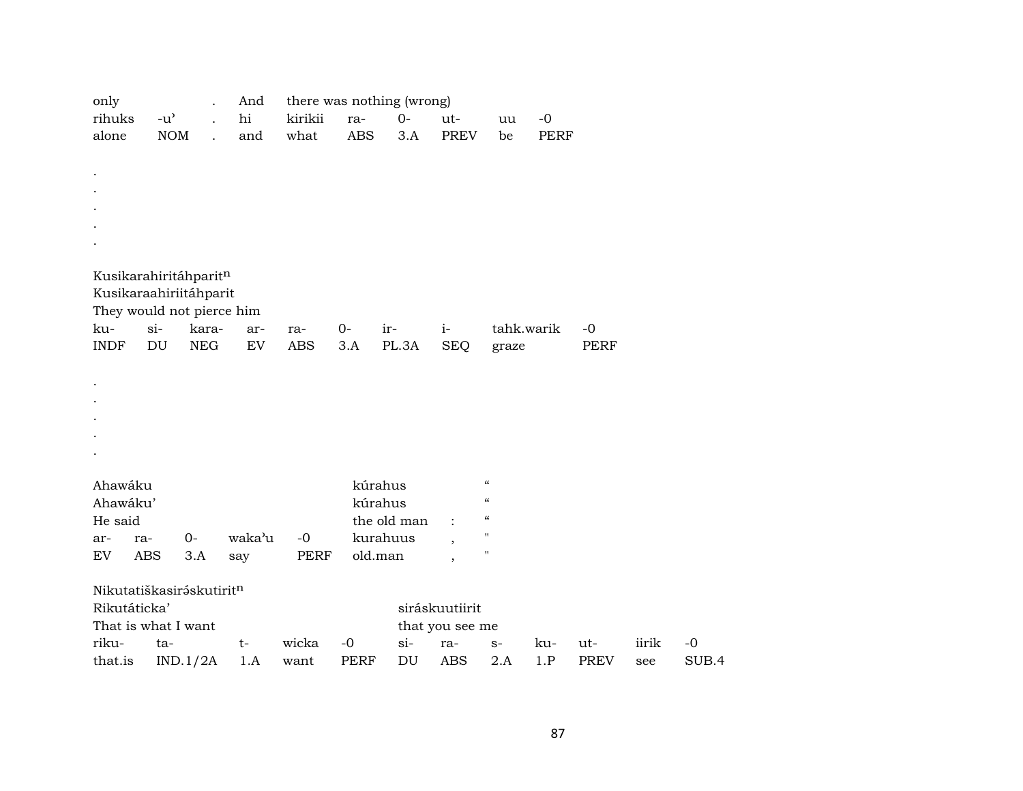| only        |                                     |          |            | And                        |             |            | there was nothing (wrong)  |                          |                            |             |             |       |       |
|-------------|-------------------------------------|----------|------------|----------------------------|-------------|------------|----------------------------|--------------------------|----------------------------|-------------|-------------|-------|-------|
| rihuks      | $-u$ <sup><math>\prime</math></sup> |          |            | hi                         | kirikii     | ra-        | $0-$                       | ut-                      | uu                         | $-0$        |             |       |       |
| alone       |                                     | NOM      |            | and                        | what        | <b>ABS</b> | 3.A                        | <b>PREV</b>              | be                         | <b>PERF</b> |             |       |       |
|             |                                     |          |            |                            |             |            |                            |                          |                            |             |             |       |       |
|             |                                     |          |            |                            |             |            |                            |                          |                            |             |             |       |       |
|             |                                     |          |            |                            |             |            |                            |                          |                            |             |             |       |       |
|             |                                     |          |            |                            |             |            |                            |                          |                            |             |             |       |       |
|             |                                     |          |            |                            |             |            |                            |                          |                            |             |             |       |       |
|             |                                     |          |            |                            |             |            |                            |                          |                            |             |             |       |       |
|             |                                     |          |            |                            |             |            |                            |                          |                            |             |             |       |       |
|             | Kusikarahiritáhparitn               |          |            |                            |             |            |                            |                          |                            |             |             |       |       |
|             | Kusikaraahiriitáhparit              |          |            |                            |             |            |                            |                          |                            |             |             |       |       |
|             | They would not pierce him           |          |            |                            |             |            |                            |                          |                            |             |             |       |       |
| ku-         | $si-$                               |          | kara-      | ar-                        | ra-         | $0-$       | ir-                        | $i-$                     | tahk.warik                 |             | $-0$        |       |       |
| <b>INDF</b> | DU                                  |          | <b>NEG</b> | $\mathop{\rm EV}\nolimits$ | <b>ABS</b>  | 3.A        | PL.3A                      | <b>SEQ</b>               | graze                      |             | PERF        |       |       |
|             |                                     |          |            |                            |             |            |                            |                          |                            |             |             |       |       |
|             |                                     |          |            |                            |             |            |                            |                          |                            |             |             |       |       |
|             |                                     |          |            |                            |             |            |                            |                          |                            |             |             |       |       |
|             |                                     |          |            |                            |             |            |                            |                          |                            |             |             |       |       |
|             |                                     |          |            |                            |             |            |                            |                          |                            |             |             |       |       |
|             |                                     |          |            |                            |             |            |                            |                          |                            |             |             |       |       |
| Ahawáku     |                                     |          |            |                            |             |            | kúrahus                    |                          | $\pmb{\mathcal{C}}$        |             |             |       |       |
| Ahawáku'    |                                     |          |            |                            |             |            | kúrahus                    |                          | $\boldsymbol{\mathcal{C}}$ |             |             |       |       |
| He said     |                                     |          |            |                            |             |            | the old man                |                          | $\mathcal{C}$              |             |             |       |       |
| ar-         | ra-                                 | $O -$    |            | waka'u                     | $-0$        |            | kurahuus                   |                          | $\pmb{\mathsf{H}}$         |             |             |       |       |
| <b>EV</b>   | <b>ABS</b>                          | 3.A      |            | say                        | <b>PERF</b> |            | old.man                    | $\overline{\phantom{a}}$ | $\pmb{\mathsf{H}}$         |             |             |       |       |
|             |                                     |          |            |                            |             |            |                            | $\cdot$                  |                            |             |             |       |       |
|             | Nikutatiškasiráskutiritn            |          |            |                            |             |            |                            |                          |                            |             |             |       |       |
|             | Rikutáticka'                        |          |            |                            |             |            |                            | siráskuutiirit           |                            |             |             |       |       |
|             | That is what I want                 |          |            |                            |             |            |                            | that you see me          |                            |             |             |       |       |
| riku-       | ta-                                 |          |            | $t-$                       | wicka       | $-0$       | $si-$                      | ra-                      | $\mathbf{S}^-$             | ku-         | ut-         | iirik | $-0$  |
| that.is     |                                     | IND.1/2A |            | 1.A                        | want        | PERF       | $\mathop{\rm DU}\nolimits$ | <b>ABS</b>               | 2.A                        | 1.P         | <b>PREV</b> | see   | SUB.4 |
|             |                                     |          |            |                            |             |            |                            |                          |                            |             |             |       |       |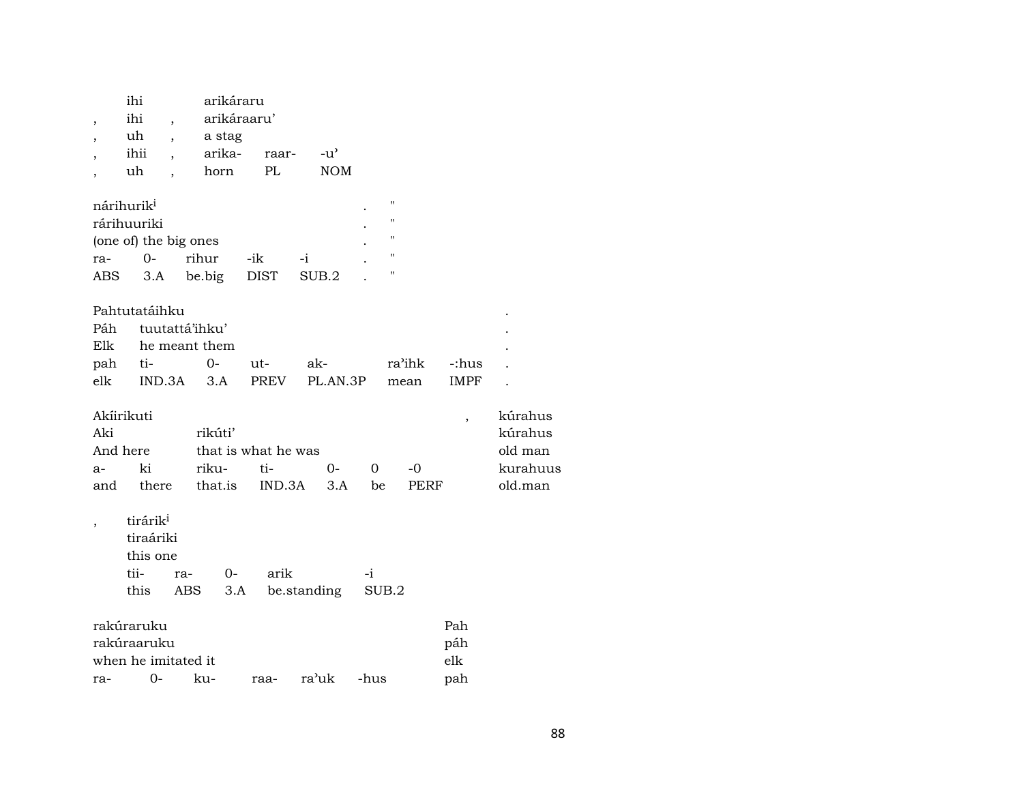| $\overline{\phantom{a}}$<br>$\overline{ }$<br>$\overline{\phantom{a}}$<br>$\overline{\phantom{a}}$ | ihi<br>ihi<br>uh<br>ihii<br>uh                                                    | $\overline{\phantom{a}}$<br>$\overline{\phantom{a}}$<br>$\overline{\phantom{a}}$ | arikáraru<br>arikáraaru'<br>a stag<br>arika-<br>horn | raar-<br>PL                                  | $-u^{\flat}$<br><b>NOM</b> |                |                                                                                                            |                          |                                                    |
|----------------------------------------------------------------------------------------------------|-----------------------------------------------------------------------------------|----------------------------------------------------------------------------------|------------------------------------------------------|----------------------------------------------|----------------------------|----------------|------------------------------------------------------------------------------------------------------------|--------------------------|----------------------------------------------------|
| ra-                                                                                                | nárihurik <sup>i</sup><br>rárihuuriki<br>(one of) the big ones<br>$0-$<br>ABS 3.A | rihur                                                                            | be.big DIST                                          | -ik                                          | $-i$<br>SUB.2              |                | $\pmb{\mathsf{H}}$<br>$\pmb{\mathsf{H}}$<br>$\pmb{\mathsf{H}}$<br>$\pmb{\mathsf{H}}$<br>$\pmb{\mathsf{H}}$ |                          |                                                    |
| Páh<br>Elk<br>elk                                                                                  | Pahtutatáihku<br>pah ti-                                                          | tuutattá'ihku'<br>he meant them<br>$IND.3A$ $3.A$                                | $0-$                                                 | ut-<br>PREV                                  | ak-<br>PL.AN.3P            |                | ra'ihk<br>mean                                                                                             | -:hus<br><b>IMPF</b>     |                                                    |
| Aki<br>$a-$<br>and                                                                                 | Akíirikuti<br>And here<br>ki<br>there                                             |                                                                                  | rikúti'<br>riku-                                     | that is what he was<br>ti-<br>that.is IND.3A | $O-$<br>3.A                | $\Omega$<br>be | $-0$<br>PERF                                                                                               | $\overline{\phantom{a}}$ | kúrahus<br>kúrahus<br>old man<br>kurahu<br>old.man |
|                                                                                                    | tirárik <sup>i</sup><br>tiraáriki<br>this one<br>tii-<br>this                     | ra-<br>ABS                                                                       | $0-$<br>3.A                                          | arik                                         | be.standing                | $-i$<br>SUB.2  |                                                                                                            |                          |                                                    |
|                                                                                                    | rakúraruku                                                                        |                                                                                  |                                                      |                                              |                            |                |                                                                                                            | Pah                      |                                                    |

| tanàna ana          |    |     |  |                 |  | .   |  |  |
|---------------------|----|-----|--|-----------------|--|-----|--|--|
| rakúraaruku         |    |     |  |                 |  |     |  |  |
| when he imitated it |    |     |  |                 |  |     |  |  |
| ra-                 | () | ku- |  | raa- ra'uk -hus |  | pah |  |  |

kúrahus kúrahus

kurahuus old.man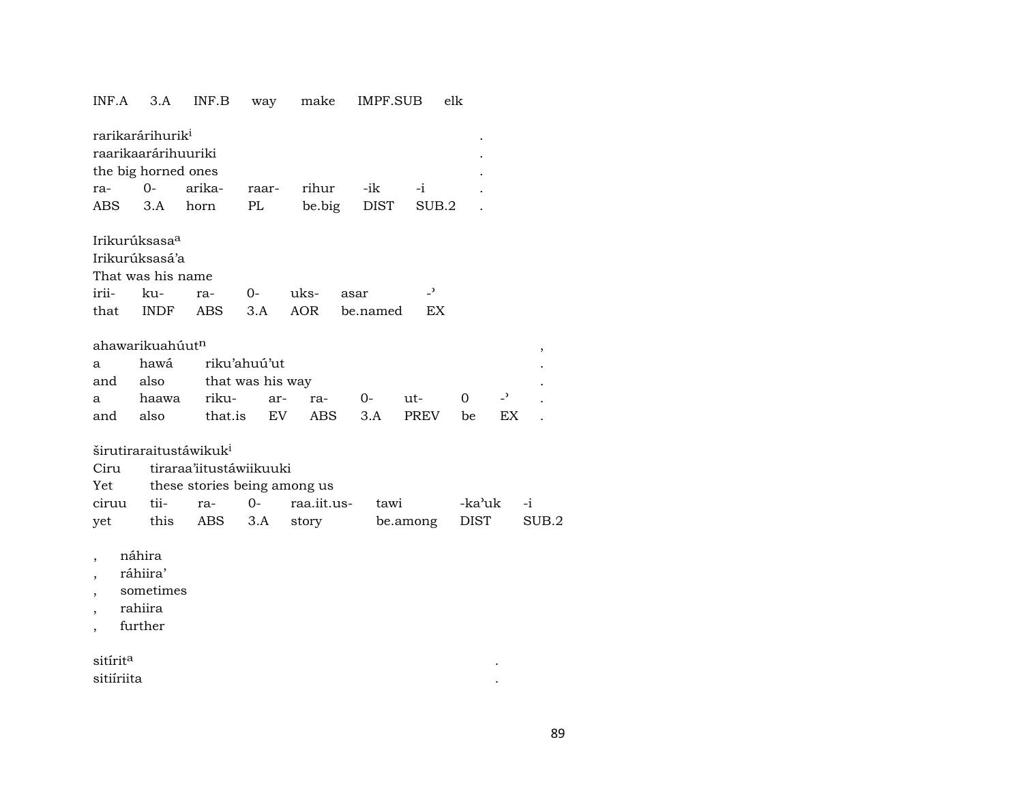## INF.A 3.A INF.B way make IMPF.SUB elk rarikarárihurik<sup>i</sup> raarikaarárihuuriki . the big horned ones ra- 0- arika- raar- rihur -ik -i . ABS 3.A horn PL be.big DIST SUB.2 . Irikurúksasa° Irikurúksasá'a That was his name irii- ku- ra- 0- uks- asar -<sup>></sup> that INDF ABS 3.A AOR be.named EX  $\alpha$ hawarikuahúut $^{\rm n}$ a hawá riku'ahuú'ut and also that was his way a haawa riku- ar- ra- 0- ut- 0 -" . and also that.is EV ABS 3.A PREV be EX . širutiraraitustáwikuk<sup>i</sup> Ciru tiraraa'iitustáwiikuuki Yet these stories being among us ciruu tii- ra- 0- raa.iit.us- tawi -ka"uk -i yet this ABS 3.A story be.among DIST SUB.2

- , náhira
- , ráhiira'
- , sometimes
- , rahiira
- , further

| sitírit <sup>a</sup> |  |
|----------------------|--|
| sitiíriita           |  |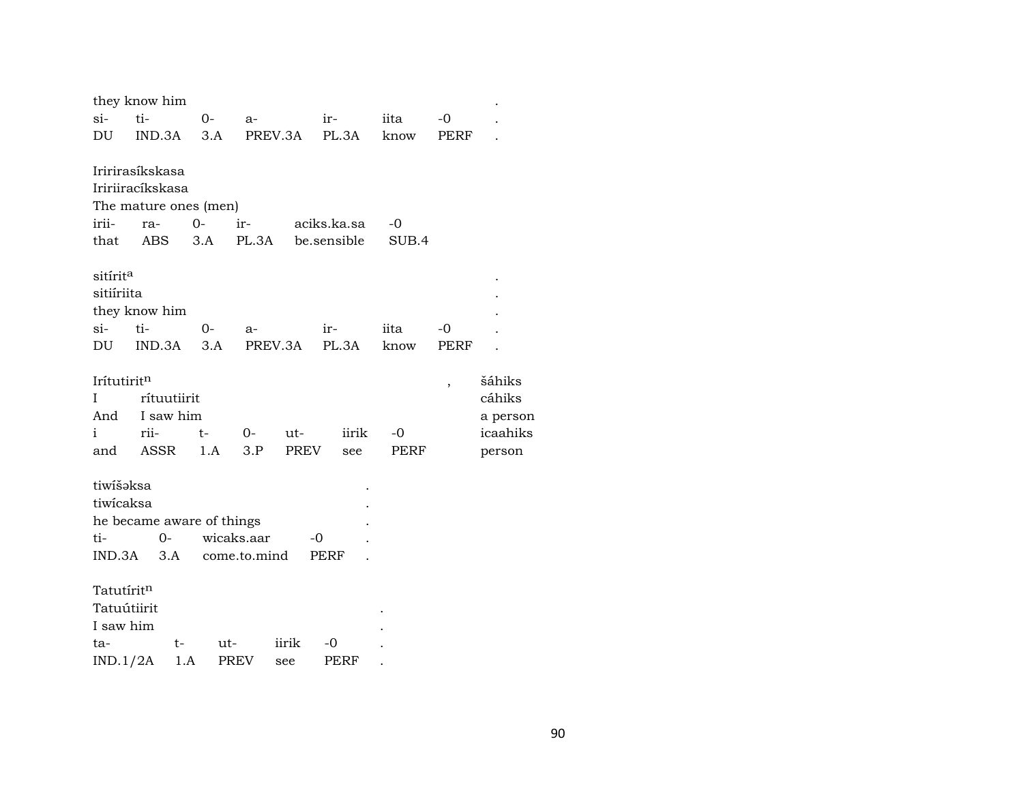|                        | they know him    |                       |                           |             |               |       |      |          |
|------------------------|------------------|-----------------------|---------------------------|-------------|---------------|-------|------|----------|
| si-                    | ti-              | $0-$                  | a-                        |             | $ir -$        | iita  | $-0$ |          |
| DU                     | IND.3A           |                       | 3.A                       | PREV.3A     | PL.3A         | know  | PERF |          |
|                        |                  |                       |                           |             |               |       |      |          |
|                        | Iririrasíkskasa  |                       |                           |             |               |       |      |          |
|                        | Iririiracíkskasa |                       |                           |             |               |       |      |          |
|                        |                  | The mature ones (men) |                           |             |               |       |      |          |
| irii-                  | ra-              | $0 -$                 | ir-                       |             | aciks.ka.sa   | $-0$  |      |          |
| that                   | ABS              | 3.A                   | PL.3A                     |             | be.sensible   | SUB.4 |      |          |
|                        |                  |                       |                           |             |               |       |      |          |
| sitírit <sup>a</sup>   |                  |                       |                           |             |               |       |      |          |
| sitiíriita             |                  |                       |                           |             |               |       |      |          |
|                        | they know him    |                       |                           |             |               |       |      |          |
| si-                    | ti-              | 0-                    | a-                        |             | ir-           | iita  | -0   |          |
| DU                     |                  | $IND.3A$ $3.A$        |                           |             | PREV.3A PL.3A | know  | PERF |          |
|                        |                  |                       |                           |             |               |       |      |          |
| Irítutiritn            |                  |                       |                           |             |               |       | ,    | šáhiks   |
| Ι                      | rítuutiirit      |                       |                           |             |               |       |      | cáhiks   |
| And                    | I saw him        |                       |                           |             |               |       |      | a person |
| i                      | rii-             | t-                    | $0-$                      | ut-         | iirik         | $-0$  |      | icaahiks |
| and                    | ASSR             | 1.A                   | 3.P                       | <b>PREV</b> | see           | PERF  |      | person   |
|                        |                  |                       |                           |             |               |       |      |          |
| tiwišaksa              |                  |                       |                           |             |               |       |      |          |
| tiwicaksa              |                  |                       |                           |             |               |       |      |          |
|                        |                  |                       | he became aware of things |             |               |       |      |          |
| ti-                    | $0-$             |                       | wicaks.aar                |             | -0            |       |      |          |
| IND.3A                 | 3.A              |                       | come.to.mind              |             | PERF          |       |      |          |
| Tatutírit <sup>n</sup> |                  |                       |                           |             |               |       |      |          |
|                        |                  |                       |                           |             |               |       |      |          |
| Tatuútiirit            |                  |                       |                           |             |               |       |      |          |
| I saw him              |                  |                       |                           |             |               |       |      |          |
| ta-                    |                  | t-                    | ut-                       | iirik       | -0            |       |      |          |
| IND.1/2A               |                  | 1.A                   | PREV                      | see         | PERF          |       |      |          |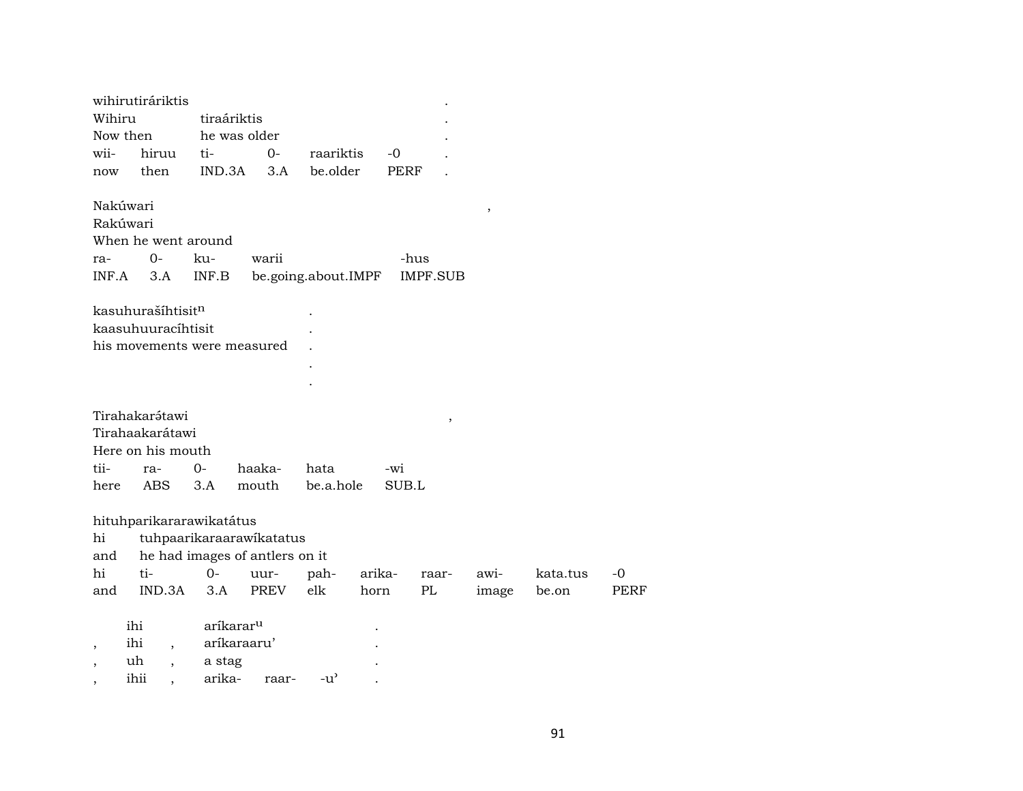|                          | wihirutiráriktis    |                                |             |                     |             |                 |       |          |             |
|--------------------------|---------------------|--------------------------------|-------------|---------------------|-------------|-----------------|-------|----------|-------------|
| Wihiru                   |                     | tiraáriktis                    |             |                     |             |                 |       |          |             |
| Now then                 |                     | he was older                   |             |                     |             |                 |       |          |             |
| wii-                     | hiruu               | ti-                            | $0-$        | raariktis           | -0          |                 |       |          |             |
| now                      | then                | IND.3A                         | 3.A         | be.older            | <b>PERF</b> |                 |       |          |             |
| Nakúwari                 |                     |                                |             |                     |             |                 | $\,$  |          |             |
| Rakúwari                 |                     |                                |             |                     |             |                 |       |          |             |
|                          | When he went around |                                |             |                     |             |                 |       |          |             |
| ra-                      | $0-$                | ku-                            | warii       |                     |             | -hus            |       |          |             |
| INF.A                    | 3.A                 | INF.B                          |             | be.going.about.IMPF |             | <b>IMPF.SUB</b> |       |          |             |
|                          |                     |                                |             |                     |             |                 |       |          |             |
|                          | kasuhurašíhtisitn   |                                |             |                     |             |                 |       |          |             |
|                          | kaasuhuuracíhtisit  |                                |             |                     |             |                 |       |          |             |
|                          |                     | his movements were measured    |             |                     |             |                 |       |          |             |
|                          |                     |                                |             |                     |             |                 |       |          |             |
|                          |                     |                                |             |                     |             |                 |       |          |             |
|                          |                     |                                |             |                     |             |                 |       |          |             |
|                          | Tirahakarátawi      |                                |             |                     |             | $\, ,$          |       |          |             |
|                          | Tirahaakarátawi     |                                |             |                     |             |                 |       |          |             |
|                          | Here on his mouth   |                                |             |                     |             |                 |       |          |             |
| tii-                     | ra-                 | $O -$                          | haaka-      | hata                | $-wi$       |                 |       |          |             |
| here                     | ABS                 | 3.A                            | mouth       | be.a.hole           | SUB.L       |                 |       |          |             |
|                          |                     |                                |             |                     |             |                 |       |          |             |
|                          |                     | hituhparikararawikatátus       |             |                     |             |                 |       |          |             |
| hi                       |                     | tuhpaarikaraarawikatatus       |             |                     |             |                 |       |          |             |
| and                      |                     | he had images of antlers on it |             |                     |             |                 |       |          |             |
| hi                       | ti-                 | $0-$                           | uur-        | pah-                | arika-      | raar-           | awi-  | kata.tus | $-0$        |
| and                      | IND.3A              | 3.A                            | <b>PREV</b> | elk                 | horn        | PL              | image | be.on    | <b>PERF</b> |
|                          |                     |                                |             |                     |             |                 |       |          |             |
|                          | ihi                 | aríkarar <sup>u</sup>          |             |                     |             |                 |       |          |             |
| $\overline{\phantom{a}}$ | ihi                 | aríkaraaru'                    |             |                     |             |                 |       |          |             |
|                          | uh                  | a stag                         |             |                     |             |                 |       |          |             |
|                          | ihii                | arika-                         | raar-       | $-u'$               |             |                 |       |          |             |
|                          |                     |                                |             |                     |             |                 |       |          |             |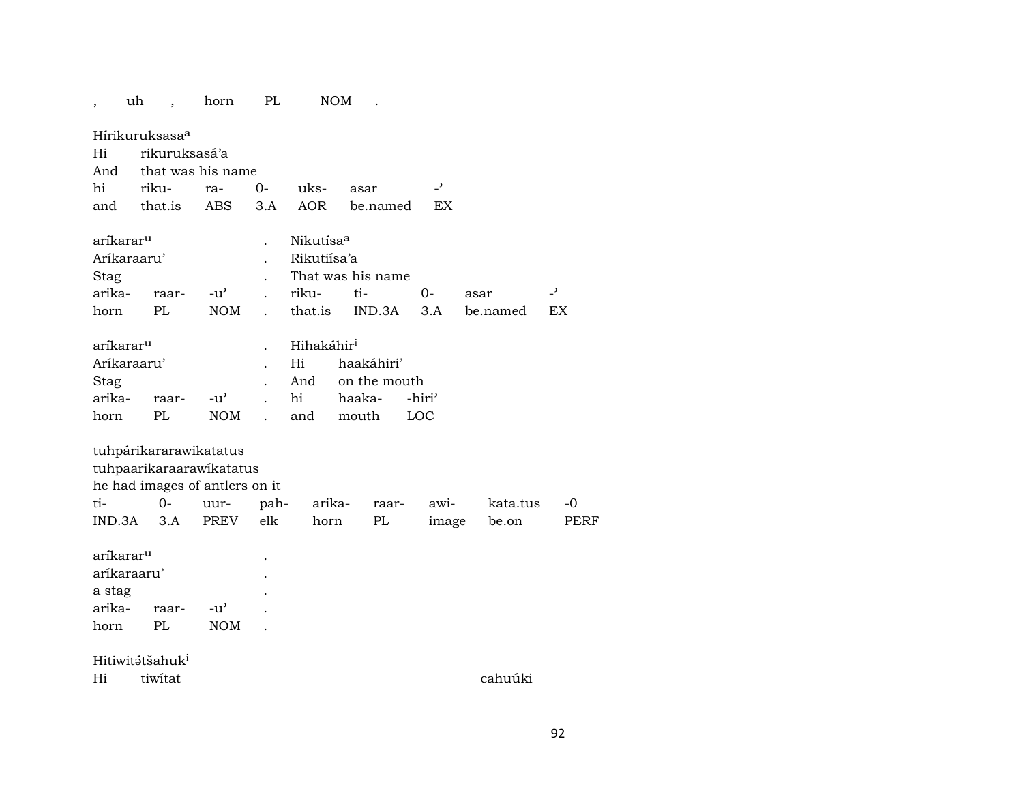| ,                     | uh |                              | horn                           | PL   |                        | <b>NOM</b> |              |                    |          |                          |
|-----------------------|----|------------------------------|--------------------------------|------|------------------------|------------|--------------|--------------------|----------|--------------------------|
|                       |    | Hírikuruksasa <sup>a</sup>   |                                |      |                        |            |              |                    |          |                          |
| Hi                    |    | rikuruksasá'a                |                                |      |                        |            |              |                    |          |                          |
| And                   |    |                              | that was his name              |      |                        |            |              |                    |          |                          |
| hi                    |    | riku-                        | ra-                            | $0-$ | uks-                   | asar       |              | $\overline{z}$     |          |                          |
| and                   |    | that.is                      | ABS                            | 3.A  | <b>AOR</b>             |            | be.named     | EX                 |          |                          |
| aríkarar <sup>u</sup> |    |                              |                                |      | Nikutísa <sup>a</sup>  |            |              |                    |          |                          |
| Aríkaraaru'           |    |                              |                                |      | Rikutiísa'a            |            |              |                    |          |                          |
| Stag                  |    |                              |                                |      | That was his name      |            |              |                    |          |                          |
| arika-                |    | raar-                        | $-u^{\prime}$                  |      | riku-                  | ti-        |              | 0-                 | asar     | $\overline{\phantom{a}}$ |
| horn                  |    | PL                           | <b>NOM</b>                     |      | that.is                |            | IND.3A       | 3.A                | be.named | EX                       |
| aríkarar <sup>u</sup> |    |                              |                                |      | Hihakáhir <sup>i</sup> |            |              |                    |          |                          |
| Aríkaraaru'           |    |                              |                                |      | Hi                     | haakáhiri' |              |                    |          |                          |
| Stag                  |    |                              |                                |      | And                    |            | on the mouth |                    |          |                          |
| arika-                |    | raar-                        | $-u^{\prime}$                  |      | hi                     | haaka-     |              | -hiri <sup>3</sup> |          |                          |
| horn                  |    | PL                           | <b>NOM</b>                     |      | and                    | mouth      |              | LOC                |          |                          |
|                       |    | tuhpárikararawikatatus       |                                |      |                        |            |              |                    |          |                          |
|                       |    |                              | tuhpaarikaraarawikatatus       |      |                        |            |              |                    |          |                          |
|                       |    |                              | he had images of antlers on it |      |                        |            |              |                    |          |                          |
| ti-                   |    | $0-$                         | uur-                           | pah- | arika-                 |            | raar-        | awi-               | kata.tus | -0                       |
| IND.3A                |    | 3.A                          | <b>PREV</b>                    | elk  | horn                   |            | PL           | image              | be.on    | <b>PERF</b>              |
| aríkarar <sup>u</sup> |    |                              |                                |      |                        |            |              |                    |          |                          |
| aríkaraaru'           |    |                              |                                |      |                        |            |              |                    |          |                          |
| a stag                |    |                              |                                |      |                        |            |              |                    |          |                          |
| arika-                |    | raar-                        | $-u'$                          |      |                        |            |              |                    |          |                          |
| horn                  |    | PL                           | <b>NOM</b>                     |      |                        |            |              |                    |          |                          |
|                       |    | Hitiwitə́tšahuk <sup>i</sup> |                                |      |                        |            |              |                    |          |                          |
| Hi                    |    | tiwitat                      |                                |      |                        |            |              |                    | cahuúki  |                          |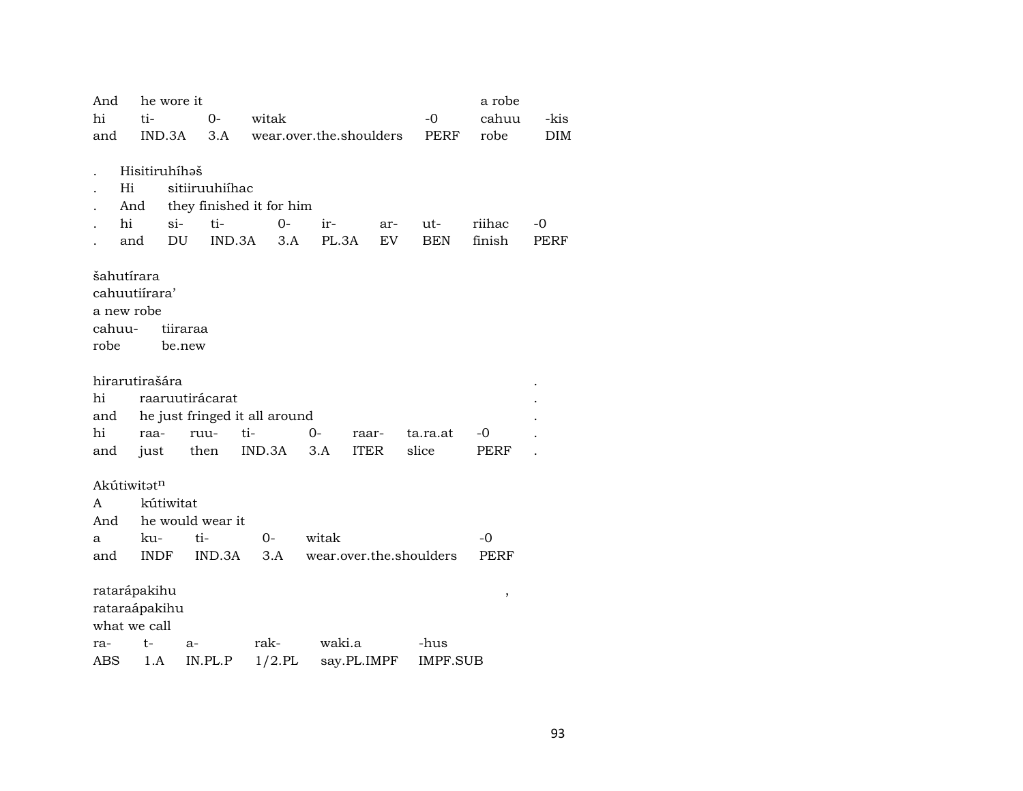| And    |                | he wore it       |                |        |                               |                         |             |     |          |                 | a robe |            |
|--------|----------------|------------------|----------------|--------|-------------------------------|-------------------------|-------------|-----|----------|-----------------|--------|------------|
| hi     | ti-            |                  | $0-$           | witak  |                               |                         |             |     | $-0$     |                 | cahuu  | -kis       |
| and    |                | IND.3A           | 3.A            |        | wear.over.the.shoulders       |                         |             |     |          | PERF            | robe   | <b>DIM</b> |
|        |                |                  |                |        |                               |                         |             |     |          |                 |        |            |
|        | Hisitiruhíhaš  |                  |                |        |                               |                         |             |     |          |                 |        |            |
|        | Hi             |                  | sitiiruuhiíhac |        |                               |                         |             |     |          |                 |        |            |
|        | And            |                  |                |        | they finished it for him      |                         |             |     |          |                 |        |            |
|        | hi             | $si-$            | ti-            |        | 0-                            | ir-                     |             | ar- | ut-      |                 | riihac | $-0$       |
|        | and            | DU               |                | IND.3A | 3.A                           | PL.3A                   |             | EV. |          | <b>BEN</b>      | finish | PERF       |
|        |                |                  |                |        |                               |                         |             |     |          |                 |        |            |
|        | šahutírara     |                  |                |        |                               |                         |             |     |          |                 |        |            |
|        | cahuutiírara'  |                  |                |        |                               |                         |             |     |          |                 |        |            |
|        | a new robe     |                  |                |        |                               |                         |             |     |          |                 |        |            |
| cahuu- |                | tiiraraa         |                |        |                               |                         |             |     |          |                 |        |            |
| robe   |                | be.new           |                |        |                               |                         |             |     |          |                 |        |            |
|        |                |                  |                |        |                               |                         |             |     |          |                 |        |            |
|        | hirarutirašára |                  |                |        |                               |                         |             |     |          |                 |        |            |
| hi     |                | raaruutirácarat  |                |        |                               |                         |             |     |          |                 |        |            |
| and    |                |                  |                |        | he just fringed it all around |                         |             |     |          |                 |        |            |
| hi     | raa-           |                  | ruu-           | ti-    |                               | $O -$                   | raar-       |     | ta.ra.at |                 | -0     |            |
| and    | just           |                  | then           | IND.3A |                               | 3.A                     | <b>ITER</b> |     | slice    |                 | PERF   |            |
|        |                |                  |                |        |                               |                         |             |     |          |                 |        |            |
|        | Akútiwitatn    |                  |                |        |                               |                         |             |     |          |                 |        |            |
| A      |                | kútiwitat        |                |        |                               |                         |             |     |          |                 |        |            |
| And    |                | he would wear it |                |        |                               |                         |             |     |          |                 |        |            |
| а      | ku-            |                  | ti-            | $0-$   |                               | witak                   |             |     |          |                 | $-0$   |            |
| and    | <b>INDF</b>    |                  | IND.3A         |        | 3.A                           | wear.over.the.shoulders |             |     |          |                 | PERF   |            |
|        |                |                  |                |        |                               |                         |             |     |          |                 |        |            |
|        | ratarápakihu   |                  |                |        |                               |                         |             |     |          |                 | $\,$   |            |
|        | rataraápakihu  |                  |                |        |                               |                         |             |     |          |                 |        |            |
|        | what we call   |                  |                |        |                               |                         |             |     |          |                 |        |            |
| ra-    | $t-$           | a-               |                | rak-   |                               | waki.a                  |             |     | -hus     |                 |        |            |
| ABS    | 1.A            |                  | IN.PL.P        |        | $1/2$ .PL                     |                         | say.PL.IMPF |     |          | <b>IMPF.SUB</b> |        |            |